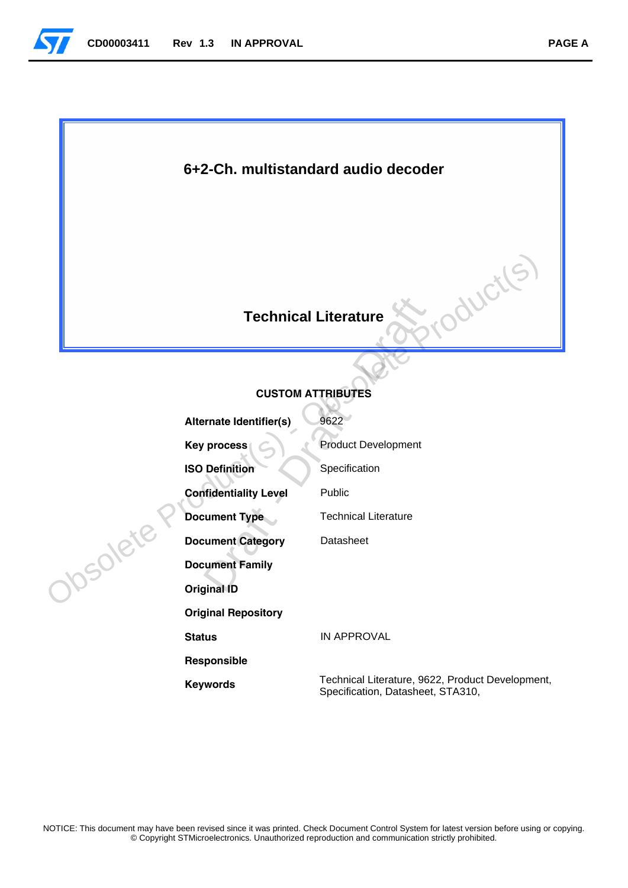

## **6+2-Ch. multistandard audio decoder**

## **Technical Literature**

## **CUSTOM ATTRIBUTES**

|         |                              | S<br>ductl<br><b>Technical Literature</b>                                             |
|---------|------------------------------|---------------------------------------------------------------------------------------|
|         |                              | <b>CUSTOM ATTRIBUTES</b>                                                              |
|         |                              |                                                                                       |
|         | Alternate Identifier(s)      | 9622                                                                                  |
|         | <b>Key process</b>           | <b>Product Development</b>                                                            |
|         | <b>ISO Definition</b>        | Specification                                                                         |
|         | <b>Confidentiality Level</b> | Public                                                                                |
|         | <b>Document Type</b>         | <b>Technical Literature</b>                                                           |
| DSOlett | <b>Document Category</b>     | Datasheet                                                                             |
|         | <b>Document Family</b>       |                                                                                       |
|         | <b>Original ID</b>           |                                                                                       |
|         | <b>Original Repository</b>   |                                                                                       |
|         | <b>Status</b>                | <b>IN APPROVAL</b>                                                                    |
|         | Responsible                  |                                                                                       |
|         | <b>Keywords</b>              | Technical Literature, 9622, Product Development,<br>Specification, Datasheet, STA310, |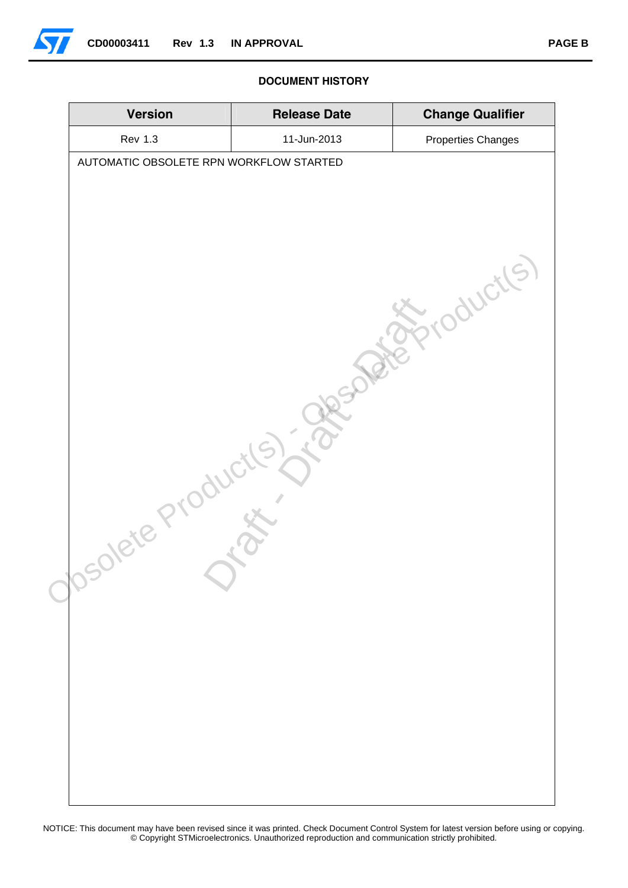

#### **DOCUMENT HISTORY**

| <b>Version</b>                                      | <b>Release Date</b> | <b>Change Qualifier</b> |
|-----------------------------------------------------|---------------------|-------------------------|
| <b>Rev 1.3</b>                                      | 11-Jun-2013         | Properties Changes      |
| AUTOMATIC OBSOLETE RPN WORKFLOW STARTED<br>Solete P |                     | Joucils                 |
|                                                     |                     |                         |

NOTICE: This document may have been revised since it was printed. Check Document Control System for latest version before using or copying. © Copyright STMicroelectronics. Unauthorized reproduction and communication strictly prohibited.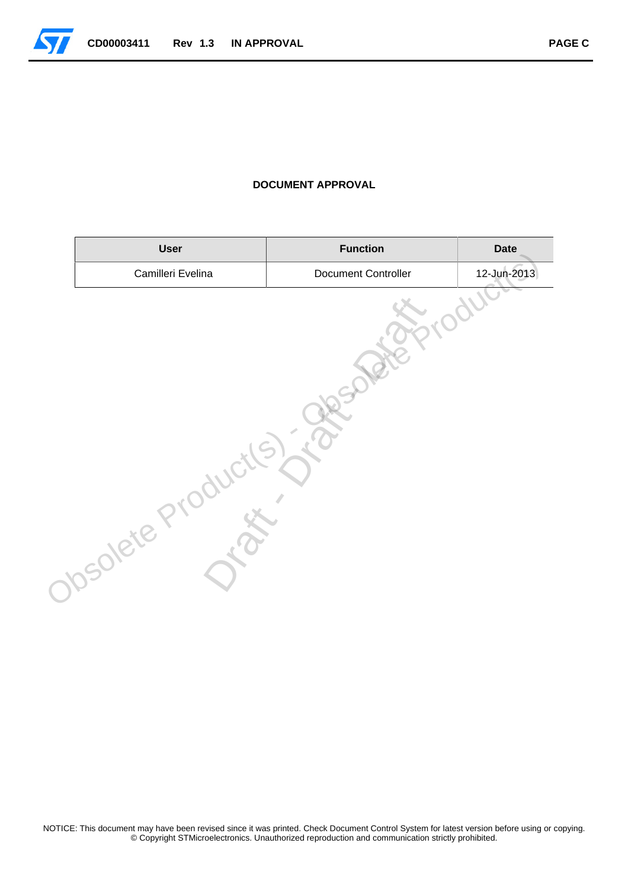

#### **DOCUMENT APPROVAL**

| <b>User</b>       | <b>Function</b>     | <b>Date</b> |
|-------------------|---------------------|-------------|
| Camilleri Evelina | Document Controller | 12-Jun-2013 |
| Solete            |                     |             |

NOTICE: This document may have been revised since it was printed. Check Document Control System for latest version before using or copying. © Copyright STMicroelectronics. Unauthorized reproduction and communication strictly prohibited.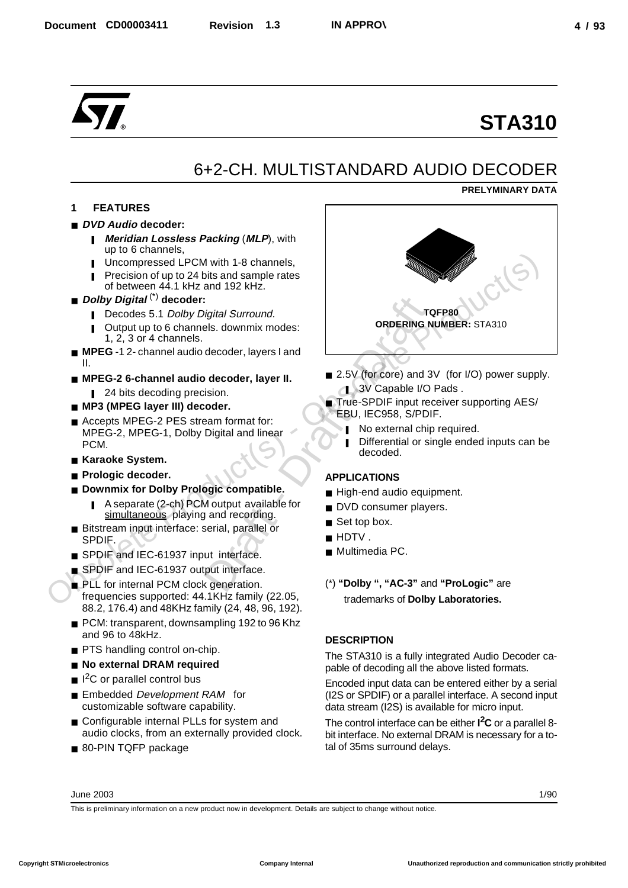## 6+2-CH. MULTISTANDARD AUDIO DECODER

## **PRELYMINARY DATA**

## **1 FEATURES**

## ■ *DVD Audio* decoder:

- **I** *Meridian Lossless Packing (MLP), with* up to 6 channels,
- Uncompressed LPCM with 1-8 channels,
- Precision of up to 24 bits and sample rates of between 44.1 kHz and 192 kHz.
- *Dolby Digital*<sup>(\*)</sup> decoder:
	- Decodes 5.1 Dolby Digital Surround.
	- Output up to 6 channels. downmix modes: 1,  $2, 3$  or 4 channels.
- **MPEG** -1 2- channel audio decoder, layers I and II.
- MPEG-2 6-channel audio decoder, layer II.
	- 24 bits decoding precision.
- **MP3 (MPEG layer III) decoder.**
- Accepts MPEG-2 PES stream format for: MPEG-2, MPEG-1, Dolby Digital and linear PCM.
- Karaoke System.
- **Prologic decoder.**
- **Downmix for Dolby Prologic compatible.** 
	- A separate (2-ch) PCM output available for simultaneous playing and recording.
- Bitstream input interface: serial, parallel or SPDIF.
- SPDIF and IEC-61937 input interface.
- SPDIF and IEC-61937 output interface.
- PLL for internal PCM clock generation. frequencies supported: 44.1KHz family (22.05, 88.2, 176.4) and 48KHz family (24, 48, 96, 192).
- PCM: transparent, downsampling 192 to 96 Khz and 96 to 48kHz.
- PTS handling control on-chip.
- **No external DRAM required**
- $\blacksquare$  I<sup>2</sup>C or parallel control bus
- Embedded Development RAM for customizable software capability.
- Configurable internal PLLs for system and audio clocks, from an externally provided clock.
- 80-PIN TQFP package



- 2.5V (for core) and 3V (for I/O) power supply. **1** 3V Capable I/O Pads.
- True-SPDIF input receiver supporting AES/ EBU, IEC958, S/PDIF.
	- ❚ No external chip required.
	- Differential or single ended inputs can be decoded.

## **APPLICATIONS**

- High-end audio equipment.
- DVD consumer players.
- Set top box.
- HDTV
- Multimedia PC.
- (\*) **"Dolby ", "AC-3"** and **"ProLogic"** are trademarks of **Dolby Laboratories.**

## **DESCRIPTION**

The STA310 is a fully integrated Audio Decoder capable of decoding all the above listed formats.

Encoded input data can be entered either by a serial (I2S or SPDIF) or a parallel interface. A second input data stream (I2S) is available for micro input.

The control interface can be either **I 2C** or a parallel 8 bit interface. No external DRAM is necessary for a total of 35ms surround delays.

June 2003

1/90

This is preliminary information on a new product now in development. Details are subject to change without notice.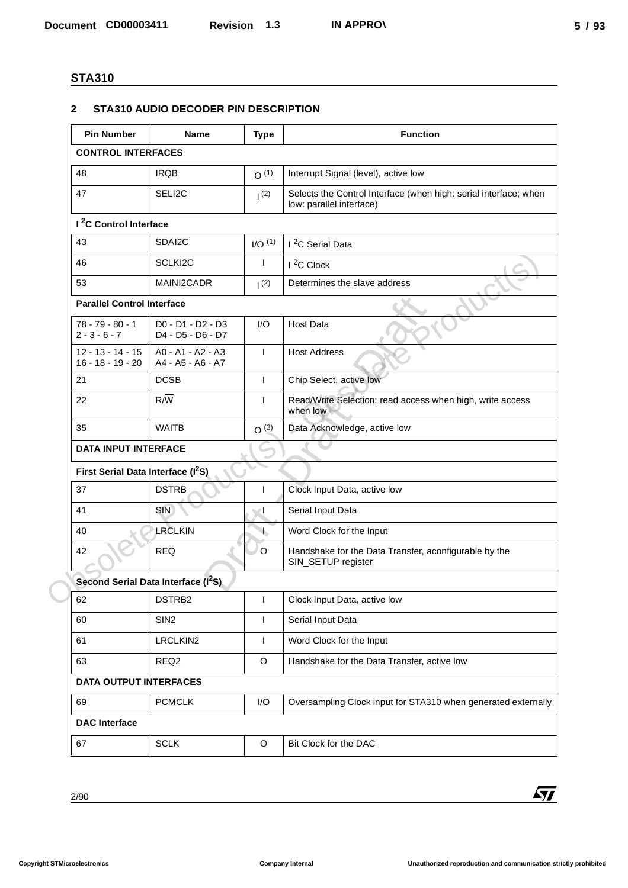#### **2 STA310 AUDIO DECODER PIN DESCRIPTION**

|                                                | STA310 AUDIO DECODER PIN DESCRIPTION                      |                    |                                                                                              |
|------------------------------------------------|-----------------------------------------------------------|--------------------|----------------------------------------------------------------------------------------------|
| <b>Pin Number</b>                              | <b>Name</b>                                               | <b>Type</b>        | <b>Function</b>                                                                              |
| <b>CONTROL INTERFACES</b>                      |                                                           |                    |                                                                                              |
| 48                                             | <b>IRQB</b>                                               | O(1)               | Interrupt Signal (level), active low                                                         |
| 47                                             | SELI2C                                                    | (2)                | Selects the Control Interface (when high: serial interface; when<br>low: parallel interface) |
| I <sup>2</sup> C Control Interface             |                                                           |                    |                                                                                              |
| 43                                             | SDAI2C                                                    | I/O <sup>(1)</sup> | I <sup>2</sup> C Serial Data                                                                 |
| 46                                             | SCLKI2C                                                   | $\mathbf{I}$       | $I^2C$ Clock                                                                                 |
| 53                                             | MAINI2CADR                                                | (2)                | Determines the slave address                                                                 |
| <b>Parallel Control Interface</b>              |                                                           |                    |                                                                                              |
| $78 - 79 - 80 - 1$<br>$2 - 3 - 6 - 7$          | D0 - D1 - D2 - D3<br>D4 - D5 - D6 - D7                    | I/O                | <b>Host Data</b>                                                                             |
| $12 - 13 - 14 - 15$<br>$16 - 18 - 19 - 20$     | A0 - A1 - A2 - A3<br>A4 - A5 - A6 - A7                    | $\mathbf{I}$       | <b>Host Address</b>                                                                          |
| 21                                             | <b>DCSB</b>                                               | $\mathbf{I}$       | Chip Select, active low                                                                      |
| 22                                             | $R/\overline{W}$                                          | $\mathbf{I}$       | Read/Write Selection: read access when high, write access<br>when low                        |
| 35                                             | <b>WAITB</b>                                              | O <sup>(3)</sup>   | Data Acknowledge, active low                                                                 |
| <b>DATA INPUT INTERFACE</b>                    |                                                           |                    |                                                                                              |
| First Serial Data Interface (I <sup>2</sup> S) |                                                           |                    |                                                                                              |
| 37                                             | <b>DSTRB</b>                                              |                    | Clock Input Data, active low                                                                 |
| 41                                             | SIN)                                                      | ь.                 | Serial Input Data                                                                            |
| 40<br>42                                       | LRCLKIN<br><b>REQ</b>                                     | $\mathcal{A}$<br>O | Word Clock for the Input<br>Handshake for the Data Transfer, aconfigurable by the            |
|                                                |                                                           |                    | SIN_SETUP register                                                                           |
| 62                                             | Second Serial Data Interface (I <sup>2</sup> S)<br>DSTRB2 | T                  | Clock Input Data, active low                                                                 |
| 60                                             | SIN <sub>2</sub>                                          | $\mathbf{I}$       | Serial Input Data                                                                            |
| 61                                             | LRCLKIN2                                                  | $\mathbf{I}$       | Word Clock for the Input                                                                     |
| 63                                             | REQ <sub>2</sub>                                          | O                  | Handshake for the Data Transfer, active low                                                  |
| <b>DATA OUTPUT INTERFACES</b>                  |                                                           |                    |                                                                                              |
| 69                                             | <b>PCMCLK</b>                                             | I/O                | Oversampling Clock input for STA310 when generated externally                                |
| <b>DAC</b> Interface                           |                                                           |                    |                                                                                              |
| 67                                             | <b>SCLK</b>                                               | O                  | Bit Clock for the DAC                                                                        |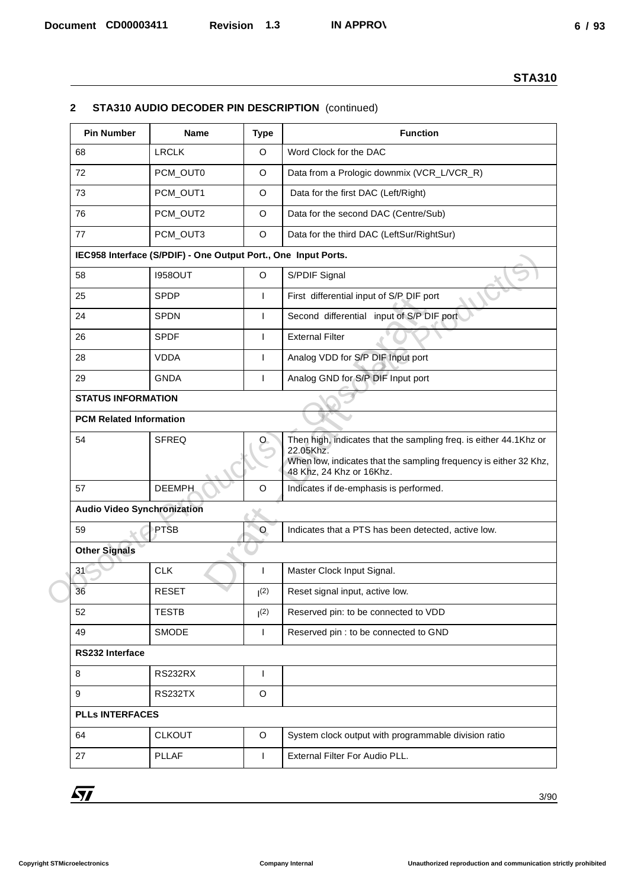### **2 STA310 AUDIO DECODER PIN DESCRIPTION** (continued)

| $\mathbf{2}$                       |                                                                |              | STA310 AUDIO DECODER PIN DESCRIPTION (continued)                                                                                                                                |
|------------------------------------|----------------------------------------------------------------|--------------|---------------------------------------------------------------------------------------------------------------------------------------------------------------------------------|
| <b>Pin Number</b>                  | <b>Name</b>                                                    | <b>Type</b>  | <b>Function</b>                                                                                                                                                                 |
| 68                                 | <b>LRCLK</b>                                                   | $\circ$      | Word Clock for the DAC                                                                                                                                                          |
| 72                                 | PCM_OUT0                                                       | $\circ$      | Data from a Prologic downmix (VCR_L/VCR_R)                                                                                                                                      |
| 73                                 | PCM_OUT1                                                       | $\circ$      | Data for the first DAC (Left/Right)                                                                                                                                             |
| 76                                 | PCM_OUT2                                                       | $\circ$      | Data for the second DAC (Centre/Sub)                                                                                                                                            |
| 77                                 | PCM_OUT3                                                       | $\circ$      | Data for the third DAC (LeftSur/RightSur)                                                                                                                                       |
|                                    | IEC958 Interface (S/PDIF) - One Output Port., One Input Ports. |              |                                                                                                                                                                                 |
| 58                                 | <b>I958OUT</b>                                                 | $\mathsf O$  | S/PDIF Signal                                                                                                                                                                   |
| 25                                 | <b>SPDP</b>                                                    |              | First differential input of S/P DIF port                                                                                                                                        |
| 24                                 | SPDN                                                           | $\mathbf{I}$ | Second differential input of S/P DIF port                                                                                                                                       |
| 26                                 | <b>SPDF</b>                                                    |              | <b>External Filter</b>                                                                                                                                                          |
| 28                                 | <b>VDDA</b>                                                    |              | Analog VDD for S/P DIF Input port                                                                                                                                               |
| 29                                 | <b>GNDA</b>                                                    |              | Analog GND for S/P DIF Input port                                                                                                                                               |
| <b>STATUS INFORMATION</b>          |                                                                |              |                                                                                                                                                                                 |
| <b>PCM Related Information</b>     |                                                                |              |                                                                                                                                                                                 |
| 54                                 | <b>SFREQ</b>                                                   | O.           | Then high, indicates that the sampling freq. is either 44.1Khz or<br>22.05Khz.<br>When low, indicates that the sampling frequency is either 32 Khz,<br>48 Khz, 24 Khz or 16Khz. |
| 57                                 | <b>DEEMPH</b>                                                  | $\circ$      | Indicates if de-emphasis is performed.                                                                                                                                          |
| <b>Audio Video Synchronization</b> |                                                                |              |                                                                                                                                                                                 |
| 59                                 | PTSB                                                           | $\circ$      | Indicates that a PTS has been detected, active low.                                                                                                                             |
| <b>Other Signals</b>               |                                                                |              |                                                                                                                                                                                 |
| 31 <sup>°</sup>                    | <b>CLK</b>                                                     |              | Master Clock Input Signal.                                                                                                                                                      |
| 36                                 | <b>RESET</b>                                                   | (2)          | Reset signal input, active low.                                                                                                                                                 |
| 52                                 | <b>TESTB</b>                                                   | (2)          | Reserved pin: to be connected to VDD                                                                                                                                            |
| 49                                 | <b>SMODE</b>                                                   | $\mathbf{I}$ | Reserved pin : to be connected to GND                                                                                                                                           |
| RS232 Interface                    |                                                                |              |                                                                                                                                                                                 |
| 8                                  | <b>RS232RX</b>                                                 |              |                                                                                                                                                                                 |
| 9                                  | <b>RS232TX</b>                                                 | O            |                                                                                                                                                                                 |
| <b>PLLs INTERFACES</b>             |                                                                |              |                                                                                                                                                                                 |
| 64                                 | <b>CLKOUT</b>                                                  | O            | System clock output with programmable division ratio                                                                                                                            |
| 27                                 | <b>PLLAF</b>                                                   |              | External Filter For Audio PLL.                                                                                                                                                  |
|                                    |                                                                |              |                                                                                                                                                                                 |
| $\sqrt{M}$                         |                                                                |              | 3/90                                                                                                                                                                            |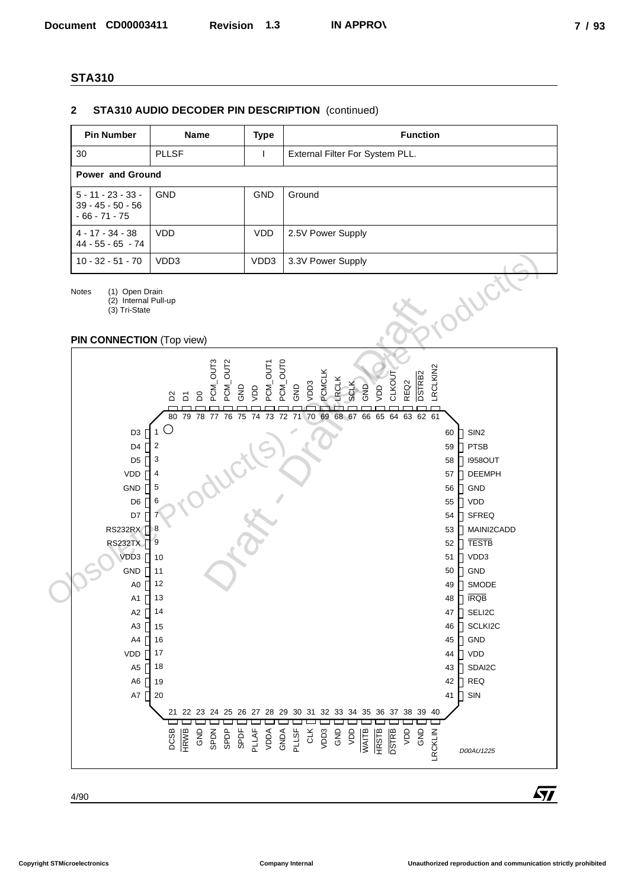#### **2 STA310 AUDIO DECODER PIN DESCRIPTION** (continued)

| <b>Pin Number</b>                                              | <b>Name</b>             | Type       | <b>Function</b>                 |  |  |  |
|----------------------------------------------------------------|-------------------------|------------|---------------------------------|--|--|--|
| 30                                                             | <b>PLLSF</b>            |            | External Filter For System PLL. |  |  |  |
|                                                                | <b>Power and Ground</b> |            |                                 |  |  |  |
| $5 - 11 - 23 - 33 -$<br>$39 - 45 - 50 - 56$<br>$-66 - 71 - 75$ | <b>GND</b>              | <b>GND</b> | Ground                          |  |  |  |
| $4 - 17 - 34 - 38$<br>$44 - 55 - 65 - 74$                      | <b>VDD</b>              | VDD.       | 2.5V Power Supply               |  |  |  |
| $10 - 32 - 51 - 70$                                            | VDD3                    | VDD3       | 3.3V Power Supply               |  |  |  |

Notes (1) Open Drain

(2) Internal Pull-up (3) Tri-State

#### **PIN CONNECTION** (Top view)

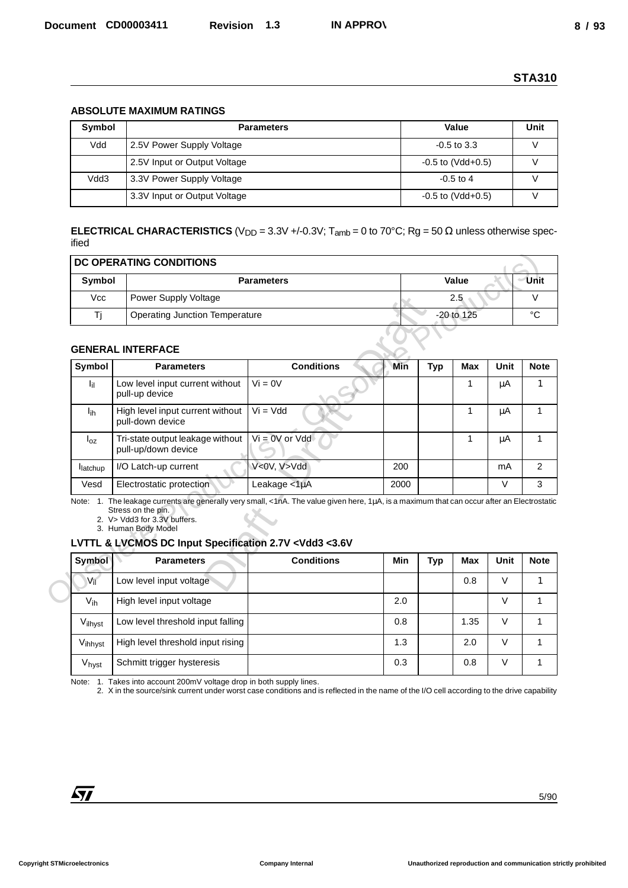#### **ABSOLUTE MAXIMUM RATINGS**

| Symbol | <b>Parameters</b>            | Value                   | Unit |
|--------|------------------------------|-------------------------|------|
| Vdd    | 2.5V Power Supply Voltage    | $-0.5$ to 3.3           |      |
|        | 2.5V Input or Output Voltage | $-0.5$ to (Vdd $+0.5$ ) |      |
| Vdd3   | 3.3V Power Supply Voltage    | $-0.5$ to 4             |      |
|        | 3.3V Input or Output Voltage | $-0.5$ to (Vdd $+0.5$ ) |      |

| DC OPERATING CONDITIONS |                                       |              |         |  |  |  |
|-------------------------|---------------------------------------|--------------|---------|--|--|--|
| Symbol                  | <b>Parameters</b>                     | Value        | Unit    |  |  |  |
| <b>Vcc</b>              | Power Supply Voltage                  | 2.5          |         |  |  |  |
|                         | <b>Operating Junction Temperature</b> | $-20$ to 125 | $\circ$ |  |  |  |
|                         |                                       |              |         |  |  |  |

#### **GENERAL INTERFACE**

|                   | <b>ABSOLUTE MAXIMUM RATINGS</b>                                                                                                                                                                                                                                                                                                                            |                    |      |            |                         |      |                |
|-------------------|------------------------------------------------------------------------------------------------------------------------------------------------------------------------------------------------------------------------------------------------------------------------------------------------------------------------------------------------------------|--------------------|------|------------|-------------------------|------|----------------|
| Symbol            |                                                                                                                                                                                                                                                                                                                                                            | <b>Parameters</b>  |      |            | Value                   |      | <b>Unit</b>    |
| Vdd               | 2.5V Power Supply Voltage                                                                                                                                                                                                                                                                                                                                  |                    |      |            | $-0.5$ to $3.3$         |      | $\vee$         |
|                   | 2.5V Input or Output Voltage                                                                                                                                                                                                                                                                                                                               |                    |      |            | $-0.5$ to (Vdd $+0.5$ ) |      | V              |
| Vdd3              | 3.3V Power Supply Voltage                                                                                                                                                                                                                                                                                                                                  |                    |      |            | $-0.5$ to 4             |      | $\vee$         |
|                   | 3.3V Input or Output Voltage                                                                                                                                                                                                                                                                                                                               |                    |      |            | $-0.5$ to (Vdd $+0.5$ ) |      | V              |
| ified             | <b>ELECTRICAL CHARACTERISTICS</b> ( $V_{DD}$ = 3.3V +/-0.3V; T <sub>amb</sub> = 0 to 70°C; Rg = 50 $\Omega$ unless otherwise spec-                                                                                                                                                                                                                         |                    |      |            |                         |      |                |
|                   | DC OPERATING CONDITIONS                                                                                                                                                                                                                                                                                                                                    |                    |      |            |                         |      |                |
| Symbol            |                                                                                                                                                                                                                                                                                                                                                            | <b>Parameters</b>  |      |            | Value                   |      | Unit           |
| <b>Vcc</b>        | Power Supply Voltage                                                                                                                                                                                                                                                                                                                                       |                    |      |            | 2.5                     |      | $\vee$         |
| Tj                | <b>Operating Junction Temperature</b>                                                                                                                                                                                                                                                                                                                      |                    |      |            | -20 to 125              |      | $^{\circ}C$    |
|                   | <b>GENERAL INTERFACE</b>                                                                                                                                                                                                                                                                                                                                   |                    |      |            |                         |      |                |
| Symbol            | <b>Parameters</b>                                                                                                                                                                                                                                                                                                                                          | <b>Conditions</b>  | Min  | <b>Typ</b> | <b>Max</b>              | Unit | <b>Note</b>    |
| l <sub>il</sub>   | Low level input current without<br>pull-up device                                                                                                                                                                                                                                                                                                          | $Vi = 0V$          |      |            | $\mathbf 1$             | μA   | $\mathbf{1}$   |
| l <sub>ih</sub>   | High level input current without<br>pull-down device                                                                                                                                                                                                                                                                                                       | $Vi = Vdd$         |      |            | $\mathbf{1}$            | μA   | $\mathbf{1}$   |
| $I_{oz}$          | Tri-state output leakage without<br>pull-up/down device                                                                                                                                                                                                                                                                                                    | $Vi = OV$ or $Vdd$ |      |            | $\mathbf{1}$            | μA   | $\mathbf{1}$   |
| latchup           | I/O Latch-up current                                                                                                                                                                                                                                                                                                                                       | V<0V, V>Vdd        | 200  |            |                         | mA   | $\overline{c}$ |
| Vesd              | Electrostatic protection                                                                                                                                                                                                                                                                                                                                   | Leakage <1µA       | 2000 |            |                         | V    | 3              |
|                   | Note: 1. The leakage currents are generally very small, <1nA. The value given here, 1µA, is a maximum that can occur after an Electrostatic<br>Stress on the pin.<br>2. V> Vdd3 for 3.3V buffers.<br>3. Human Body Model<br>LVTTL & LVCMOS DC Input Specification 2.7V <vdd3 <3.6v<="" td=""><td></td><td></td><td></td><td></td><td></td><td></td></vdd3> |                    |      |            |                         |      |                |
| <b>Symbol</b>     | <b>Parameters</b>                                                                                                                                                                                                                                                                                                                                          | <b>Conditions</b>  | Min  | <b>Typ</b> | Max                     | Unit | <b>Note</b>    |
| $V_{\rm II}$      | Low level input voltage                                                                                                                                                                                                                                                                                                                                    |                    |      |            | 0.8                     | V    | $\mathbf{1}$   |
| Vih               | High level input voltage                                                                                                                                                                                                                                                                                                                                   |                    | 2.0  |            |                         | V    | $\mathbf{1}$   |
| Vilhyst           | Low level threshold input falling                                                                                                                                                                                                                                                                                                                          |                    | 0.8  |            | 1.35                    | V    | $\mathbf{1}$   |
| Vihhyst           | High level threshold input rising                                                                                                                                                                                                                                                                                                                          |                    | 1.3  |            | 2.0                     | V    | $\mathbf{1}$   |
| V <sub>hyst</sub> | Schmitt trigger hysteresis                                                                                                                                                                                                                                                                                                                                 |                    | 0.3  |            | 0.8                     | V    | $\mathbf 1$    |
|                   | Note: 1. Takes into account 200mV voltage drop in both supply lines.<br>2. X in the source/sink current under worst case conditions and is reflected in the name of the I/O cell according to the drive capability                                                                                                                                         |                    |      |            |                         |      |                |

#### **LVTTL & LVCMOS DC Input Specification 2.7V <Vdd3 <3.6V**

| Symbol       | <b>Parameters</b>                 | <b>Conditions</b> | Min | Typ | <b>Max</b> | Unit | <b>Note</b> |
|--------------|-----------------------------------|-------------------|-----|-----|------------|------|-------------|
| $V_{\rm il}$ | Low level input voltage           |                   |     |     | 0.8        | V    |             |
| $V_{ih}$     | High level input voltage          |                   | 2.0 |     |            | V    |             |
| Vilhyst      | Low level threshold input falling |                   | 0.8 |     | 1.35       | V    |             |
| Vihhyst      | High level threshold input rising |                   | 1.3 |     | 2.0        | V    |             |
| Vhyst        | Schmitt trigger hysteresis        |                   | 0.3 |     | 0.8        | V    |             |

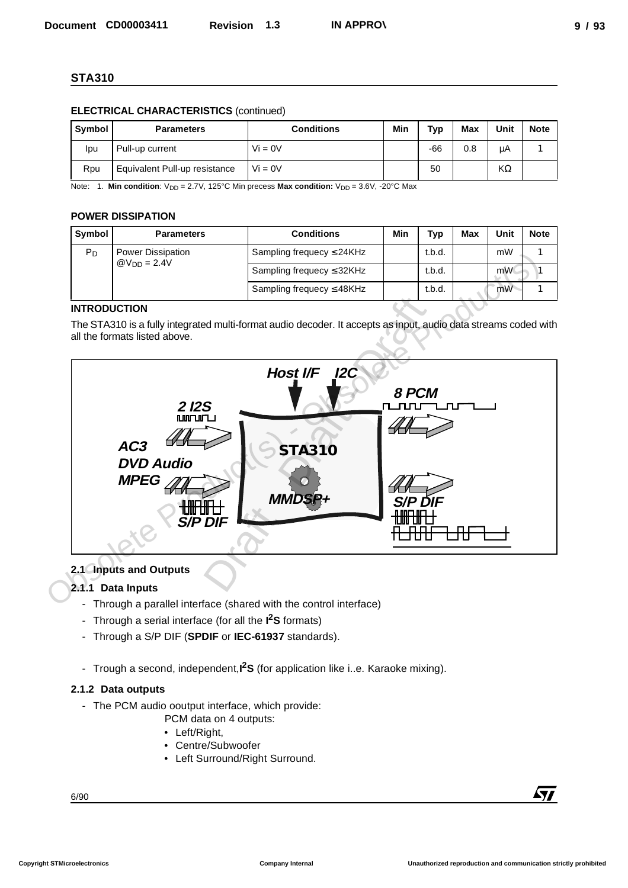## **ELECTRICAL CHARACTERISTICS** (continued)

| Symbol | <b>Parameters</b>             | <b>Conditions</b> | Min | Typ   | Max | Unit | <b>Note</b> |
|--------|-------------------------------|-------------------|-----|-------|-----|------|-------------|
| lpu    | Pull-up current               | $Vi = 0V$         |     | $-66$ | 0.8 | μA   |             |
| Rpu    | Equivalent Pull-up resistance | $Vi = 0V$         |     | 50    |     | KΩ   |             |

Note: 1. **Min condition**: V<sub>DD</sub> = 2.7V, 125°C Min precess **Max condition:** V<sub>DD</sub> = 3.6V, -20°C Max

## **POWER DISSIPATION**

| Symbol           | <b>Parameters</b>              | <b>Conditions</b>              | Min    | Typ    | Max | Unit | <b>Note</b> |
|------------------|--------------------------------|--------------------------------|--------|--------|-----|------|-------------|
| $P_D$            | <b>Power Dissipation</b>       | Sampling frequecy $\leq$ 24KHz |        | t.b.d. |     | mW   |             |
| $@V_{DD} = 2.4V$ | Sampling frequecy $\leq$ 32KHz |                                | t.b.d. |        | mW  |      |             |
|                  |                                | Sampling frequecy $\leq$ 48KHz |        | t.b.d. |     | mW   |             |

## **INTRODUCTION**

The STA310 is a fully integrated multi-format audio decoder. It accepts as input, audio data streams coded with all the formats listed above.



## **2.1 Inputs and Outputs**

## **2.1.1 Data Inputs**

- Through a parallel interface (shared with the control interface)
- Through a serial interface (for all the **I 2S** formats)
- Through a S/P DIF (**SPDIF** or **IEC-61937** standards).
- Trough a second, independent,**I 2S** (for application like i..e. Karaoke mixing).

## **2.1.2 Data outputs**

- The PCM audio ooutput interface, which provide:
	- PCM data on 4 outputs:
	- Left/Right,
	- Centre/Subwoofer
	- Left Surround/Right Surround.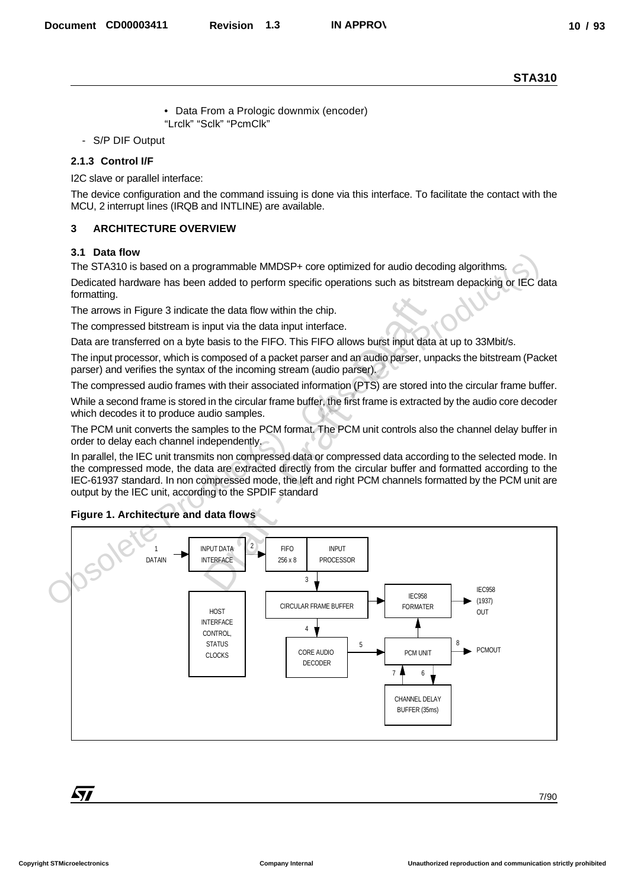- Data From a Prologic downmix (encoder) "Lrclk" "Sclk" "PcmClk"
- S/P DIF Output

#### **2.1.3 Control I/F**

I2C slave or parallel interface:

The device configuration and the command issuing is done via this interface. To facilitate the contact with the MCU, 2 interrupt lines (IRQB and INTLINE) are available.

#### **3 ARCHITECTURE OVERVIEW**

#### **3.1 Data flow**

The STA310 is based on a programmable MMDSP+ core optimized for audio decoding algorithms.

Dedicated hardware has been added to perform specific operations such as bitstream depacking or IEC data formatting.

The arrows in Figure 3 indicate the data flow within the chip.

The compressed bitstream is input via the data input interface.

Data are transferred on a byte basis to the FIFO. This FIFO allows burst input data at up to 33Mbit/s.

The input processor, which is composed of a packet parser and an audio parser, unpacks the bitstream (Packet parser) and verifies the syntax of the incoming stream (audio parser).

The compressed audio frames with their associated information (PTS) are stored into the circular frame buffer.

While a second frame is stored in the circular frame buffer, the first frame is extracted by the audio core decoder which decodes it to produce audio samples.

The PCM unit converts the samples to the PCM format. The PCM unit controls also the channel delay buffer in order to delay each channel independently.

In parallel, the IEC unit transmits non compressed data or compressed data according to the selected mode. In the compressed mode, the data are extracted directly from the circular buffer and formatted according to the IEC-61937 standard. In non compressed mode, the left and right PCM channels formatted by the PCM unit are output by the IEC unit, according to the SPDIF standard



#### **Figure 1. Architecture and data flows**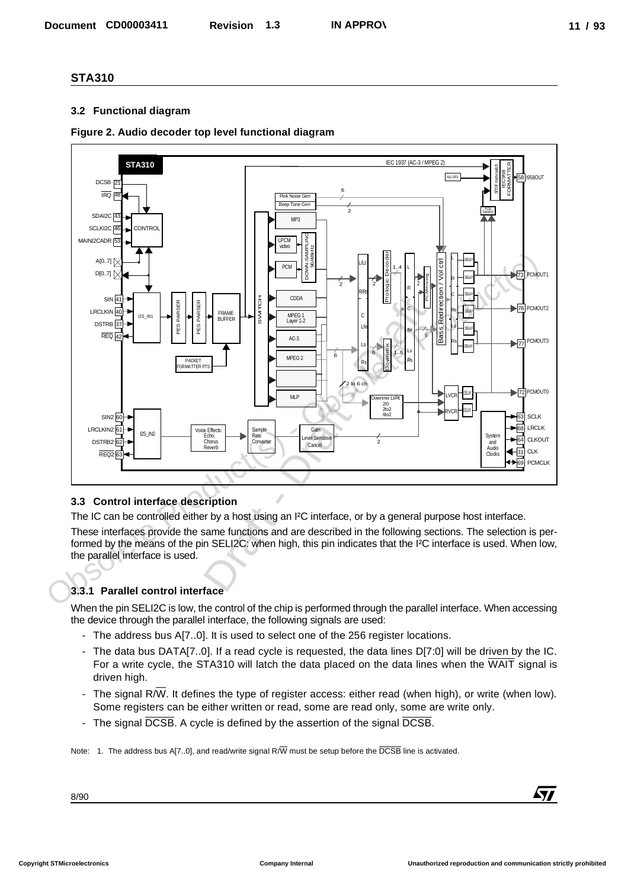#### **3.2 Functional diagram**

### **Figure 2. Audio decoder top level functional diagram**



#### **3.3 Control interface description**

The IC can be controlled either by a host using an I²C interface, or by a general purpose host interface.

These interfaces provide the same functions and are described in the following sections. The selection is performed by the means of the pin SELI2C: when high, this pin indicates that the I²C interface is used. When low, the parallel interface is used.

## **3.3.1 Parallel control interface**

When the pin SELI2C is low, the control of the chip is performed through the parallel interface. When accessing the device through the parallel interface, the following signals are used:

- The address bus A[7..0]. It is used to select one of the 256 register locations.
- The data bus DATA[7..0]. If a read cycle is requested, the data lines D[7:0] will be driven by the IC. For a write cycle, the STA310 will latch the data placed on the data lines when the WAIT signal is driven high.
- The signal R/W. It defines the type of register access: either read (when high), or write (when low). Some registers can be either written or read, some are read only, some are write only.
- The signal DCSB. A cycle is defined by the assertion of the signal DCSB.

Note: 1. The address bus A[7..0], and read/write signal R/W must be setup before the DCSB line is activated.

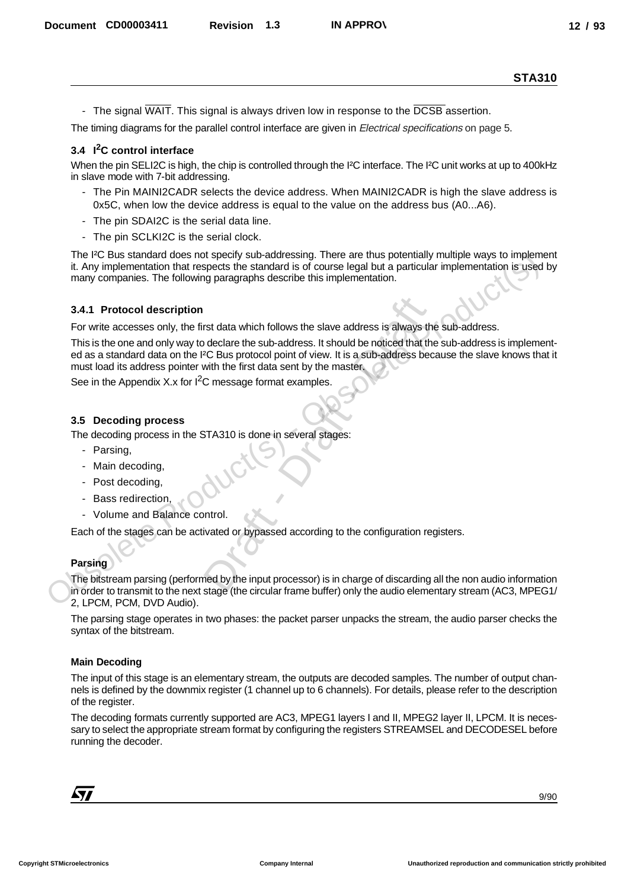- The signal WAIT. This signal is always driven low in response to the DCSB assertion.

The timing diagrams for the parallel control interface are given in *Electrical specifications* on page 5.

#### **3.4 I2C control interface**

When the pin SELI2C is high, the chip is controlled through the I<sup>2</sup>C interface. The I<sup>2</sup>C unit works at up to 400kHz in slave mode with 7-bit addressing.

- The Pin MAINI2CADR selects the device address. When MAINI2CADR is high the slave address is 0x5C, when low the device address is equal to the value on the address bus (A0...A6).
- The pin SDAI2C is the serial data line.
- The pin SCLKI2C is the serial clock.

The I²C Bus standard does not specify sub-addressing. There are thus potentially multiple ways to implement it. Any implementation that respects the standard is of course legal but a particular implementation is used by many companies. The following paragraphs describe this implementation. Decembent CORDOSIST1 Revision 1.3 IN APPROV<br>
The space of the space is also as diverse to the meaning of the first of the space of the CSE space is the Core of the Core of the Core of the Core of the Core of the Core of t

#### **3.4.1 Protocol description**

For write accesses only, the first data which follows the slave address is always the sub-address.

This is the one and only way to declare the sub-address. It should be noticed that the sub-address is implemented as a standard data on the I²C Bus protocol point of view. It is a sub-address because the slave knows that it must load its address pointer with the first data sent by the master. The PC Bus standard does not specify sub-addressing. There are thus potentially multiple ways to implementation is<br>
it. Any implementation that respects the standard is of course legal but a particular implementation is us rst data which follows the slave address is always to<br>declare the sub-address. It should be noticed that the<br>2C Bus protocol point of view. It is a sub-address be<br>with the first data sent by the master.<br>C message format ex

See in the Appendix X.x for  $I^2C$  message format examples.

#### **3.5 Decoding process**

The decoding process in the STA310 is done in several stages:

- Parsing,
- Main decoding
- Post decoding,
- Bass redirection,
- Volume and Balance control.

Each of the stages can be activated or bypassed according to the configuration registers.

#### **Parsing**

The bitstream parsing (performed by the input processor) is in charge of discarding all the non audio information in order to transmit to the next stage (the circular frame buffer) only the audio elementary stream (AC3, MPEG1/ 2, LPCM, PCM, DVD Audio).

The parsing stage operates in two phases: the packet parser unpacks the stream, the audio parser checks the syntax of the bitstream.

#### **Main Decoding**

The input of this stage is an elementary stream, the outputs are decoded samples. The number of output channels is defined by the downmix register (1 channel up to 6 channels). For details, please refer to the description of the register.

The decoding formats currently supported are AC3, MPEG1 layers I and II, MPEG2 layer II, LPCM. It is necessary to select the appropriate stream format by configuring the registers STREAMSEL and DECODESEL before running the decoder.

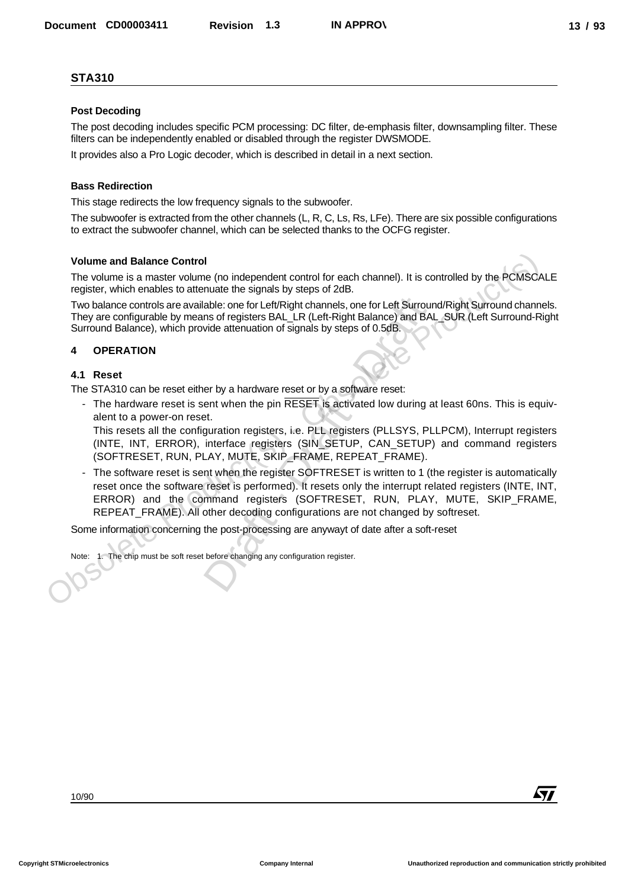#### **Post Decoding**

The post decoding includes specific PCM processing: DC filter, de-emphasis filter, downsampling filter. These filters can be independently enabled or disabled through the register DWSMODE.

It provides also a Pro Logic decoder, which is described in detail in a next section.

#### **Bass Redirection**

This stage redirects the low frequency signals to the subwoofer.

The subwoofer is extracted from the other channels (L, R, C, Ls, Rs, LFe). There are six possible configurations to extract the subwoofer channel, which can be selected thanks to the OCFG register.

#### **Volume and Balance Control**

The volume is a master volume (no independent control for each channel). It is controlled by the PCMSCALE register, which enables to attenuate the signals by steps of 2dB.

Two balance controls are available: one for Left/Right channels, one for Left Surround/Right Surround channels. They are configurable by means of registers BAL\_LR (Left-Right Balance) and BAL\_SUR (Left Surround-Right Surround Balance), which provide attenuation of signals by steps of 0.5dB.

#### **4 OPERATION**

#### **4.1 Reset**

The STA310 can be reset either by a hardware reset or by a software reset:

- The hardware reset is sent when the pin RESET is activated low during at least 60ns. This is equivalent to a power-on reset.

This resets all the configuration registers, i.e. PLL registers (PLLSYS, PLLPCM), Interrupt registers (INTE, INT, ERROR), interface registers (SIN\_SETUP, CAN\_SETUP) and command registers (SOFTRESET, RUN, PLAY, MUTE, SKIP\_FRAME, REPEAT\_FRAME).

The software reset is sent when the register SOFTRESET is written to 1 (the register is automatically reset once the software reset is performed). It resets only the interrupt related registers (INTE, INT, ERROR) and the command registers (SOFTRESET, RUN, PLAY, MUTE, SKIP\_FRAME, REPEAT\_FRAME). All other decoding configurations are not changed by softreset. Volume and Balance Control<br>
The volume is a master volume (no independent control for each channel). It is controlled by the PCMSCO<br>
register, which enables to attenuate the signals by steps of 2dB.<br>
The balance controls a Decembent CORDOD3411 Revision 1.3 NAPPROV<br>
21/31/31<br>
Provident Corresponding to the Construction of the Construction of the Construction of the Construction of the Construction of the Construction of the Construction of t able: one for Left/Right channels, one for Left Surrolns of registers BAL\_LR (Left-Right Balance) and B<br>vide attenuation of signals by steps of 0.5dB.<br>vide attenuation of signals by steps of 0.5dB.<br>error by a hardware rese

Some information concerning the post-processing are anywayt of date after a soft-reset

Note: 1. The chip must be soft reset before changing any configuration register.

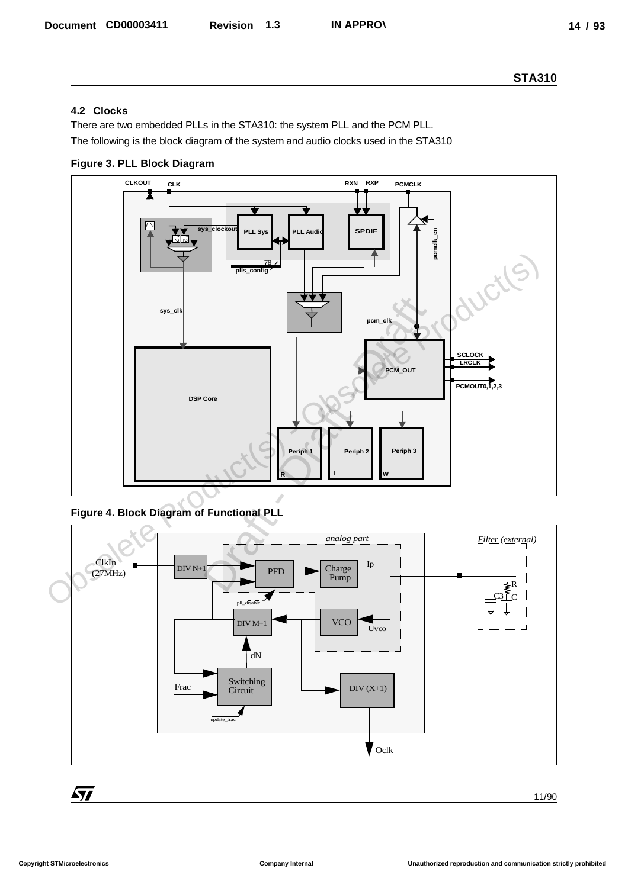## **4.2 Clocks**

There are two embedded PLLs in the STA310: the system PLL and the PCM PLL. The following is the block diagram of the system and audio clocks used in the STA310

**Figure 3. PLL Block Diagram**



**Figure 4. Block Diagram of Functional PLL**



$$
\begin{array}{c|c}\n\hline\n\hline\n\end{array}
$$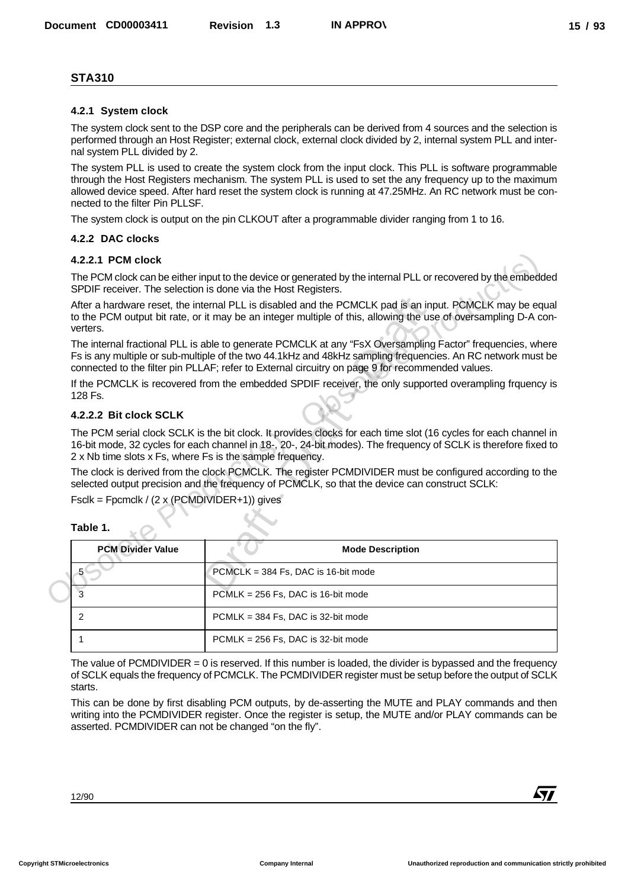#### **4.2.1 System clock**

#### **4.2.2 DAC clocks**

#### **4.2.2.1 PCM clock**

#### **4.2.2.2 Bit clock SCLK**

| Ι<br>П<br>Ш<br>0<br><br>٩<br>٠ |  |
|--------------------------------|--|
|--------------------------------|--|

| <b>STA310</b>                                                                                                                                                |                                     |                                                                                                                                                                                                                                                                                                                                    |
|--------------------------------------------------------------------------------------------------------------------------------------------------------------|-------------------------------------|------------------------------------------------------------------------------------------------------------------------------------------------------------------------------------------------------------------------------------------------------------------------------------------------------------------------------------|
| 4.2.1 System clock                                                                                                                                           |                                     |                                                                                                                                                                                                                                                                                                                                    |
| nal system PLL divided by 2.                                                                                                                                 |                                     | The system clock sent to the DSP core and the peripherals can be derived from 4 sources and the selection is<br>performed through an Host Register; external clock, external clock divided by 2, internal system PLL and inter-                                                                                                    |
| nected to the filter Pin PLLSF.                                                                                                                              |                                     | The system PLL is used to create the system clock from the input clock. This PLL is software programmable<br>through the Host Registers mechanism. The system PLL is used to set the any frequency up to the maximum<br>allowed device speed. After hard reset the system clock is running at 47.25MHz. An RC network must be con- |
|                                                                                                                                                              |                                     | The system clock is output on the pin CLKOUT after a programmable divider ranging from 1 to 16.                                                                                                                                                                                                                                    |
| 4.2.2 DAC clocks                                                                                                                                             |                                     |                                                                                                                                                                                                                                                                                                                                    |
| 4.2.2.1 PCM clock                                                                                                                                            |                                     |                                                                                                                                                                                                                                                                                                                                    |
| SPDIF receiver. The selection is done via the Host Registers.                                                                                                |                                     | The PCM clock can be either input to the device or generated by the internal PLL or recovered by the embedded                                                                                                                                                                                                                      |
| verters.                                                                                                                                                     |                                     | After a hardware reset, the internal PLL is disabled and the PCMCLK pad is an input. PCMCLK may be equal<br>to the PCM output bit rate, or it may be an integer multiple of this, allowing the use of oversampling D-A con-                                                                                                        |
|                                                                                                                                                              |                                     | The internal fractional PLL is able to generate PCMCLK at any "FsX Oversampling Factor" frequencies, where<br>Fs is any multiple or sub-multiple of the two 44.1kHz and 48kHz sampling frequencies. An RC network must be<br>connected to the filter pin PLLAF; refer to External circuitry on page 9 for recommended values.      |
|                                                                                                                                                              |                                     | If the PCMCLK is recovered from the embedded SPDIF receiver, the only supported overampling frquency is                                                                                                                                                                                                                            |
| 128 Fs.                                                                                                                                                      |                                     |                                                                                                                                                                                                                                                                                                                                    |
|                                                                                                                                                              |                                     |                                                                                                                                                                                                                                                                                                                                    |
|                                                                                                                                                              |                                     | The PCM serial clock SCLK is the bit clock. It provides clocks for each time slot (16 cycles for each channel in<br>16-bit mode, 32 cycles for each channel in 18-, 20-, 24-bit modes). The frequency of SCLK is therefore fixed to                                                                                                |
|                                                                                                                                                              |                                     | The clock is derived from the clock PCMCLK. The register PCMDIVIDER must be configured according to the<br>selected output precision and the frequency of PCMCLK, so that the device can construct SCLK:                                                                                                                           |
|                                                                                                                                                              |                                     |                                                                                                                                                                                                                                                                                                                                    |
| <b>PCM Divider Value</b>                                                                                                                                     |                                     | <b>Mode Description</b>                                                                                                                                                                                                                                                                                                            |
| 5                                                                                                                                                            | PCMCLK = 384 Fs, DAC is 16-bit mode |                                                                                                                                                                                                                                                                                                                                    |
| 3                                                                                                                                                            | PCMLK = 256 Fs, DAC is 16-bit mode  |                                                                                                                                                                                                                                                                                                                                    |
| 2                                                                                                                                                            | PCMLK = 384 Fs, DAC is 32-bit mode  |                                                                                                                                                                                                                                                                                                                                    |
| 1                                                                                                                                                            | PCMLK = 256 Fs, DAC is 32-bit mode  |                                                                                                                                                                                                                                                                                                                                    |
| 4.2.2.2 Bit clock SCLK<br>2 x Nb time slots x Fs, where Fs is the sample frequency.<br>$Fsclk = Fpcmclk / (2 x (PCMDIVIDER+1))$ gives<br>Table 1.<br>starts. |                                     | The value of PCMDIVIDER $= 0$ is reserved. If this number is loaded, the divider is bypassed and the frequency<br>of SCLK equals the frequency of PCMCLK. The PCMDIVIDER register must be setup before the output of SCLK<br>This can be done by first disabling PCM outputs, by de-asserting the MUTE and PLAY commands and then  |
| asserted. PCMDIVIDER can not be changed "on the fly".                                                                                                        |                                     | writing into the PCMDIVIDER register. Once the register is setup, the MUTE and/or PLAY commands can be                                                                                                                                                                                                                             |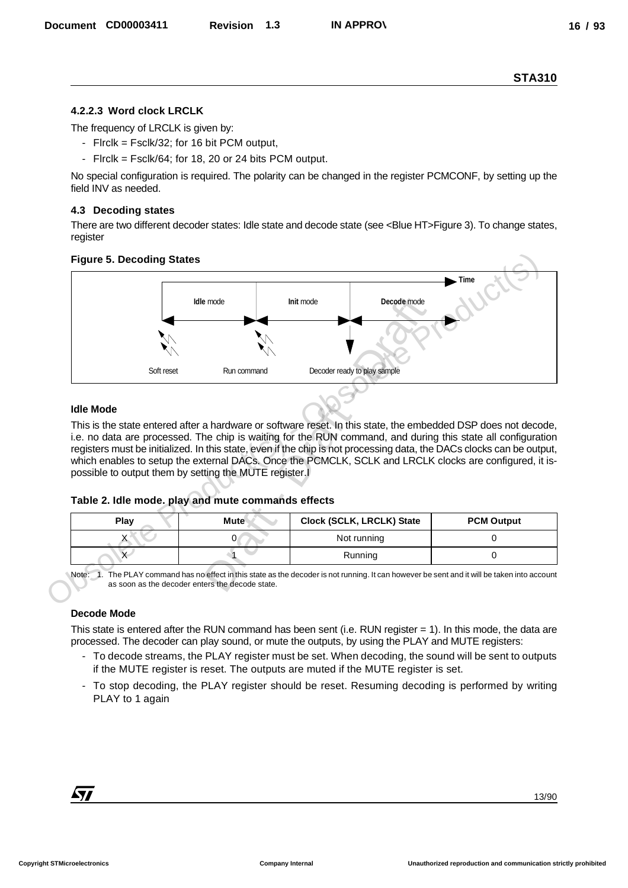## **4.2.2.3 Word clock LRCLK**

The frequency of LRCLK is given by:

- Flrclk = Fsclk/32; for 16 bit PCM output,
- Flrclk = Fsclk/64; for 18, 20 or 24 bits PCM output.

No special configuration is required. The polarity can be changed in the register PCMCONF, by setting up the field INV as needed.

#### **4.3 Decoding states**

There are two different decoder states: Idle state and decode state (see <Blue HT>Figure 3). To change states, register

#### **Figure 5. Decoding States**



#### **Idle Mode**

This is the state entered after a hardware or software reset. In this state, the embedded DSP does not decode, i.e. no data are processed. The chip is waiting for the RUN command, and during this state all configuration registers must be initialized. In this state, even if the chip is not processing data, the DACs clocks can be output, which enables to setup the external DACs. Once the PCMCLK, SCLK and LRCLK clocks are configured, it ispossible to output them by setting the MUTE register.I

#### **Table 2. Idle mode. play and mute commands effects**

| Play | <b>Mute</b> | Clock (SCLK, LRCLK) State | <b>PCM Output</b> |
|------|-------------|---------------------------|-------------------|
|      |             | Not running               |                   |
|      |             | Running                   |                   |

Note: 1. The PLAY command has no effect in this state as the decoder is not running. It can however be sent and it will be taken into account as soon as the decoder enters the decode state.

#### **Decode Mode**

This state is entered after the RUN command has been sent (i.e. RUN register = 1). In this mode, the data are processed. The decoder can play sound, or mute the outputs, by using the PLAY and MUTE registers:

- To decode streams, the PLAY register must be set. When decoding, the sound will be sent to outputs if the MUTE register is reset. The outputs are muted if the MUTE register is set.
- To stop decoding, the PLAY register should be reset. Resuming decoding is performed by writing PLAY to 1 again

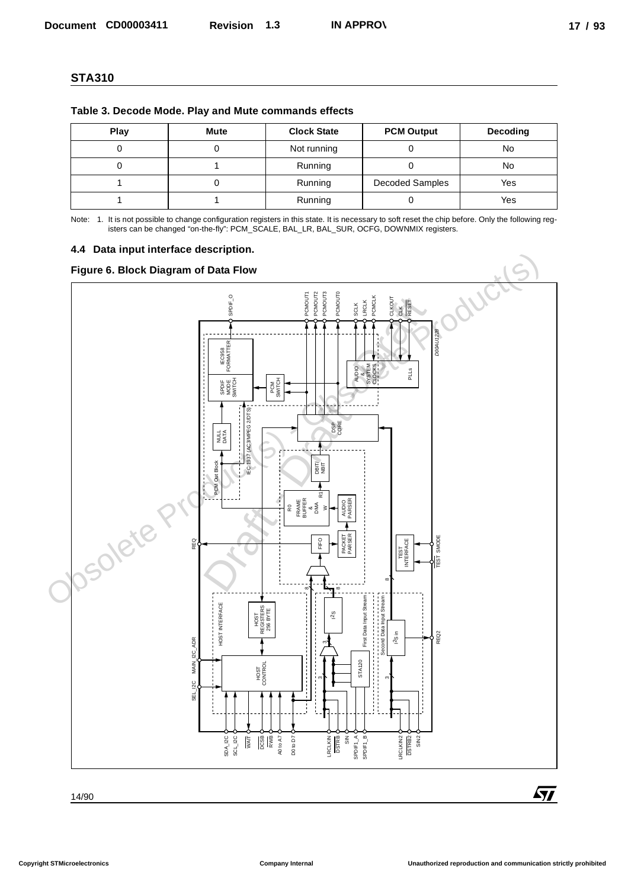| Table 3. Decode Mode. Play and Mute commands effects |  |
|------------------------------------------------------|--|
|------------------------------------------------------|--|

| Play | <b>Mute</b> | <b>Clock State</b> | <b>PCM Output</b> | Decoding |
|------|-------------|--------------------|-------------------|----------|
|      |             | Not running        |                   | No       |
|      |             | Running            |                   | No       |
|      |             | Running            | Decoded Samples   | Yes      |
|      |             | Running            |                   | Yes      |

Note: 1. It is not possible to change configuration registers in this state. It is necessary to soft reset the chip before. Only the following registers can be changed "on-the-fly": PCM\_SCALE, BAL\_LR, BAL\_SUR, OCFG, DOWNMIX registers.

#### **4.4 Data input interface description.**

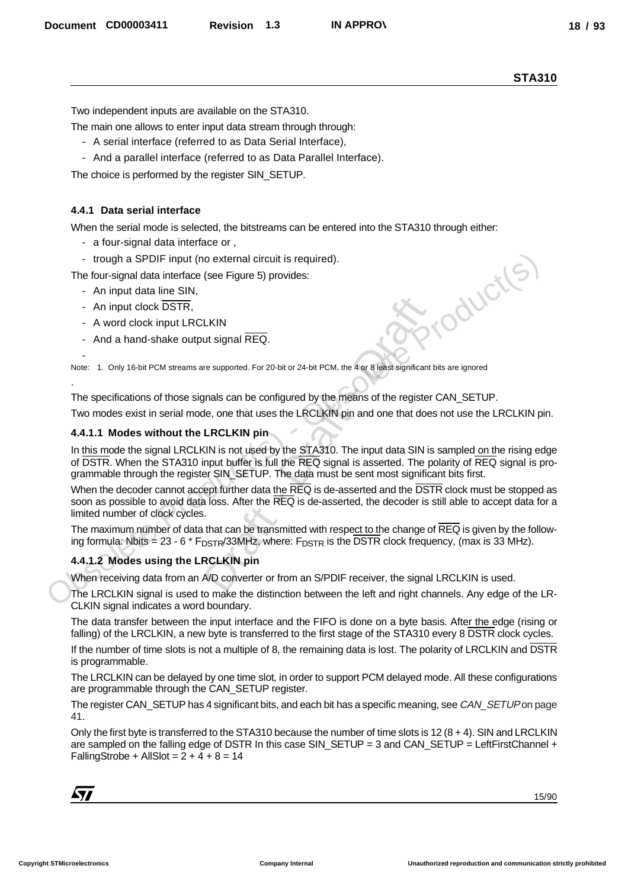Two independent inputs are available on the STA310.

The main one allows to enter input data stream through through:

- A serial interface (referred to as Data Serial Interface),
- And a parallel interface (referred to as Data Parallel Interface).

The choice is performed by the register SIN\_SETUP.

#### **4.4.1 Data serial interface**

When the serial mode is selected, the bitstreams can be entered into the STA310 through either:

- a four-signal data interface or ,
- trough a SPDIF input (no external circuit is required).
- The four-signal data interface (see Figure 5) provides:
	- An input data line SIN,
	- An input clock DSTR,

-

.

- A word clock input LRCLKIN
- And a hand-shake output signal REQ.

Note: 1. Only 16-bit PCM streams are supported. For 20-bit or 24-bit PCM, the 4 or 8 least significant bits are ignored

The specifications of those signals can be configured by the means of the register CAN\_SETUP.

Two modes exist in serial mode, one that uses the LRCLKIN pin and one that does not use the LRCLKIN pin.

#### **4.4.1.1 Modes without the LRCLKIN pin**

In this mode the signal LRCLKIN is not used by the STA310. The input data SIN is sampled on the rising edge of DSTR. When the STA310 input buffer is full the REQ signal is asserted. The polarity of REQ signal is programmable through the register SIN\_SETUP. The data must be sent most significant bits first. - trough a SPDIF input (no external circuit is required).<br>
The four-signal data interaction (see Figure 5) provides.<br>
- An input data interaction (see Figure 5) provides.<br>
- An input data interaction SIN.<br>
- And a hand-sh Decembent CORDOSASTI Revision 1.3 IN APPROV<br>
The intermediation as system of TV31.<br>
The intermediation as system of TV31.<br>
The intermediation as system intermediation and TV31.<br>
And a parameteristic properties to a Data P LKIN<br>
In signal REQ.<br>
The supported. For 20-bit or 24-bit PCM, the 4 or 8 least significar<br>
signals can be configured by the means of the regist<br>
de, one that uses the LRCLKIN pin and one that do<br>
LRCLKIN pin<br>
KIN is not u

When the decoder cannot accept further data the REQ is de-asserted and the DSTR clock must be stopped as soon as possible to avoid data loss. After the REQ is de-asserted, the decoder is still able to accept data for a limited number of clock cycles.

The maximum number of data that can be transmitted with respect to the change of REQ is given by the following formula: Nbits =  $23 - 6 * F_{\text{DSTR}}/33$ MHz, where:  $F_{\text{DSTR}}$  is the DSTR clock frequency, (max is 33 MHz).

#### **4.4.1.2 Modes using the LRCLKIN pin**

When receiving data from an A/D converter or from an S/PDIF receiver, the signal LRCLKIN is used.

The LRCLKIN signal is used to make the distinction between the left and right channels. Any edge of the LR-CLKIN signal indicates a word boundary.

The data transfer between the input interface and the FIFO is done on a byte basis. After the edge (rising or falling) of the LRCLKIN, a new byte is transferred to the first stage of the STA310 every 8 DSTR clock cycles.

If the number of time slots is not a multiple of 8, the remaining data is lost. The polarity of LRCLKIN and DSTR is programmable.

The LRCLKIN can be delayed by one time slot, in order to support PCM delayed mode. All these configurations are programmable through the CAN\_SETUP register.

The register CAN\_SETUP has 4 significant bits, and each bit has a specific meaning, see CAN\_SETUP on page 41.

Only the first byte is transferred to the STA310 because the number of time slots is 12  $(8 + 4)$ . SIN and LRCLKIN are sampled on the falling edge of DSTR In this case SIN\_SETUP = 3 and CAN\_SETUP = LeftFirstChannel + FallingStrobe + AllSlot =  $2 + 4 + 8 = 14$ 

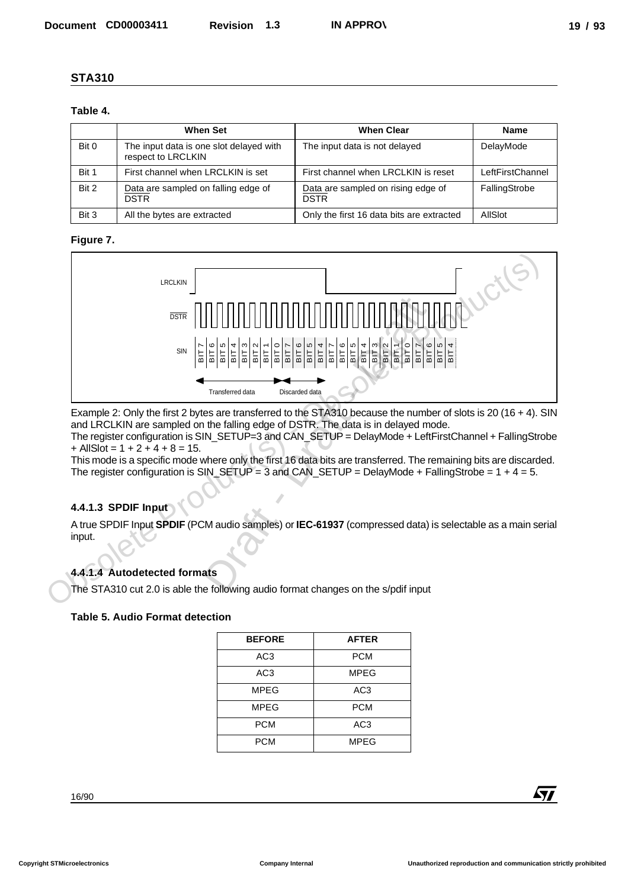#### **Table 4.**

|       | <b>When Set</b>                                               | <b>When Clear</b>                                 | <b>Name</b>      |
|-------|---------------------------------------------------------------|---------------------------------------------------|------------------|
| Bit 0 | The input data is one slot delayed with<br>respect to LRCLKIN | The input data is not delayed                     | DelayMode        |
| Bit 1 | First channel when LRCLKIN is set                             | First channel when LRCLKIN is reset               | LeftFirstChannel |
| Bit 2 | Data are sampled on falling edge of<br><b>DSTR</b>            | Data are sampled on rising edge of<br><b>DSTR</b> | FallingStrobe    |
| Bit 3 | All the bytes are extracted                                   | Only the first 16 data bits are extracted         | AllSlot          |

#### **Figure 7.**



Example 2: Only the first 2 bytes are transferred to the STA310 because the number of slots is 20 (16 + 4). SIN and LRCLKIN are sampled on the falling edge of DSTR. The data is in delayed mode. The register configuration is SIN\_SETUP=3 and CAN\_SETUP = DelayMode + LeftFirstChannel + FallingStrobe

 $+$  AllSlot = 1 + 2 + 4 + 8 = 15.

This mode is a specific mode where only the first 16 data bits are transferred. The remaining bits are discarded. The register configuration is  $SIN\_SETUP = 3$  and  $CAN\_SETUP = DelayMode + FallingStrobe = 1 + 4 = 5.$ 

#### **4.4.1.3 SPDIF Input**

A true SPDIF Input **SPDIF** (PCM audio samples) or **IEC-61937** (compressed data) is selectable as a main serial input.

## **4.4.1.4 Autodetected formats**

The STA310 cut 2.0 is able the following audio format changes on the s/pdif input

#### **Table 5. Audio Format detection**

| <b>BEFORE</b>   | <b>AFTER</b>    |
|-----------------|-----------------|
| AC3             | <b>PCM</b>      |
| AC <sub>3</sub> | <b>MPEG</b>     |
| <b>MPEG</b>     | AC <sub>3</sub> |
| MPEG            | <b>PCM</b>      |
| <b>PCM</b>      | AC <sub>3</sub> |
| PCM             | <b>MPEG</b>     |

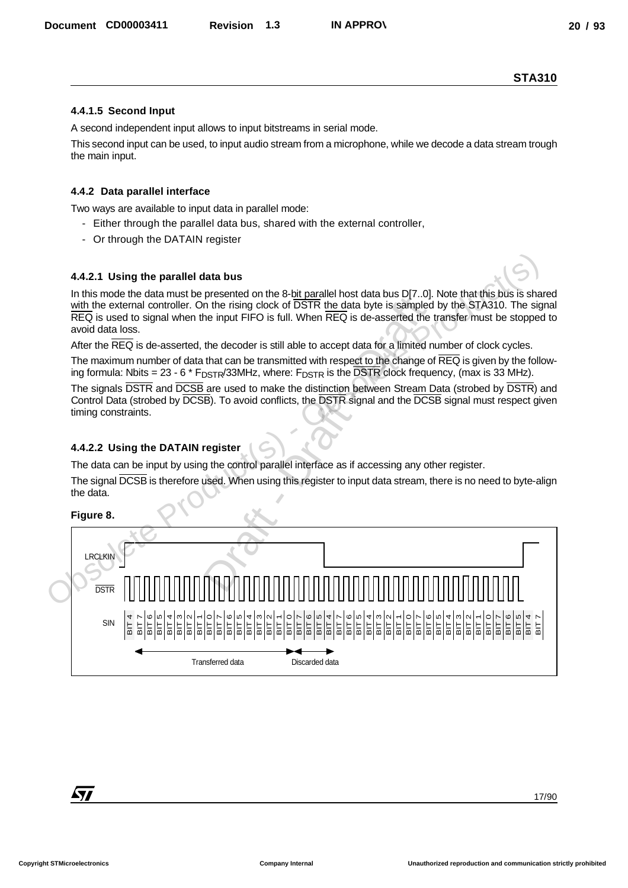#### **4.4.1.5 Second Input**

A second independent input allows to input bitstreams in serial mode.

This second input can be used, to input audio stream from a microphone, while we decode a data stream trough the main input.

### **4.4.2 Data parallel interface**

Two ways are available to input data in parallel mode:

- Either through the parallel data bus, shared with the external controller,
- Or through the DATAIN register

#### **4.4.2.1 Using the parallel data bus**

In this mode the data must be presented on the 8-bit parallel host data bus D[7..0]. Note that this bus is shared with the external controller. On the rising clock of DSTR the data byte is sampled by the STA310. The signal REQ is used to signal when the input FIFO is full. When REQ is de-asserted the transfer must be stopped to avoid data loss.

After the REQ is de-asserted, the decoder is still able to accept data for a limited number of clock cycles.

The maximum number of data that can be transmitted with respect to the change of REQ is given by the following formula: Nbits = 23 - 6  $*$  F<sub>DSTR</sub>/33MHz, where: F<sub>DSTR</sub> is the DSTR clock frequency, (max is 33 MHz).

The signals **DSTR** and **DCSB** are used to make the distinction between Stream Data (strobed by **DSTR**) and Control Data (strobed by DCSB). To avoid conflicts, the DSTR signal and the DCSB signal must respect given timing constraints.

## **4.4.2.2 Using the DATAIN register**

The data can be input by using the control parallel interface as if accessing any other register.

The signal DCSB is therefore used. When using this register to input data stream, there is no need to byte-align the data.

#### **Figure 8.**

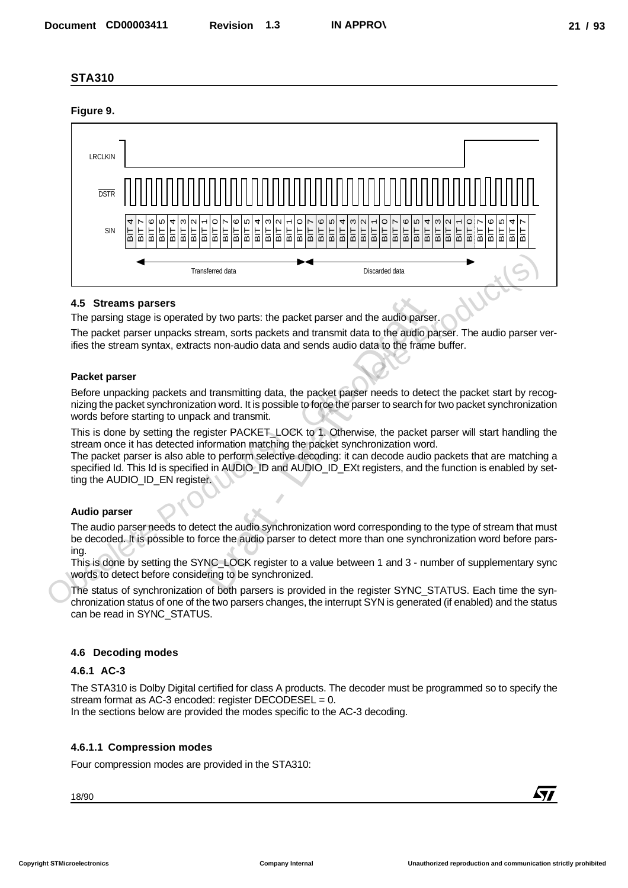#### **Figure 9.**



#### **4.5 Streams parsers**

The parsing stage is operated by two parts: the packet parser and the audio parser.

The packet parser unpacks stream, sorts packets and transmit data to the audio parser. The audio parser verifies the stream syntax, extracts non-audio data and sends audio data to the frame buffer.

#### **Packet parser**

Before unpacking packets and transmitting data, the packet parser needs to detect the packet start by recognizing the packet synchronization word. It is possible to force the parser to search for two packet synchronization words before starting to unpack and transmit. by two parts: the packet parser and the audio par<br>ream, sorts packets and transmit data to the audio<br>ts non-audio data and sends audio data to the fram<br>d transmitting data, the packet parser needs to det<br>ion word. It is po

This is done by setting the register PACKET\_LOCK to 1. Otherwise, the packet parser will start handling the stream once it has detected information matching the packet synchronization word.

The packet parser is also able to perform selective decoding: it can decode audio packets that are matching a specified Id. This Id is specified in AUDIO\_ID and AUDIO\_ID\_EXt registers, and the function is enabled by setting the AUDIO ID EN register.

#### **Audio parser**

The audio parser needs to detect the audio synchronization word corresponding to the type of stream that must be decoded. It is possible to force the audio parser to detect more than one synchronization word before parsing.

This is done by setting the SYNC\_LOCK register to a value between 1 and 3 - number of supplementary sync words to detect before considering to be synchronized.

The status of synchronization of both parsers is provided in the register SYNC\_STATUS. Each time the synchronization status of one of the two parsers changes, the interrupt SYN is generated (if enabled) and the status can be read in SYNC\_STATUS.

#### **4.6 Decoding modes**

#### **4.6.1 AC-3**

The STA310 is Dolby Digital certified for class A products. The decoder must be programmed so to specify the stream format as AC-3 encoded: register DECODESEL = 0.

In the sections below are provided the modes specific to the AC-3 decoding.

#### **4.6.1.1 Compression modes**

Four compression modes are provided in the STA310: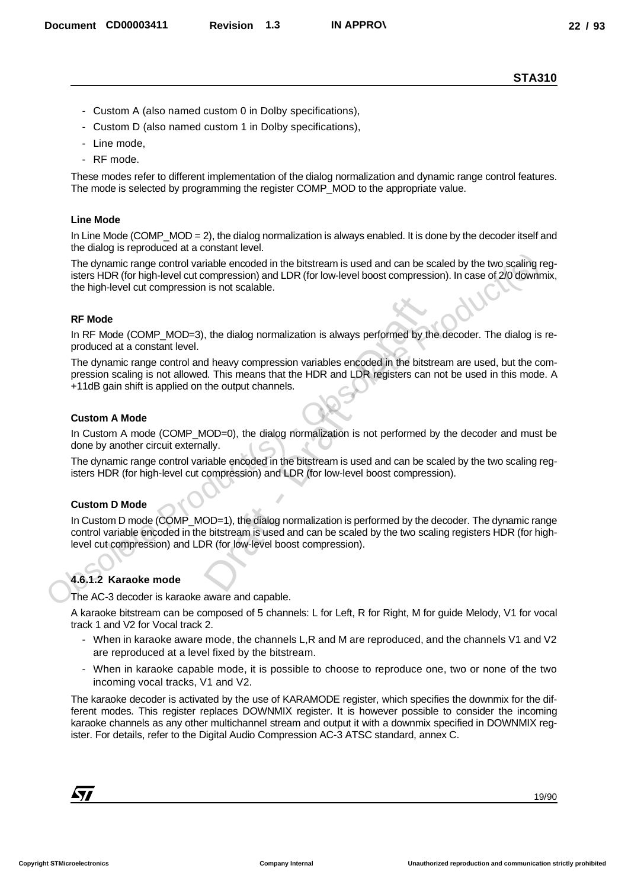- Custom A (also named custom 0 in Dolby specifications),
- Custom D (also named custom 1 in Dolby specifications),
- Line mode,
- RF mode.

These modes refer to different implementation of the dialog normalization and dynamic range control features. The mode is selected by programming the register COMP\_MOD to the appropriate value.

#### **Line Mode**

In Line Mode (COMP\_MOD = 2), the dialog normalization is always enabled. It is done by the decoder itself and the dialog is reproduced at a constant level.

The dynamic range control variable encoded in the bitstream is used and can be scaled by the two scaling registers HDR (for high-level cut compression) and LDR (for low-level boost compression). In case of 2/0 downmix, the high-level cut compression is not scalable. The dynamic range control variable encoded in the bitstream is used and can be scaled by the two scaling<br>tisters HDR (to high-level cut compression) and LDR (for low-level boost compression). In case of 20 down<br>the High-le

#### **RF Mode**

In RF Mode (COMP\_MOD=3), the dialog normalization is always performed by the decoder. The dialog is reproduced at a constant level.

The dynamic range control and heavy compression variables encoded in the bitstream are used, but the compression scaling is not allowed. This means that the HDR and LDR registers can not be used in this mode. A +11dB gain shift is applied on the output channels.

#### **Custom A Mode**

In Custom A mode (COMP\_MOD=0), the dialog normalization is not performed by the decoder and must be done by another circuit externally.

The dynamic range control variable encoded in the bitstream is used and can be scaled by the two scaling registers HDR (for high-level cut compression) and LDR (for low-level boost compression).

#### **Custom D Mode**

In Custom D mode (COMP\_MOD=1), the dialog normalization is performed by the decoder. The dynamic range control variable encoded in the bitstream is used and can be scaled by the two scaling registers HDR (for highlevel cut compression) and LDR (for low-level boost compression). of the dialog normalization is always performed by the dialog normalization is always performed by the dialog of the bits of the DDR registers can the output channels.<br>The output channels and LDR registers can the output c

#### **4.6.1.2 Karaoke mode**

The AC-3 decoder is karaoke aware and capable.

A karaoke bitstream can be composed of 5 channels: L for Left, R for Right, M for guide Melody, V1 for vocal track 1 and V2 for Vocal track 2.

- When in karaoke aware mode, the channels L,R and M are reproduced, and the channels V1 and V2 are reproduced at a level fixed by the bitstream.
- When in karaoke capable mode, it is possible to choose to reproduce one, two or none of the two incoming vocal tracks, V1 and V2.

The karaoke decoder is activated by the use of KARAMODE register, which specifies the downmix for the different modes. This register replaces DOWNMIX register. It is however possible to consider the incoming karaoke channels as any other multichannel stream and output it with a downmix specified in DOWNMIX register. For details, refer to the Digital Audio Compression AC-3 ATSC standard, annex C. December CORDOSIST1 Revision 1.3 NAPPRO)<br>
STA310<br>
- Clearlyn A (also remetious on 0.1) Oday specification),<br>
- Clearlyn A (also remetious on 0.1) Oday specifications),<br>
- Clearlyn D (also remetious on 0.1) Oday specificat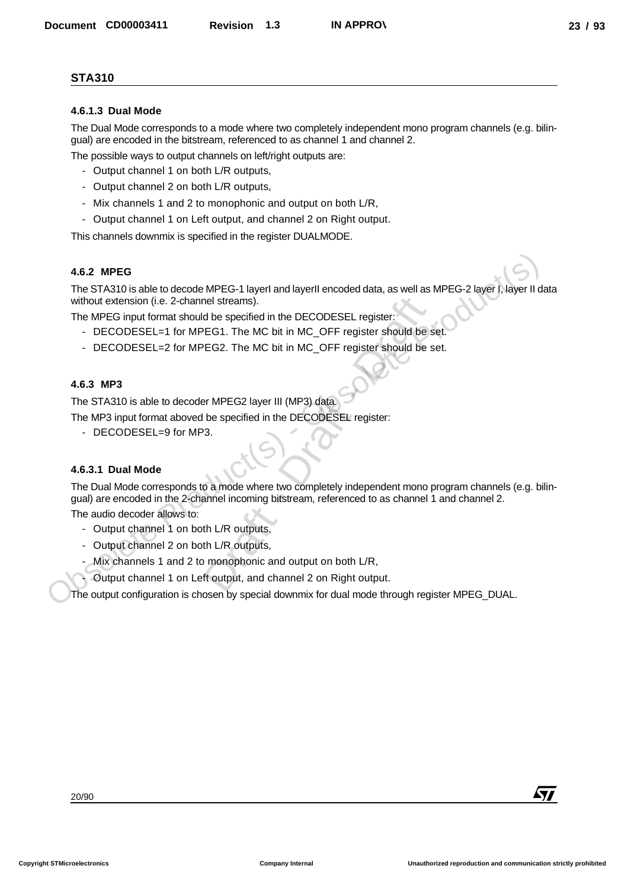#### **4.6.1.3 Dual Mode**

The Dual Mode corresponds to a mode where two completely independent mono program channels (e.g. bilingual) are encoded in the bitstream, referenced to as channel 1 and channel 2.

The possible ways to output channels on left/right outputs are:

- Output channel 1 on both L/R outputs,
- Output channel 2 on both L/R outputs,
- Mix channels 1 and 2 to monophonic and output on both L/R,
- Output channel 1 on Left output, and channel 2 on Right output.

This channels downmix is specified in the register DUALMODE.

#### **4.6.2 MPEG**

The STA310 is able to decode MPEG-1 layerI and layerII encoded data, as well as MPEG-2 layer I, layer II data without extension (i.e. 2-channel streams).

The MPEG input format should be specified in the DECODESEL register:

- DECODESEL=1 for MPEG1. The MC bit in MC\_OFF register should be set.
- DECODESEL=2 for MPEG2. The MC bit in MC\_OFF register should be set.

#### **4.6.3 MP3**

The STA310 is able to decoder MPEG2 layer III (MP3) data.

The MP3 input format aboved be specified in the DECODESEL register:

- DECODESEL=9 for MP3.

### **4.6.3.1 Dual Mode**

The Dual Mode corresponds to a mode where two completely independent mono program channels (e.g. bilingual) are encoded in the 2-channel incoming bitstream, referenced to as channel 1 and channel 2. 4.6.2 MPEG<br>
The STA310 is able to decode MPEG-1 layerl and layerll encoded data, as well as MPEG-2 layer (, layer II<br>
whote totateolon (i.e. 2-channel streams).<br>
The MPEG input format a hould be specified in the DECODESEL Decomend Columbials of the Web and the book of the state of the state of the state of the state of the state of the state of the state of the state of the state of the state of the state of the state of the state of the s nel streams).<br>
d be specified in the DECODESEL register:<br>
EG1. The MC bit in MC\_OFF register should be<br>
EG2. The MC bit in MC\_OFF register should be<br>
<br>
EFREG2 layer III (MP3) data.<br>
<br>
de specified in the DECODESEL register

The audio decoder allows to:

- Output channel 1 on both L/R outputs,
- Output channel 2 on both L/R outputs,
- Mix channels 1 and 2 to monophonic and output on both L/R,
- Output channel 1 on Left output, and channel 2 on Right output.

The output configuration is chosen by special downmix for dual mode through register MPEG\_DUAL.

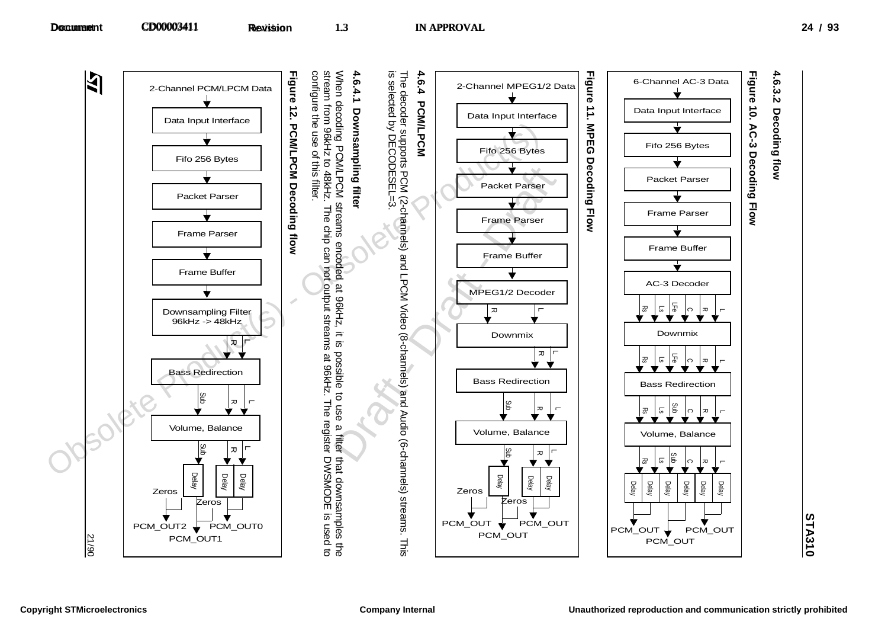



**4.6.3.2**

Decoding flow **Decoding flow**

**STA310**

21/90

PCM\_OUT2

Zeros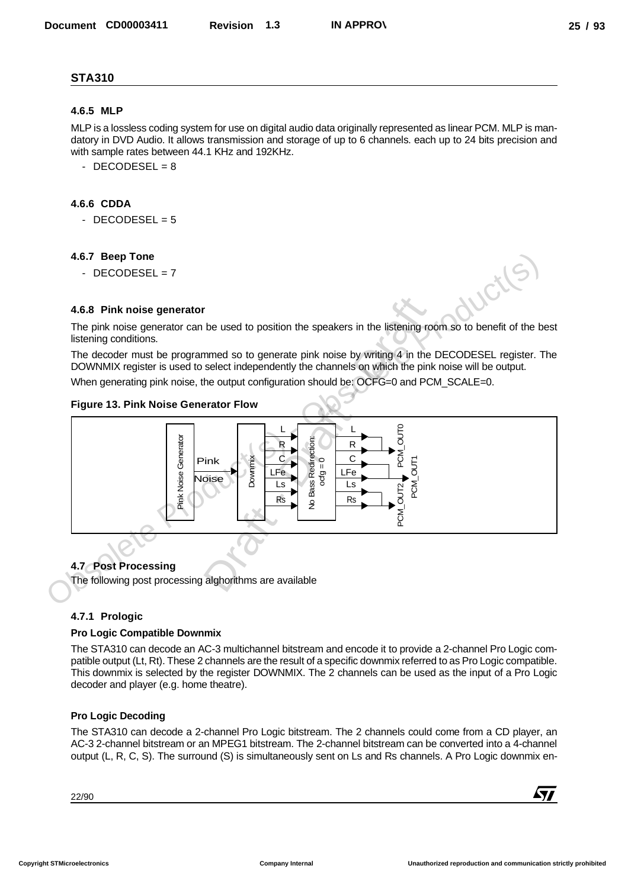#### **4.6.5 MLP**

MLP is a lossless coding system for use on digital audio data originally represented as linear PCM. MLP is mandatory in DVD Audio. It allows transmission and storage of up to 6 channels. each up to 24 bits precision and with sample rates between 44.1 KHz and 192KHz.

 $-$  DECODESEL = 8

#### **4.6.6 CDDA**

 $-$  DECODESEL = 5

#### **4.6.7 Beep Tone**

 $-$  DECODESEL =  $7$ 

#### **4.6.8 Pink noise generator**

The pink noise generator can be used to position the speakers in the listening room so to benefit of the best listening conditions.

The decoder must be programmed so to generate pink noise by writing 4 in the DECODESEL register. The DOWNMIX register is used to select independently the channels on which the pink noise will be output.

When generating pink noise, the output configuration should be: OCFG=0 and PCM\_SCALE=0.

#### **Figure 13. Pink Noise Generator Flow**



#### **4.7 Post Processing**

The following post processing alghorithms are available

#### **4.7.1 Prologic**

#### **Pro Logic Compatible Downmix**

The STA310 can decode an AC-3 multichannel bitstream and encode it to provide a 2-channel Pro Logic compatible output (Lt, Rt). These 2 channels are the result of a specific downmix referred to as Pro Logic compatible. This downmix is selected by the register DOWNMIX. The 2 channels can be used as the input of a Pro Logic decoder and player (e.g. home theatre).

#### **Pro Logic Decoding**

The STA310 can decode a 2-channel Pro Logic bitstream. The 2 channels could come from a CD player, an AC-3 2-channel bitstream or an MPEG1 bitstream. The 2-channel bitstream can be converted into a 4-channel output (L, R, C, S). The surround (S) is simultaneously sent on Ls and Rs channels. A Pro Logic downmix en-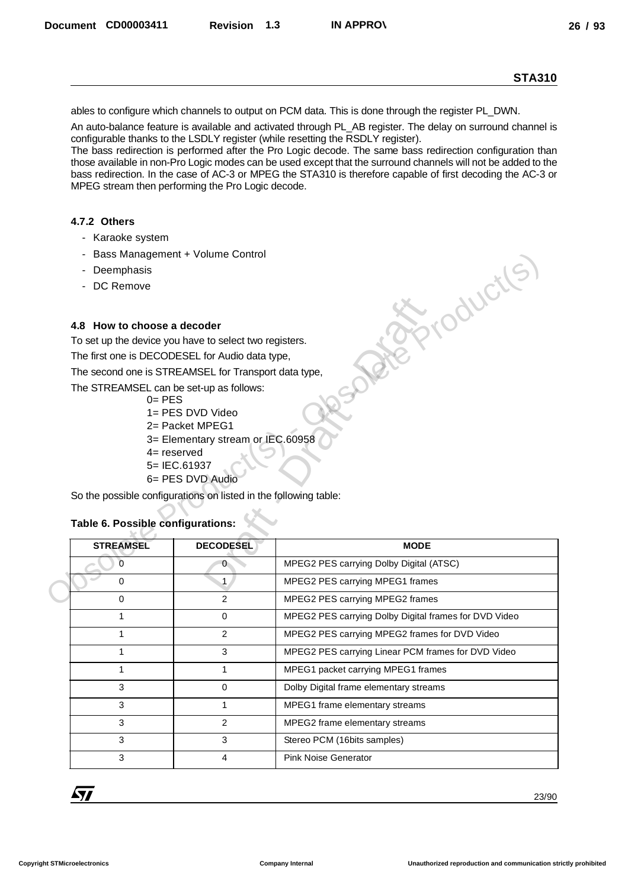#### **4.7.2 Others**

- Karaoke system
- Bass Management + Volume Control
- Deemphasis
- DC Remove

#### **4.8 How to choose a decoder**

- $0=$  PES
- 1= PES DVD Video
- 2= Packet MPEG1
- 3= Elementary stream or IEC.60958
- 4= reserved
- 5= IEC.61937
- 6= PES DVD Audio

#### **Table 6. Possible configurations:**

|                                                                                                            |                                   | <b>STA310</b>                                                                                                                                                                                                                                                                                                                                                                                                                                                                                                                                |
|------------------------------------------------------------------------------------------------------------|-----------------------------------|----------------------------------------------------------------------------------------------------------------------------------------------------------------------------------------------------------------------------------------------------------------------------------------------------------------------------------------------------------------------------------------------------------------------------------------------------------------------------------------------------------------------------------------------|
|                                                                                                            |                                   | ables to configure which channels to output on PCM data. This is done through the register PL_DWN.                                                                                                                                                                                                                                                                                                                                                                                                                                           |
| MPEG stream then performing the Pro Logic decode.                                                          |                                   | An auto-balance feature is available and activated through PL_AB register. The delay on surround channel is<br>configurable thanks to the LSDLY register (while resetting the RSDLY register).<br>The bass redirection is performed after the Pro Logic decode. The same bass redirection configuration than<br>those available in non-Pro Logic modes can be used except that the surround channels will not be added to the<br>bass redirection. In the case of AC-3 or MPEG the STA310 is therefore capable of first decoding the AC-3 or |
| 4.7.2 Others                                                                                               |                                   |                                                                                                                                                                                                                                                                                                                                                                                                                                                                                                                                              |
| - Karaoke system                                                                                           |                                   |                                                                                                                                                                                                                                                                                                                                                                                                                                                                                                                                              |
| - Bass Management + Volume Control                                                                         |                                   |                                                                                                                                                                                                                                                                                                                                                                                                                                                                                                                                              |
| - Deemphasis                                                                                               |                                   |                                                                                                                                                                                                                                                                                                                                                                                                                                                                                                                                              |
| - DC Remove                                                                                                |                                   | iduction                                                                                                                                                                                                                                                                                                                                                                                                                                                                                                                                     |
| 4.8 How to choose a decoder                                                                                |                                   |                                                                                                                                                                                                                                                                                                                                                                                                                                                                                                                                              |
| To set up the device you have to select two registers.                                                     |                                   |                                                                                                                                                                                                                                                                                                                                                                                                                                                                                                                                              |
| The first one is DECODESEL for Audio data type,                                                            |                                   |                                                                                                                                                                                                                                                                                                                                                                                                                                                                                                                                              |
| The second one is STREAMSEL for Transport data type,                                                       |                                   |                                                                                                                                                                                                                                                                                                                                                                                                                                                                                                                                              |
| The STREAMSEL can be set-up as follows:<br>$0 = PES$                                                       |                                   |                                                                                                                                                                                                                                                                                                                                                                                                                                                                                                                                              |
|                                                                                                            |                                   |                                                                                                                                                                                                                                                                                                                                                                                                                                                                                                                                              |
|                                                                                                            | 1= PES DVD Video                  |                                                                                                                                                                                                                                                                                                                                                                                                                                                                                                                                              |
|                                                                                                            | 2= Packet MPEG1                   |                                                                                                                                                                                                                                                                                                                                                                                                                                                                                                                                              |
|                                                                                                            | 3= Elementary stream or IEC.60958 |                                                                                                                                                                                                                                                                                                                                                                                                                                                                                                                                              |
| $4$ = reserved                                                                                             |                                   |                                                                                                                                                                                                                                                                                                                                                                                                                                                                                                                                              |
|                                                                                                            | 5= IEC.61937<br>6= PES DVD Audio  |                                                                                                                                                                                                                                                                                                                                                                                                                                                                                                                                              |
|                                                                                                            |                                   |                                                                                                                                                                                                                                                                                                                                                                                                                                                                                                                                              |
|                                                                                                            |                                   |                                                                                                                                                                                                                                                                                                                                                                                                                                                                                                                                              |
| <b>STREAMSEL</b>                                                                                           | <b>DECODESEL</b>                  | <b>MODE</b>                                                                                                                                                                                                                                                                                                                                                                                                                                                                                                                                  |
| $\overline{0}$                                                                                             | $\mathbf{0}$                      | MPEG2 PES carrying Dolby Digital (ATSC)                                                                                                                                                                                                                                                                                                                                                                                                                                                                                                      |
| 0                                                                                                          | $\mathbf{1}$                      | MPEG2 PES carrying MPEG1 frames                                                                                                                                                                                                                                                                                                                                                                                                                                                                                                              |
| 0                                                                                                          | $\overline{2}$                    | MPEG2 PES carrying MPEG2 frames                                                                                                                                                                                                                                                                                                                                                                                                                                                                                                              |
| $\mathbf{1}$                                                                                               | 0                                 | MPEG2 PES carrying Dolby Digital frames for DVD Video                                                                                                                                                                                                                                                                                                                                                                                                                                                                                        |
| $\mathbf{1}$                                                                                               | $\overline{2}$                    | MPEG2 PES carrying MPEG2 frames for DVD Video                                                                                                                                                                                                                                                                                                                                                                                                                                                                                                |
| $\mathbf{1}$                                                                                               | 3                                 | MPEG2 PES carrying Linear PCM frames for DVD Video                                                                                                                                                                                                                                                                                                                                                                                                                                                                                           |
| $\mathbf{1}$                                                                                               | 1                                 | MPEG1 packet carrying MPEG1 frames                                                                                                                                                                                                                                                                                                                                                                                                                                                                                                           |
| 3                                                                                                          | 0                                 | Dolby Digital frame elementary streams                                                                                                                                                                                                                                                                                                                                                                                                                                                                                                       |
| 3                                                                                                          | 1                                 | MPEG1 frame elementary streams                                                                                                                                                                                                                                                                                                                                                                                                                                                                                                               |
| 3                                                                                                          | $\overline{2}$                    |                                                                                                                                                                                                                                                                                                                                                                                                                                                                                                                                              |
| 3                                                                                                          | 3                                 | MPEG2 frame elementary streams                                                                                                                                                                                                                                                                                                                                                                                                                                                                                                               |
|                                                                                                            |                                   | Stereo PCM (16bits samples)                                                                                                                                                                                                                                                                                                                                                                                                                                                                                                                  |
| So the possible configurations on listed in the following table:<br>Table 6. Possible configurations:<br>3 | 4                                 | <b>Pink Noise Generator</b>                                                                                                                                                                                                                                                                                                                                                                                                                                                                                                                  |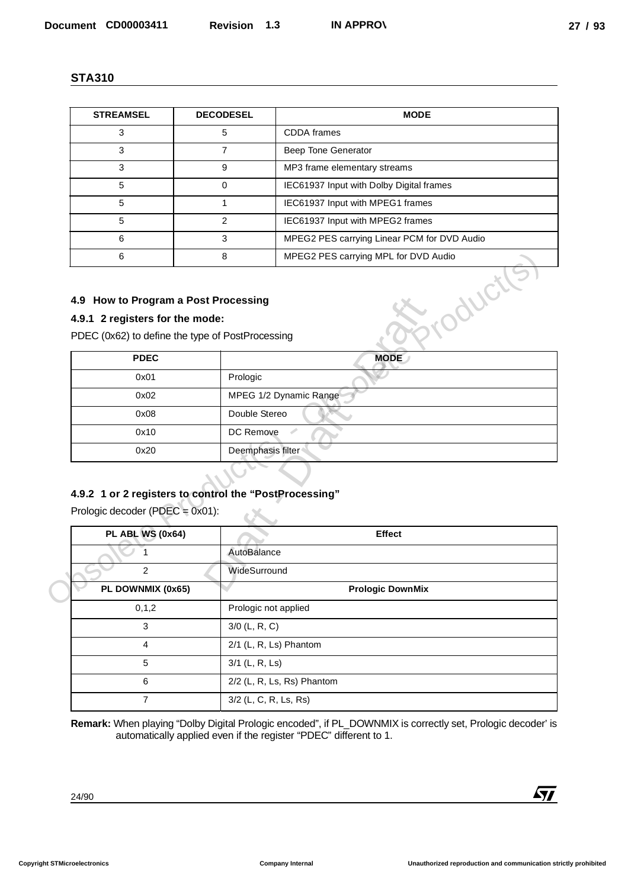| <b>STREAMSEL</b>                                                                                                            | <b>DECODESEL</b> | <b>MODE</b>                                 |
|-----------------------------------------------------------------------------------------------------------------------------|------------------|---------------------------------------------|
| 3                                                                                                                           | 5                | <b>CDDA</b> frames                          |
| 3                                                                                                                           | 7                | Beep Tone Generator                         |
| 3                                                                                                                           | 9                | MP3 frame elementary streams                |
| 5                                                                                                                           | 0                | IEC61937 Input with Dolby Digital frames    |
| 5                                                                                                                           | 1                | IEC61937 Input with MPEG1 frames            |
| 5                                                                                                                           | 2                | IEC61937 Input with MPEG2 frames            |
| 6                                                                                                                           | 3                | MPEG2 PES carrying Linear PCM for DVD Audio |
| 6                                                                                                                           | 8                | MPEG2 PES carrying MPL for DVD Audio        |
| 4.9 How to Program a Post Processing<br>4.9.1 2 registers for the mode:<br>PDEC (0x62) to define the type of PostProcessing |                  |                                             |
| <b>PDFC</b>                                                                                                                 |                  | <b>MODE</b>                                 |

#### **4.9 How to Program a Post Processing**

## **4.9.1 2 registers for the mode:**

| 6                                                      | 8                    | MPEG2 PES carrying MPL for DVD Audio |
|--------------------------------------------------------|----------------------|--------------------------------------|
| 4.9 How to Program a Post Processing                   |                      | >roductre                            |
| 4.9.1 2 registers for the mode:                        |                      |                                      |
| PDEC (0x62) to define the type of PostProcessing       |                      |                                      |
| <b>PDEC</b>                                            |                      | <b>MODE</b>                          |
| 0x01                                                   | Prologic             |                                      |
| 0x02                                                   |                      | MPEG 1/2 Dynamic Range               |
| 0x08                                                   | Double Stereo        |                                      |
| 0x10                                                   | DC Remove            | $\mathcal{L}$                        |
| 0x20                                                   | Deemphasis filter    |                                      |
|                                                        |                      |                                      |
| 4.9.2 1 or 2 registers to control the "PostProcessing" |                      |                                      |
| Prologic decoder (PDEC = $0x01$ ):                     |                      |                                      |
| PL ABL WS (0x64)                                       |                      | <b>Effect</b>                        |
|                                                        | AutoBalance          |                                      |
| $\overline{2}$                                         | WideSurround         |                                      |
| PL DOWNMIX (0x65)                                      |                      | <b>Prologic DownMix</b>              |
| 0, 1, 2                                                | Prologic not applied |                                      |
| 3                                                      | $3/0$ (L, R, C)      |                                      |
|                                                        |                      |                                      |

## **4.9.2 1 or 2 registers to control the "PostProcessing"**

| <b>STREAMSEL</b>                                                                                                            | <b>DECODESEL</b> | <b>MODE</b>                                                                         |
|-----------------------------------------------------------------------------------------------------------------------------|------------------|-------------------------------------------------------------------------------------|
| 3                                                                                                                           | 5                | CDDA frames                                                                         |
| 3                                                                                                                           | $\overline{7}$   | Beep Tone Generator                                                                 |
| 3                                                                                                                           | 9                | MP3 frame elementary streams                                                        |
| 5                                                                                                                           | 0                | IEC61937 Input with Dolby Digital frames                                            |
| 5                                                                                                                           | $\mathbf{1}$     | IEC61937 Input with MPEG1 frames                                                    |
| 5                                                                                                                           | $\overline{2}$   | IEC61937 Input with MPEG2 frames                                                    |
| 6<br>$6\phantom{a}$                                                                                                         | 3<br>8           | MPEG2 PES carrying Linear PCM for DVD Audio<br>MPEG2 PES carrying MPL for DVD Audio |
| 4.9 How to Program a Post Processing<br>4.9.1 2 registers for the mode:<br>PDEC (0x62) to define the type of PostProcessing |                  | iroductic                                                                           |
| <b>PDEC</b>                                                                                                                 |                  | <b>MODE</b>                                                                         |
| 0x01                                                                                                                        | Prologic         |                                                                                     |
| 0x02                                                                                                                        |                  | MPEG 1/2 Dynamic Range                                                              |
| 0x08                                                                                                                        | Double Stereo    |                                                                                     |
| 0x10                                                                                                                        | DC Remove        |                                                                                     |
|                                                                                                                             |                  |                                                                                     |
| 4.9.2 1 or 2 registers to control the "PostProcessing"<br>Prologic decoder (PDEC = $0x01$ ):                                |                  |                                                                                     |
|                                                                                                                             |                  | Effect                                                                              |
| <b>PL ABL WS (0x64)</b><br>1                                                                                                |                  |                                                                                     |
|                                                                                                                             | AutoBalance      |                                                                                     |
| $\overline{c}$                                                                                                              | WideSurround     |                                                                                     |
| PL DOWNMIX (0x65)                                                                                                           |                  | <b>Prologic DownMix</b>                                                             |
| 0, 1, 2                                                                                                                     |                  | Prologic not applied                                                                |
| 3                                                                                                                           | $3/0$ (L, R, C)  |                                                                                     |
| $\overline{4}$                                                                                                              |                  | 2/1 (L, R, Ls) Phantom                                                              |
| 5                                                                                                                           | 3/1 (L, R, Ls)   |                                                                                     |
| 6<br>$\overline{7}$                                                                                                         |                  | 2/2 (L, R, Ls, Rs) Phantom<br>3/2 (L, C, R, Ls, Rs)                                 |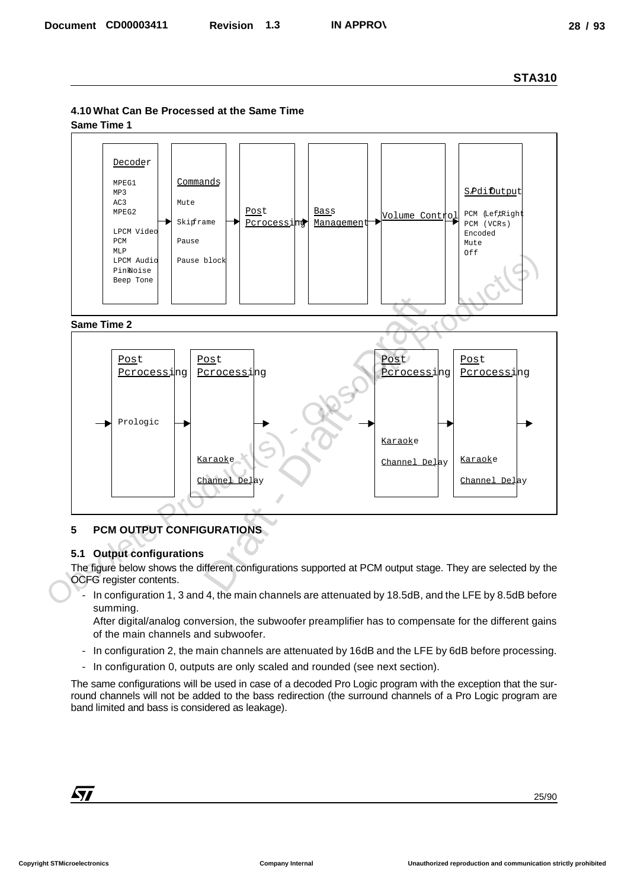## **4.10 What Can Be Processed at the Same Time**

**Same Time 1**



#### **Same Time 2**



## **5 PCM OUTPUT CONFIGURATIONS**

## **5.1 Output configurations**

The figure below shows the different configurations supported at PCM output stage. They are selected by the OCFG register contents.

In configuration 1, 3 and 4, the main channels are attenuated by 18.5dB, and the LFE by 8.5dB before summing.

After digital/analog conversion, the subwoofer preamplifier has to compensate for the different gains of the main channels and subwoofer.

- In configuration 2, the main channels are attenuated by 16dB and the LFE by 6dB before processing.
- In configuration 0, outputs are only scaled and rounded (see next section).

The same configurations will be used in case of a decoded Pro Logic program with the exception that the surround channels will not be added to the bass redirection (the surround channels of a Pro Logic program are band limited and bass is considered as leakage).

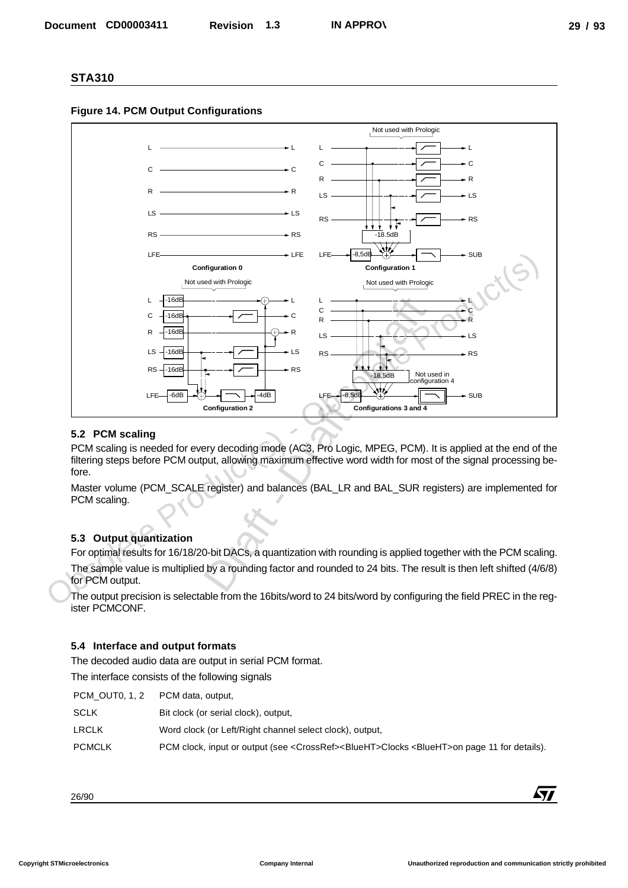



#### **5.2 PCM scaling**

PCM scaling is needed for every decoding mode (AC3, Pro Logic, MPEG, PCM). It is applied at the end of the filtering steps before PCM output, allowing maximum effective word width for most of the signal processing before.

Master volume (PCM\_SCALE register) and balances (BAL\_LR and BAL\_SUR registers) are implemented for PCM scaling.

## **5.3 Output quantization**

For optimal results for 16/18/20-bit DACs, a quantization with rounding is applied together with the PCM scaling. The sample value is multiplied by a rounding factor and rounded to 24 bits. The result is then left shifted (4/6/8) for PCM output.

The output precision is selectable from the 16bits/word to 24 bits/word by configuring the field PREC in the register PCMCONF.

#### **5.4 Interface and output formats**

The decoded audio data are output in serial PCM format. The interface consists of the following signals

| PCM OUT0, 1, 2 | PCM data, output,                                                                                                      |
|----------------|------------------------------------------------------------------------------------------------------------------------|
| <b>SCLK</b>    | Bit clock (or serial clock), output,                                                                                   |
| <b>LRCLK</b>   | Word clock (or Left/Right channel select clock), output,                                                               |
| <b>PCMCLK</b>  | PCM clock, input or output (see <crossref><blueht>Clocks <blueht>on page 11 for details).</blueht></blueht></crossref> |

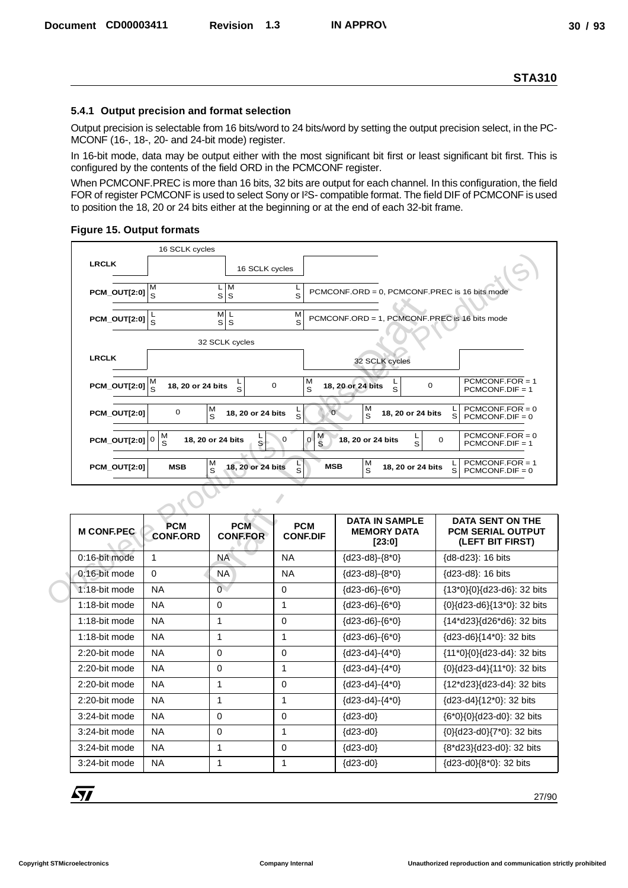#### **5.4.1 Output precision and format selection**

#### **Figure 15. Output formats**

|                            | 16 SCLK cycles                |                                |                                          |                                                       |                                                                         |
|----------------------------|-------------------------------|--------------------------------|------------------------------------------|-------------------------------------------------------|-------------------------------------------------------------------------|
| <b>LRCLK</b>               |                               | 16 SCLK cycles                 |                                          |                                                       |                                                                         |
| PCM_OUT[2:0]               | М<br>$\mathbf{s}$             | L M<br>s s                     | S                                        | PCMCONF.ORD = 0, PCMCONF.PREC is 16 bits mode         |                                                                         |
| <b>PCM_OUT[2:0]</b>        | $\frac{L}{S}$                 | $\overline{M}$ L<br>s s        | M<br>S                                   | PCMCONF.ORD = 1, PCMCONF.PREC is 16 bits mode         |                                                                         |
|                            |                               | 32 SCLK cycles                 |                                          |                                                       |                                                                         |
| <b>LRCLK</b>               |                               |                                |                                          | 32 SCLK cycles                                        |                                                                         |
| PCM_OUT[2:0] $\frac{M}{S}$ | 18, 20 or 24 bits             | ء<br>S                         | M<br>$\mathbf 0$<br>S                    | 18, 20 or 24 bits<br>$\mathbf 0$<br>S                 | $PCMCONF.FOR = 1$<br>$PCMCONF.DIF = 1$                                  |
| PCM OUT[2:0]               | 0                             | М<br>18, 20 or 24 bits<br>S    | $\frac{L}{S}$                            | M<br>$\overline{0}$<br>18, 20 or 24 bits<br>S         | $PCMCONF.FOR = 0$<br>S<br>$PCMCONF.DIF = 0$                             |
| PCM OUT[2:0] $ 0 $         | M<br>S                        | 18, 20 or 24 bits<br>$\bar{s}$ | $\frac{M}{S}$<br>$\Omega$<br>$\mathbf 0$ | L<br>S<br>18, 20 or 24 bits                           | $PCMCONF.FOR = 0$<br>0<br>$PCMCONF.DIF = 1$                             |
| <b>PCM_OUT[2:0]</b>        | <b>MSB</b>                    | M<br>18, 20 or 24 bits<br>S    | ء<br>S<br><b>MSB</b>                     | м<br>s<br>18, 20 or 24 bits                           | $PCMCONF.FOR = 1$<br>S<br>$PCMCONF.DIF = 0$                             |
|                            |                               |                                |                                          |                                                       |                                                                         |
| <b>M CONF.PEC.</b>         | <b>PCM</b><br><b>CONF.ORD</b> | <b>PCM</b><br><b>CONF.FOR</b>  | <b>PCM</b><br><b>CONF.DIF</b>            | <b>DATA IN SAMPLE</b><br><b>MEMORY DATA</b><br>[23:0] | <b>DATA SENT ON THE</b><br><b>PCM SERIAL OUTPUT</b><br>(LEFT BIT FIRST) |
| 0:16-bit mode              | 1                             | <b>NA</b>                      | <b>NA</b>                                | {d23-d8}-{8*0}                                        | {d8-d23}: 16 bits                                                       |
| 0:16-bit mode              | $\mathbf 0$                   | <b>NA</b>                      | <b>NA</b>                                | ${d23-d8} - {8*0}$                                    | {d23-d8}: 16 bits                                                       |
| 1:18-bit mode              | <b>NA</b>                     | $\overline{0}$                 | 0                                        | ${d23-d6} - {6*0}$                                    | {13*0}{0}{d23-d6}: 32 bits                                              |
| 1:18-bit mode              | <b>NA</b>                     | 0                              | 1                                        | ${d23-d6} - {6*0}$                                    | {0}{d23-d6}{13*0}: 32 bits                                              |
| 1:18-bit mode              | <b>NA</b>                     | 1                              | 0                                        | ${d23-d6} - {6*0}$                                    | {14*d23}{d26*d6}: 32 bits                                               |
| $1.18$ -hit mode           | NΔ                            | 1                              | 1                                        | <b>IYYJJ-YKJ-IK*UI</b>                                | $1.123 - 16111 \times 11.32$ hite                                       |

|                                                                      |                                    |                               |                                             |                                                                                               | <b>STA310</b>                                                                                                                                                                                                                            |
|----------------------------------------------------------------------|------------------------------------|-------------------------------|---------------------------------------------|-----------------------------------------------------------------------------------------------|------------------------------------------------------------------------------------------------------------------------------------------------------------------------------------------------------------------------------------------|
| 5.4.1 Output precision and format selection                          |                                    |                               |                                             |                                                                                               |                                                                                                                                                                                                                                          |
| MCONF (16-, 18-, 20- and 24-bit mode) register.                      |                                    |                               |                                             |                                                                                               | Output precision is selectable from 16 bits/word to 24 bits/word by setting the output precision select, in the PC-                                                                                                                      |
|                                                                      |                                    |                               |                                             |                                                                                               | In 16-bit mode, data may be output either with the most significant bit first or least significant bit first. This is                                                                                                                    |
| configured by the contents of the field ORD in the PCMCONF register. |                                    |                               |                                             |                                                                                               |                                                                                                                                                                                                                                          |
| <b>Figure 15. Output formats</b>                                     |                                    |                               |                                             | to position the 18, 20 or 24 bits either at the beginning or at the end of each 32-bit frame. | When PCMCONF.PREC is more than 16 bits, 32 bits are output for each channel. In this configuration, the field<br>FOR of register PCMCONF is used to select Sony or I <sup>2</sup> S- compatible format. The field DIF of PCMCONF is used |
|                                                                      | 16 SCLK cycles                     |                               |                                             |                                                                                               |                                                                                                                                                                                                                                          |
| <b>LRCLK</b>                                                         |                                    | 16 SCLK cycles                |                                             |                                                                                               |                                                                                                                                                                                                                                          |
|                                                                      |                                    | $L$ M                         |                                             |                                                                                               |                                                                                                                                                                                                                                          |
| $PCM$ _OUT[2:0] $\Big _S^{\infty}$                                   | M                                  | s s                           | L<br>S                                      | PCMCONF.ORD = 0, PCMCONF.PREC is 16 bits mode                                                 |                                                                                                                                                                                                                                          |
| <b>PCM_OUT[2:0]</b>                                                  |                                    | M/L                           | М                                           | PCMCONF.ORD = 1, PCMCONF.PREC is 16 bits mode                                                 |                                                                                                                                                                                                                                          |
|                                                                      | $\mathbf{s}$                       | s s                           | S                                           |                                                                                               |                                                                                                                                                                                                                                          |
|                                                                      |                                    | 32 SCLK cycles                |                                             |                                                                                               |                                                                                                                                                                                                                                          |
| <b>LRCLK</b>                                                         |                                    |                               |                                             | 32 SCLK cycles                                                                                |                                                                                                                                                                                                                                          |
| PCM_OUT[2:0]                                                         | $\frac{M}{S}$<br>18, 20 or 24 bits | լ<br>Տ                        | M<br>$\mathbf 0$<br>S                       | ւ<br>Տ<br>18, 20 or 24 bits<br>0                                                              | $PCMCONF.FOR = 1$<br>$PCMCONF.DIF = 1$                                                                                                                                                                                                   |
| <b>PCM_OUT[2:0]</b>                                                  | 0                                  | M<br>18, 20 or 24 bits<br>S   | S                                           | М<br>$\sigma$<br>18, 20 or 24 bits<br>S                                                       | $PCMCONF.FOR = 0$<br>L.<br>S<br>$PCMCONF.DIF = 0$                                                                                                                                                                                        |
| <b>PCM_OUT[2:0] 0</b>                                                | $\frac{M}{S}$                      | 18, 20 or 24 bits             | $\frac{M}{S}$<br>$\mathbf 0$<br>$\mathbf 0$ | L<br>18, 20 or 24 bits                                                                        | $PCMCONF.FOR = 0$<br>0                                                                                                                                                                                                                   |
|                                                                      |                                    | S                             |                                             | S                                                                                             | $PCMCONF.DIF = 1$                                                                                                                                                                                                                        |
| <b>PCM_OUT[2:0]</b>                                                  | <b>MSB</b>                         | M<br>18, 20 or 24 bits<br>S   | Г<br>S                                      | M<br><b>MSB</b><br>18, 20 or 24 bits<br>S                                                     | $PCMCONF.FOR = 1$<br>L.<br>S<br>$PCMCONF.DIF = 0$                                                                                                                                                                                        |
|                                                                      | V                                  |                               |                                             |                                                                                               |                                                                                                                                                                                                                                          |
| <b>M CONF.PEC</b>                                                    | <b>PCM</b><br><b>CONF.ORD</b>      | <b>PCM</b><br><b>CONF.FOR</b> | <b>PCM</b><br><b>CONF.DIF</b>               | <b>DATA IN SAMPLE</b><br><b>MEMORY DATA</b><br>[23:0]                                         | DATA SENT ON THE<br><b>PCM SERIAL OUTPUT</b><br>(LEFT BIT FIRST)                                                                                                                                                                         |
|                                                                      | $\mathbf{1}$                       | <b>NA</b>                     | <b>NA</b>                                   | ${d23-d8}-{8*0}$                                                                              | {d8-d23}: 16 bits                                                                                                                                                                                                                        |
| 0:16-bit mode                                                        |                                    | NA                            | <b>NA</b>                                   | ${d23-d8}-{8*0}$                                                                              | {d23-d8}: 16 bits                                                                                                                                                                                                                        |
| 0:16-bit mode                                                        | 0                                  |                               |                                             |                                                                                               |                                                                                                                                                                                                                                          |
| 1:18-bit mode                                                        | <b>NA</b>                          | $\overline{0}$                | 0                                           | $\{d23-d6\} - \{6*0\}$                                                                        |                                                                                                                                                                                                                                          |
| 1:18-bit mode                                                        | <b>NA</b>                          | 0                             | 1                                           | $\{d23-d6\} - \{6*0\}$                                                                        | {0}{d23-d6}{13*0}: 32 bits                                                                                                                                                                                                               |
| 1:18-bit mode                                                        | <b>NA</b>                          | $\mathbf{1}$                  | $\mathbf 0$                                 | $\{d23-d6\} - \{6*0\}$                                                                        | {14*d23}{d26*d6}: 32 bits                                                                                                                                                                                                                |
| 1:18-bit mode                                                        | <b>NA</b>                          | $\mathbf{1}$                  | 1                                           | ${d23-d6} - {6*0}$                                                                            | {d23-d6}{14*0}: 32 bits                                                                                                                                                                                                                  |
| 2:20-bit mode                                                        | <b>NA</b>                          | 0                             | 0                                           | ${d23-d4} - {4*0}$                                                                            | {11*0}{0}{d23-d4}: 32 bits                                                                                                                                                                                                               |
| 2:20-bit mode                                                        | <b>NA</b>                          | 0                             | 1                                           | $\{d23-d4\} - \{4^*0\}$                                                                       | {0}{d23-d4}{11*0}: 32 bits                                                                                                                                                                                                               |
| 2:20-bit mode                                                        | <b>NA</b>                          | $\mathbf{1}$                  | $\mathbf 0$                                 | ${d23-d4} - {4*0}$                                                                            | {12*d23}{d23-d4}: 32 bits                                                                                                                                                                                                                |
| 2:20-bit mode                                                        | <b>NA</b>                          | $\mathbf{1}$                  | 1                                           | ${d23-d4} - {4*0}$                                                                            | {d23-d4}{12*0}: 32 bits                                                                                                                                                                                                                  |
| 3:24-bit mode                                                        | <b>NA</b>                          | 0                             | 0                                           | $\{d23-d0\}$                                                                                  | {6*0}{0}{d23-d0}: 32 bits                                                                                                                                                                                                                |
| 3:24-bit mode                                                        | <b>NA</b>                          | 0                             | 1                                           | $\{d23-d0\}$                                                                                  | {13*0}{0}{d23-d6}: 32 bits<br>{0}{d23-d0}{7*0}: 32 bits                                                                                                                                                                                  |
| 3:24-bit mode                                                        | <b>NA</b>                          | $\mathbf 1$                   | 0                                           | $\{d23-d0\}$                                                                                  | {8*d23}{d23-d0}: 32 bits                                                                                                                                                                                                                 |
| 3:24-bit mode                                                        | <b>NA</b>                          | $\mathbf{1}$                  | $\mathbf 1$                                 | $\{d23-d0\}$                                                                                  | {d23-d0}{8*0}: 32 bits                                                                                                                                                                                                                   |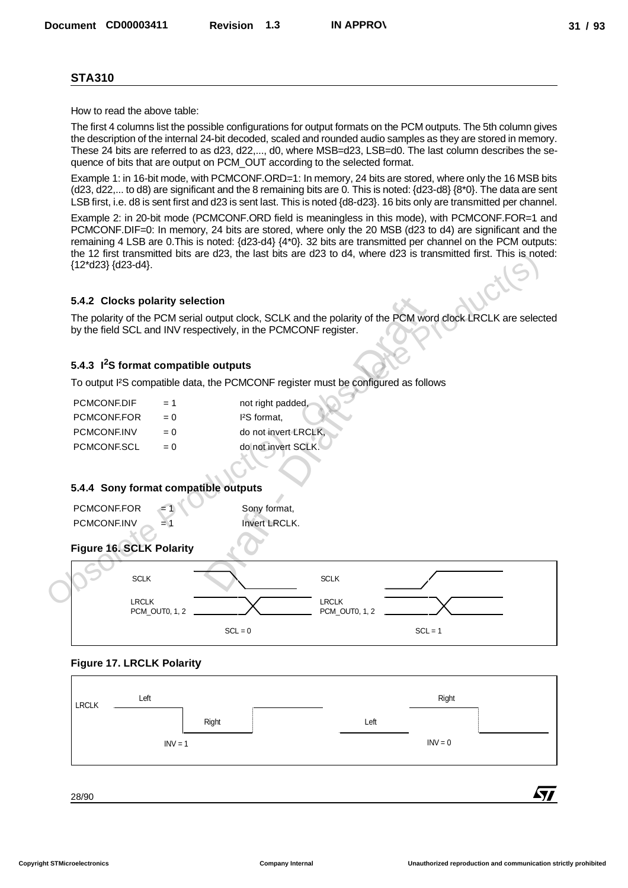How to read the above table:

The first 4 columns list the possible configurations for output formats on the PCM outputs. The 5th column gives the description of the internal 24-bit decoded, scaled and rounded audio samples as they are stored in memory. These 24 bits are referred to as d23, d22,..., d0, where MSB=d23, LSB=d0. The last column describes the sequence of bits that are output on PCM\_OUT according to the selected format.

Example 1: in 16-bit mode, with PCMCONF.ORD=1: In memory, 24 bits are stored, where only the 16 MSB bits (d23, d22,... to d8) are significant and the 8 remaining bits are 0. This is noted: {d23-d8} {8\*0}. The data are sent LSB first, i.e. d8 is sent first and d23 is sent last. This is noted {d8-d23}. 16 bits only are transmitted per channel.

Example 2: in 20-bit mode (PCMCONF.ORD field is meaningless in this mode), with PCMCONF.FOR=1 and PCMCONF.DIF=0: In memory, 24 bits are stored, where only the 20 MSB (d23 to d4) are significant and the remaining 4 LSB are 0.This is noted: {d23-d4} {4\*0}. 32 bits are transmitted per channel on the PCM outputs: the 12 first transmitted bits are d23, the last bits are d23 to d4, where d23 is transmitted first. This is noted: {12\*d23} {d23-d4}.

#### **5.4.2 Clocks polarity selection**

The polarity of the PCM serial output clock, SCLK and the polarity of the PCM word clock LRCLK are selected by the field SCL and INV respectively, in the PCMCONF register.

## **5.4.3 I2S format compatible outputs**

To output I²S compatible data, the PCMCONF register must be configured as follows

| PCMCONF.DIF | $= 1$ | not right padded,      |
|-------------|-------|------------------------|
| PCMCONF.FOR | $= 0$ | <sup>2</sup> S format. |
| PCMCONE.INV | $= 0$ | do not invert LRCLK.   |
| PCMCONF.SCL | $= 0$ | do not invert SCLK.    |

#### **5.4.4 Sony format compatible outputs**

| PCMCONF.FOR | $\equiv$ 1 | Sony format,         |
|-------------|------------|----------------------|
| PCMCONE.INV | = 1        | <b>Invert LRCLK.</b> |

## **Figure 16. SCLK Polarity**



#### **Figure 17. LRCLK Polarity**

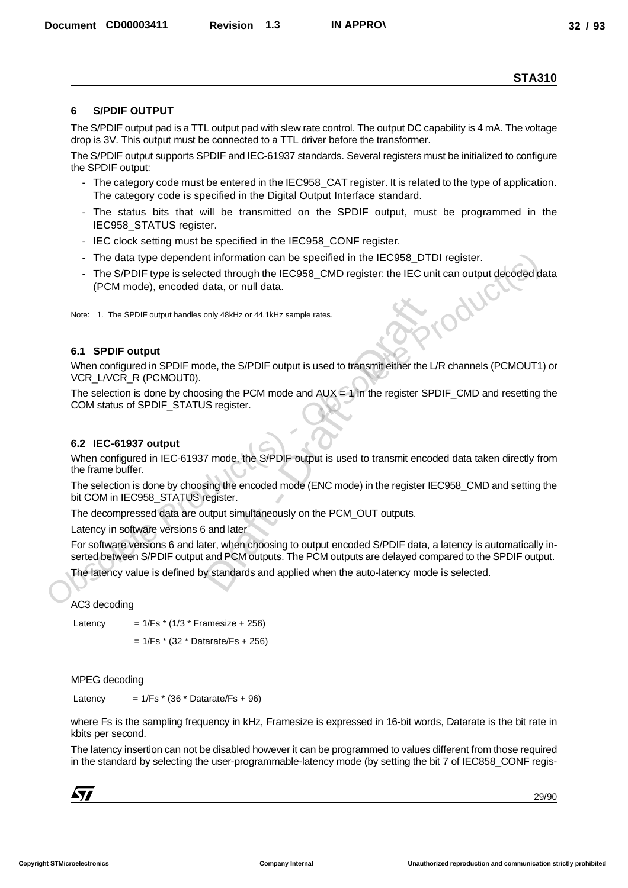#### **6 S/PDIF OUTPUT**

The S/PDIF output pad is a TTL output pad with slew rate control. The output DC capability is 4 mA. The voltage drop is 3V. This output must be connected to a TTL driver before the transformer.

The S/PDIF output supports SPDIF and IEC-61937 standards. Several registers must be initialized to configure the SPDIF output:

- The category code must be entered in the IEC958 CAT register. It is related to the type of application. The category code is specified in the Digital Output Interface standard.
- The status bits that will be transmitted on the SPDIF output, must be programmed in the IEC958\_STATUS register.
- IEC clock setting must be specified in the IEC958 CONF register.
- The data type dependent information can be specified in the IEC958\_DTDI register.
- The S/PDIF type is selected through the IEC958 CMD register: the IEC unit can output decoded data (PCM mode), encoded data, or null data.

Note: 1. The SPDIF output handles only 48kHz or 44.1kHz sample rates.

#### **6.1 SPDIF output**

When configured in SPDIF mode, the S/PDIF output is used to transmit either the L/R channels (PCMOUT1) or VCR\_L/VCR\_R (PCMOUT0).

The selection is done by choosing the PCM mode and  $AUX = 1$  in the register SPDIF CMD and resetting the COM status of SPDIF\_STATUS register.

#### **6.2 IEC-61937 output**

When configured in IEC-61937 mode, the S/PDIF output is used to transmit encoded data taken directly from the frame buffer.

The selection is done by choosing the encoded mode (ENC mode) in the register IEC958\_CMD and setting the bit COM in IEC958\_STATUS register.

The decompressed data are output simultaneously on the PCM\_OUT outputs.

Latency in software versions 6 and later

For software versions 6 and later, when choosing to output encoded S/PDIF data, a latency is automatically inserted between S/PDIF output and PCM outputs. The PCM outputs are delayed compared to the SPDIF output. - The data type dependent information can be specified in the IEC958\_DTDI register.<br>
The S/PDIF type is selected through the IEC958\_CMD register: the IEC unit can output decoded development (PCM mode), encoded data, or n Decembent CORDOSASTI Revision 1.3 MAPPRO)<br>
STA310<br>
6 SPDIF OUTFUT The paragraphics The output of the restriction of the SPDF output of the AT The value of the CNC of an additional term of the relation of the CNC of the CN only 48kHz or 44.1kHz sample rates.<br>
Draft - Draft - Draft - Draft - Draft - Draft - Draft - Draft - Draft - Draft - Draft - Draft - Draft - Draft - Draft - Draft - Draft - Draft - Draft - Draft - Draft - Draft - Draft - D

The latency value is defined by standards and applied when the auto-latency mode is selected.

#### AC3 decoding

Latency  $= 1/Fs * (1/3 * Framesize + 256)$ 

 $= 1/Fs$  \* (32 \* Datarate/Fs + 256)

MPEG decoding

Latency  $= 1/Fs * (36 * DataFrame/Fs + 96)$ 

where Fs is the sampling frequency in kHz, Framesize is expressed in 16-bit words, Datarate is the bit rate in kbits per second.

The latency insertion can not be disabled however it can be programmed to values different from those required in the standard by selecting the user-programmable-latency mode (by setting the bit 7 of IEC858\_CONF regis-

| J |  |  |
|---|--|--|
|   |  |  |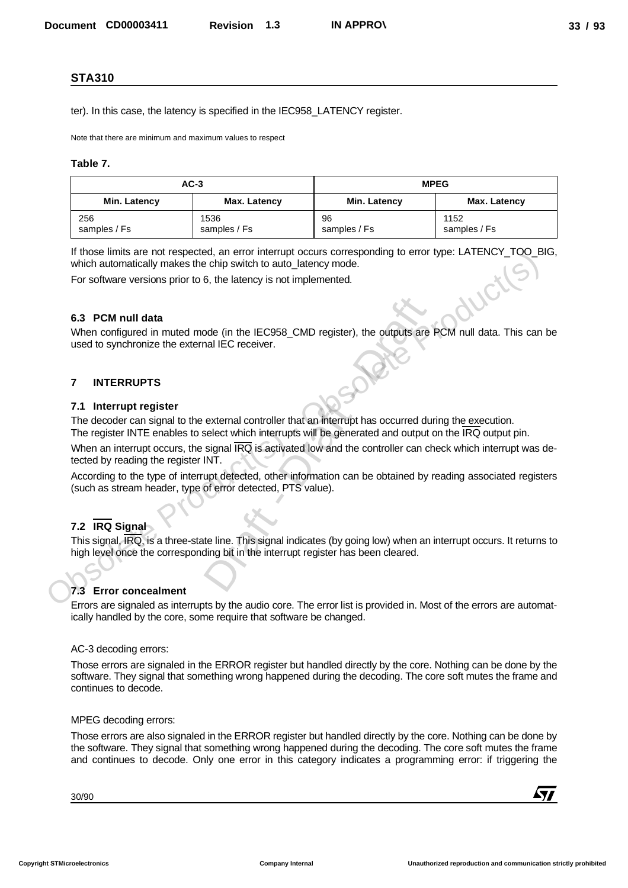#### **Table 7.**

| <b>STA310</b>                                                                                             |                                                                                   |                                                                                                          |                                                                                                                       |  |  |
|-----------------------------------------------------------------------------------------------------------|-----------------------------------------------------------------------------------|----------------------------------------------------------------------------------------------------------|-----------------------------------------------------------------------------------------------------------------------|--|--|
|                                                                                                           | ter). In this case, the latency is specified in the IEC958_LATENCY register.      |                                                                                                          |                                                                                                                       |  |  |
|                                                                                                           |                                                                                   |                                                                                                          |                                                                                                                       |  |  |
| Note that there are minimum and maximum values to respect                                                 |                                                                                   |                                                                                                          |                                                                                                                       |  |  |
| Table 7.                                                                                                  |                                                                                   |                                                                                                          |                                                                                                                       |  |  |
|                                                                                                           | $AC-3$                                                                            |                                                                                                          | <b>MPEG</b>                                                                                                           |  |  |
| Min. Latency                                                                                              | Max. Latency                                                                      | Min. Latency                                                                                             | Max. Latency                                                                                                          |  |  |
| 256<br>samples / Fs                                                                                       | 1536<br>samples / Fs                                                              | 96<br>samples / Fs                                                                                       | 1152<br>samples / Fs                                                                                                  |  |  |
|                                                                                                           |                                                                                   |                                                                                                          | If those limits are not respected, an error interrupt occurs corresponding to error type: LATENCY_TOO_BIG,            |  |  |
|                                                                                                           | which automatically makes the chip switch to auto_latency mode.                   |                                                                                                          |                                                                                                                       |  |  |
|                                                                                                           | For software versions prior to 6, the latency is not implemented.                 |                                                                                                          |                                                                                                                       |  |  |
|                                                                                                           |                                                                                   |                                                                                                          |                                                                                                                       |  |  |
| 6.3 PCM null data                                                                                         |                                                                                   |                                                                                                          |                                                                                                                       |  |  |
| used to synchronize the external IEC receiver.                                                            |                                                                                   |                                                                                                          | When configured in muted mode (in the IEC958_CMD register), the outputs are PCM null data. This can be                |  |  |
|                                                                                                           |                                                                                   |                                                                                                          |                                                                                                                       |  |  |
| <b>INTERRUPTS</b><br>$\overline{7}$                                                                       |                                                                                   |                                                                                                          |                                                                                                                       |  |  |
| 7.1 Interrupt register                                                                                    |                                                                                   |                                                                                                          |                                                                                                                       |  |  |
|                                                                                                           |                                                                                   | The decoder can signal to the external controller that an interrupt has occurred during the execution.   |                                                                                                                       |  |  |
|                                                                                                           |                                                                                   | The register INTE enables to select which interrupts will be generated and output on the IRQ output pin. |                                                                                                                       |  |  |
| tected by reading the register INT.                                                                       |                                                                                   |                                                                                                          | When an interrupt occurs, the signal IRQ is activated low and the controller can check which interrupt was de-        |  |  |
|                                                                                                           |                                                                                   |                                                                                                          | According to the type of interrupt detected, other information can be obtained by reading associated registers        |  |  |
|                                                                                                           | (such as stream header, type of error detected, PTS value).                       |                                                                                                          |                                                                                                                       |  |  |
|                                                                                                           |                                                                                   |                                                                                                          |                                                                                                                       |  |  |
| 7.2 IRQ Signal                                                                                            |                                                                                   |                                                                                                          |                                                                                                                       |  |  |
|                                                                                                           | high level once the corresponding bit in the interrupt register has been cleared. |                                                                                                          | This signal, IRQ, is a three-state line. This signal indicates (by going low) when an interrupt occurs. It returns to |  |  |
|                                                                                                           |                                                                                   |                                                                                                          |                                                                                                                       |  |  |
| 7.3 Error concealment                                                                                     |                                                                                   |                                                                                                          |                                                                                                                       |  |  |
|                                                                                                           |                                                                                   |                                                                                                          | Errors are signaled as interrupts by the audio core. The error list is provided in. Most of the errors are automat-   |  |  |
|                                                                                                           | ically handled by the core, some require that software be changed.                |                                                                                                          |                                                                                                                       |  |  |
| AC-3 decoding errors:                                                                                     |                                                                                   |                                                                                                          |                                                                                                                       |  |  |
|                                                                                                           |                                                                                   |                                                                                                          | Those errors are signaled in the ERROR register but handled directly by the core. Nothing can be done by the          |  |  |
|                                                                                                           |                                                                                   |                                                                                                          | software. They signal that something wrong happened during the decoding. The core soft mutes the frame and            |  |  |
| continues to decode.                                                                                      |                                                                                   |                                                                                                          |                                                                                                                       |  |  |
| MPEG decoding errors:                                                                                     |                                                                                   |                                                                                                          |                                                                                                                       |  |  |
|                                                                                                           |                                                                                   |                                                                                                          | Those errors are also signaled in the ERROR register but handled directly by the core. Nothing can be done by         |  |  |
|                                                                                                           |                                                                                   |                                                                                                          | the software. They signal that something wrong happened during the decoding. The core soft mutes the frame            |  |  |
|                                                                                                           |                                                                                   |                                                                                                          |                                                                                                                       |  |  |
| and continues to decode. Only one error in this category indicates a programming error: if triggering the |                                                                                   |                                                                                                          |                                                                                                                       |  |  |
| 30/90                                                                                                     |                                                                                   |                                                                                                          |                                                                                                                       |  |  |

#### **6.3 PCM null data**

#### **7 INTERRUPTS**

#### **7.1 Interrupt register**

## **7.2 IRQ Signal**

#### **7.3 Error concealment**

#### AC-3 decoding errors:

#### MPEG decoding errors: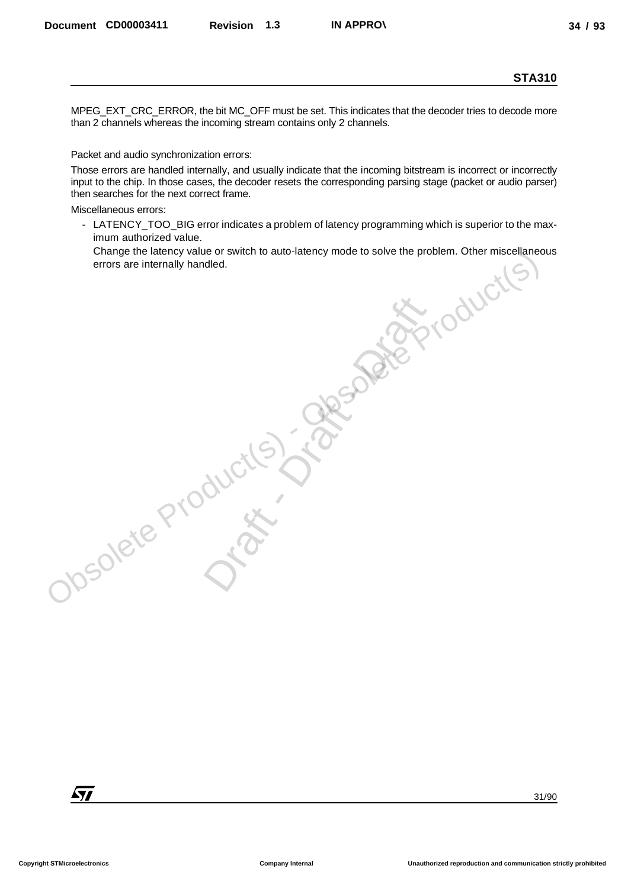MPEG\_EXT\_CRC\_ERROR, the bit MC\_OFF must be set. This indicates that the decoder tries to decode more than 2 channels whereas the incoming stream contains only 2 channels.

Packet and audio synchronization errors:

Those errors are handled internally, and usually indicate that the incoming bitstream is incorrect or incorrectly input to the chip. In those cases, the decoder resets the corresponding parsing stage (packet or audio parser) then searches for the next correct frame. Decembers CONDOSASTI Revision 1.3 IN APPROV<br>
NPCC, EX.T\_CRC, EROCR, Installated C.P. music be est. This includes the The decode clean to encode move<br>
PROV. 2 characteristics the next property distort contained by account

Miscellaneous errors:

- LATENCY\_TOO\_BIG error indicates a problem of latency programming which is superior to the maximum authorized value.

Ourcite) - Openater

Change the latency value or switch to auto-latency mode to solve the problem. Other miscellaneous errors are internally handled. errors are internally handled.Obsolete Product(s) - Observation and Change of Street

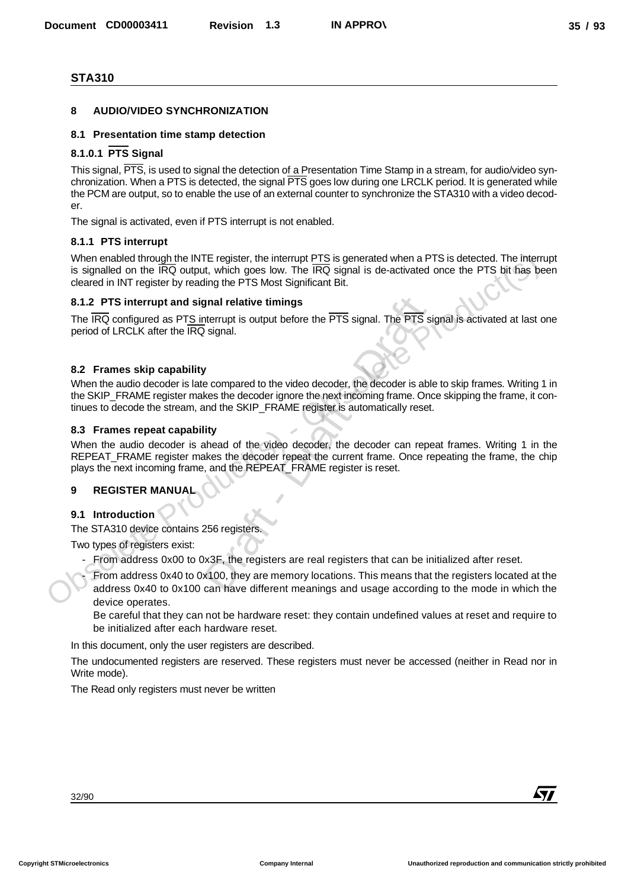#### **8 AUDIO/VIDEO SYNCHRONIZATION**

#### **8.1 Presentation time stamp detection**

#### **8.1.0.1 PTS Signal**

This signal, PTS, is used to signal the detection of a Presentation Time Stamp in a stream, for audio/video synchronization. When a PTS is detected, the signal PTS goes low during one LRCLK period. It is generated while the PCM are output, so to enable the use of an external counter to synchronize the STA310 with a video decoder. Decembent CORDOD3411 Revision 1.3 NAPPROV<br>
33 / 93<br>
STA310<br>
8 AU OCOVIDEO SYNCHRONIZATION<br>
8.1 Decembent since stars described to the Share of the Share of the Share of the analysis of the stars of the Share of the Share

The signal is activated, even if PTS interrupt is not enabled.

#### **8.1.1 PTS interrupt**

When enabled through the INTE register, the interrupt PTS is generated when a PTS is detected. The interrupt is signalled on the IRQ output, which goes low. The IRQ signal is de-activated once the PTS bit has been cleared in INT register by reading the PTS Most Significant Bit.

#### **8.1.2 PTS interrupt and signal relative timings**

The IRQ configured as PTS interrupt is output before the PTS signal. The PTS signal is activated at last one period of LRCLK after the IRQ signal.

#### **8.2 Frames skip capability**

When the audio decoder is late compared to the video decoder, the decoder is able to skip frames. Writing 1 in the SKIP\_FRAME register makes the decoder ignore the next incoming frame. Once skipping the frame, it continues to decode the stream, and the SKIP\_FRAME register is automatically reset.

#### **8.3 Frames repeat capability**

When the audio decoder is ahead of the video decoder, the decoder can repeat frames. Writing 1 in the REPEAT\_FRAME register makes the decoder repeat the current frame. Once repeating the frame, the chip plays the next incoming frame, and the REPEAT\_FRAME register is reset. **gnal relative timings**<br>
therrupt is output before the  $\overline{\text{PTS}}$  signal. The  $\overline{\text{PTS}}$ <br>
2 signal.<br>
<br>
<br> **y**<br> **c** compared to the video decoder, the decoder is at<br>
<br>
<br> **Compared to the video decoder, the decoder can repl** 

#### **9 REGISTER MANUAL**

#### **9.1 Introduction**

The STA310 device contains 256 registers.

Two types of registers exist:

- From address 0x00 to 0x3F, the registers are real registers that can be initialized after reset.

From address 0x40 to 0x100, they are memory locations. This means that the registers located at the address 0x40 to 0x100 can have different meanings and usage according to the mode in which the device operates. When enabled through the NRE register, the internuty PTS is generated when a PTS is detected. The internal particle is detected. The internal particle is detected to the PTS bit has be detected. The IRQ ordinary the PTS M

Be careful that they can not be hardware reset: they contain undefined values at reset and require to be initialized after each hardware reset.

In this document, only the user registers are described.

The undocumented registers are reserved. These registers must never be accessed (neither in Read nor in Write mode).

The Read only registers must never be written

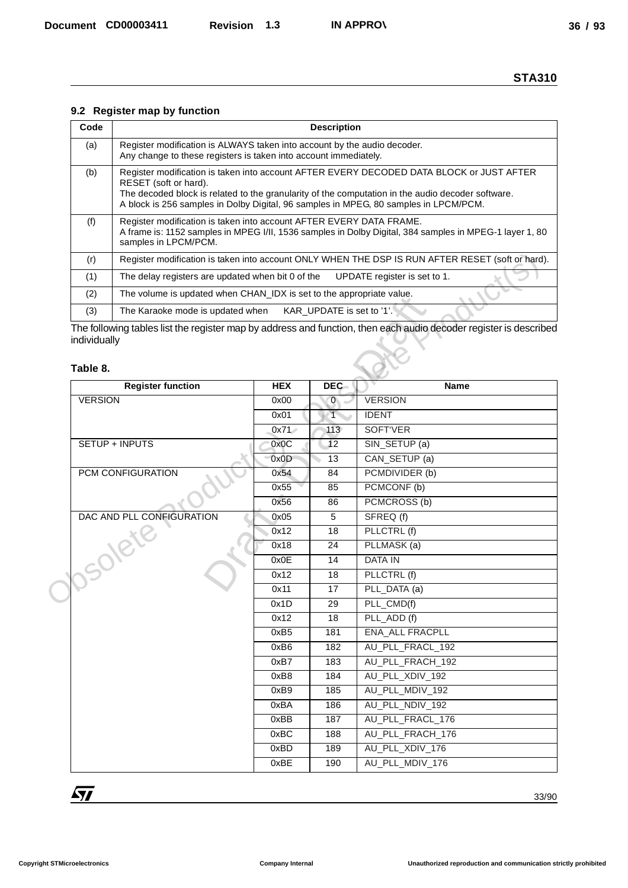## **9.2 Register map by function**

| Code | <b>Description</b>                                                                                                                                                                                                                                                                                             |
|------|----------------------------------------------------------------------------------------------------------------------------------------------------------------------------------------------------------------------------------------------------------------------------------------------------------------|
| (a)  | Register modification is ALWAYS taken into account by the audio decoder.<br>Any change to these registers is taken into account immediately.                                                                                                                                                                   |
| (b)  | Register modification is taken into account AFTER EVERY DECODED DATA BLOCK or JUST AFTER<br>RESET (soft or hard).<br>The decoded block is related to the granularity of the computation in the audio decoder software.<br>A block is 256 samples in Dolby Digital, 96 samples in MPEG, 80 samples in LPCM/PCM. |
| (f)  | Register modification is taken into account AFTER EVERY DATA FRAME.<br>A frame is: 1152 samples in MPEG I/II, 1536 samples in Dolby Digital, 384 samples in MPEG-1 layer 1, 80<br>samples in LPCM/PCM.                                                                                                         |
| (r)  | Register modification is taken into account ONLY WHEN THE DSP IS RUN AFTER RESET (soft or hard).                                                                                                                                                                                                               |
| (1)  | UPDATE register is set to 1.<br>The delay registers are updated when bit 0 of the                                                                                                                                                                                                                              |
| (2)  | The volume is updated when CHAN IDX is set to the appropriate value.                                                                                                                                                                                                                                           |
| (3)  | KAR UPDATE is set to '1'.<br>The Karaoke mode is updated when                                                                                                                                                                                                                                                  |

#### **Table 8.**

|                          | 9.2 Register map by function                                                                                                                                                                                                                                                                                   |                  |                           |                                                                                                                   |  |
|--------------------------|----------------------------------------------------------------------------------------------------------------------------------------------------------------------------------------------------------------------------------------------------------------------------------------------------------------|------------------|---------------------------|-------------------------------------------------------------------------------------------------------------------|--|
| Code                     | <b>Description</b>                                                                                                                                                                                                                                                                                             |                  |                           |                                                                                                                   |  |
| (a)                      | Register modification is ALWAYS taken into account by the audio decoder.                                                                                                                                                                                                                                       |                  |                           |                                                                                                                   |  |
|                          | Any change to these registers is taken into account immediately.                                                                                                                                                                                                                                               |                  |                           |                                                                                                                   |  |
| (b)                      | Register modification is taken into account AFTER EVERY DECODED DATA BLOCK or JUST AFTER<br>RESET (soft or hard).<br>The decoded block is related to the granularity of the computation in the audio decoder software.<br>A block is 256 samples in Dolby Digital, 96 samples in MPEG, 80 samples in LPCM/PCM. |                  |                           |                                                                                                                   |  |
| (f)                      | Register modification is taken into account AFTER EVERY DATA FRAME.<br>A frame is: 1152 samples in MPEG I/II, 1536 samples in Dolby Digital, 384 samples in MPEG-1 layer 1, 80<br>samples in LPCM/PCM.                                                                                                         |                  |                           |                                                                                                                   |  |
| (r)                      |                                                                                                                                                                                                                                                                                                                |                  |                           | Register modification is taken into account ONLY WHEN THE DSP IS RUN AFTER RESET (soft or hard).                  |  |
| (1)                      | The delay registers are updated when bit 0 of the                                                                                                                                                                                                                                                              |                  |                           | UPDATE register is set to 1.                                                                                      |  |
| (2)                      | The volume is updated when CHAN_IDX is set to the appropriate value.                                                                                                                                                                                                                                           |                  |                           |                                                                                                                   |  |
| (3)                      | The Karaoke mode is updated when                                                                                                                                                                                                                                                                               |                  | KAR_UPDATE is set to '1'. |                                                                                                                   |  |
| individually<br>Table 8. |                                                                                                                                                                                                                                                                                                                |                  |                           | The following tables list the register map by address and function, then each audio decoder register is described |  |
|                          | <b>Register function</b>                                                                                                                                                                                                                                                                                       | <b>HEX</b>       | <b>DEC</b>                | <b>Name</b>                                                                                                       |  |
| <b>VERSION</b>           |                                                                                                                                                                                                                                                                                                                | 0x00             | $0 -$                     | <b>VERSION</b>                                                                                                    |  |
|                          |                                                                                                                                                                                                                                                                                                                | 0x01             | $\top$                    | <b>IDENT</b>                                                                                                      |  |
|                          |                                                                                                                                                                                                                                                                                                                | 0x71             | 113                       | SOFT'VER                                                                                                          |  |
|                          | SETUP + INPUTS                                                                                                                                                                                                                                                                                                 | 0x0C             | 12                        | SIN_SETUP (a)                                                                                                     |  |
|                          |                                                                                                                                                                                                                                                                                                                | 0x0D             | 13                        | CAN_SETUP (a)                                                                                                     |  |
|                          | PCM CONFIGURATION                                                                                                                                                                                                                                                                                              | 0x54<br>0x55     | 84<br>85                  | PCMDIVIDER (b)<br>PCMCONF (b)                                                                                     |  |
|                          |                                                                                                                                                                                                                                                                                                                | 0x56             | 86                        | PCMCROSS (b)                                                                                                      |  |
|                          | DAC AND PLL CONFIGURATION                                                                                                                                                                                                                                                                                      | 0x05             | 5                         | SFREQ (f)                                                                                                         |  |
|                          |                                                                                                                                                                                                                                                                                                                | 0x12             | 18                        | PLLCTRL (f)                                                                                                       |  |
|                          |                                                                                                                                                                                                                                                                                                                | 0x18             | 24                        | PLLMASK (a)                                                                                                       |  |
|                          |                                                                                                                                                                                                                                                                                                                | 0x0E             | 14                        | DATA IN                                                                                                           |  |
|                          |                                                                                                                                                                                                                                                                                                                | 0x12             | 18                        | PLLCTRL (f)                                                                                                       |  |
|                          | JOSORIE                                                                                                                                                                                                                                                                                                        | 0x11             | 17                        | PLL_DATA (a)                                                                                                      |  |
|                          |                                                                                                                                                                                                                                                                                                                | 0x1D             | 29                        | PLL_CMD(f)                                                                                                        |  |
|                          |                                                                                                                                                                                                                                                                                                                | 0x12             | 18                        | PLL_ADD (f)                                                                                                       |  |
|                          |                                                                                                                                                                                                                                                                                                                | 0xB <sub>5</sub> | 181                       | ENA_ALL FRACPLL                                                                                                   |  |
|                          |                                                                                                                                                                                                                                                                                                                | 0xB6             | 182                       | AU_PLL_FRACL_192                                                                                                  |  |
|                          |                                                                                                                                                                                                                                                                                                                | 0xB7             | 183                       | AU_PLL_FRACH_192                                                                                                  |  |
|                          |                                                                                                                                                                                                                                                                                                                | 0xB8<br>0xB9     | 184<br>185                | AU_PLL_XDIV_192<br>AU_PLL_MDIV_192                                                                                |  |
|                          |                                                                                                                                                                                                                                                                                                                | 0xBA             | 186                       | AU_PLL_NDIV_192                                                                                                   |  |
|                          |                                                                                                                                                                                                                                                                                                                | 0xBB             | 187                       | AU_PLL_FRACL_176                                                                                                  |  |
|                          |                                                                                                                                                                                                                                                                                                                | 0xBC             | 188                       | AU_PLL_FRACH_176                                                                                                  |  |
|                          |                                                                                                                                                                                                                                                                                                                | 0xBD             | 189                       | AU_PLL_XDIV_176                                                                                                   |  |
|                          |                                                                                                                                                                                                                                                                                                                | 0xBE             | 190                       | AU_PLL_MDIV_176                                                                                                   |  |
|                          |                                                                                                                                                                                                                                                                                                                |                  |                           |                                                                                                                   |  |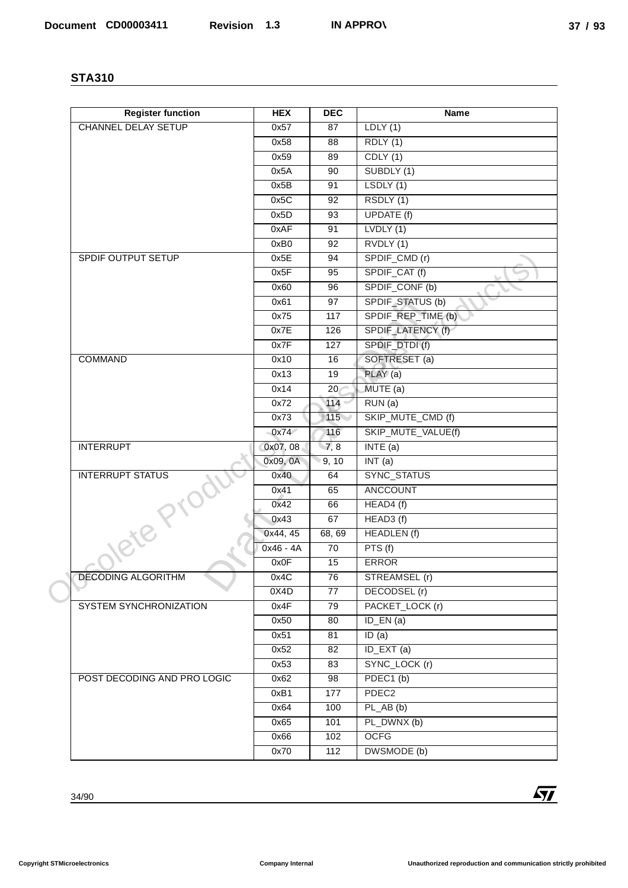| <b>Register function</b>    | <b>HEX</b>   | <b>DEC</b>      | Name                                   |
|-----------------------------|--------------|-----------------|----------------------------------------|
| <b>CHANNEL DELAY SETUP</b>  | 0x57         | 87              | LDLY(1)                                |
|                             | 0x58         | 88              | <b>RDLY</b> (1)                        |
|                             | 0x59         | 89              | CDLY(1)                                |
|                             | 0x5A         | 90              | SUBDLY (1)                             |
|                             | 0x5B         | 91              | LSDLY (1)                              |
|                             | 0x5C         | 92              | RSDLY (1)                              |
|                             | 0x5D         | 93              | UPDATE (f)                             |
|                             | 0xAF         | 91              | LVDLY(1)                               |
|                             | 0xB0         | 92              | RVDLY (1)                              |
| SPDIF OUTPUT SETUP          | 0x5E         | 94              | SPDIF_CMD (r)                          |
|                             | 0x5F         | 95              | SPDIF_CAT (f)<br>ᄂ                     |
|                             | 0x60         | 96              | SPDIF_CONF (b)                         |
|                             | 0x61<br>0x75 | 97<br>117       | SPDIF_STATUS (b)<br>SPDIF_REP_TIME (b) |
|                             | 0x7E         | 126             | SPDIF_LATENCY (f)                      |
|                             | 0x7F         | 127             | SPDIF_DTDI(f)                          |
| <b>COMMAND</b>              | 0x10         | 16              | SOFTRESET (a)                          |
|                             | 0x13         | 19              | PLAY (a)                               |
|                             | 0x14         | 20 <sub>o</sub> | MUTE (a)                               |
|                             | 0x72         | 114             | RUN(a)                                 |
|                             | 0x73         | 115             | SKIP_MUTE_CMD (f)                      |
|                             | 0x74         | 116             | SKIP_MUTE_VALUE(f)                     |
| <b>INTERRUPT</b>            | 0x07, 08     | 7,8             | INTE(a)                                |
|                             | 0x09, 0A     | 9, 10           | INT(a)                                 |
| <b>INTERRUPT STATUS</b>     | 0x40         | 64              | SYNC_STATUS                            |
|                             | 0x41         | 65              | ANCCOUNT                               |
|                             | 0x42         | 66              | HEAD4 (f)                              |
| <b>Nete Pri</b>             | 0x43         | 67              | HEAD3 (f)                              |
|                             | 0x44, 45     | 68, 69          | HEADLEN (f)                            |
|                             | 0x46 - 4A    | 70              | PTS(f)                                 |
|                             | 0x0F         | 15              | <b>ERROR</b>                           |
| <b>DECODING ALGORITHM</b>   | 0x4C         | 76              | STREAMSEL (r)                          |
|                             | 0X4D         | 77              | DECODSEL (r)                           |
| SYSTEM SYNCHRONIZATION      | 0x4F         | 79              | PACKET_LOCK (r)                        |
|                             | 0x50         | 80              | $ID$ $EN(a)$                           |
|                             | 0x51         | 81              | ID(a)                                  |
|                             | 0x52         | 82              | ID_EXT (a)                             |
|                             | 0x53         | 83              | SYNC_LOCK (r)                          |
| POST DECODING AND PRO LOGIC | 0x62         | 98              | PDEC1(b)                               |
|                             | 0xB1         | 177             | PDEC <sub>2</sub>                      |
|                             | 0x64         | 100             | $PL_AB(b)$                             |
|                             | 0x65         | 101             | PL_DWNX (b)                            |
|                             | 0x66         | 102             | <b>OCFG</b>                            |
|                             | 0x70         | 112             | DWSMODE (b)                            |
|                             |              |                 |                                        |
| 34/90                       |              |                 | $\sqrt{1}$                             |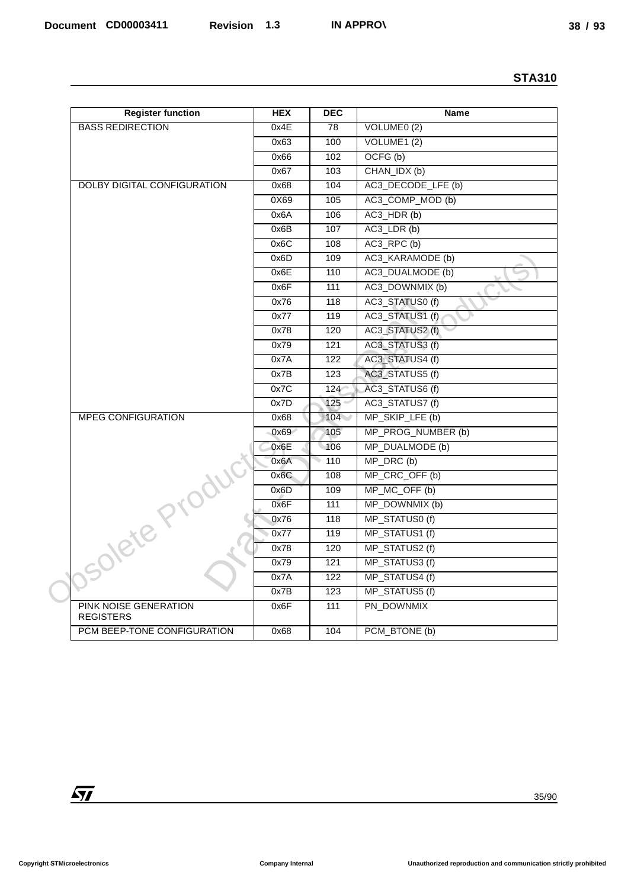| <b>Register function</b><br><b>BASS REDIRECTION</b> |              |                             |                                    |
|-----------------------------------------------------|--------------|-----------------------------|------------------------------------|
|                                                     | <b>HEX</b>   | <b>DEC</b>                  | Name                               |
|                                                     | 0x4E         | $\overline{78}$             | VOLUME0(2)                         |
|                                                     | 0x63         | 100                         | VOLUME1(2)                         |
|                                                     | 0x66         | 102                         | OCFG (b)                           |
|                                                     | 0x67         | 103                         | CHAN_IDX (b)                       |
| <b>DOLBY DIGITAL CONFIGURATION</b>                  | 0x68         | 104                         | AC3_DECODE_LFE (b)                 |
|                                                     | 0X69         | 105                         | AC3_COMP_MOD (b)                   |
|                                                     | 0x6A         | 106                         | AC3_HDR(b)                         |
|                                                     | 0x6B         | 107                         | AC3_LDR (b)                        |
|                                                     | 0x6C         | 108                         | AC3_RPC (b)                        |
|                                                     | 0x6D         | 109                         | AC3_KARAMODE (b)                   |
|                                                     | 0x6E         | 110                         | AC3_DUALMODE (b)<br>∽              |
|                                                     | 0x6F         | 111                         | AC3_DOWNMIX (b)<br>⊾               |
|                                                     | 0x76         | 118                         | AC3_STATUS0(f)                     |
|                                                     | 0x77         | 119                         | AC3_STATUS1 (f)                    |
|                                                     | 0x78         | 120                         | AC3_STATUS2 (f)                    |
|                                                     | 0x79         | 121                         | AC3_STATUS3(f)                     |
|                                                     | 0x7A         | 122                         | AC3_STATUS4 (f)                    |
|                                                     | 0x7B         | 123                         | AC3_STATUS5 (f)                    |
|                                                     | 0x7C<br>0x7D | $124 -$<br>125 <sup>°</sup> | AC3_STATUS6 (f)<br>AC3_STATUS7 (f) |
| <b>MPEG CONFIGURATION</b>                           | 0x68         | 104                         | MP_SKIP_LFE (b)                    |
|                                                     | 0x69         | 105                         | MP_PROG_NUMBER(b)                  |
|                                                     | 0x6E         | 106                         | MP_DUALMODE (b)                    |
|                                                     | 0x6A         | 110                         | MP_DRC (b)                         |
|                                                     | 0x6C         | 108                         | MP_CRC_OFF (b)                     |
|                                                     | 0x6D         | 109                         | MP_MC_OFF (b)                      |
|                                                     | 0x6F         | 111                         | MP_DOWNMIX (b)                     |
|                                                     | 0x76         | 118                         | MP_STATUS0(f)                      |
|                                                     | 0x77         | 119                         | MP_STATUS1(f)                      |
|                                                     | 0x78         | 120                         | MP_STATUS2 (f)                     |
| Jsolete P                                           | 0x79         | 121                         | MP_STATUS3 (f)                     |
|                                                     | 0x7A         | 122                         | MP_STATUS4 (f)                     |
|                                                     | 0x7B         | 123                         | MP_STATUS5 (f)                     |
| PINK NOISE GENERATION<br><b>REGISTERS</b>           | 0x6F         | 111                         | PN_DOWNMIX                         |
| PCM BEEP-TONE CONFIGURATION                         | 0x68         | 104                         | PCM_BTONE (b)                      |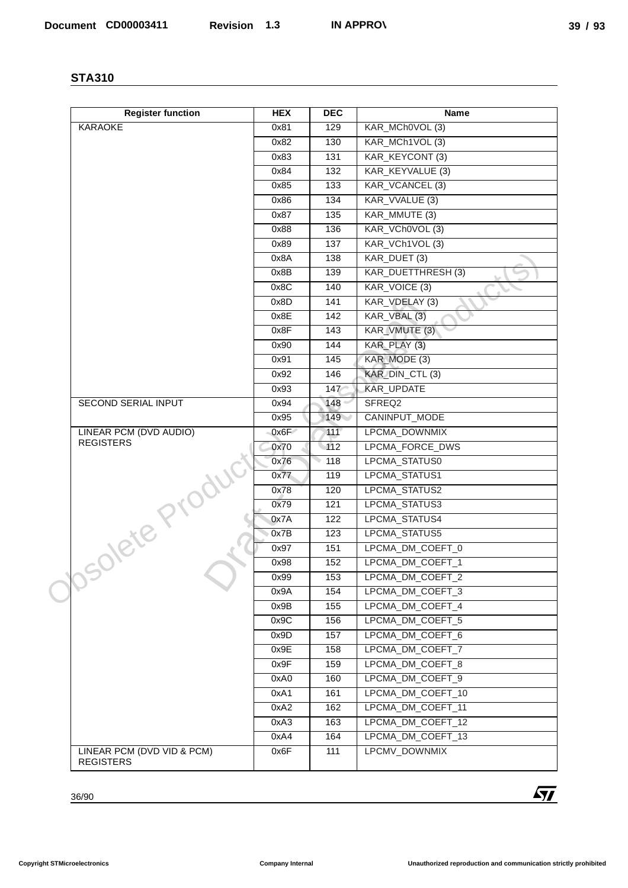| <b>Register function</b>                       | <b>HEX</b>   | <b>DEC</b>               | Name                                           |
|------------------------------------------------|--------------|--------------------------|------------------------------------------------|
| <b>KARAOKE</b>                                 | 0x81         | 129                      | KAR_MCh0VOL (3)                                |
|                                                | 0x82         | 130                      | KAR_MCh1VOL (3)                                |
|                                                | 0x83         | 131                      | KAR_KEYCONT (3)                                |
|                                                | 0x84         | $\overline{132}$         | KAR_KEYVALUE (3)                               |
|                                                | 0x85         | 133                      | KAR_VCANCEL (3)                                |
|                                                | 0x86         | 134                      | KAR_VVALUE (3)                                 |
|                                                | 0x87         | 135                      | KAR_MMUTE (3)                                  |
|                                                | 0x88         | 136                      | KAR_VCh0VOL (3)                                |
|                                                | 0x89         | 137                      | KAR_VCh1VOL (3)                                |
|                                                | 0x8A         | 138                      | KAR_DUET (3)                                   |
|                                                | 0x8B         | 139                      | KAR_DUETTHRESH (3)<br>$\overline{\phantom{0}}$ |
|                                                | 0x8C         | 140                      | KAR_VOICE (3)<br>◡                             |
|                                                | 0x8D         | 141                      | KAR_VDELAY (3)                                 |
|                                                | 0x8E         | $\frac{142}{142}$        | KAR_VBAL (3)                                   |
|                                                | 0x8F         | 143                      | KAR_VMUTE (3)                                  |
|                                                | 0x90         | 144                      | KAR_PLAY (3)<br>KAR MODE (3)                   |
|                                                | 0x91<br>0x92 | $\frac{145}{145}$<br>146 | KAR_DIN_CTL(3)                                 |
|                                                | 0x93         | $147^{\circ}$            | KAR_UPDATE                                     |
| <b>SECOND SERIAL INPUT</b>                     | 0x94         | 148 <sup>°</sup>         | SFREQ2                                         |
|                                                | 0x95         | 149                      | CANINPUT_MODE                                  |
| LINEAR PCM (DVD AUDIO)                         | 0x6F         | 111                      | LPCMA_DOWNMIX                                  |
| <b>REGISTERS</b>                               | 0x70         | $-112$                   | LPCMA FORCE DWS                                |
|                                                | 0x76         | 118                      | LPCMA_STATUS0                                  |
|                                                | 0x77         | 119                      | LPCMA_STATUS1                                  |
|                                                | 0x78         | 120                      | LPCMA_STATUS2                                  |
|                                                | 0x79         | 121                      | LPCMA_STATUS3                                  |
| Josolete Prc                                   | 0x7A         | 122                      | LPCMA_STATUS4                                  |
|                                                | 0x7B         | 123                      | LPCMA_STATUS5                                  |
|                                                | 0x97         | 151                      | LPCMA_DM_COEFT_0                               |
|                                                | 0x98         | 152                      | LPCMA_DM_COEFT_1                               |
|                                                | 0x99         | 153                      | LPCMA_DM_COEFT_2                               |
|                                                | 0x9A         | 154                      | LPCMA_DM_COEFT_3                               |
|                                                | 0x9B         | 155                      | LPCMA_DM_COEFT_4                               |
|                                                | 0x9C         | 156                      | LPCMA_DM_COEFT_5                               |
|                                                | 0x9D         | 157                      | LPCMA_DM_COEFT_6                               |
|                                                | 0x9E         | 158                      | LPCMA_DM_COEFT_7                               |
|                                                | 0x9F         | 159                      | LPCMA_DM_COEFT_8                               |
|                                                | 0xA0         | 160                      | LPCMA_DM_COEFT_9                               |
|                                                | 0xA1         | 161                      | LPCMA_DM_COEFT_10                              |
|                                                | 0xA2         | 162                      | LPCMA_DM_COEFT_11                              |
|                                                | 0xA3         | 163                      | LPCMA_DM_COEFT_12                              |
|                                                | 0xA4         | 164                      | LPCMA_DM_COEFT_13                              |
| LINEAR PCM (DVD VID & PCM)<br><b>REGISTERS</b> | 0x6F         | 111                      | LPCMV_DOWNMIX                                  |
|                                                |              |                          | $\sqrt{1}$                                     |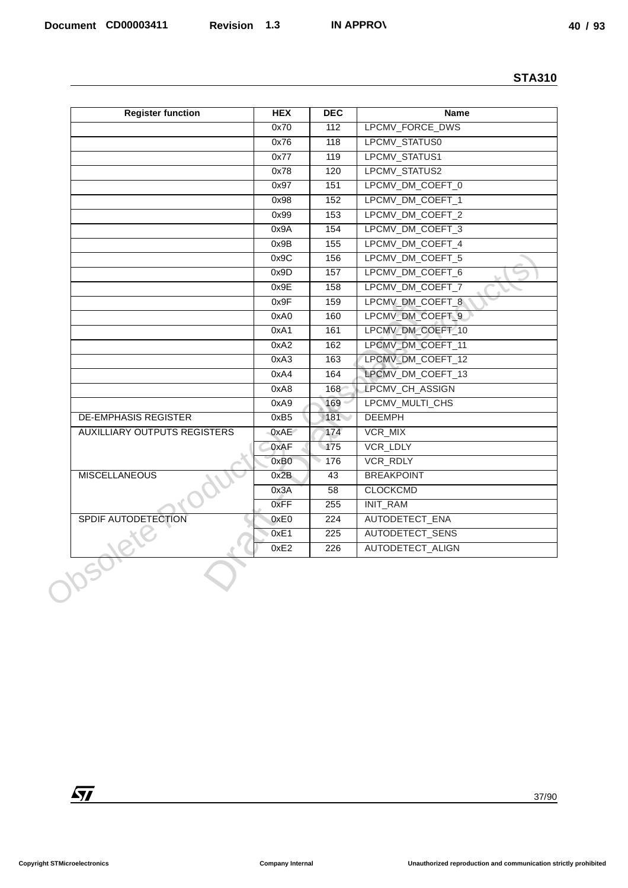|                                     |              |                                 | <b>STA310</b>                          |
|-------------------------------------|--------------|---------------------------------|----------------------------------------|
| <b>Register function</b>            | <b>HEX</b>   | <b>DEC</b>                      | Name                                   |
|                                     | 0x70         | 112                             | LPCMV_FORCE_DWS                        |
|                                     | 0x76         | 118                             | LPCMV_STATUS0                          |
|                                     | 0x77         | 119                             | LPCMV_STATUS1                          |
|                                     | 0x78         | 120                             | LPCMV_STATUS2                          |
|                                     | 0x97         | 151                             | LPCMV_DM_COEFT_0                       |
|                                     | 0x98         | 152                             | LPCMV_DM_COEFT_1                       |
|                                     | 0x99         | 153                             | LPCMV_DM_COEFT_2                       |
|                                     | 0x9A         | $\frac{154}{154}$               | LPCMV_DM_COEFT_3                       |
|                                     | 0x9B         | 155                             | LPCMV_DM_COEFT_4                       |
|                                     | 0x9C         | 156                             | LPCMV_DM_COEFT_5                       |
|                                     | 0x9D         | 157                             | LPCMV_DM_COEFT_6<br>∽                  |
|                                     | 0x9E         | 158                             | LPCMV_DM_COEFT_7<br>◡                  |
|                                     | 0x9F         | 159                             | LPCMV_DM_COEFT_8                       |
|                                     | 0xA0         | 160                             | LPCMV_DM_COEFT_9                       |
|                                     | 0xA1         | 161                             | LPCMV_DM_COEFT_10                      |
|                                     | 0xA2         | 162                             | LPCMV_DM_COEFT_11<br>LPCMV_DM_COEFT_12 |
|                                     | 0xA3<br>0xA4 | 163<br>164                      | LPCMV_DM_COEFT_13                      |
|                                     | 0xA8         | 168                             | LPCMV_CH_ASSIGN                        |
|                                     | 0xA9         | 169 <sup>°</sup>                | LPCMV_MULTI_CHS                        |
| <b>DE-EMPHASIS REGISTER</b>         | 0xB5         | 181                             | <b>DEEMPH</b>                          |
| <b>AUXILLIARY OUTPUTS REGISTERS</b> | 0xAE         | 174                             | VCR_MIX                                |
|                                     | 0xAF         | 175                             | VCR_LDLY                               |
|                                     | 0xB0         | 176<br>$\overline{\phantom{a}}$ | VCR_RDLY                               |
| <b>MISCELLANEOUS</b>                | 0x2B         | 43                              | <b>BREAKPOINT</b>                      |
|                                     | 0x3A         | 58                              | CLOCKCMD                               |
|                                     | 0xFF         | 255                             | INIT_RAM                               |
| SPDIF AUTODETECTION                 | 0xE0         | 224                             | AUTODETECT_ENA                         |
|                                     | 0xE1         | 225                             | AUTODETECT_SENS                        |
|                                     | 0xE2         | 226                             | AUTODETECT_ALIGN                       |
| $\sqrt{5}$                          |              |                                 |                                        |
| 57                                  |              |                                 | 37/90                                  |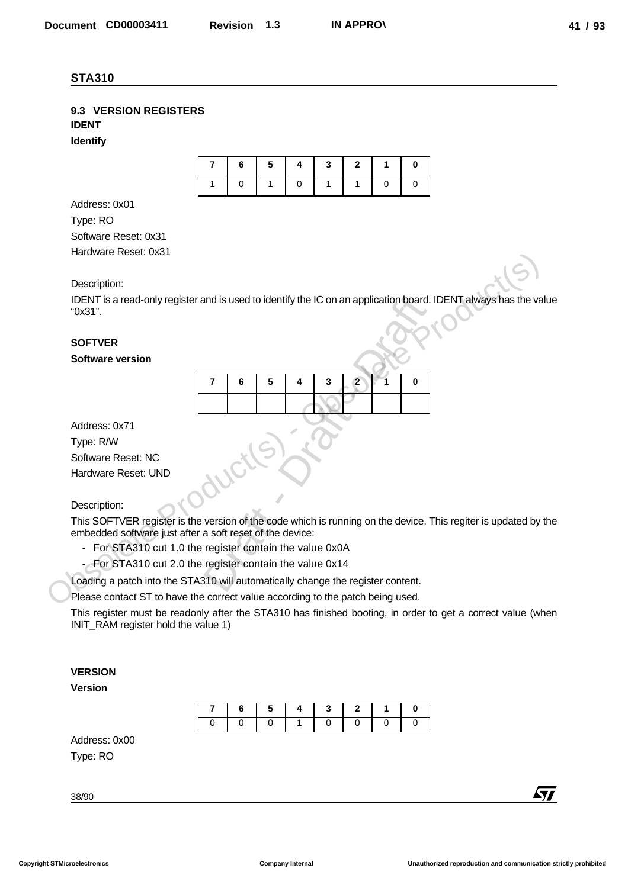#### **9.3 VERSION REGISTERS IDENT**

**Identify**

|                |  | $6 \mid 5 \mid 4 \mid 3 \mid 2 \mid 1 \mid$ |  |  |
|----------------|--|---------------------------------------------|--|--|
| $\overline{0}$ |  | 10111                                       |  |  |

Address: 0x01 Type: RO Software Reset: 0x31 Hardware Reset: 0x31

Description:

IDENT is a read-only register and is used to identify the IC on an application board. IDENT always has the value "0x31".

## **SOFTVER**

**Software version** 

|   |   |                                   |   |   | and is used to identify the IC on an application board |   |
|---|---|-----------------------------------|---|---|--------------------------------------------------------|---|
|   |   |                                   |   |   |                                                        |   |
| 7 | 6 | 5                                 | 4 | 3 | 2                                                      | 0 |
|   |   |                                   |   |   |                                                        |   |
|   |   |                                   |   |   |                                                        |   |
|   |   | a soft reset of the device:       |   |   | e version of the code which is running on the device.  |   |
|   |   | e register contain the value 0x0A |   |   |                                                        |   |
|   |   | e register contain the value 0x14 |   |   |                                                        |   |
|   |   |                                   |   |   | 310 will automatically change the register content.    |   |

Address: 0x71

Type: R/W

Software Reset: NC

Hardware Reset: UND

#### Description:

This SOFTVER register is the version of the code which is running on the device. This regiter is updated by the embedded software just after a soft reset of the device: From the Reset. UX31<br>
Description:<br>
IDENT always has the values<br>
TOKS1<sup>2</sup>:<br>
SOFTVER<br>
SOFTVER<br>
SOFTVER<br>
SOFTVER<br>
SOFTVER<br>
SOFTVER<br>
SOFTVER<br>
SOFTVER<br>
SOFTVER<br>
SOFTVER<br>
SOFTVER<br>
Obsolete Production<br>
Type: RW<br>
Obsolete Produc Decument CORDOSISTI Revision 1.3 IN APPROX<br>
STATISTIC: IS NATION<br>
STATISTIC: IS NATION<br>
DENT<br>
DENT CORRECTERS<br>
Notice Results<br>
SCRIPT and CORP (SUP)<br>
SCRIPT AND CORPER CORP<br>
The Results of the Results<br>
Dent Correctes Co.1

- For STA310 cut 1.0 the register contain the value 0x0A

- For STA310 cut 2.0 the register contain the value 0x14

Loading a patch into the STA310 will automatically change the register content.

Please contact ST to have the correct value according to the patch being used.

This register must be readonly after the STA310 has finished booting, in order to get a correct value (when INIT\_RAM register hold the value 1)

#### **VERSION**

**Version** 

|  |  |                                                                              | $16$ 5 4 3 2 1 |  |
|--|--|------------------------------------------------------------------------------|----------------|--|
|  |  | $\begin{array}{c c c c c} \hline \text{O} & \text{O} & \text{O} \end{array}$ |                |  |

Address: 0x00 Type: RO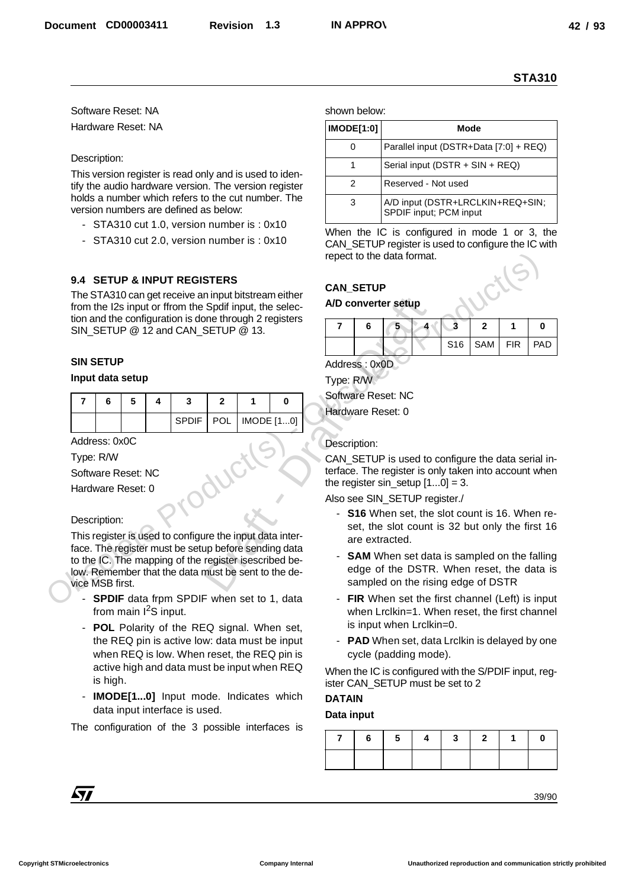- STA310 cut 1.0, version number is : 0x10
- STA310 cut 2.0, version number is : 0x10

#### **9.4 SETUP & INPUT REGISTERS**

#### **SIN SETUP**

#### **Input data setup**

|  |  | $\vert$ SPDIF $\vert$ POL $\vert$ IMODE [10] |  |  |  |
|--|--|----------------------------------------------|--|--|--|

#### Description:

- **SPDIF** data frpm SPDIF when set to 1, data from main  $I^2S$  input.
- POL Polarity of the REQ signal. When set, the REQ pin is active low: data must be input when REQ is low. When reset, the REQ pin is active high and data must be input when REQ is high.
- **IMODE[1...0]** Input mode. Indicates which data input interface is used.

|                                                                                    |                                            |                        |  |                                                                                                                   |  |  |                                                       |                                             |                                                                                                   |                                                                                                                                    |                                  |                         |              |   | <b>STA310</b> |
|------------------------------------------------------------------------------------|--------------------------------------------|------------------------|--|-------------------------------------------------------------------------------------------------------------------|--|--|-------------------------------------------------------|---------------------------------------------|---------------------------------------------------------------------------------------------------|------------------------------------------------------------------------------------------------------------------------------------|----------------------------------|-------------------------|--------------|---|---------------|
| Software Reset: NA                                                                 |                                            |                        |  |                                                                                                                   |  |  |                                                       | shown below:                                |                                                                                                   |                                                                                                                                    |                                  |                         |              |   |               |
| Hardware Reset: NA                                                                 |                                            |                        |  |                                                                                                                   |  |  |                                                       |                                             | <b>IMODE[1:0]</b>                                                                                 |                                                                                                                                    |                                  |                         | <b>Mode</b>  |   |               |
|                                                                                    |                                            |                        |  |                                                                                                                   |  |  |                                                       |                                             | $\mathbf 0$                                                                                       | Parallel input (DSTR+Data [7:0] + REQ)                                                                                             |                                  |                         |              |   |               |
| Description:                                                                       |                                            |                        |  |                                                                                                                   |  |  |                                                       |                                             | $\mathbf{1}$                                                                                      |                                                                                                                                    | Serial input (DSTR + SIN + REQ)  |                         |              |   |               |
|                                                                                    |                                            |                        |  | This version register is read only and is used to iden-                                                           |  |  | tify the audio hardware version. The version register |                                             | 2                                                                                                 | Reserved - Not used                                                                                                                |                                  |                         |              |   |               |
|                                                                                    |                                            |                        |  | holds a number which refers to the cut number. The<br>version numbers are defined as below:                       |  |  |                                                       |                                             | 3                                                                                                 |                                                                                                                                    | A/D input (DSTR+LRCLKIN+REQ+SIN; |                         |              |   |               |
|                                                                                    |                                            |                        |  | - STA310 cut 1.0, version number is: 0x10                                                                         |  |  |                                                       |                                             |                                                                                                   | SPDIF input; PCM input                                                                                                             |                                  |                         |              |   |               |
|                                                                                    | - STA310 cut 2.0, version number is: 0x10  |                        |  |                                                                                                                   |  |  |                                                       |                                             |                                                                                                   | When the IC is configured in mode 1 or 3, the<br>CAN_SETUP register is used to configure the IC with<br>repect to the data format. |                                  |                         |              |   |               |
|                                                                                    |                                            |                        |  | 9.4 SETUP & INPUT REGISTERS<br>The STA310 can get receive an input bitstream either                               |  |  |                                                       | <b>CAN_SETUP</b>                            |                                                                                                   |                                                                                                                                    |                                  |                         |              |   |               |
|                                                                                    |                                            |                        |  | from the I2s input or ffrom the Spdif input, the selec-<br>tion and the configuration is done through 2 registers |  |  |                                                       |                                             |                                                                                                   | A/D converter setup                                                                                                                |                                  |                         |              |   |               |
|                                                                                    |                                            |                        |  | SIN_SETUP @ 12 and CAN_SETUP @ 13.                                                                                |  |  |                                                       | $\overline{7}$                              | 6                                                                                                 | 5                                                                                                                                  |                                  | $\overline{\mathbf{3}}$ | $\mathbf{2}$ | 1 | 0             |
|                                                                                    |                                            |                        |  |                                                                                                                   |  |  |                                                       | PAD<br>S <sub>16</sub><br>SAM<br><b>FIR</b> |                                                                                                   |                                                                                                                                    |                                  |                         |              |   |               |
| <b>SIN SETUP</b>                                                                   |                                            |                        |  |                                                                                                                   |  |  |                                                       | Address: 0x0D                               |                                                                                                   |                                                                                                                                    |                                  |                         |              |   |               |
|                                                                                    | Input data setup                           |                        |  |                                                                                                                   |  |  |                                                       | Type: R/W                                   |                                                                                                   | Software Reset: NC                                                                                                                 |                                  |                         |              |   |               |
| $\overline{7}$                                                                     | 6<br>5<br>3<br>$\mathbf{2}$<br>4<br>1<br>0 |                        |  |                                                                                                                   |  |  |                                                       |                                             | Hardware Reset: 0                                                                                 |                                                                                                                                    |                                  |                         |              |   |               |
|                                                                                    | IMODE [10]<br><b>SPDIF</b><br><b>POL</b>   |                        |  |                                                                                                                   |  |  |                                                       |                                             |                                                                                                   |                                                                                                                                    |                                  |                         |              |   |               |
| Address: 0x0C                                                                      |                                            |                        |  |                                                                                                                   |  |  |                                                       | Description:                                |                                                                                                   |                                                                                                                                    |                                  |                         |              |   |               |
| Type: R/W                                                                          |                                            |                        |  |                                                                                                                   |  |  |                                                       |                                             |                                                                                                   | CAN_SETUP is used to configure the data serial in-                                                                                 |                                  |                         |              |   |               |
|                                                                                    |                                            | Software Reset: NC     |  |                                                                                                                   |  |  |                                                       |                                             |                                                                                                   | terface. The register is only taken into account when<br>the register $sin\_setup$ $[10] = 3$ .                                    |                                  |                         |              |   |               |
|                                                                                    |                                            | Hardware Reset: 0      |  |                                                                                                                   |  |  |                                                       |                                             |                                                                                                   | Also see SIN_SETUP register./                                                                                                      |                                  |                         |              |   |               |
| Description:                                                                       |                                            |                        |  |                                                                                                                   |  |  |                                                       |                                             |                                                                                                   | - S16 When set, the slot count is 16. When re-                                                                                     |                                  |                         |              |   |               |
|                                                                                    |                                            |                        |  | This register is used to configure the input data inter-                                                          |  |  |                                                       |                                             |                                                                                                   | set, the slot count is 32 but only the first 16<br>are extracted.                                                                  |                                  |                         |              |   |               |
|                                                                                    |                                            |                        |  | face. The register must be setup before sending data<br>to the IC. The mapping of the register isescribed be-     |  |  |                                                       | $\blacksquare$                              |                                                                                                   | <b>SAM</b> When set data is sampled on the falling                                                                                 |                                  |                         |              |   |               |
|                                                                                    |                                            |                        |  | low. Remember that the data must be sent to the de-                                                               |  |  |                                                       |                                             |                                                                                                   | edge of the DSTR. When reset, the data is                                                                                          |                                  |                         |              |   |               |
| vice MSB first.                                                                    |                                            |                        |  | <b>SPDIF</b> data frpm SPDIF when set to 1, data                                                                  |  |  |                                                       |                                             |                                                                                                   | sampled on the rising edge of DSTR                                                                                                 |                                  |                         |              |   |               |
|                                                                                    |                                            | from main $12S$ input. |  |                                                                                                                   |  |  |                                                       |                                             | - FIR When set the first channel (Left) is input<br>when Lrclkin=1. When reset, the first channel |                                                                                                                                    |                                  |                         |              |   |               |
|                                                                                    |                                            |                        |  | - POL Polarity of the REQ signal. When set,                                                                       |  |  |                                                       |                                             |                                                                                                   | is input when Lrclkin=0.                                                                                                           |                                  |                         |              |   |               |
|                                                                                    |                                            |                        |  | the REQ pin is active low: data must be input<br>when REQ is low. When reset, the REQ pin is                      |  |  |                                                       |                                             |                                                                                                   | - PAD When set, data Lrclkin is delayed by one<br>cycle (padding mode).                                                            |                                  |                         |              |   |               |
|                                                                                    |                                            |                        |  | active high and data must be input when REQ                                                                       |  |  |                                                       |                                             |                                                                                                   | When the IC is configured with the S/PDIF input, reg-                                                                              |                                  |                         |              |   |               |
|                                                                                    | is high.                                   |                        |  |                                                                                                                   |  |  |                                                       |                                             |                                                                                                   | ister CAN_SETUP must be set to 2                                                                                                   |                                  |                         |              |   |               |
|                                                                                    |                                            |                        |  | - IMODE[10] Input mode. Indicates which                                                                           |  |  |                                                       | <b>DATAIN</b>                               |                                                                                                   |                                                                                                                                    |                                  |                         |              |   |               |
| data input interface is used.<br>The configuration of the 3 possible interfaces is |                                            |                        |  |                                                                                                                   |  |  | Data input                                            |                                             |                                                                                                   |                                                                                                                                    |                                  |                         |              |   |               |
|                                                                                    |                                            |                        |  |                                                                                                                   |  |  |                                                       | 7                                           | 6                                                                                                 | 5                                                                                                                                  | 4                                | 3                       | $\mathbf{2}$ | 1 | 0             |
|                                                                                    |                                            |                        |  |                                                                                                                   |  |  |                                                       |                                             |                                                                                                   |                                                                                                                                    |                                  |                         |              |   |               |
|                                                                                    |                                            |                        |  |                                                                                                                   |  |  |                                                       |                                             |                                                                                                   |                                                                                                                                    |                                  |                         |              |   |               |

#### **CAN\_SETUP**

#### **A/D converter setup**

|  | э |  |                       |  |
|--|---|--|-----------------------|--|
|  |   |  | S16   SAM   FIR   PAD |  |

#### Description:

- **S16** When set, the slot count is 16. When reset, the slot count is 32 but only the first 16 are extracted.
- **SAM** When set data is sampled on the falling edge of the DSTR. When reset, the data is sampled on the rising edge of DSTR
- **FIR** When set the first channel (Left) is input when Lrclkin=1. When reset, the first channel is input when Lrclkin=0.
- **PAD** When set, data Lrclkin is delayed by one cycle (padding mode).

#### **DATAIN**

#### **Data input**

|  |  |  | $6$   $5$   $4$   $3$   $2$   $1$   $0$ |  |
|--|--|--|-----------------------------------------|--|
|  |  |  |                                         |  |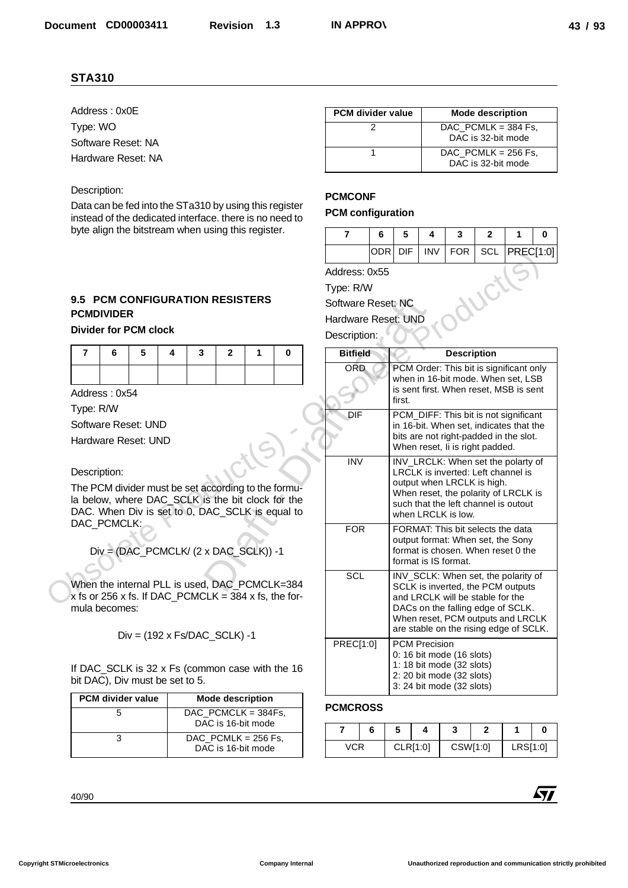#### Description:

## **9.5 PCM CONFIGURATION RESISTERS PCMDIVIDER**

#### **Divider for PCM clock**

| 76543210 |  |  |  |  |
|----------|--|--|--|--|
|          |  |  |  |  |

| <b>PCM divider value</b> | <b>Mode description</b>                      |
|--------------------------|----------------------------------------------|
|                          | DAC PCMCLK = $384Fs$ .<br>DAC is 16-bit mode |
|                          | DAC PCMLK = $256$ Fs.<br>DAC is 16-bit mode  |

| <b>PCM divider value</b> | <b>Mode description</b>                     |
|--------------------------|---------------------------------------------|
|                          | DAC PCMLK = $384$ Fs.<br>DAC is 32-bit mode |
|                          | DAC PCMLK = $256$ Fs.<br>DAC is 32-bit mode |

#### **PCMCONF**

#### **PCM configuration**

|                     | 6          | 5   | 4          | 3   |                 |  |
|---------------------|------------|-----|------------|-----|-----------------|--|
|                     | <b>ODR</b> | DIF | <b>INV</b> | FOR | SCL   PREC[1:0] |  |
| Address: 0x55       |            |     |            |     |                 |  |
| Type: R/W           |            |     |            |     |                 |  |
| Software Reset: NC  |            |     |            |     |                 |  |
| Hardware Reset: UND |            |     |            |     |                 |  |
|                     |            |     |            |     |                 |  |

| <b>STA310</b>                                                                                                     |                                                      |                                       |                                         |                         |                          |             |                 |                 |                                 |                                                                                     |                                                                                                                      |                                                                                                 |                         |                  |            |
|-------------------------------------------------------------------------------------------------------------------|------------------------------------------------------|---------------------------------------|-----------------------------------------|-------------------------|--------------------------|-------------|-----------------|-----------------|---------------------------------|-------------------------------------------------------------------------------------|----------------------------------------------------------------------------------------------------------------------|-------------------------------------------------------------------------------------------------|-------------------------|------------------|------------|
| Address: 0x0E                                                                                                     |                                                      |                                       |                                         |                         |                          |             |                 |                 | PCM divider value               |                                                                                     |                                                                                                                      |                                                                                                 | <b>Mode description</b> |                  |            |
| Type: WO                                                                                                          |                                                      |                                       |                                         |                         |                          |             |                 |                 | $\overline{2}$                  |                                                                                     |                                                                                                                      | DAC PCMLK = $384$ Fs,                                                                           |                         |                  |            |
| Software Reset: NA                                                                                                |                                                      |                                       |                                         |                         |                          |             |                 |                 | 1                               |                                                                                     |                                                                                                                      | $DAC$ $POLK = 256$ Fs,                                                                          | DAC is 32-bit mode      |                  |            |
| Hardware Reset: NA                                                                                                |                                                      |                                       |                                         |                         |                          |             |                 |                 |                                 |                                                                                     |                                                                                                                      |                                                                                                 | DAC is 32-bit mode      |                  |            |
| Description:                                                                                                      |                                                      |                                       |                                         |                         |                          |             |                 | <b>PCMCONF</b>  |                                 |                                                                                     |                                                                                                                      |                                                                                                 |                         |                  |            |
| Data can be fed into the STa310 by using this register<br>instead of the dedicated interface. there is no need to |                                                      |                                       |                                         |                         | <b>PCM</b> configuration |             |                 |                 |                                 |                                                                                     |                                                                                                                      |                                                                                                 |                         |                  |            |
|                                                                                                                   | byte align the bitstream when using this register.   |                                       |                                         |                         |                          |             |                 |                 | 6                               | 5                                                                                   | 4                                                                                                                    | 3                                                                                               | $\mathbf{2}$            | 1                | 0          |
|                                                                                                                   |                                                      |                                       |                                         |                         |                          |             |                 |                 | <b>ODR</b>                      | <b>DIF</b>                                                                          | <b>INV</b>                                                                                                           | <b>FOR</b>                                                                                      | SCL                     | <b>PREC[1:0]</b> |            |
|                                                                                                                   |                                                      |                                       |                                         |                         |                          |             |                 |                 | Address: 0x55                   |                                                                                     |                                                                                                                      |                                                                                                 |                         |                  |            |
|                                                                                                                   | 9.5 PCM CONFIGURATION RESISTERS<br><b>PCMDIVIDER</b> |                                       |                                         |                         |                          |             |                 |                 | Type: R/W<br>Software Reset: NC | Hardware Reset: UND                                                                 |                                                                                                                      |                                                                                                 |                         |                  |            |
| <b>Divider for PCM clock</b>                                                                                      |                                                      |                                       |                                         |                         |                          |             | Description:    |                 |                                 |                                                                                     |                                                                                                                      |                                                                                                 |                         |                  |            |
| 7<br>6                                                                                                            | 5                                                    | 4                                     | 3                                       | $\mathbf{2}$            | 1                        | $\mathbf 0$ |                 | <b>Bitfield</b> |                                 |                                                                                     |                                                                                                                      | <b>Description</b>                                                                              |                         |                  |            |
|                                                                                                                   |                                                      |                                       |                                         |                         |                          |             |                 | <b>ORD</b>      |                                 |                                                                                     |                                                                                                                      | PCM Order: This bit is significant only<br>when in 16-bit mode. When set, LSB                   |                         |                  |            |
| Address: 0x54                                                                                                     |                                                      |                                       |                                         |                         |                          |             |                 |                 |                                 |                                                                                     |                                                                                                                      | is sent first. When reset, MSB is sent                                                          |                         |                  |            |
| Type: R/W                                                                                                         |                                                      |                                       |                                         |                         |                          |             |                 | DIF             |                                 |                                                                                     |                                                                                                                      | first.<br>PCM_DIFF: This bit is not significant                                                 |                         |                  |            |
| Software Reset: UND                                                                                               |                                                      |                                       |                                         |                         |                          |             |                 |                 |                                 |                                                                                     | in 16-bit. When set, indicates that the<br>bits are not right-padded in the slot.<br>When reset, Ii is right padded. |                                                                                                 |                         |                  |            |
| Hardware Reset: UND                                                                                               |                                                      |                                       |                                         |                         |                          |             |                 |                 |                                 |                                                                                     |                                                                                                                      |                                                                                                 |                         |                  |            |
|                                                                                                                   |                                                      |                                       |                                         |                         |                          |             |                 | <b>INV</b>      |                                 |                                                                                     |                                                                                                                      | INV_LRCLK: When set the polarty of                                                              |                         |                  |            |
| Description:                                                                                                      |                                                      |                                       |                                         |                         |                          |             |                 |                 |                                 | LRCLK is inverted: Left channel is<br>output when LRCLK is high.                    |                                                                                                                      |                                                                                                 |                         |                  |            |
| The PCM divider must be set according to the formu-<br>la below, where DAC_SCLK is the bit clock for the          |                                                      |                                       |                                         |                         |                          |             |                 |                 |                                 | When reset, the polarity of LRCLK is<br>such that the left channel is outout        |                                                                                                                      |                                                                                                 |                         |                  |            |
| DAC. When Div is set to 0, DAC_SCLK is equal to                                                                   |                                                      |                                       |                                         |                         |                          |             |                 |                 |                                 |                                                                                     | when LRCLK is low.                                                                                                   |                                                                                                 |                         |                  |            |
| DAC_PCMCLK:                                                                                                       |                                                      |                                       |                                         |                         |                          |             |                 | <b>FOR</b>      |                                 | FORMAT: This bit selects the data                                                   |                                                                                                                      |                                                                                                 |                         |                  |            |
|                                                                                                                   |                                                      | Div = (DAC_PCMCLK/ (2 x DAC_SCLK)) -1 |                                         |                         |                          |             |                 |                 |                                 |                                                                                     |                                                                                                                      | output format: When set, the Sony<br>format is chosen. When reset 0 the<br>format is IS format. |                         |                  |            |
| When the internal PLL is used, DAC PCMCLK=384                                                                     |                                                      |                                       |                                         |                         |                          |             |                 | <b>SCL</b>      |                                 |                                                                                     |                                                                                                                      | INV_SCLK: When set, the polarity of                                                             |                         |                  |            |
| x fs or 256 x fs. If DAC_PCMCLK = $384$ x fs, the for-                                                            |                                                      |                                       |                                         |                         |                          |             |                 |                 |                                 |                                                                                     |                                                                                                                      | SCLK is inverted, the PCM outputs<br>and LRCLK will be stable for the                           |                         |                  |            |
| mula becomes:                                                                                                     |                                                      |                                       |                                         |                         |                          |             |                 |                 |                                 |                                                                                     |                                                                                                                      | DACs on the falling edge of SCLK.                                                               |                         |                  |            |
|                                                                                                                   |                                                      |                                       |                                         |                         |                          |             |                 |                 |                                 |                                                                                     |                                                                                                                      | When reset, PCM outputs and LRCLK<br>are stable on the rising edge of SCLK.                     |                         |                  |            |
|                                                                                                                   |                                                      | $Div = (192 \times Fs/DAC_SCLK) -1$   |                                         |                         |                          |             |                 | PREC[1:0]       |                                 | <b>PCM Precision</b>                                                                |                                                                                                                      |                                                                                                 |                         |                  |            |
| If DAC_SCLK is 32 x Fs (common case with the 16<br>bit DAC), Div must be set to 5.                                |                                                      |                                       |                                         |                         |                          |             |                 |                 |                                 | 0: 16 bit mode (16 slots)<br>1: 18 bit mode (32 slots)<br>2: 20 bit mode (32 slots) |                                                                                                                      |                                                                                                 |                         |                  |            |
| PCM divider value                                                                                                 |                                                      |                                       |                                         | <b>Mode description</b> |                          |             |                 |                 |                                 |                                                                                     |                                                                                                                      | 3: 24 bit mode (32 slots)                                                                       |                         |                  |            |
|                                                                                                                   | 5                                                    |                                       | $DAC$ $PORT = 384Fs$ ,                  | DAC is 16-bit mode      |                          |             | <b>PCMCROSS</b> |                 |                                 |                                                                                     |                                                                                                                      |                                                                                                 |                         |                  |            |
|                                                                                                                   | 3                                                    |                                       | $\overline{\text{DAC}}$ PCMLK = 256 Fs, | DAC is 16-bit mode      |                          |             | 7               | <b>VCR</b>      | 6                               | 5<br>CLR[1:0]                                                                       | 4                                                                                                                    | 3<br>CSW[1:0]                                                                                   | $\mathbf{2}$            | 1<br>LRS[1:0]    | 0          |
|                                                                                                                   |                                                      |                                       |                                         |                         |                          |             |                 |                 |                                 |                                                                                     |                                                                                                                      |                                                                                                 |                         |                  |            |
|                                                                                                                   |                                                      |                                       |                                         |                         |                          |             |                 |                 |                                 |                                                                                     |                                                                                                                      |                                                                                                 |                         |                  |            |
| 40/90                                                                                                             |                                                      |                                       |                                         |                         |                          |             |                 |                 |                                 |                                                                                     |                                                                                                                      |                                                                                                 |                         |                  | <b>Ayy</b> |

#### **PCMCROSS**

|     |  |          | u |          |          |  |
|-----|--|----------|---|----------|----------|--|
| /CR |  | CLR[1:0] |   | CSW[1:0] | LRS[1:0] |  |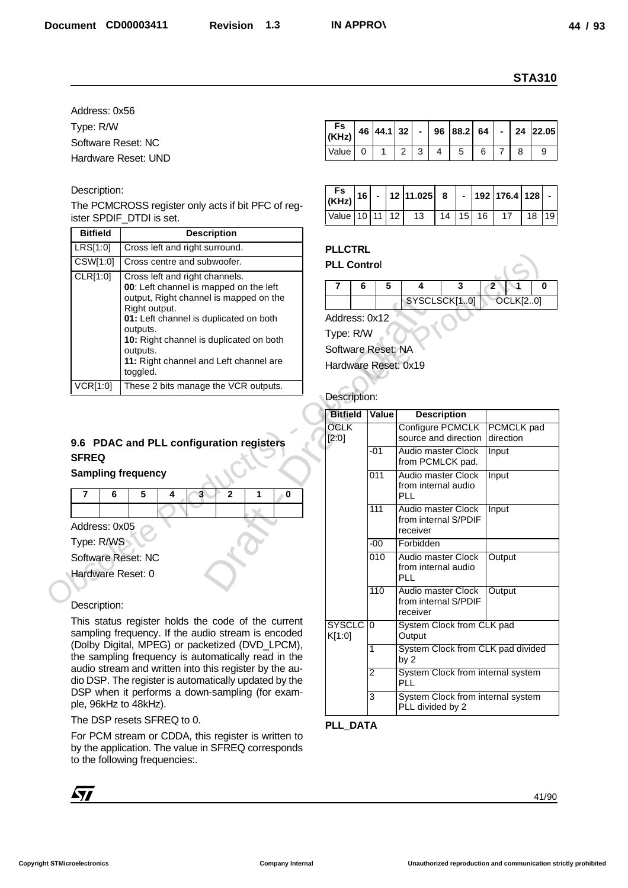#### Description:

| <b>Bitfield</b> | <b>Description</b>                                                                                                                                                                                                                                                                                     |
|-----------------|--------------------------------------------------------------------------------------------------------------------------------------------------------------------------------------------------------------------------------------------------------------------------------------------------------|
| LRS[1:0]        | Cross left and right surround.                                                                                                                                                                                                                                                                         |
| CSW[1:0]        | Cross centre and subwoofer.                                                                                                                                                                                                                                                                            |
| CLR[1:0]        | Cross left and right channels.<br>00: Left channel is mapped on the left<br>output, Right channel is mapped on the<br>Right output.<br>01: Left channel is duplicated on both<br>outputs.<br>10: Right channel is duplicated on both<br>outputs.<br>11: Right channel and Left channel are<br>toggled. |
| :01             | These 2 bits manage the VCR outputs.                                                                                                                                                                                                                                                                   |

## **9.6 PDAC and PLL configuration registers SFREQ**

|                    | 6 |  |  |  |
|--------------------|---|--|--|--|
|                    |   |  |  |  |
| Address: 0x05      |   |  |  |  |
| Type: R/WS         |   |  |  |  |
| Software Reset: NC |   |  |  |  |
| Hardware Reset: 0  |   |  |  |  |
|                    |   |  |  |  |

#### Description:

| Fs   46   44.1    32    -    96    88.2    64    -   24    22.05    22.05 |  |  |   |  |  |
|---------------------------------------------------------------------------|--|--|---|--|--|
| Value 0                                                                   |  |  | 5 |  |  |

|  |  | $\left  \frac{\mathsf{F}\mathsf{s}}{(\mathsf{KH}\mathsf{z})} \right  16 \left  \frac{\mathsf{s}}{2} \right  12 \left  11.025 \right  8 \left  \frac{\mathsf{s}}{2} \right  192 \left  176.4 \right  128 \left  \frac{\mathsf{s}}{2} \right $ |  |  |  |
|--|--|----------------------------------------------------------------------------------------------------------------------------------------------------------------------------------------------------------------------------------------------|--|--|--|
|  |  | Value 10 11 12 13 14 15 16 17 18 19                                                                                                                                                                                                          |  |  |  |

## **PLLCTRL**

| <b>PLL Control</b> |  |              |  |                 |  |
|--------------------|--|--------------|--|-----------------|--|
|                    |  |              |  |                 |  |
|                    |  | SYSCLSCK[10] |  | <b>OCLK[20]</b> |  |

#### Description:

|                                         |                                                                                                                                             |                      |              |                                                          | <b>STA310</b>                            |
|-----------------------------------------|---------------------------------------------------------------------------------------------------------------------------------------------|----------------------|--------------|----------------------------------------------------------|------------------------------------------|
| Address: 0x56                           |                                                                                                                                             |                      |              |                                                          |                                          |
| Type: R/W                               |                                                                                                                                             | Fs                   |              |                                                          |                                          |
| Software Reset: NC                      |                                                                                                                                             | (KHz)                | 46 44.1      | 32<br>88.2<br>96<br>$\blacksquare$                       | 64<br>24 22.05                           |
|                                         | Hardware Reset: UND                                                                                                                         | Value<br>0           | $\mathbf{1}$ | $\overline{c}$<br>3<br>4<br>5                            | 6<br>7<br>8<br>9                         |
|                                         |                                                                                                                                             |                      |              |                                                          |                                          |
| Description:                            |                                                                                                                                             | Fs                   |              | 12 11.025                                                |                                          |
|                                         | The PCMCROSS register only acts if bit PFC of reg-<br>ister SPDIF_DTDI is set.                                                              | 16<br>(KHz)<br>Value | 10 11        | 8<br>$\blacksquare$<br>$\overline{12}$<br>15<br>13<br>14 | 192 176.4<br>128<br>19<br>16<br>17<br>18 |
| <b>Bitfield</b>                         | <b>Description</b>                                                                                                                          |                      |              |                                                          |                                          |
| LRS[1:0]                                | Cross left and right surround.                                                                                                              | <b>PLLCTRL</b>       |              |                                                          |                                          |
| CSW[1:0]                                | Cross centre and subwoofer.                                                                                                                 | <b>PLL Control</b>   |              |                                                          |                                          |
| CLR[1:0]                                | Cross left and right channels.                                                                                                              |                      |              | 3<br>4                                                   | $\overline{2}$<br>0                      |
|                                         | 00: Left channel is mapped on the left<br>output, Right channel is mapped on the                                                            | 6                    | 5            | SYSCLSCK[10]                                             | <b>OCLK[20]</b>                          |
|                                         | Right output.                                                                                                                               |                      |              |                                                          |                                          |
|                                         | 01: Left channel is duplicated on both<br>outputs.                                                                                          | Address: 0x12        |              |                                                          |                                          |
|                                         | 10: Right channel is duplicated on both                                                                                                     | Type: R/W            |              |                                                          |                                          |
|                                         | outputs.<br>11: Right channel and Left channel are                                                                                          | Software Reset: NA   |              |                                                          |                                          |
|                                         | toggled.                                                                                                                                    | Hardware Reset: 0x19 |              |                                                          |                                          |
| <b>VCR[1:0]</b>                         | These 2 bits manage the VCR outputs.                                                                                                        |                      |              |                                                          |                                          |
|                                         |                                                                                                                                             | Description:         |              |                                                          |                                          |
|                                         |                                                                                                                                             |                      |              |                                                          |                                          |
|                                         |                                                                                                                                             | <b>Bitfield</b>      | Value        | <b>Description</b>                                       |                                          |
|                                         |                                                                                                                                             | <b>OCLK</b>          |              | Configure PCMCLK                                         | <b>PCMCLK</b> pad                        |
|                                         | 9.6 PDAC and PLL configuration registers                                                                                                    | [2:0]                |              | source and direction                                     | direction                                |
| <b>SFREQ</b>                            |                                                                                                                                             |                      | -01          | <b>Audio master Clock</b><br>from PCMLCK pad.            | Input                                    |
| <b>Sampling frequency</b>               |                                                                                                                                             |                      | 011          | Audio master Clock                                       | Input                                    |
| $\overline{7}$<br>6                     | $\overline{\mathbf{z}}$                                                                                                                     |                      |              | from internal audio                                      |                                          |
|                                         |                                                                                                                                             |                      | 111          | PLL<br>Audio master Clock                                | Input                                    |
|                                         |                                                                                                                                             |                      |              | from internal S/PDIF                                     |                                          |
| Address: 0x05                           |                                                                                                                                             |                      |              | receiver                                                 |                                          |
| Type: R/WS<br><b>Software Reset: NC</b> |                                                                                                                                             |                      | $-00$<br>010 | Forbidden<br>Audio master Clock                          | Output                                   |
|                                         |                                                                                                                                             |                      |              | from internal audio                                      |                                          |
| Hardware Reset: 0                       |                                                                                                                                             |                      |              | PLL                                                      |                                          |
|                                         |                                                                                                                                             |                      | 110          | Audio master Clock<br>from internal S/PDIF               | Output                                   |
| Description:                            |                                                                                                                                             |                      |              | receiver                                                 |                                          |
|                                         | This status register holds the code of the current<br>sampling frequency. If the audio stream is encoded                                    | SYSCLC 0             |              | System Clock from CLK pad<br>Output                      |                                          |
|                                         | (Dolby Digital, MPEG) or packetized (DVD_LPCM),                                                                                             | K[1:0]               |              | System Clock from CLK pad divided                        |                                          |
|                                         | the sampling frequency is automatically read in the                                                                                         |                      |              | by 2                                                     |                                          |
|                                         | audio stream and written into this register by the au-                                                                                      |                      | 2            | System Clock from internal system                        |                                          |
|                                         | dio DSP. The register is automatically updated by the<br>DSP when it performs a down-sampling (for exam-                                    |                      | 3            | <b>PLL</b><br>System Clock from internal system          |                                          |
| ple, 96kHz to 48kHz).                   |                                                                                                                                             |                      |              | PLL divided by 2                                         |                                          |
|                                         | The DSP resets SFREQ to 0.                                                                                                                  |                      |              |                                                          |                                          |
|                                         | For PCM stream or CDDA, this register is written to<br>by the application. The value in SFREQ corresponds<br>to the following frequencies:. | PLL_DATA             |              |                                                          |                                          |

#### **PLL\_DATA**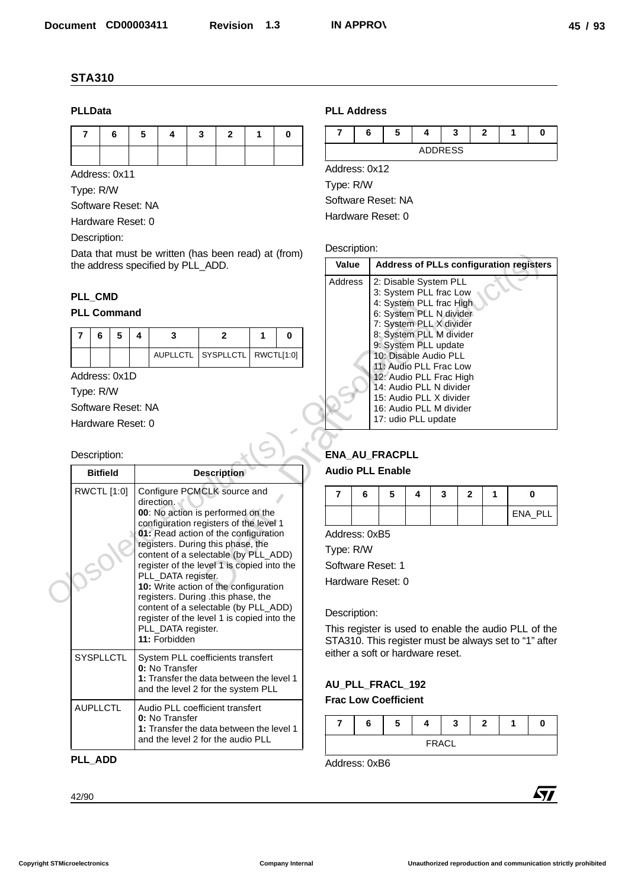#### **PLLData**

|  | 76543210 |  |  |
|--|----------|--|--|
|  |          |  |  |

## **PLL\_CMD**

|  | 5 |  |                               |  |
|--|---|--|-------------------------------|--|
|  |   |  | AUPLICTL SYSPLICTL RWCTL[1:0] |  |

| <b>PLLData</b> |                 |                    |   |                                                                                          |   |                    |   |            | <b>PLL Address</b>    |   |                                                       |   |                |                |              |   |             |
|----------------|-----------------|--------------------|---|------------------------------------------------------------------------------------------|---|--------------------|---|------------|-----------------------|---|-------------------------------------------------------|---|----------------|----------------|--------------|---|-------------|
| 7              | 6               |                    | 5 | 4                                                                                        | 3 | $\mathbf{2}$       | 1 | 0          | 7                     | 6 | 5                                                     | 4 |                | 3              | 2            | 1 | 0           |
|                |                 |                    |   |                                                                                          |   |                    |   |            |                       |   |                                                       |   | <b>ADDRESS</b> |                |              |   |             |
| Address: 0x11  |                 |                    |   |                                                                                          |   |                    |   |            | Address: 0x12         |   |                                                       |   |                |                |              |   |             |
| Type: R/W      |                 |                    |   |                                                                                          |   |                    |   |            | Type: R/W             |   |                                                       |   |                |                |              |   |             |
|                |                 | Software Reset: NA |   |                                                                                          |   |                    |   |            |                       |   | Software Reset: NA                                    |   |                |                |              |   |             |
|                |                 | Hardware Reset: 0  |   |                                                                                          |   |                    |   |            |                       |   | Hardware Reset: 0                                     |   |                |                |              |   |             |
| Description:   |                 |                    |   |                                                                                          |   |                    |   |            |                       |   |                                                       |   |                |                |              |   |             |
|                |                 |                    |   | Data that must be written (has been read) at (from)<br>the address specified by PLL_ADD. |   |                    |   |            | Description:<br>Value |   | <b>Address of PLLs configuration registers</b>        |   |                |                |              |   |             |
|                |                 |                    |   |                                                                                          |   |                    |   |            | <b>Address</b>        |   |                                                       |   |                |                |              |   |             |
| PLL_CMD        |                 |                    |   |                                                                                          |   |                    |   |            |                       |   | 2: Disable System PLL<br>3: System PLL frac Low       |   |                |                |              |   |             |
|                |                 | <b>PLL Command</b> |   |                                                                                          |   |                    |   |            |                       |   | 4: System PLL frac High<br>6: System PLL N divider    |   |                |                |              |   |             |
|                |                 |                    |   |                                                                                          |   |                    |   |            |                       |   | 7: System PLL X divider<br>8: System PLL M divider    |   |                |                |              |   |             |
| 7              | 6               | 5<br>4             |   | 3                                                                                        |   | $\mathbf{2}$       | 1 | $\bf{0}$   |                       |   | 9: System PLL update                                  |   |                |                |              |   |             |
|                |                 |                    |   | <b>AUPLLCTL</b>                                                                          |   | SYSPLLCTL          |   | RWCTL[1:0] |                       |   | 10: Disable Audio PLL<br>11: Audio PLL Frac Low       |   |                |                |              |   |             |
| Address: 0x1D  |                 |                    |   |                                                                                          |   |                    |   |            |                       |   | 12: Audio PLL Frac High<br>14: Audio PLL N divider    |   |                |                |              |   |             |
| Type: R/W      |                 |                    |   |                                                                                          |   |                    |   |            |                       |   | 15: Audio PLL X divider                               |   |                |                |              |   |             |
|                |                 | Software Reset: NA |   |                                                                                          |   |                    |   |            |                       |   | 16: Audio PLL M divider<br>17: udio PLL update        |   |                |                |              |   |             |
|                |                 | Hardware Reset: 0  |   |                                                                                          |   |                    |   |            |                       |   |                                                       |   |                |                |              |   |             |
| Description:   |                 |                    |   |                                                                                          |   |                    |   |            |                       |   | ENA_AU_FRACPLL                                        |   |                |                |              |   |             |
|                | <b>Bitfield</b> |                    |   |                                                                                          |   | <b>Description</b> |   |            |                       |   | <b>Audio PLL Enable</b>                               |   |                |                |              |   |             |
|                | RWCTL [1:0]     |                    |   | Configure PCMCLK source and                                                              |   |                    |   |            |                       |   |                                                       |   |                |                |              |   |             |
|                |                 |                    |   | direction.                                                                               |   |                    |   |            | $\overline{7}$        | 6 | Б.                                                    |   | $\mathbf{3}$   | $\overline{2}$ | $\mathbf{1}$ |   | $\mathbf 0$ |
|                |                 |                    |   | 00: No action is performed on the<br>configuration registers of the level 1              |   |                    |   |            |                       |   |                                                       |   |                |                |              |   | ENA_PLL     |
|                |                 |                    |   | 01: Read action of the configuration<br>registers. During this phase, the                |   |                    |   |            | Address: 0xB5         |   |                                                       |   |                |                |              |   |             |
|                |                 |                    |   | content of a selectable (by PLL_ADD)                                                     |   |                    |   |            | Type: R/W             |   |                                                       |   |                |                |              |   |             |
|                |                 |                    |   | register of the level 1 is copied into the<br>PLL_DATA register.                         |   |                    |   |            |                       |   | Software Reset: 1                                     |   |                |                |              |   |             |
|                |                 |                    |   | 10: Write action of the configuration                                                    |   |                    |   |            |                       |   | Hardware Reset: 0                                     |   |                |                |              |   |             |
|                |                 |                    |   | registers. During .this phase, the<br>content of a selectable (by PLL_ADD)               |   |                    |   |            | Description:          |   |                                                       |   |                |                |              |   |             |
|                |                 |                    |   | register of the level 1 is copied into the<br>PLL_DATA register.                         |   |                    |   |            |                       |   | This register is used to enable the audio PLL of the  |   |                |                |              |   |             |
|                |                 |                    |   | 11: Forbidden                                                                            |   |                    |   |            |                       |   | STA310. This register must be always set to "1" after |   |                |                |              |   |             |
|                | SYSPLLCTL       |                    |   | System PLL coefficients transfert                                                        |   |                    |   |            |                       |   | either a soft or hardware reset.                      |   |                |                |              |   |             |
|                |                 |                    |   | 0: No Transfer<br>1: Transfer the data between the level 1                               |   |                    |   |            |                       |   |                                                       |   |                |                |              |   |             |
|                |                 |                    |   | and the level 2 for the system PLL                                                       |   |                    |   |            |                       |   | AU_PLL_FRACL_192<br><b>Frac Low Coefficient</b>       |   |                |                |              |   |             |
|                | <b>AUPLLCTL</b> |                    |   | Audio PLL coefficient transfert                                                          |   |                    |   |            |                       |   |                                                       |   |                |                |              |   |             |
|                |                 |                    |   | 0: No Transfer<br>1: Transfer the data between the level 1                               |   |                    |   |            | 7                     | 6 | 5                                                     | 4 |                | 3              | $\mathbf{2}$ | 1 | 0           |
|                |                 |                    |   | and the level 2 for the audio PLL                                                        |   |                    |   |            |                       |   |                                                       |   | <b>FRACL</b>   |                |              |   |             |
|                |                 |                    |   |                                                                                          |   |                    |   |            | Address: 0xB6         |   |                                                       |   |                |                |              |   |             |
| PLL_ADD        |                 |                    |   |                                                                                          |   |                    |   |            |                       |   |                                                       |   |                |                |              |   |             |
|                |                 |                    |   |                                                                                          |   |                    |   |            |                       |   |                                                       |   |                |                |              |   |             |

## **PLL\_ADD**

## **PLL Address**



#### Description:

| o peen reau) at (nom)<br>ADD.                            | Value                                                |                                                                                                                                                                                                                                                                                                                                                                           |   |   |              |   | <b>Address of PLLs configuration registers</b> |
|----------------------------------------------------------|------------------------------------------------------|---------------------------------------------------------------------------------------------------------------------------------------------------------------------------------------------------------------------------------------------------------------------------------------------------------------------------------------------------------------------------|---|---|--------------|---|------------------------------------------------|
| $\mathbf{2}$<br>1<br>0<br>RWCTL[1:0]<br><b>SYSPLLCTL</b> | Address<br>ENA_AU_FRACPLL<br><b>Audio PLL Enable</b> | 2: Disable System PLL<br>3: System PLL frac Low<br>4: System PLL frac High<br>6: System PLL N divider<br>7: System PLL X divider<br>8: System PLL M divider<br>9: System PLL update<br>10: Disable Audio PLL<br>11: Audio PLL Frac Low<br>12: Audio PLL Frac High<br>14: Audio PLL N divider<br>15: Audio PLL X divider<br>16: Audio PLL M divider<br>17: udio PLL update |   |   |              |   |                                                |
| scription                                                |                                                      |                                                                                                                                                                                                                                                                                                                                                                           |   |   |              |   |                                                |
| CLK source and                                           | $\overline{7}$<br>6                                  | 5                                                                                                                                                                                                                                                                                                                                                                         | 4 | 3 | $\mathbf{2}$ | 1 | $\bf{0}$                                       |
| performed on the<br>gisters of the level 1               |                                                      |                                                                                                                                                                                                                                                                                                                                                                           |   |   |              |   | ENA PLL                                        |
| of the configuration                                     | Address: 0xB5                                        |                                                                                                                                                                                                                                                                                                                                                                           |   |   |              |   |                                                |
| g this phase, the<br>ectable (by PLL_ADD)                | Type: R/W                                            |                                                                                                                                                                                                                                                                                                                                                                           |   |   |              |   |                                                |
| vel 1 is copied into the                                 | Software Reset: 1                                    |                                                                                                                                                                                                                                                                                                                                                                           |   |   |              |   |                                                |
| ster.<br>of the configuration                            | Hardware Reset: 0                                    |                                                                                                                                                                                                                                                                                                                                                                           |   |   |              |   |                                                |

## **ENA\_AU\_FRACPLL**

#### **Audio PLL Enable**

| 6 | C | - | o |         |
|---|---|---|---|---------|
|   |   |   |   | ENA_PLL |

#### Description:

## **AU\_PLL\_FRACL\_192**

## **Frac Low Coefficient**

|  | ю |       | w     | - |  |
|--|---|-------|-------|---|--|
|  |   | ERACI | 'NAVL |   |  |

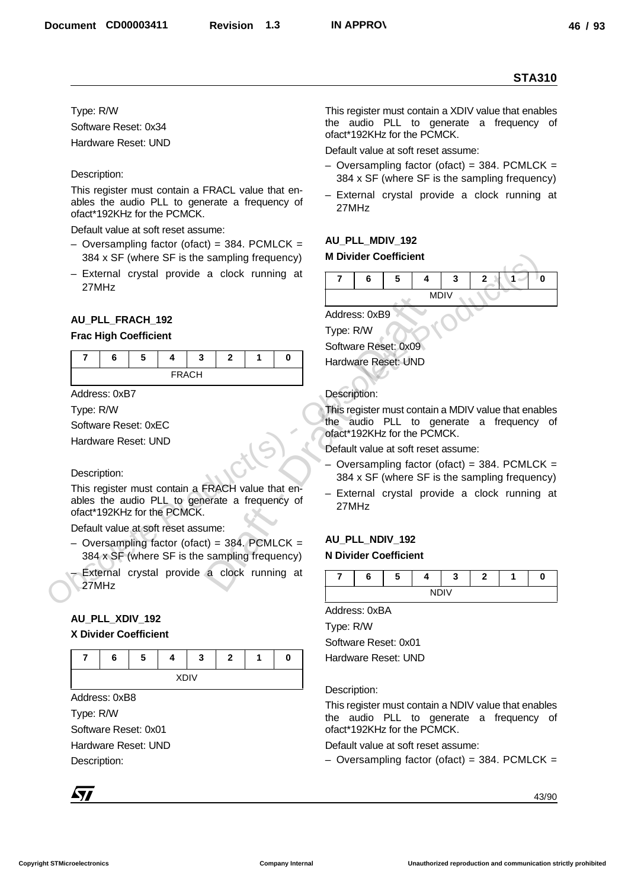#### Type: R/W

Software Reset: 0x34 Hardware Reset: UND

#### Description:

This register must contain a FRACL value that enables the audio PLL to generate a frequency of ofact\*192KHz for the PCMCK.

Default value at soft reset assume:

- $-$  Oversampling factor (ofact) = 384. PCMLCK = 384 x SF (where SF is the sampling frequency)
- External crystal provide a clock running at 27MHz

## **AU\_PLL\_FRACH\_192**

#### **Frac High Coefficient**

| c<br>o | w | w            |  |  |
|--------|---|--------------|--|--|
|        |   | <b>FRACH</b> |  |  |

Address: 0xB7

Type: R/W

Software Reset: 0xEC

Hardware Reset: UND

Description:

This register must contain a FRACH value that enables the audio PLL to generate a frequency of ofact\*192KHz for the PCMCK.

Default value at soft reset assume:

- $-$  Oversampling factor (ofact) = 384. PCMLCK = 384 x SF (where SF is the sampling frequency)
- External crystal provide a clock running at 27MHz

## **AU\_PLL\_XDIV\_192**

#### **X Divider Coefficient**

| о | - 1 | - 1          | = |  |
|---|-----|--------------|---|--|
|   |     | <br>$\cdots$ |   |  |

Address: 0xB8

Type: R/W

Software Reset: 0x01 Hardware Reset: UND

Description:

This register must contain a XDIV value that enables the audio PLL to generate a frequency of ofact\*192KHz for the PCMCK.

Default value at soft reset assume:

- $-$  Oversampling factor (ofact) = 384. PCMLCK = 384 x SF (where SF is the sampling frequency)
- External crystal provide a clock running at 27MHz

## **AU\_PLL\_MDIV\_192**

#### **M Divider Coefficient**



Address: 0xB9 Type: R/W

Software Reset: 0x09 Hardware Reset: UND

#### Description:

This register must contain a MDIV value that enables the audio PLL to generate a frequency of ofact\*192KHz for the PCMCK. Address: 0xB9<br>
Type: R/W<br>
Software Reset: 0x09<br>
Hardware Reset: 0x09<br>
Hardware Reset: UND<br>
Description:<br>
This register must cont<br>
the audio PLL to<br>
ofact\*192KHz for the P<br>
Default value at soft res<br>
- Oversampling fact<br>
38

Default value at soft reset assume:

- $-$  Oversampling factor (ofact) = 384. PCMLCK = 384 x SF (where SF is the sampling frequency)
- External crystal provide a clock running at 27MHz

## **AU\_PLL\_NDIV\_192 N Divider Coefficient**

|  | ۰. |   | = |  |
|--|----|---|---|--|
|  |    | . |   |  |

Address: 0xBA

Type: R/W

Software Reset: 0x01 Hardware Reset: UND

Description:

This register must contain a NDIV value that enables the audio PLL to generate a frequency of ofact\*192KHz for the PCMCK.

Default value at soft reset assume:

– Oversampling factor (ofact) = 384. PCMLCK =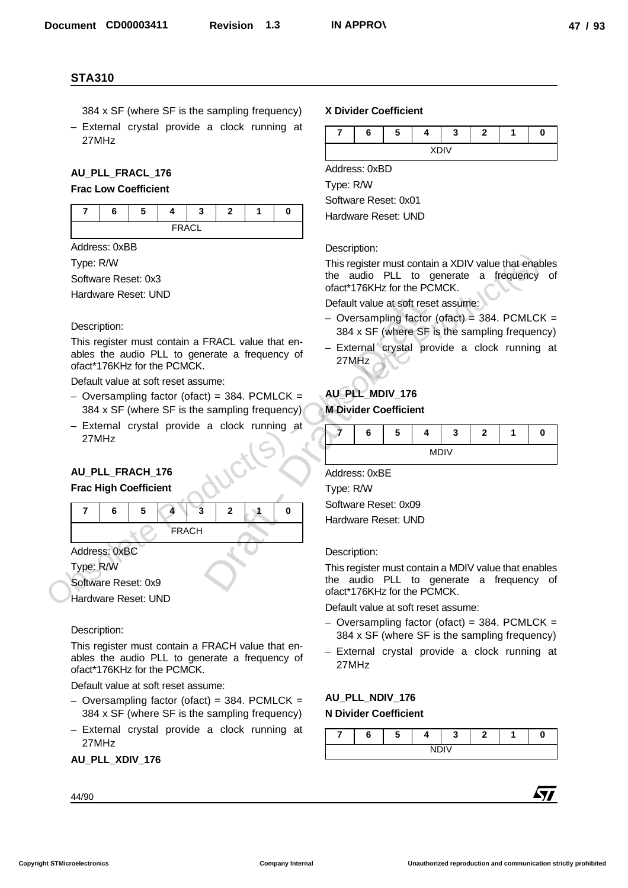- 384 x SF (where SF is the sampling frequency)
- External crystal provide a clock running at 27MHz

## **AU\_PLL\_FRACL\_176**

#### **Frac Low Coefficient**



Address: 0xBB

Type: R/W

Software Reset: 0x3

Hardware Reset: UND

#### Description:

This register must contain a FRACL value that enables the audio PLL to generate a frequency of ofact\*176KHz for the PCMCK.

Default value at soft reset assume:

- $-$  Oversampling factor (ofact) = 384. PCMLCK = 384 x SF (where SF is the sampling frequency)
- External crystal provide a clock running at 27MHz

## **AU\_PLL\_FRACH\_176**

#### **Frac High Coefficient**



Software Reset: 0x9

Hardware Reset: UND

#### Description:

This register must contain a FRACH value that enables the audio PLL to generate a frequency of ofact\*176KHz for the PCMCK.

Default value at soft reset assume:

- $-$  Oversampling factor (ofact) = 384. PCMLCK = 384 x SF (where SF is the sampling frequency)
- External crystal provide a clock running at 27MHz

#### **AU\_PLL\_XDIV\_176**

#### 44/90

#### **X Divider Coefficient**



Address: 0xBD

Type: R/W

Software Reset: 0x01

Hardware Reset: UND

#### Description:

This register must contain a XDIV value that enables the audio PLL to generate a frequency of ofact\*176KHz for the PCMCK.

Default value at soft reset assume:

- $-$  Oversampling factor (ofact) = 384. PCMLCK = 384 x SF (where SF is the sampling frequency)
- External crystal provide a clock running at 27MHz

## **AU\_PLL\_MDIV\_176**

#### **M Divider Coefficient**

| ∼<br>о | э | - 1          |  |  |
|--------|---|--------------|--|--|
|        |   | <br>$\cdots$ |  |  |

Address: 0xBE

Type: R/W Software Reset: 0x09

Hardware Reset: UND

#### Description:

This register must contain a MDIV value that enables the audio PLL to generate a frequency of ofact\*176KHz for the PCMCK.

Default value at soft reset assume:

- $-$  Oversampling factor (ofact) = 384. PCMLCK = 384 x SF (where SF is the sampling frequency)
- External crystal provide a clock running at 27MHz

#### **AU\_PLL\_NDIV\_176 N Divider Coefficient**

**76543210** NDIV

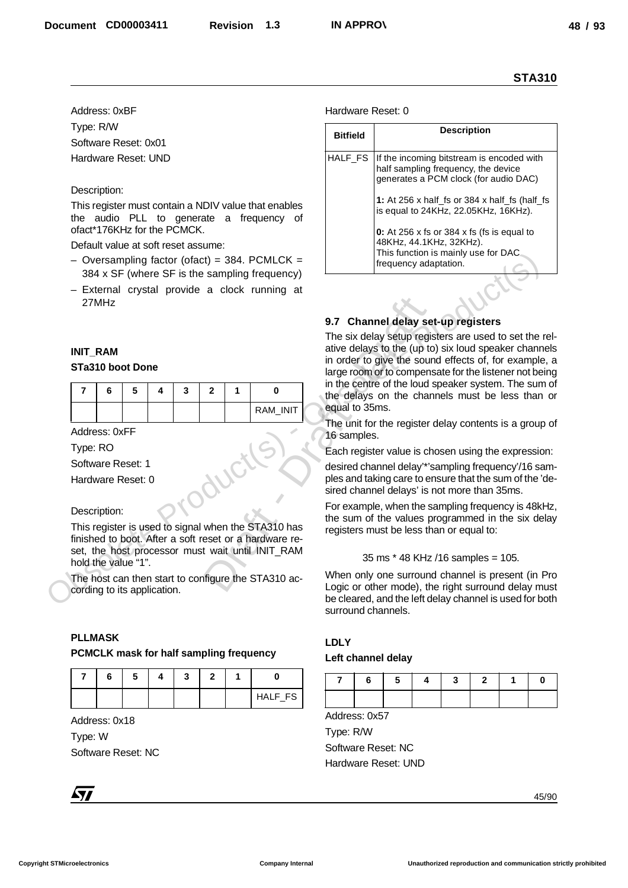#### Description:

- $-$  Oversampling factor (ofact) = 384. PCMLCK = 384 x SF (where SF is the sampling frequency)
- External crystal provide a clock running at 27MHz

#### **INIT\_RAM**

#### **STa310 boot Done**

|  | э |  |  |          |
|--|---|--|--|----------|
|  |   |  |  | RAM_INIT |

#### Description:

#### **PLLMASK**

#### **PCMCLK mask for half sampling frequency**

|  |  |  |  | HALF_FS |
|--|--|--|--|---------|

#### Hardware Reset: 0

|                |                                     |   |                                     |   |                |   |                                                                                                  |                   |                                                                                                                                                               |                                                                                                                           |   |                    |   |   | <b>STA310</b> |  |  |
|----------------|-------------------------------------|---|-------------------------------------|---|----------------|---|--------------------------------------------------------------------------------------------------|-------------------|---------------------------------------------------------------------------------------------------------------------------------------------------------------|---------------------------------------------------------------------------------------------------------------------------|---|--------------------|---|---|---------------|--|--|
|                | Address: 0xBF                       |   |                                     |   |                |   |                                                                                                  | Hardware Reset: 0 |                                                                                                                                                               |                                                                                                                           |   |                    |   |   |               |  |  |
|                | Type: R/W                           |   |                                     |   |                |   |                                                                                                  | <b>Bitfield</b>   |                                                                                                                                                               |                                                                                                                           |   | <b>Description</b> |   |   |               |  |  |
|                | Software Reset: 0x01                |   |                                     |   |                |   |                                                                                                  |                   |                                                                                                                                                               |                                                                                                                           |   |                    |   |   |               |  |  |
|                | Hardware Reset: UND                 |   |                                     |   |                |   |                                                                                                  | HALF_FS           |                                                                                                                                                               | If the incoming bitstream is encoded with<br>half sampling frequency, the device<br>generates a PCM clock (for audio DAC) |   |                    |   |   |               |  |  |
|                | Description:                        |   |                                     |   |                |   |                                                                                                  |                   |                                                                                                                                                               | 1: At 256 x half_fs or 384 x half_fs (half_fs                                                                             |   |                    |   |   |               |  |  |
|                |                                     |   | ofact*176KHz for the PCMCK.         |   |                |   | This register must contain a NDIV value that enables<br>the audio PLL to generate a frequency of |                   |                                                                                                                                                               | is equal to 24KHz, 22.05KHz, 16KHz).<br>0: At 256 x fs or 384 x fs (fs is equal to                                        |   |                    |   |   |               |  |  |
|                |                                     |   | Default value at soft reset assume: |   |                |   |                                                                                                  |                   |                                                                                                                                                               | 48KHz, 44.1KHz, 32KHz).                                                                                                   |   |                    |   |   |               |  |  |
|                |                                     |   |                                     |   |                |   | - Oversampling factor (ofact) = 384. PCMLCK =                                                    |                   | This function is mainly use for DAC<br>frequency adaptation.                                                                                                  |                                                                                                                           |   |                    |   |   |               |  |  |
|                |                                     |   |                                     |   |                |   | 384 x SF (where SF is the sampling frequency)                                                    |                   |                                                                                                                                                               |                                                                                                                           |   |                    |   |   |               |  |  |
|                | 27MHz                               |   |                                     |   |                |   | - External crystal provide a clock running at                                                    |                   |                                                                                                                                                               |                                                                                                                           |   |                    |   |   |               |  |  |
|                |                                     |   |                                     |   |                |   |                                                                                                  |                   | 9.7 Channel delay set-up registers                                                                                                                            |                                                                                                                           |   |                    |   |   |               |  |  |
|                |                                     |   |                                     |   |                |   |                                                                                                  |                   | The six delay setup registers are used to set the rel-<br>ative delays to the (up to) six loud speaker channels                                               |                                                                                                                           |   |                    |   |   |               |  |  |
|                | <b>INIT_RAM</b><br>STa310 boot Done |   |                                     |   |                |   |                                                                                                  |                   | in order to give the sound effects of, for example, a<br>large room or to compensate for the listener not being                                               |                                                                                                                           |   |                    |   |   |               |  |  |
|                |                                     |   |                                     |   |                |   |                                                                                                  |                   |                                                                                                                                                               |                                                                                                                           |   |                    |   |   |               |  |  |
| $\overline{7}$ | 6                                   | 5 | 4                                   | 3 | $\mathbf{2}$   | 1 | 0                                                                                                |                   | in the centre of the loud speaker system. The sum of<br>the delays on the channels must be less than or                                                       |                                                                                                                           |   |                    |   |   |               |  |  |
|                |                                     |   |                                     |   |                |   | RAM_INIT                                                                                         | equal to 35ms.    |                                                                                                                                                               |                                                                                                                           |   |                    |   |   |               |  |  |
|                | Address: 0xFF                       |   |                                     |   |                |   |                                                                                                  | 16 samples.       |                                                                                                                                                               | The unit for the register delay contents is a group of                                                                    |   |                    |   |   |               |  |  |
| Type: RO       |                                     |   |                                     |   |                |   |                                                                                                  |                   |                                                                                                                                                               | Each register value is chosen using the expression:                                                                       |   |                    |   |   |               |  |  |
|                | Software Reset: 1                   |   |                                     |   |                |   |                                                                                                  |                   |                                                                                                                                                               | desired channel delay'*'sampling frequency'/16 sam-                                                                       |   |                    |   |   |               |  |  |
|                | Hardware Reset: 0                   |   |                                     |   |                |   |                                                                                                  |                   | ples and taking care to ensure that the sum of the 'de-<br>sired channel delays' is not more than 35ms.<br>For example, when the sampling frequency is 48kHz, |                                                                                                                           |   |                    |   |   |               |  |  |
|                | Description:                        |   |                                     |   |                |   |                                                                                                  |                   |                                                                                                                                                               |                                                                                                                           |   |                    |   |   |               |  |  |
|                |                                     |   |                                     |   |                |   | This register is used to signal when the STA310 has                                              |                   |                                                                                                                                                               | the sum of the values programmed in the six delay<br>registers must be less than or equal to:                             |   |                    |   |   |               |  |  |
|                |                                     |   |                                     |   |                |   | finished to boot. After a soft reset or a hardware re-                                           |                   |                                                                                                                                                               |                                                                                                                           |   |                    |   |   |               |  |  |
|                | hold the value "1".                 |   |                                     |   |                |   | set, the host processor must wait until INIT_RAM                                                 |                   |                                                                                                                                                               | 35 ms * 48 KHz /16 samples = 105.                                                                                         |   |                    |   |   |               |  |  |
|                |                                     |   |                                     |   |                |   | The host can then start to configure the STA310 ac-                                              |                   |                                                                                                                                                               | When only one surround channel is present (in Pro                                                                         |   |                    |   |   |               |  |  |
|                |                                     |   | cording to its application.         |   |                |   |                                                                                                  |                   |                                                                                                                                                               | Logic or other mode), the right surround delay must<br>be cleared, and the left delay channel is used for both            |   |                    |   |   |               |  |  |
|                |                                     |   |                                     |   |                |   |                                                                                                  |                   |                                                                                                                                                               | surround channels.                                                                                                        |   |                    |   |   |               |  |  |
|                |                                     |   |                                     |   |                |   |                                                                                                  |                   |                                                                                                                                                               |                                                                                                                           |   |                    |   |   |               |  |  |
|                | <b>PLLMASK</b>                      |   |                                     |   |                |   | PCMCLK mask for half sampling frequency                                                          | <b>LDLY</b>       |                                                                                                                                                               |                                                                                                                           |   |                    |   |   |               |  |  |
|                |                                     |   |                                     |   |                |   |                                                                                                  |                   |                                                                                                                                                               | Left channel delay                                                                                                        |   |                    |   |   |               |  |  |
| $\overline{7}$ | 6                                   | 5 | 4                                   | 3 | $\overline{2}$ | 1 | $\mathbf 0$                                                                                      | 7                 | 6                                                                                                                                                             | 5                                                                                                                         | 4 | 3                  | 2 | 1 | 0             |  |  |
|                |                                     |   |                                     |   |                |   | HALF_FS                                                                                          |                   |                                                                                                                                                               |                                                                                                                           |   |                    |   |   |               |  |  |
|                | Address: 0x18                       |   |                                     |   |                |   |                                                                                                  | Address: 0x57     |                                                                                                                                                               |                                                                                                                           |   |                    |   |   |               |  |  |
|                |                                     |   |                                     |   |                |   |                                                                                                  | Type: R/W         |                                                                                                                                                               |                                                                                                                           |   |                    |   |   |               |  |  |
|                |                                     |   |                                     |   |                |   |                                                                                                  |                   |                                                                                                                                                               | Software Reset: NC                                                                                                        |   |                    |   |   |               |  |  |
|                | Software Reset: NC                  |   |                                     |   |                |   |                                                                                                  |                   |                                                                                                                                                               | Hardware Reset: UND                                                                                                       |   |                    |   |   |               |  |  |
| Type: W        |                                     |   |                                     |   |                |   |                                                                                                  |                   |                                                                                                                                                               |                                                                                                                           |   |                    |   |   |               |  |  |

#### **9.7 Channel delay set-up registers**

#### **LDLY**

#### **Left channel delay**

| 7 6 5 4 |  |  |  |
|---------|--|--|--|
|         |  |  |  |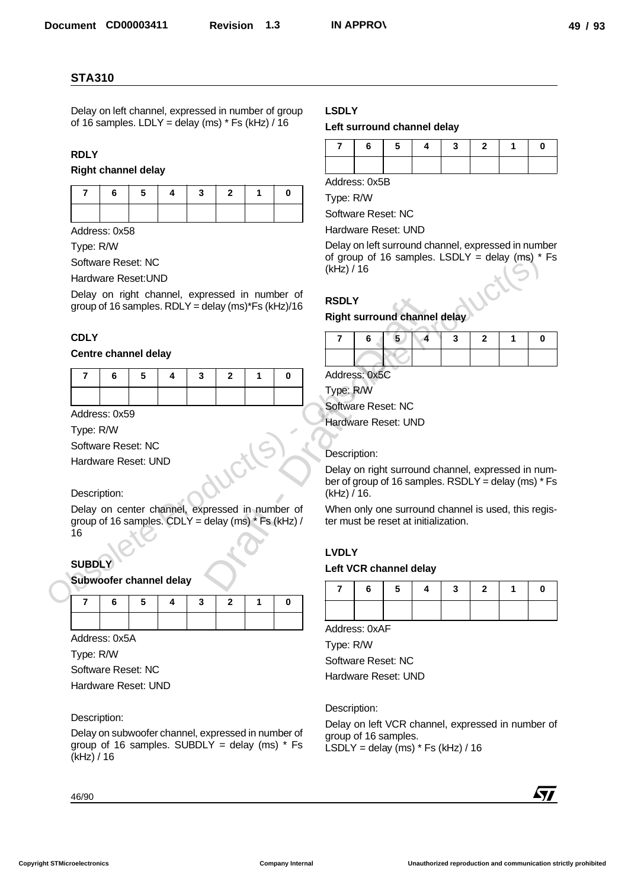## **RDLY**

|  | 7 6 5 4 3 2 1 0 |  |  |
|--|-----------------|--|--|
|  |                 |  |  |

#### **CDLY**

#### **Centre channel delay**

|                | <b>STA310</b>                                      |   |   |   |                |   |                                                                                                       |                                                     |   |                    |   |              |                                                       |   |            |
|----------------|----------------------------------------------------|---|---|---|----------------|---|-------------------------------------------------------------------------------------------------------|-----------------------------------------------------|---|--------------------|---|--------------|-------------------------------------------------------|---|------------|
|                | of 16 samples. LDLY = delay (ms) $*$ Fs (kHz) / 16 |   |   |   |                |   | Delay on left channel, expressed in number of group                                                   | <b>LSDLY</b><br>Left surround channel delay         |   |                    |   |              |                                                       |   |            |
|                |                                                    |   |   |   |                |   |                                                                                                       | 7                                                   | 6 | 5                  | 4 | 3            | $\mathbf{2}$                                          | 1 | 0          |
| <b>RDLY</b>    | <b>Right channel delay</b>                         |   |   |   |                |   |                                                                                                       |                                                     |   |                    |   |              |                                                       |   |            |
|                |                                                    |   |   |   |                |   |                                                                                                       | Address: 0x5B                                       |   |                    |   |              |                                                       |   |            |
| 7              | 6                                                  | 5 | 4 | 3 | $\overline{2}$ | 1 | $\mathbf 0$                                                                                           | Type: R/W                                           |   |                    |   |              |                                                       |   |            |
|                |                                                    |   |   |   |                |   |                                                                                                       | Software Reset: NC                                  |   |                    |   |              |                                                       |   |            |
|                | Address: 0x58                                      |   |   |   |                |   |                                                                                                       | Hardware Reset: UND                                 |   |                    |   |              |                                                       |   |            |
| Type: R/W      |                                                    |   |   |   |                |   |                                                                                                       | of group of 16 samples. LSDLY = delay (ms) $*$ Fs   |   |                    |   |              | Delay on left surround channel, expressed in number   |   |            |
|                | Software Reset: NC<br>Hardware Reset: UND          |   |   |   |                |   |                                                                                                       | (kHz) / 16                                          |   |                    |   |              |                                                       |   |            |
|                |                                                    |   |   |   |                |   | Delay on right channel, expressed in number of                                                        |                                                     |   |                    |   |              |                                                       |   |            |
|                |                                                    |   |   |   |                |   | group of 16 samples. RDLY = delay (ms)*Fs (kHz)/16                                                    | <b>RSDLY</b>                                        |   |                    |   |              |                                                       |   |            |
|                |                                                    |   |   |   |                |   |                                                                                                       | Right surround channel delay                        |   |                    |   |              |                                                       |   |            |
| <b>CDLY</b>    |                                                    |   |   |   |                |   |                                                                                                       | $\overline{7}$                                      | 6 | 5                  | 4 | $\mathbf{3}$ | $\mathbf{2}$                                          | 1 | 0          |
|                | Centre channel delay                               |   |   |   |                |   |                                                                                                       |                                                     |   |                    |   |              |                                                       |   |            |
| $\overline{7}$ | 6                                                  | 5 | 4 | 3 | $\overline{2}$ | 1 | $\mathbf 0$                                                                                           | Address: 0x5C                                       |   |                    |   |              |                                                       |   |            |
|                |                                                    |   |   |   |                |   |                                                                                                       | Type: R/W                                           |   |                    |   |              |                                                       |   |            |
|                |                                                    |   |   |   |                |   |                                                                                                       |                                                     |   |                    |   |              |                                                       |   |            |
|                |                                                    |   |   |   |                |   |                                                                                                       |                                                     |   | Software Reset: NC |   |              |                                                       |   |            |
|                | Address: 0x59                                      |   |   |   |                |   |                                                                                                       | Hardware Reset: UND                                 |   |                    |   |              |                                                       |   |            |
| Type: R/W      | Software Reset: NC                                 |   |   |   |                |   |                                                                                                       |                                                     |   |                    |   |              |                                                       |   |            |
|                | Hardware Reset: UND                                |   |   |   |                |   |                                                                                                       | Description:                                        |   |                    |   |              |                                                       |   |            |
|                |                                                    |   |   |   |                |   |                                                                                                       |                                                     |   |                    |   |              | Delay on right surround channel, expressed in num-    |   |            |
| Description:   |                                                    |   |   |   |                |   |                                                                                                       | (kHz) / 16.                                         |   |                    |   |              | ber of group of 16 samples. RSDLY = delay (ms) $*$ Fs |   |            |
|                |                                                    |   |   |   |                |   | Delay on center channel, expressed in number of                                                       | When only one surround channel is used, this regis- |   |                    |   |              |                                                       |   |            |
|                |                                                    |   |   |   |                |   | group of 16 samples. CDLY = delay (ms) * Fs (kHz) /                                                   | ter must be reset at initialization.                |   |                    |   |              |                                                       |   |            |
| 16             |                                                    |   |   |   |                |   |                                                                                                       |                                                     |   |                    |   |              |                                                       |   |            |
| <b>SUBDLY</b>  |                                                    |   |   |   |                |   |                                                                                                       | <b>LVDLY</b>                                        |   |                    |   |              |                                                       |   |            |
|                | Subwoofer channel delay                            |   |   |   |                |   |                                                                                                       | Left VCR channel delay                              |   |                    |   |              |                                                       |   |            |
|                |                                                    |   |   |   |                |   |                                                                                                       | 7                                                   | 6 | 5                  | 4 | 3            | 2                                                     | 1 | 0          |
| $\overline{7}$ | 6                                                  | 5 | 4 | 3 | $\mathbf{2}$   | 1 | 0                                                                                                     |                                                     |   |                    |   |              |                                                       |   |            |
|                |                                                    |   |   |   |                |   |                                                                                                       | Address: 0xAF                                       |   |                    |   |              |                                                       |   |            |
|                | Address: 0x5A                                      |   |   |   |                |   |                                                                                                       | Type: R/W                                           |   |                    |   |              |                                                       |   |            |
| Type: R/W      |                                                    |   |   |   |                |   |                                                                                                       |                                                     |   | Software Reset: NC |   |              |                                                       |   |            |
|                | Software Reset: NC                                 |   |   |   |                |   |                                                                                                       | Hardware Reset: UND                                 |   |                    |   |              |                                                       |   |            |
|                | Hardware Reset: UND                                |   |   |   |                |   |                                                                                                       |                                                     |   |                    |   |              |                                                       |   |            |
|                |                                                    |   |   |   |                |   |                                                                                                       | Description:                                        |   |                    |   |              |                                                       |   |            |
| Description:   |                                                    |   |   |   |                |   |                                                                                                       |                                                     |   |                    |   |              | Delay on left VCR channel, expressed in number of     |   |            |
|                |                                                    |   |   |   |                |   | Delay on subwoofer channel, expressed in number of<br>group of 16 samples. SUBDLY = delay (ms) $*$ Fs | group of 16 samples.                                |   |                    |   |              |                                                       |   |            |
| (kHz) / 16     |                                                    |   |   |   |                |   |                                                                                                       | LSDLY = delay (ms) $*$ Fs (kHz) / 16                |   |                    |   |              |                                                       |   |            |
|                |                                                    |   |   |   |                |   |                                                                                                       |                                                     |   |                    |   |              |                                                       |   |            |
| 46/90          |                                                    |   |   |   |                |   |                                                                                                       |                                                     |   |                    |   |              |                                                       |   | <b>Ayy</b> |

#### Description:

## **SUBDLY**

#### **Subwoofer channel delay**

|  |  | 7 6 5 4 3 2 1 0 |  |  |
|--|--|-----------------|--|--|
|  |  |                 |  |  |

#### Description:

## **LSDLY**

#### **Left surround channel delay**

| 7 6 5 4 3 2 1 0 |  |  |  |
|-----------------|--|--|--|
|                 |  |  |  |

#### **RSDLY**

#### **Right surround channel delay**

|  |  |  | 6 5 4 3 2 1 |  |
|--|--|--|-------------|--|
|  |  |  |             |  |

#### Description:

## **LVDLY**

#### **Left VCR channel delay**

|  |  |  | 7 6 5 4 3 2 1 0 |  |
|--|--|--|-----------------|--|
|  |  |  |                 |  |

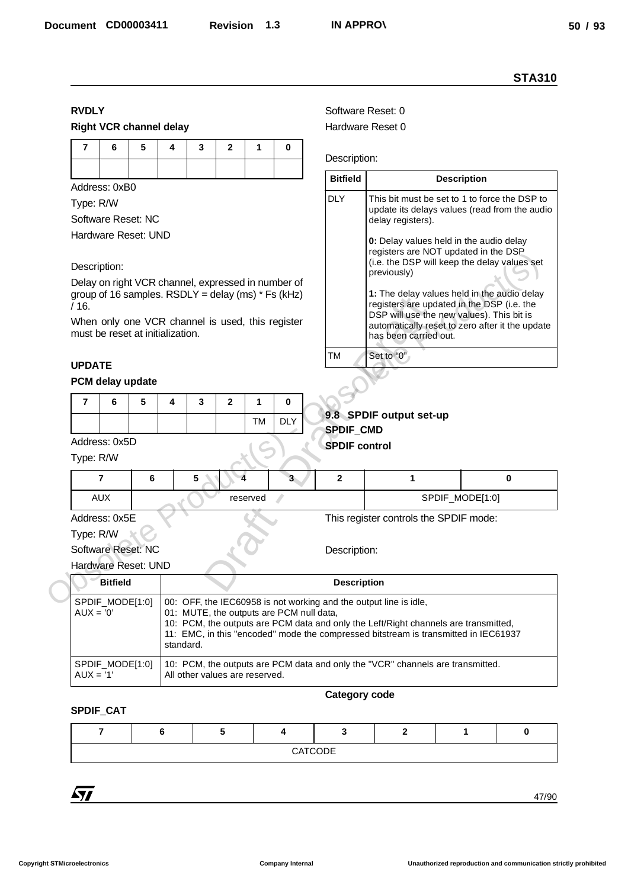#### **STA310**

## **RVDLY**

#### **Right VCR channel delay**

|  | 7 6 5 4 3 2 1 0 |  |  |
|--|-----------------|--|--|
|  |                 |  |  |

#### Description:

#### **UPDATE**

#### **PCM delay update**

|  | C |  |    |            |  |
|--|---|--|----|------------|--|
|  |   |  | TM | <b>DLY</b> |  |

| / 16.         |                                  |   |   | $y_1$ oup of to samples. RODET = delay (ms) to (Kitz) |   |          |                                                  |                                                                                                                       | <b>1.</b> The acidy values held in the additional<br>registers are updated in the DSP (i.e. the |          |  |  |  |  |
|---------------|----------------------------------|---|---|-------------------------------------------------------|---|----------|--------------------------------------------------|-----------------------------------------------------------------------------------------------------------------------|-------------------------------------------------------------------------------------------------|----------|--|--|--|--|
|               | must be reset at initialization. |   |   |                                                       |   |          | When only one VCR channel is used, this register | DSP will use the new values). This bit is<br>automatically reset to zero after it the update<br>has been carried out. |                                                                                                 |          |  |  |  |  |
| <b>UPDATE</b> |                                  |   |   |                                                       |   |          |                                                  | TM                                                                                                                    | Set to "0"                                                                                      |          |  |  |  |  |
|               | PCM delay update                 |   |   |                                                       |   |          |                                                  |                                                                                                                       |                                                                                                 |          |  |  |  |  |
| 7             | 6                                | 5 | 4 | 3                                                     | 2 | 1        | $\bf{0}$                                         |                                                                                                                       |                                                                                                 |          |  |  |  |  |
|               |                                  |   |   |                                                       |   | TM       | <b>DLY</b>                                       | <b>SPDIF_CMD</b>                                                                                                      | 9.8 SPDIF output set-up                                                                         |          |  |  |  |  |
|               | Address: 0x5D                    |   |   |                                                       |   |          |                                                  | <b>SPDIF control</b>                                                                                                  |                                                                                                 |          |  |  |  |  |
| Type: R/W     |                                  |   |   |                                                       |   |          |                                                  |                                                                                                                       |                                                                                                 |          |  |  |  |  |
|               | $\overline{7}$                   | 6 |   | 5                                                     |   |          |                                                  | $\overline{2}$                                                                                                        | 1                                                                                               | $\bf{0}$ |  |  |  |  |
|               | <b>AUX</b>                       |   |   |                                                       |   | reserved |                                                  |                                                                                                                       | SPDIF_MODE[1:0]                                                                                 |          |  |  |  |  |
|               | Address: 0x5E                    |   |   |                                                       |   |          |                                                  |                                                                                                                       | This register controls the SPDIF mode:                                                          |          |  |  |  |  |
| Type: R/W     |                                  |   |   |                                                       |   |          |                                                  |                                                                                                                       |                                                                                                 |          |  |  |  |  |
|               | Software Reset: NC               |   |   |                                                       |   |          |                                                  | Description:                                                                                                          |                                                                                                 |          |  |  |  |  |
|               | Hardware Reset: UND              |   |   |                                                       |   |          |                                                  |                                                                                                                       |                                                                                                 |          |  |  |  |  |
|               | <b>Bitfield</b>                  |   |   |                                                       |   |          |                                                  | <b>Description</b>                                                                                                    |                                                                                                 |          |  |  |  |  |

## Hardware Reset: UND

| <b>RVDLY</b><br>Software Reset: 0<br><b>Right VCR channel delay</b><br>Hardware Reset 0<br>$\overline{7}$<br>5<br>6<br>4<br>$\overline{2}$<br>3<br>1<br>0<br>Description:<br><b>Bitfield</b><br><b>Description</b><br>Address: 0xB0<br><b>DLY</b><br>This bit must be set to 1 to force the DSP to<br>Type: R/W<br>update its delays values (read from the audio<br>Software Reset: NC<br>delay registers).<br>Hardware Reset: UND<br>0: Delay values held in the audio delay<br>registers are NOT updated in the DSP<br>(i.e. the DSP will keep the delay values set<br>Description:<br>previously)<br>Delay on right VCR channel, expressed in number of<br>group of 16 samples. RSDLY = delay (ms) $*$ Fs (kHz)<br>1: The delay values held in the audio delay<br>registers are updated in the DSP (i.e. the<br>DSP will use the new values). This bit is<br>When only one VCR channel is used, this register<br>automatically reset to zero after it the update<br>must be reset at initialization.<br>has been carried out.<br><b>TM</b><br>Set to "0"<br><b>UPDATE</b><br>PCM delay update<br>5<br>$\overline{7}$<br>6<br>$\overline{2}$<br>4<br>3<br>1<br>0<br>9.8 SPDIF output set-up<br><b>DLY</b><br>TM<br>SPDIF_CMD<br>Address: 0x5D<br><b>SPDIF control</b><br>Type: R/W<br>3 <sup>2</sup><br>$\mathbf{2}$<br>$\overline{7}$<br>6<br>5<br>1<br>0<br><b>AUX</b><br>SPDIF_MODE[1:0]<br>reserved<br>Address: 0x5E<br>This register controls the SPDIF mode:<br>Type: R/W<br>Software Reset: NC<br>Description:<br>Hardware Reset: UND<br><b>Bitfield</b><br><b>Description</b><br>SPDIF_MODE[1:0]<br>00: OFF, the IEC60958 is not working and the output line is idle,<br>$AUX = '0'$<br>01: MUTE, the outputs are PCM null data,<br>10: PCM, the outputs are PCM data and only the Left/Right channels are transmitted,<br>11: EMC, in this "encoded" mode the compressed bitstream is transmitted in IEC61937<br>standard.<br>10: PCM, the outputs are PCM data and only the "VCR" channels are transmitted.<br>SPDIF_MODE[1:0]<br>$AUX = '1'$<br>All other values are reserved.<br><b>Category code</b><br>SPDIF_CAT<br>5<br>$\overline{7}$<br>6<br>3<br>$\mathbf{2}$<br>1<br>0<br>4<br>CATCODE |      |  |  |  |  |  |  | <b>STA310</b> |  |  |
|-------------------------------------------------------------------------------------------------------------------------------------------------------------------------------------------------------------------------------------------------------------------------------------------------------------------------------------------------------------------------------------------------------------------------------------------------------------------------------------------------------------------------------------------------------------------------------------------------------------------------------------------------------------------------------------------------------------------------------------------------------------------------------------------------------------------------------------------------------------------------------------------------------------------------------------------------------------------------------------------------------------------------------------------------------------------------------------------------------------------------------------------------------------------------------------------------------------------------------------------------------------------------------------------------------------------------------------------------------------------------------------------------------------------------------------------------------------------------------------------------------------------------------------------------------------------------------------------------------------------------------------------------------------------------------------------------------------------------------------------------------------------------------------------------------------------------------------------------------------------------------------------------------------------------------------------------------------------------------------------------------------------------------------------------------------------------------------------------------------------------------------------------------------------------------------------------------------|------|--|--|--|--|--|--|---------------|--|--|
|                                                                                                                                                                                                                                                                                                                                                                                                                                                                                                                                                                                                                                                                                                                                                                                                                                                                                                                                                                                                                                                                                                                                                                                                                                                                                                                                                                                                                                                                                                                                                                                                                                                                                                                                                                                                                                                                                                                                                                                                                                                                                                                                                                                                             |      |  |  |  |  |  |  |               |  |  |
|                                                                                                                                                                                                                                                                                                                                                                                                                                                                                                                                                                                                                                                                                                                                                                                                                                                                                                                                                                                                                                                                                                                                                                                                                                                                                                                                                                                                                                                                                                                                                                                                                                                                                                                                                                                                                                                                                                                                                                                                                                                                                                                                                                                                             |      |  |  |  |  |  |  |               |  |  |
|                                                                                                                                                                                                                                                                                                                                                                                                                                                                                                                                                                                                                                                                                                                                                                                                                                                                                                                                                                                                                                                                                                                                                                                                                                                                                                                                                                                                                                                                                                                                                                                                                                                                                                                                                                                                                                                                                                                                                                                                                                                                                                                                                                                                             |      |  |  |  |  |  |  |               |  |  |
|                                                                                                                                                                                                                                                                                                                                                                                                                                                                                                                                                                                                                                                                                                                                                                                                                                                                                                                                                                                                                                                                                                                                                                                                                                                                                                                                                                                                                                                                                                                                                                                                                                                                                                                                                                                                                                                                                                                                                                                                                                                                                                                                                                                                             |      |  |  |  |  |  |  |               |  |  |
|                                                                                                                                                                                                                                                                                                                                                                                                                                                                                                                                                                                                                                                                                                                                                                                                                                                                                                                                                                                                                                                                                                                                                                                                                                                                                                                                                                                                                                                                                                                                                                                                                                                                                                                                                                                                                                                                                                                                                                                                                                                                                                                                                                                                             |      |  |  |  |  |  |  |               |  |  |
|                                                                                                                                                                                                                                                                                                                                                                                                                                                                                                                                                                                                                                                                                                                                                                                                                                                                                                                                                                                                                                                                                                                                                                                                                                                                                                                                                                                                                                                                                                                                                                                                                                                                                                                                                                                                                                                                                                                                                                                                                                                                                                                                                                                                             |      |  |  |  |  |  |  |               |  |  |
|                                                                                                                                                                                                                                                                                                                                                                                                                                                                                                                                                                                                                                                                                                                                                                                                                                                                                                                                                                                                                                                                                                                                                                                                                                                                                                                                                                                                                                                                                                                                                                                                                                                                                                                                                                                                                                                                                                                                                                                                                                                                                                                                                                                                             |      |  |  |  |  |  |  |               |  |  |
|                                                                                                                                                                                                                                                                                                                                                                                                                                                                                                                                                                                                                                                                                                                                                                                                                                                                                                                                                                                                                                                                                                                                                                                                                                                                                                                                                                                                                                                                                                                                                                                                                                                                                                                                                                                                                                                                                                                                                                                                                                                                                                                                                                                                             |      |  |  |  |  |  |  |               |  |  |
|                                                                                                                                                                                                                                                                                                                                                                                                                                                                                                                                                                                                                                                                                                                                                                                                                                                                                                                                                                                                                                                                                                                                                                                                                                                                                                                                                                                                                                                                                                                                                                                                                                                                                                                                                                                                                                                                                                                                                                                                                                                                                                                                                                                                             |      |  |  |  |  |  |  |               |  |  |
|                                                                                                                                                                                                                                                                                                                                                                                                                                                                                                                                                                                                                                                                                                                                                                                                                                                                                                                                                                                                                                                                                                                                                                                                                                                                                                                                                                                                                                                                                                                                                                                                                                                                                                                                                                                                                                                                                                                                                                                                                                                                                                                                                                                                             |      |  |  |  |  |  |  |               |  |  |
|                                                                                                                                                                                                                                                                                                                                                                                                                                                                                                                                                                                                                                                                                                                                                                                                                                                                                                                                                                                                                                                                                                                                                                                                                                                                                                                                                                                                                                                                                                                                                                                                                                                                                                                                                                                                                                                                                                                                                                                                                                                                                                                                                                                                             |      |  |  |  |  |  |  |               |  |  |
|                                                                                                                                                                                                                                                                                                                                                                                                                                                                                                                                                                                                                                                                                                                                                                                                                                                                                                                                                                                                                                                                                                                                                                                                                                                                                                                                                                                                                                                                                                                                                                                                                                                                                                                                                                                                                                                                                                                                                                                                                                                                                                                                                                                                             | /16. |  |  |  |  |  |  |               |  |  |
|                                                                                                                                                                                                                                                                                                                                                                                                                                                                                                                                                                                                                                                                                                                                                                                                                                                                                                                                                                                                                                                                                                                                                                                                                                                                                                                                                                                                                                                                                                                                                                                                                                                                                                                                                                                                                                                                                                                                                                                                                                                                                                                                                                                                             |      |  |  |  |  |  |  |               |  |  |
|                                                                                                                                                                                                                                                                                                                                                                                                                                                                                                                                                                                                                                                                                                                                                                                                                                                                                                                                                                                                                                                                                                                                                                                                                                                                                                                                                                                                                                                                                                                                                                                                                                                                                                                                                                                                                                                                                                                                                                                                                                                                                                                                                                                                             |      |  |  |  |  |  |  |               |  |  |
|                                                                                                                                                                                                                                                                                                                                                                                                                                                                                                                                                                                                                                                                                                                                                                                                                                                                                                                                                                                                                                                                                                                                                                                                                                                                                                                                                                                                                                                                                                                                                                                                                                                                                                                                                                                                                                                                                                                                                                                                                                                                                                                                                                                                             |      |  |  |  |  |  |  |               |  |  |
|                                                                                                                                                                                                                                                                                                                                                                                                                                                                                                                                                                                                                                                                                                                                                                                                                                                                                                                                                                                                                                                                                                                                                                                                                                                                                                                                                                                                                                                                                                                                                                                                                                                                                                                                                                                                                                                                                                                                                                                                                                                                                                                                                                                                             |      |  |  |  |  |  |  |               |  |  |
|                                                                                                                                                                                                                                                                                                                                                                                                                                                                                                                                                                                                                                                                                                                                                                                                                                                                                                                                                                                                                                                                                                                                                                                                                                                                                                                                                                                                                                                                                                                                                                                                                                                                                                                                                                                                                                                                                                                                                                                                                                                                                                                                                                                                             |      |  |  |  |  |  |  |               |  |  |
|                                                                                                                                                                                                                                                                                                                                                                                                                                                                                                                                                                                                                                                                                                                                                                                                                                                                                                                                                                                                                                                                                                                                                                                                                                                                                                                                                                                                                                                                                                                                                                                                                                                                                                                                                                                                                                                                                                                                                                                                                                                                                                                                                                                                             |      |  |  |  |  |  |  |               |  |  |
|                                                                                                                                                                                                                                                                                                                                                                                                                                                                                                                                                                                                                                                                                                                                                                                                                                                                                                                                                                                                                                                                                                                                                                                                                                                                                                                                                                                                                                                                                                                                                                                                                                                                                                                                                                                                                                                                                                                                                                                                                                                                                                                                                                                                             |      |  |  |  |  |  |  |               |  |  |
|                                                                                                                                                                                                                                                                                                                                                                                                                                                                                                                                                                                                                                                                                                                                                                                                                                                                                                                                                                                                                                                                                                                                                                                                                                                                                                                                                                                                                                                                                                                                                                                                                                                                                                                                                                                                                                                                                                                                                                                                                                                                                                                                                                                                             |      |  |  |  |  |  |  |               |  |  |
|                                                                                                                                                                                                                                                                                                                                                                                                                                                                                                                                                                                                                                                                                                                                                                                                                                                                                                                                                                                                                                                                                                                                                                                                                                                                                                                                                                                                                                                                                                                                                                                                                                                                                                                                                                                                                                                                                                                                                                                                                                                                                                                                                                                                             |      |  |  |  |  |  |  |               |  |  |
|                                                                                                                                                                                                                                                                                                                                                                                                                                                                                                                                                                                                                                                                                                                                                                                                                                                                                                                                                                                                                                                                                                                                                                                                                                                                                                                                                                                                                                                                                                                                                                                                                                                                                                                                                                                                                                                                                                                                                                                                                                                                                                                                                                                                             |      |  |  |  |  |  |  |               |  |  |
|                                                                                                                                                                                                                                                                                                                                                                                                                                                                                                                                                                                                                                                                                                                                                                                                                                                                                                                                                                                                                                                                                                                                                                                                                                                                                                                                                                                                                                                                                                                                                                                                                                                                                                                                                                                                                                                                                                                                                                                                                                                                                                                                                                                                             |      |  |  |  |  |  |  |               |  |  |
|                                                                                                                                                                                                                                                                                                                                                                                                                                                                                                                                                                                                                                                                                                                                                                                                                                                                                                                                                                                                                                                                                                                                                                                                                                                                                                                                                                                                                                                                                                                                                                                                                                                                                                                                                                                                                                                                                                                                                                                                                                                                                                                                                                                                             |      |  |  |  |  |  |  |               |  |  |
|                                                                                                                                                                                                                                                                                                                                                                                                                                                                                                                                                                                                                                                                                                                                                                                                                                                                                                                                                                                                                                                                                                                                                                                                                                                                                                                                                                                                                                                                                                                                                                                                                                                                                                                                                                                                                                                                                                                                                                                                                                                                                                                                                                                                             |      |  |  |  |  |  |  |               |  |  |
|                                                                                                                                                                                                                                                                                                                                                                                                                                                                                                                                                                                                                                                                                                                                                                                                                                                                                                                                                                                                                                                                                                                                                                                                                                                                                                                                                                                                                                                                                                                                                                                                                                                                                                                                                                                                                                                                                                                                                                                                                                                                                                                                                                                                             |      |  |  |  |  |  |  |               |  |  |
|                                                                                                                                                                                                                                                                                                                                                                                                                                                                                                                                                                                                                                                                                                                                                                                                                                                                                                                                                                                                                                                                                                                                                                                                                                                                                                                                                                                                                                                                                                                                                                                                                                                                                                                                                                                                                                                                                                                                                                                                                                                                                                                                                                                                             |      |  |  |  |  |  |  |               |  |  |
|                                                                                                                                                                                                                                                                                                                                                                                                                                                                                                                                                                                                                                                                                                                                                                                                                                                                                                                                                                                                                                                                                                                                                                                                                                                                                                                                                                                                                                                                                                                                                                                                                                                                                                                                                                                                                                                                                                                                                                                                                                                                                                                                                                                                             |      |  |  |  |  |  |  |               |  |  |
|                                                                                                                                                                                                                                                                                                                                                                                                                                                                                                                                                                                                                                                                                                                                                                                                                                                                                                                                                                                                                                                                                                                                                                                                                                                                                                                                                                                                                                                                                                                                                                                                                                                                                                                                                                                                                                                                                                                                                                                                                                                                                                                                                                                                             |      |  |  |  |  |  |  |               |  |  |
|                                                                                                                                                                                                                                                                                                                                                                                                                                                                                                                                                                                                                                                                                                                                                                                                                                                                                                                                                                                                                                                                                                                                                                                                                                                                                                                                                                                                                                                                                                                                                                                                                                                                                                                                                                                                                                                                                                                                                                                                                                                                                                                                                                                                             |      |  |  |  |  |  |  |               |  |  |
|                                                                                                                                                                                                                                                                                                                                                                                                                                                                                                                                                                                                                                                                                                                                                                                                                                                                                                                                                                                                                                                                                                                                                                                                                                                                                                                                                                                                                                                                                                                                                                                                                                                                                                                                                                                                                                                                                                                                                                                                                                                                                                                                                                                                             |      |  |  |  |  |  |  |               |  |  |
|                                                                                                                                                                                                                                                                                                                                                                                                                                                                                                                                                                                                                                                                                                                                                                                                                                                                                                                                                                                                                                                                                                                                                                                                                                                                                                                                                                                                                                                                                                                                                                                                                                                                                                                                                                                                                                                                                                                                                                                                                                                                                                                                                                                                             |      |  |  |  |  |  |  |               |  |  |
|                                                                                                                                                                                                                                                                                                                                                                                                                                                                                                                                                                                                                                                                                                                                                                                                                                                                                                                                                                                                                                                                                                                                                                                                                                                                                                                                                                                                                                                                                                                                                                                                                                                                                                                                                                                                                                                                                                                                                                                                                                                                                                                                                                                                             |      |  |  |  |  |  |  |               |  |  |
|                                                                                                                                                                                                                                                                                                                                                                                                                                                                                                                                                                                                                                                                                                                                                                                                                                                                                                                                                                                                                                                                                                                                                                                                                                                                                                                                                                                                                                                                                                                                                                                                                                                                                                                                                                                                                                                                                                                                                                                                                                                                                                                                                                                                             |      |  |  |  |  |  |  |               |  |  |
|                                                                                                                                                                                                                                                                                                                                                                                                                                                                                                                                                                                                                                                                                                                                                                                                                                                                                                                                                                                                                                                                                                                                                                                                                                                                                                                                                                                                                                                                                                                                                                                                                                                                                                                                                                                                                                                                                                                                                                                                                                                                                                                                                                                                             |      |  |  |  |  |  |  |               |  |  |
|                                                                                                                                                                                                                                                                                                                                                                                                                                                                                                                                                                                                                                                                                                                                                                                                                                                                                                                                                                                                                                                                                                                                                                                                                                                                                                                                                                                                                                                                                                                                                                                                                                                                                                                                                                                                                                                                                                                                                                                                                                                                                                                                                                                                             |      |  |  |  |  |  |  |               |  |  |
|                                                                                                                                                                                                                                                                                                                                                                                                                                                                                                                                                                                                                                                                                                                                                                                                                                                                                                                                                                                                                                                                                                                                                                                                                                                                                                                                                                                                                                                                                                                                                                                                                                                                                                                                                                                                                                                                                                                                                                                                                                                                                                                                                                                                             |      |  |  |  |  |  |  |               |  |  |
| 57<br>47/90                                                                                                                                                                                                                                                                                                                                                                                                                                                                                                                                                                                                                                                                                                                                                                                                                                                                                                                                                                                                                                                                                                                                                                                                                                                                                                                                                                                                                                                                                                                                                                                                                                                                                                                                                                                                                                                                                                                                                                                                                                                                                                                                                                                                 |      |  |  |  |  |  |  |               |  |  |

#### **Category code**

#### **SPDIF\_CAT**

|  |  | CATCODE |  |  |
|--|--|---------|--|--|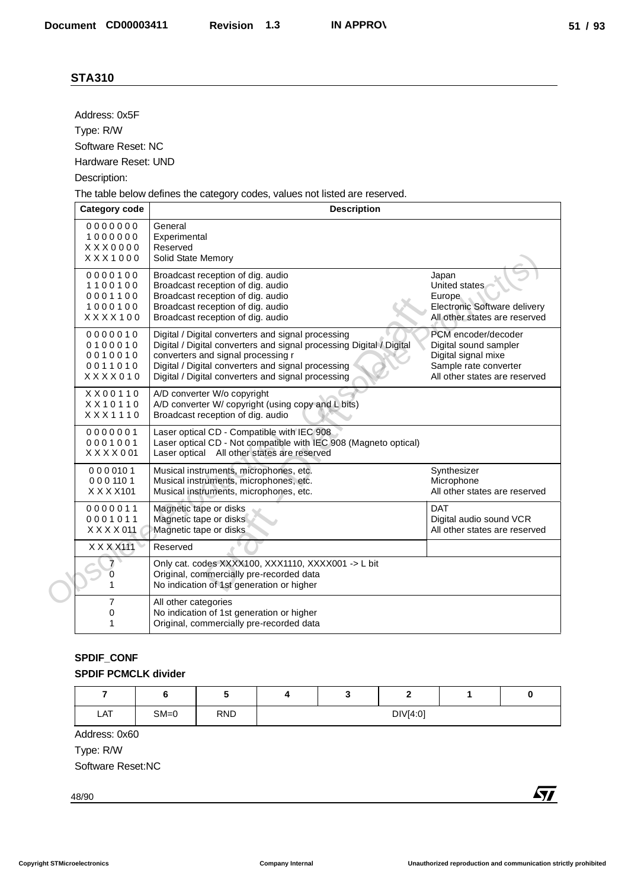| Address: 0x5F                                    |                                |                                                                                                          |   |                                                                                                   |              |                                                          |            |
|--------------------------------------------------|--------------------------------|----------------------------------------------------------------------------------------------------------|---|---------------------------------------------------------------------------------------------------|--------------|----------------------------------------------------------|------------|
| Type: R/W                                        |                                |                                                                                                          |   |                                                                                                   |              |                                                          |            |
| Software Reset: NC                               |                                |                                                                                                          |   |                                                                                                   |              |                                                          |            |
| Hardware Reset: UND                              |                                |                                                                                                          |   |                                                                                                   |              |                                                          |            |
| Description:                                     |                                |                                                                                                          |   |                                                                                                   |              |                                                          |            |
| <b>Category code</b>                             |                                |                                                                                                          |   | The table below defines the category codes, values not listed are reserved.<br><b>Description</b> |              |                                                          |            |
| 0000000                                          | General                        |                                                                                                          |   |                                                                                                   |              |                                                          |            |
| 1000000                                          | Experimental                   |                                                                                                          |   |                                                                                                   |              |                                                          |            |
| XXX0000<br>XXX1000                               | Reserved<br>Solid State Memory |                                                                                                          |   |                                                                                                   |              |                                                          |            |
| 0000100                                          |                                | Broadcast reception of dig. audio                                                                        |   |                                                                                                   |              | Japan                                                    |            |
| 1100100<br>0001100                               |                                | Broadcast reception of dig. audio<br>Broadcast reception of dig. audio                                   |   |                                                                                                   |              | United states<br>Europe                                  |            |
| 1000100                                          |                                | Broadcast reception of dig. audio                                                                        |   |                                                                                                   |              | Electronic Software delivery                             |            |
| XXXX100                                          |                                | Broadcast reception of dig. audio                                                                        |   |                                                                                                   |              | All other states are reserved                            |            |
| 0000010<br>0100010                               |                                | Digital / Digital converters and signal processing                                                       |   | Digital / Digital converters and signal processing Digital / Digital                              |              | PCM encoder/decoder<br>Digital sound sampler             |            |
| 0010010                                          |                                | converters and signal processing r                                                                       |   |                                                                                                   |              | Digital signal mixe                                      |            |
| 0011010<br>XXXX010                               |                                | Digital / Digital converters and signal processing<br>Digital / Digital converters and signal processing |   |                                                                                                   |              | Sample rate converter<br>All other states are reserved   |            |
| XX00110                                          |                                | A/D converter W/o copyright                                                                              |   |                                                                                                   |              |                                                          |            |
| XX10110<br>XXX1110                               |                                | A/D converter W/ copyright (using copy and L bits)<br>Broadcast reception of dig. audio                  |   |                                                                                                   |              |                                                          |            |
| 0000001<br>0001001                               |                                | Laser optical CD - Compatible with IEC 908                                                               |   | Laser optical CD - Not compatible with IEC 908 (Magneto optical)                                  |              |                                                          |            |
| $X$ $X$ $X$ $X$ $0$ $01$                         |                                | Laser optical All other states are reserved                                                              |   |                                                                                                   |              |                                                          |            |
| 0000101                                          |                                | Musical instruments, microphones, etc.                                                                   |   |                                                                                                   |              | Synthesizer                                              |            |
| 0001101<br>X X X X 101                           |                                | Musical instruments, microphones, etc.<br>Musical instruments, microphones, etc.                         |   |                                                                                                   |              | Microphone<br>All other states are reserved              |            |
| 0000011                                          |                                | Magnetic tape or disks                                                                                   |   |                                                                                                   |              | <b>DAT</b>                                               |            |
| 0001011<br>X X X X 011                           |                                | Magnetic tape or disks<br>Magnetic tape or disks                                                         |   |                                                                                                   |              | Digital audio sound VCR<br>All other states are reserved |            |
| $X$ $X$ $X$ $X$ $111$                            | Reserved                       |                                                                                                          |   |                                                                                                   |              |                                                          |            |
| 7                                                |                                |                                                                                                          |   | Only cat. codes XXXX100, XXX1110, XXXX001 -> L bit                                                |              |                                                          |            |
| 0                                                |                                | Original, commercially pre-recorded data<br>No indication of 1st generation or higher                    |   |                                                                                                   |              |                                                          |            |
| $\overline{7}$                                   | All other categories           |                                                                                                          |   |                                                                                                   |              |                                                          |            |
| 0<br>1                                           |                                | No indication of 1st generation or higher<br>Original, commercially pre-recorded data                    |   |                                                                                                   |              |                                                          |            |
|                                                  |                                |                                                                                                          |   |                                                                                                   |              |                                                          |            |
| <b>SPDIF_CONF</b><br><b>SPDIF PCMCLK divider</b> |                                |                                                                                                          |   |                                                                                                   |              |                                                          |            |
| $\overline{7}$                                   | 6                              | $\sqrt{5}$                                                                                               | 4 | 3                                                                                                 | $\mathbf{2}$ | 1                                                        | 0          |
| LAT                                              | $SM=0$                         | <b>RND</b>                                                                                               |   |                                                                                                   | DIV[4:0]     |                                                          |            |
| Address: 0x60                                    |                                |                                                                                                          |   |                                                                                                   |              |                                                          |            |
| Type: R/W                                        |                                |                                                                                                          |   |                                                                                                   |              |                                                          |            |
| Software Reset:NC                                |                                |                                                                                                          |   |                                                                                                   |              |                                                          |            |
| 48/90                                            |                                |                                                                                                          |   |                                                                                                   |              |                                                          | <b>Ayy</b> |

## **SPDIF\_CONF SPDIF PCMCLK divider**

|     |        |            |  | -        |  |
|-----|--------|------------|--|----------|--|
| LAT | $SM=0$ | <b>RND</b> |  | DIV[4:0] |  |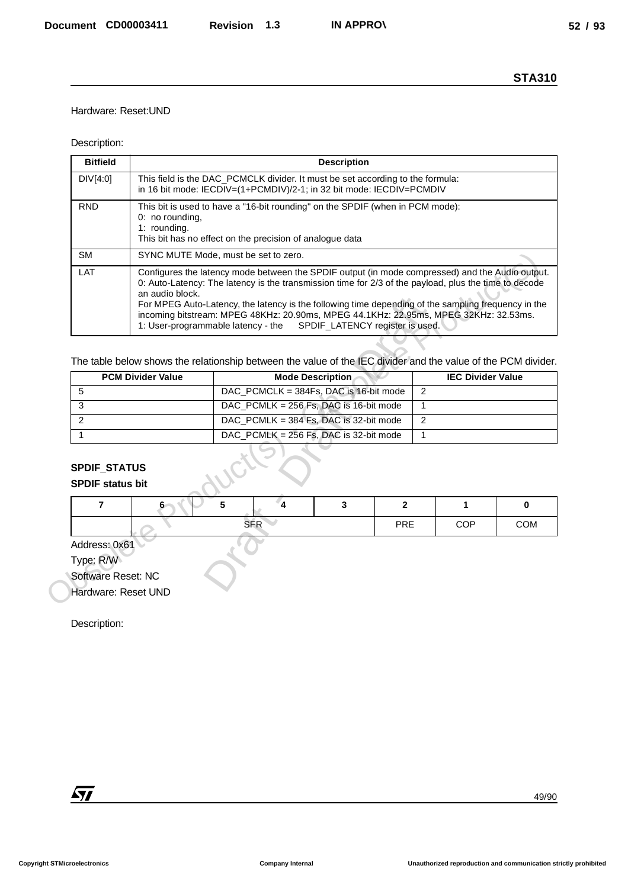## Hardware: Reset:UND

#### Description:

|                                                                                         |                                 |                                                                                                                                                                                                                                                                                                                                                                                                                                                                                                                          |                                                          |     |                | <b>STA310</b> |  |  |
|-----------------------------------------------------------------------------------------|---------------------------------|--------------------------------------------------------------------------------------------------------------------------------------------------------------------------------------------------------------------------------------------------------------------------------------------------------------------------------------------------------------------------------------------------------------------------------------------------------------------------------------------------------------------------|----------------------------------------------------------|-----|----------------|---------------|--|--|
| Hardware: Reset: UND                                                                    |                                 |                                                                                                                                                                                                                                                                                                                                                                                                                                                                                                                          |                                                          |     |                |               |  |  |
| Description:                                                                            |                                 |                                                                                                                                                                                                                                                                                                                                                                                                                                                                                                                          |                                                          |     |                |               |  |  |
| <b>Bitfield</b>                                                                         |                                 |                                                                                                                                                                                                                                                                                                                                                                                                                                                                                                                          | <b>Description</b>                                       |     |                |               |  |  |
| DIV[4:0]                                                                                |                                 | This field is the DAC_PCMCLK divider. It must be set according to the formula:<br>in 16 bit mode: IECDIV=(1+PCMDIV)/2-1; in 32 bit mode: IECDIV=PCMDIV                                                                                                                                                                                                                                                                                                                                                                   |                                                          |     |                |               |  |  |
| <b>RND</b>                                                                              | 0: no rounding,<br>1: rounding. | This bit is used to have a "16-bit rounding" on the SPDIF (when in PCM mode):                                                                                                                                                                                                                                                                                                                                                                                                                                            |                                                          |     |                |               |  |  |
| <b>SM</b>                                                                               |                                 |                                                                                                                                                                                                                                                                                                                                                                                                                                                                                                                          | This bit has no effect on the precision of analogue data |     |                |               |  |  |
| LAT                                                                                     | an audio block.                 | SYNC MUTE Mode, must be set to zero.<br>Configures the latency mode between the SPDIF output (in mode compressed) and the Audio output.<br>0: Auto-Latency: The latency is the transmission time for 2/3 of the payload, plus the time to decode<br>For MPEG Auto-Latency, the latency is the following time depending of the sampling frequency in the<br>incoming bitstream: MPEG 48KHz: 20.90ms, MPEG 44.1KHz: 22.95ms, MPEG 32KHz: 32.53ms.<br>SPDIF_LATENCY register is used.<br>1: User-programmable latency - the |                                                          |     |                |               |  |  |
|                                                                                         |                                 |                                                                                                                                                                                                                                                                                                                                                                                                                                                                                                                          |                                                          |     |                |               |  |  |
|                                                                                         |                                 | The table below shows the relationship between the value of the IEC divider and the value of the PCM divider.                                                                                                                                                                                                                                                                                                                                                                                                            |                                                          |     |                |               |  |  |
|                                                                                         | <b>PCM Divider Value</b>        | <b>Mode Description</b><br><b>IEC Divider Value</b>                                                                                                                                                                                                                                                                                                                                                                                                                                                                      |                                                          |     |                |               |  |  |
| 5                                                                                       |                                 | DAC_PCMCLK = 384Fs, DAC is 16-bit mode                                                                                                                                                                                                                                                                                                                                                                                                                                                                                   | $\overline{2}$                                           |     |                |               |  |  |
| 3<br>2                                                                                  |                                 | DAC_PCMLK = 256 Fs, DAC is 16-bit mode<br>$\overline{1}$<br>DAC_PCMLK = 384 Fs, DAC is 32-bit mode<br>$\overline{2}$                                                                                                                                                                                                                                                                                                                                                                                                     |                                                          |     |                |               |  |  |
| $\mathbf{1}$                                                                            |                                 | DAC_PCMLK = 256 Fs, DAC is 32-bit mode                                                                                                                                                                                                                                                                                                                                                                                                                                                                                   |                                                          |     | $\overline{1}$ |               |  |  |
| <b>SPDIF status bit</b><br>7                                                            | 6                               | 5<br>$\overline{\mathbf{4}}$                                                                                                                                                                                                                                                                                                                                                                                                                                                                                             | 3                                                        | 2   | 1              | 0             |  |  |
|                                                                                         |                                 | <b>SFR</b>                                                                                                                                                                                                                                                                                                                                                                                                                                                                                                               |                                                          | PRE | COP            | COM           |  |  |
| Address: 0x61<br>Type: R/W<br>Software Reset: NC<br>Hardware: Reset UND<br>Description: |                                 |                                                                                                                                                                                                                                                                                                                                                                                                                                                                                                                          |                                                          |     |                |               |  |  |
|                                                                                         |                                 |                                                                                                                                                                                                                                                                                                                                                                                                                                                                                                                          |                                                          |     |                |               |  |  |

|                                                |                          | For MPEG Auto-Latency, the latency is the following time depending of the sampling frequency in the                        |                                 |              |   |                          |            |
|------------------------------------------------|--------------------------|----------------------------------------------------------------------------------------------------------------------------|---------------------------------|--------------|---|--------------------------|------------|
|                                                |                          | incoming bitstream: MPEG 48KHz: 20.90ms, MPEG 44.1KHz: 22.95ms, MPEG 32KHz: 32.53ms.<br>1: User-programmable latency - the | SPDIF LATENCY register is used. |              |   |                          |            |
|                                                |                          | The table below shows the relationship between the value of the IEC divider and the value of the PCM divider.              |                                 |              |   |                          |            |
|                                                | <b>PCM Divider Value</b> |                                                                                                                            | <b>Mode Description</b>         |              |   | <b>IEC Divider Value</b> |            |
| 5                                              |                          | DAC_PCMCLK = 384Fs, DAC is 16-bit mode                                                                                     | 2                               |              |   |                          |            |
| 3                                              |                          | DAC_PCMLK = 256 Fs, DAC is 16-bit mode                                                                                     |                                 |              | 1 |                          |            |
| 2                                              |                          | DAC_PCMLK = 384 Fs, DAC is 32-bit mode                                                                                     |                                 |              | 2 |                          |            |
| 1                                              |                          | DAC_PCMLK = 256 Fs, DAC is 32-bit mode                                                                                     |                                 |              | 1 |                          |            |
| <b>SPDIF_STATUS</b><br><b>SPDIF status bit</b> |                          |                                                                                                                            |                                 |              |   |                          |            |
| 7                                              |                          | $\overline{\mathbf{4}}$<br>5                                                                                               | 3                               | $\mathbf{2}$ |   | 1                        | $\bf{0}$   |
|                                                |                          | <b>SFR</b>                                                                                                                 |                                 | <b>PRE</b>   |   | <b>COP</b>               | <b>COM</b> |
| Address: 0x61                                  |                          |                                                                                                                            |                                 |              |   |                          |            |
| Type: R/W                                      |                          |                                                                                                                            |                                 |              |   |                          |            |
| Software Reset: NC                             |                          |                                                                                                                            |                                 |              |   |                          |            |
| Hordware: Docot LINID                          |                          |                                                                                                                            |                                 |              |   |                          |            |

## **SPDIF\_STATUS SPDIF status bit**

|               | . . |            |  |            |            |     |
|---------------|-----|------------|--|------------|------------|-----|
|               |     | <b>SFR</b> |  | <b>PRE</b> | <b>COP</b> | COM |
| Address: 0x61 |     |            |  |            |            |     |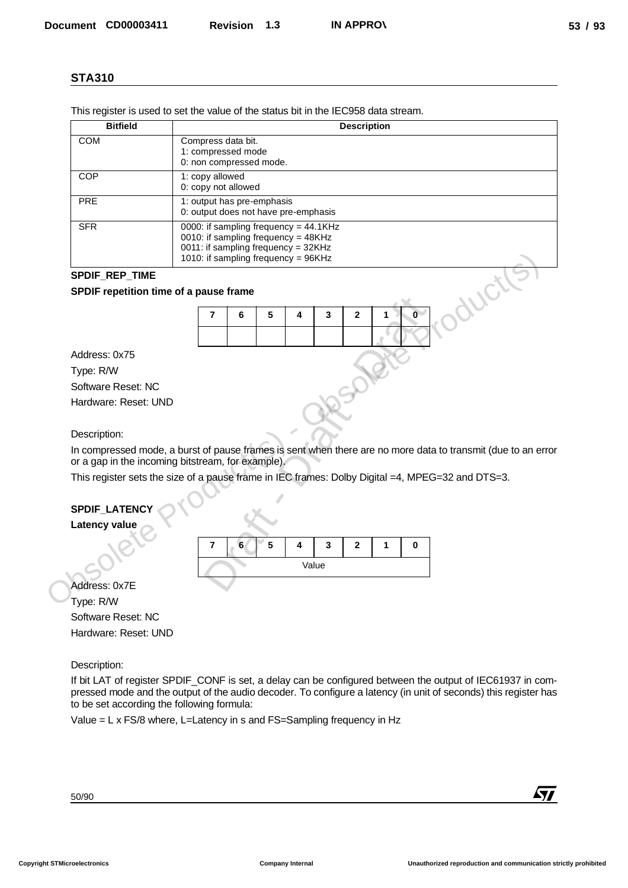| <b>STA310</b>                                                                                                                              |                                                                                                                                                                                                                                                                                                                |
|--------------------------------------------------------------------------------------------------------------------------------------------|----------------------------------------------------------------------------------------------------------------------------------------------------------------------------------------------------------------------------------------------------------------------------------------------------------------|
|                                                                                                                                            | This register is used to set the value of the status bit in the IEC958 data stream.                                                                                                                                                                                                                            |
| <b>Bitfield</b>                                                                                                                            | <b>Description</b>                                                                                                                                                                                                                                                                                             |
| <b>COM</b>                                                                                                                                 | Compress data bit.                                                                                                                                                                                                                                                                                             |
|                                                                                                                                            | 1: compressed mode<br>0: non compressed mode.                                                                                                                                                                                                                                                                  |
| COP                                                                                                                                        | 1: copy allowed                                                                                                                                                                                                                                                                                                |
| <b>PRE</b>                                                                                                                                 | 0: copy not allowed<br>1: output has pre-emphasis                                                                                                                                                                                                                                                              |
|                                                                                                                                            | 0: output does not have pre-emphasis                                                                                                                                                                                                                                                                           |
| <b>SFR</b>                                                                                                                                 | 0000: if sampling frequency = 44.1KHz<br>0010: if sampling frequency = 48KHz                                                                                                                                                                                                                                   |
|                                                                                                                                            | 0011: if sampling frequency = 32KHz                                                                                                                                                                                                                                                                            |
|                                                                                                                                            | 1010: if sampling frequency = 96KHz                                                                                                                                                                                                                                                                            |
| SPDIF_REP_TIME                                                                                                                             |                                                                                                                                                                                                                                                                                                                |
|                                                                                                                                            | WCt<br>SPDIF repetition time of a pause frame                                                                                                                                                                                                                                                                  |
|                                                                                                                                            | $\overline{\mathbf{0}}$<br>$\overline{\mathbf{r}}$<br>6<br>5<br>4<br>3<br>$\mathbf{2}$<br>1                                                                                                                                                                                                                    |
|                                                                                                                                            |                                                                                                                                                                                                                                                                                                                |
| Address: 0x75                                                                                                                              |                                                                                                                                                                                                                                                                                                                |
| Type: R/W                                                                                                                                  |                                                                                                                                                                                                                                                                                                                |
| Software Reset: NC                                                                                                                         |                                                                                                                                                                                                                                                                                                                |
|                                                                                                                                            |                                                                                                                                                                                                                                                                                                                |
|                                                                                                                                            |                                                                                                                                                                                                                                                                                                                |
|                                                                                                                                            |                                                                                                                                                                                                                                                                                                                |
| Hardware: Reset: UND<br>Description:                                                                                                       | In compressed mode, a burst of pause frames is sent when there are no more data to transmit (due to an error<br>or a gap in the incoming bitstream, for example).                                                                                                                                              |
|                                                                                                                                            | This register sets the size of a pause frame in IEC frames: Dolby Digital =4, MPEG=32 and DTS=3.                                                                                                                                                                                                               |
|                                                                                                                                            | 6<br>5<br>4<br>3<br>0<br>7<br>2<br>1<br>Value                                                                                                                                                                                                                                                                  |
|                                                                                                                                            |                                                                                                                                                                                                                                                                                                                |
|                                                                                                                                            |                                                                                                                                                                                                                                                                                                                |
|                                                                                                                                            |                                                                                                                                                                                                                                                                                                                |
|                                                                                                                                            |                                                                                                                                                                                                                                                                                                                |
|                                                                                                                                            |                                                                                                                                                                                                                                                                                                                |
|                                                                                                                                            | to be set according the following formula:                                                                                                                                                                                                                                                                     |
| SPDIF_LATENCY<br><b>Latency value</b><br>Address: 0x7E<br>Type: R/W<br>Software Reset: NC<br>Hardware: Reset: UND<br>Description:<br>50/90 | If bit LAT of register SPDIF_CONF is set, a delay can be configured between the output of IEC61937 in com-<br>pressed mode and the output of the audio decoder. To configure a latency (in unit of seconds) this register has<br>Value = L x FS/8 where, L=Latency in s and FS=Sampling frequency in Hz<br>47/ |

#### **SPDIF\_REP\_TIME**

#### **SPDIF repetition time of a pause frame**



## **SPDIF\_LATENCY**

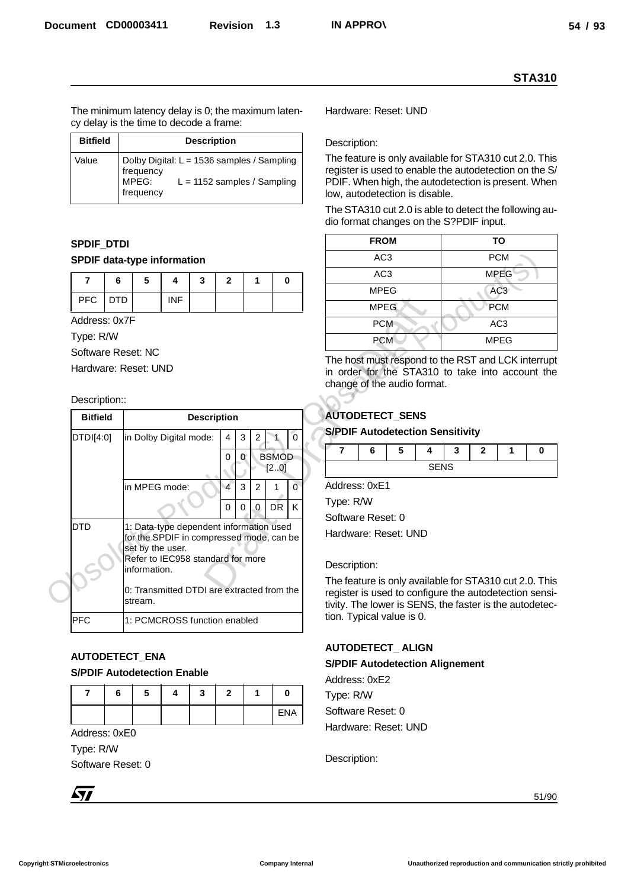| <b>Bitfield</b> | <b>Description</b>                                                                                             |
|-----------------|----------------------------------------------------------------------------------------------------------------|
| Value           | Dolby Digital: L = 1536 samples / Sampling<br>frequency<br>MPEG:<br>$L = 1152$ samples / Sampling<br>frequency |

# **SPDIF\_DTDI**

### **SPDIF data-type information**

|         | э |            | w |  |  |
|---------|---|------------|---|--|--|
| PFC DTD |   | <b>INF</b> |   |  |  |

#### Description::

|            |                                  |            |                                                                                                                                              |            |                    |                          |                                                          |                                                                |                                                                                                                                                                                                           | <b>STA310</b>                              |  |  |  |
|------------|----------------------------------|------------|----------------------------------------------------------------------------------------------------------------------------------------------|------------|--------------------|--------------------------|----------------------------------------------------------|----------------------------------------------------------------|-----------------------------------------------------------------------------------------------------------------------------------------------------------------------------------------------------------|--------------------------------------------|--|--|--|
|            |                                  |            | cy delay is the time to decode a frame:                                                                                                      |            |                    |                          |                                                          | The minimum latency delay is 0; the maximum laten-             | Hardware: Reset: UND                                                                                                                                                                                      |                                            |  |  |  |
|            | <b>Bitfield</b>                  |            |                                                                                                                                              |            | <b>Description</b> |                          |                                                          |                                                                | Description:                                                                                                                                                                                              |                                            |  |  |  |
|            | Value                            |            | Dolby Digital: L = 1536 samples / Sampling<br>frequency<br>MPEG:<br>frequency                                                                |            |                    |                          |                                                          | $L = 1152$ samples / Sampling                                  | The feature is only available for STA310 cut 2.0. This<br>register is used to enable the autodetection on the S/<br>PDIF. When high, the autodetection is present. When<br>low, autodetection is disable. |                                            |  |  |  |
|            |                                  |            |                                                                                                                                              |            |                    |                          |                                                          |                                                                | The STA310 cut 2.0 is able to detect the following au-<br>dio format changes on the S?PDIF input.                                                                                                         |                                            |  |  |  |
|            | <b>SPDIF_DTDI</b>                |            |                                                                                                                                              |            |                    |                          |                                                          |                                                                | <b>FROM</b>                                                                                                                                                                                               | <b>TO</b>                                  |  |  |  |
|            |                                  |            | <b>SPDIF data-type information</b>                                                                                                           |            |                    |                          |                                                          |                                                                | AC <sub>3</sub>                                                                                                                                                                                           | <b>PCM</b>                                 |  |  |  |
|            | $\overline{7}$                   | 6          | 5                                                                                                                                            | 4          | 3                  | $\mathbf{2}$             | 1                                                        | 0                                                              | AC <sub>3</sub>                                                                                                                                                                                           | <b>MPEG</b>                                |  |  |  |
|            | <b>PFC</b>                       | <b>DTD</b> |                                                                                                                                              | <b>INF</b> |                    |                          |                                                          |                                                                | <b>MPEG</b>                                                                                                                                                                                               | AC <sub>3</sub>                            |  |  |  |
|            |                                  |            |                                                                                                                                              |            |                    |                          |                                                          |                                                                | <b>MPEG</b>                                                                                                                                                                                               | PCM                                        |  |  |  |
|            | Address: 0x7F                    |            |                                                                                                                                              |            |                    |                          |                                                          |                                                                | <b>PCM</b>                                                                                                                                                                                                | AC <sub>3</sub>                            |  |  |  |
|            | Type: R/W                        |            | Software Reset: NC                                                                                                                           |            |                    |                          |                                                          |                                                                | PCM                                                                                                                                                                                                       | <b>MPEG</b>                                |  |  |  |
|            | Description::<br><b>Bitfield</b> |            |                                                                                                                                              |            | <b>Description</b> |                          |                                                          |                                                                | <b>AUTODETECT_SENS</b>                                                                                                                                                                                    |                                            |  |  |  |
|            | DTDI[4:0]                        |            | $\mathbf 0$<br>$\sqrt{3}$<br>in Dolby Digital mode:<br>$\overline{4}$<br>$\mathbf{2}$                                                        |            |                    |                          |                                                          |                                                                | <b>S/PDIF Autodetection Sensitivity</b>                                                                                                                                                                   |                                            |  |  |  |
|            |                                  |            | in MPEG mode:                                                                                                                                |            |                    | 0<br>$\overline{4}$<br>0 | $\mathbf{0}$<br>$\mathbf{3}$<br>$\overline{c}$<br>0<br>0 | <b>BSMOD</b><br>[2.0]<br>$\overline{0}$<br>1<br><b>DR</b><br>Κ | $\overline{7}$<br>6<br>5<br>4<br>Address: 0xE1<br>Type: R/W<br>Software Reset: 0                                                                                                                          | 3<br>$\mathbf{2}$<br>1<br>0<br><b>SENS</b> |  |  |  |
| <b>DTD</b> |                                  |            | 1: Data-type dependent information used<br>for the SPDIF in compressed mode, can be<br>set by the user.<br>Refer to IEC958 standard for more |            |                    |                          |                                                          |                                                                | Hardware: Reset: UND                                                                                                                                                                                      |                                            |  |  |  |
|            |                                  |            | information.                                                                                                                                 |            |                    |                          |                                                          |                                                                | Description:                                                                                                                                                                                              |                                            |  |  |  |
|            |                                  |            | 0: Transmitted DTDI are extracted from the<br>stream.                                                                                        |            |                    |                          |                                                          |                                                                | The feature is only available for STA310 cut 2.0. This<br>register is used to configure the autodetection sensi-<br>tivity. The lower is SENS, the faster is the autodetec-                               |                                            |  |  |  |
| <b>PFC</b> |                                  |            | 1: PCMCROSS function enabled                                                                                                                 |            |                    |                          |                                                          |                                                                | tion. Typical value is 0.                                                                                                                                                                                 |                                            |  |  |  |
|            |                                  |            | AUTODETECT_ENA<br><b>S/PDIF Autodetection Enable</b>                                                                                         |            |                    |                          |                                                          |                                                                | <b>AUTODETECT_ALIGN</b><br><b>S/PDIF Autodetection Alignement</b>                                                                                                                                         |                                            |  |  |  |
|            | 7                                |            |                                                                                                                                              | 4          |                    | $\mathbf{2}$             |                                                          |                                                                | Address: 0xE2                                                                                                                                                                                             |                                            |  |  |  |
|            |                                  | 6          | 5                                                                                                                                            |            | 3                  |                          | 1                                                        | 0                                                              | Type: R/W                                                                                                                                                                                                 |                                            |  |  |  |
|            |                                  |            |                                                                                                                                              |            |                    |                          |                                                          | <b>ENA</b>                                                     | Software Reset: 0<br>Hardware: Reset: UND                                                                                                                                                                 |                                            |  |  |  |
|            | Address: 0xE0                    |            |                                                                                                                                              |            |                    |                          |                                                          |                                                                |                                                                                                                                                                                                           |                                            |  |  |  |
|            | Type: R/W                        |            |                                                                                                                                              |            |                    |                          |                                                          |                                                                | Description:                                                                                                                                                                                              |                                            |  |  |  |
|            |                                  |            | Software Reset: 0                                                                                                                            |            |                    |                          |                                                          |                                                                |                                                                                                                                                                                                           |                                            |  |  |  |
| <b>Ayy</b> |                                  |            |                                                                                                                                              |            |                    |                          |                                                          |                                                                |                                                                                                                                                                                                           | 51/90                                      |  |  |  |

## **AUTODETECT\_ENA**

#### **S/PDIF Autodetection Enable**

| 6 | э | Δ<br>T |  |     |
|---|---|--------|--|-----|
|   |   |        |  | ENA |

| <b>FROM</b>     | TO              |
|-----------------|-----------------|
| AC <sub>3</sub> | <b>PCM</b>      |
| AC <sub>3</sub> | <b>MPEG</b>     |
| <b>MPEG</b>     | AC <sub>3</sub> |
| <b>MPEG</b>     | PCM             |
| <b>PCM</b>      | AC <sub>3</sub> |
| <b>PCM</b>      | <b>MPEG</b>     |

## **AUTODETECT\_SENS**

#### **S/PDIF Autodetection Sensitivity**

|  |                      | - 1 | - |  |
|--|----------------------|-----|---|--|
|  | $\sim$ $\sim$ $\sim$ |     |   |  |

## **AUTODETECT\_ ALIGN**

#### **S/PDIF Autodetection Alignement**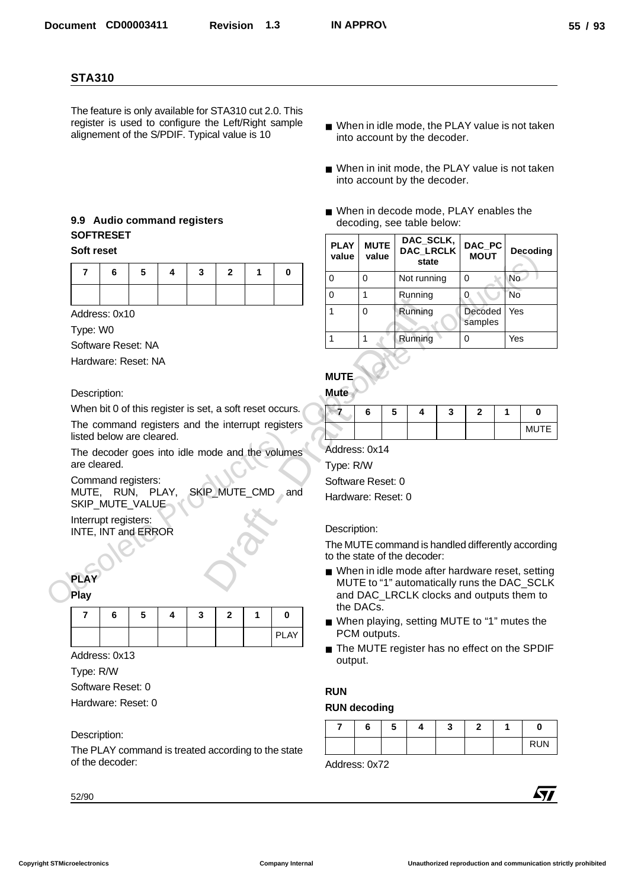## **9.9 Audio command registers SOFTRESET Soft reset**

|  | 7   6   5   4   3   2   1   0 |  |  |
|--|-------------------------------|--|--|
|  |                               |  |  |

## **PLAY**

|  | 6 | ວ |  | ∍ |             |
|--|---|---|--|---|-------------|
|  |   |   |  |   | <b>PLAY</b> |

## Description:

- When in idle mode, the PLAY value is not taken into account by the decoder.
- When in init mode, the PLAY value is not taken into account by the decoder.
- When in decode mode, PLAY enables the decoding, see table below:

|              | <b>STA310</b>                                            |   |   |               |                |   |                                                                                                               |                              |                      |   |                                                                       |   |                       |   |                                                                                                  |
|--------------|----------------------------------------------------------|---|---|---------------|----------------|---|---------------------------------------------------------------------------------------------------------------|------------------------------|----------------------|---|-----------------------------------------------------------------------|---|-----------------------|---|--------------------------------------------------------------------------------------------------|
|              | alignement of the S/PDIF. Typical value is 10            |   |   |               |                |   | The feature is only available for STA310 cut 2.0. This<br>register is used to configure the Left/Right sample |                              |                      |   | into account by the decoder.                                          |   |                       |   | ■ When in idle mode, the PLAY value is not taken                                                 |
|              |                                                          |   |   |               |                |   |                                                                                                               |                              |                      |   | into account by the decoder.                                          |   |                       |   | ■ When in init mode, the PLAY value is not taken                                                 |
|              | 9.9 Audio command registers<br><b>SOFTRESET</b>          |   |   |               |                |   |                                                                                                               |                              |                      |   | ■ When in decode mode, PLAY enables the<br>decoding, see table below: |   |                       |   |                                                                                                  |
| Soft reset   |                                                          |   |   |               |                |   |                                                                                                               | <b>PLAY</b><br>value         | <b>MUTE</b><br>value |   | DAC_SCLK,<br>DAC_LRCLK<br>state                                       |   | DAC_PC<br><b>MOUT</b> |   | <b>Decoding</b>                                                                                  |
| 7            | 6                                                        | 5 | 4 | 3             | $\overline{2}$ | 1 | $\mathbf 0$                                                                                                   | 0                            | $\mathbf 0$          |   | Not running                                                           |   | 0                     |   | No                                                                                               |
|              |                                                          |   |   |               |                |   |                                                                                                               | 0                            | $\mathbf{1}$         |   | Running                                                               |   | 0                     |   | <b>No</b>                                                                                        |
|              | Address: 0x10                                            |   |   |               |                |   |                                                                                                               | 1                            | $\mathbf 0$          |   | Running                                                               |   | Decoded               |   | Yes                                                                                              |
| Type: W0     |                                                          |   |   |               |                |   |                                                                                                               |                              |                      |   |                                                                       |   | samples               |   |                                                                                                  |
|              | Software Reset: NA                                       |   |   |               |                |   |                                                                                                               | 1                            | $\mathbf{1}$         |   | Running                                                               |   | 0                     |   | Yes                                                                                              |
|              | Hardware: Reset: NA                                      |   |   |               |                |   |                                                                                                               |                              |                      |   |                                                                       |   |                       |   |                                                                                                  |
|              |                                                          |   |   |               |                |   |                                                                                                               | <b>MUTE</b>                  |                      |   |                                                                       |   |                       |   |                                                                                                  |
|              | Description:                                             |   |   |               |                |   |                                                                                                               | <b>Mute</b>                  |                      |   |                                                                       |   |                       |   |                                                                                                  |
|              |                                                          |   |   |               |                |   |                                                                                                               |                              |                      |   |                                                                       |   |                       |   |                                                                                                  |
|              | When bit 0 of this register is set, a soft reset occurs. |   |   |               |                |   |                                                                                                               | $\sqrt{7}$                   | 6                    | 5 | 4                                                                     | 3 | $\mathbf{2}$          | 1 | 0                                                                                                |
|              |                                                          |   |   |               |                |   | The command registers and the interrupt registers                                                             |                              |                      |   |                                                                       |   |                       |   | <b>MUTE</b>                                                                                      |
|              | listed below are cleared.                                |   |   |               |                |   |                                                                                                               | Address: 0x14                |                      |   |                                                                       |   |                       |   |                                                                                                  |
| are cleared. |                                                          |   |   |               |                |   | The decoder goes into idle mode and the volumes                                                               | Type: R/W                    |                      |   |                                                                       |   |                       |   |                                                                                                  |
|              | Command registers:                                       |   |   |               |                |   |                                                                                                               | Software Reset: 0            |                      |   |                                                                       |   |                       |   |                                                                                                  |
|              | MUTE, RUN, PLAY,                                         |   |   | SKIP MUTE CMD |                |   | and                                                                                                           | Hardware: Reset: 0           |                      |   |                                                                       |   |                       |   |                                                                                                  |
|              | SKIP_MUTE_VALUE<br>Interrupt registers:                  |   |   |               |                |   |                                                                                                               |                              |                      |   |                                                                       |   |                       |   |                                                                                                  |
|              | INTE, INT and ERROR                                      |   |   |               |                |   |                                                                                                               | Description:                 |                      |   |                                                                       |   |                       |   |                                                                                                  |
|              |                                                          |   |   |               |                |   |                                                                                                               |                              |                      |   |                                                                       |   |                       |   | The MUTE command is handled differently according                                                |
|              |                                                          |   |   |               |                |   |                                                                                                               | to the state of the decoder: |                      |   |                                                                       |   |                       |   |                                                                                                  |
| <b>PLAY</b>  |                                                          |   |   |               |                |   |                                                                                                               |                              |                      |   |                                                                       |   |                       |   | ■ When in idle mode after hardware reset, setting<br>MUTE to "1" automatically runs the DAC_SCLK |
| <b>Play</b>  |                                                          |   |   |               |                |   |                                                                                                               |                              | the DACs.            |   |                                                                       |   |                       |   | and DAC_LRCLK clocks and outputs them to                                                         |
| 7            | 6                                                        | 5 | 4 | 3             | $\mathbf{2}$   | 1 | $\bf{0}$                                                                                                      |                              |                      |   |                                                                       |   |                       |   | ■ When playing, setting MUTE to "1" mutes the                                                    |
|              |                                                          |   |   |               |                |   | <b>PLAY</b>                                                                                                   |                              | PCM outputs.         |   |                                                                       |   |                       |   |                                                                                                  |
|              | Address: 0x13                                            |   |   |               |                |   |                                                                                                               | output.                      |                      |   |                                                                       |   |                       |   |                                                                                                  |
|              |                                                          |   |   |               |                |   |                                                                                                               |                              |                      |   |                                                                       |   |                       |   |                                                                                                  |
|              | Software Reset: 0                                        |   |   |               |                |   |                                                                                                               | <b>RUN</b>                   |                      |   |                                                                       |   |                       |   |                                                                                                  |
|              | Hardware: Reset: 0                                       |   |   |               |                |   |                                                                                                               | <b>RUN decoding</b>          |                      |   |                                                                       |   |                       |   | The MUTE register has no effect on the SPDIF                                                     |
| Type: R/W    |                                                          |   |   |               |                |   |                                                                                                               | 7                            | 6                    | 5 | 4                                                                     | 3 | $\mathbf{2}$          | 1 | 0                                                                                                |
|              | Description:                                             |   |   |               |                |   |                                                                                                               |                              |                      |   |                                                                       |   |                       |   | <b>RUN</b>                                                                                       |
|              | of the decoder:                                          |   |   |               |                |   | The PLAY command is treated according to the state                                                            | Address: 0x72                |                      |   |                                                                       |   |                       |   |                                                                                                  |
|              |                                                          |   |   |               |                |   |                                                                                                               |                              |                      |   |                                                                       |   |                       |   |                                                                                                  |

## **MUTE**

#### **Mute**

| o | ۰. |  |  |                     |
|---|----|--|--|---------------------|
|   |    |  |  | <b>MLITE</b><br>ᄢᇰᆘ |

#### Description:

- When in idle mode after hardware reset, setting MUTE to "1" automatically runs the DAC\_SCLK and DAC\_LRCLK clocks and outputs them to the DACs.
- When playing, setting MUTE to "1" mutes the PCM outputs.
- The MUTE register has no effect on the SPDIF output.

## **RUN**

### **RUN decoding**

|  | -<br>э | w | – | υ          |
|--|--------|---|---|------------|
|  |        |   |   | <b>RUN</b> |

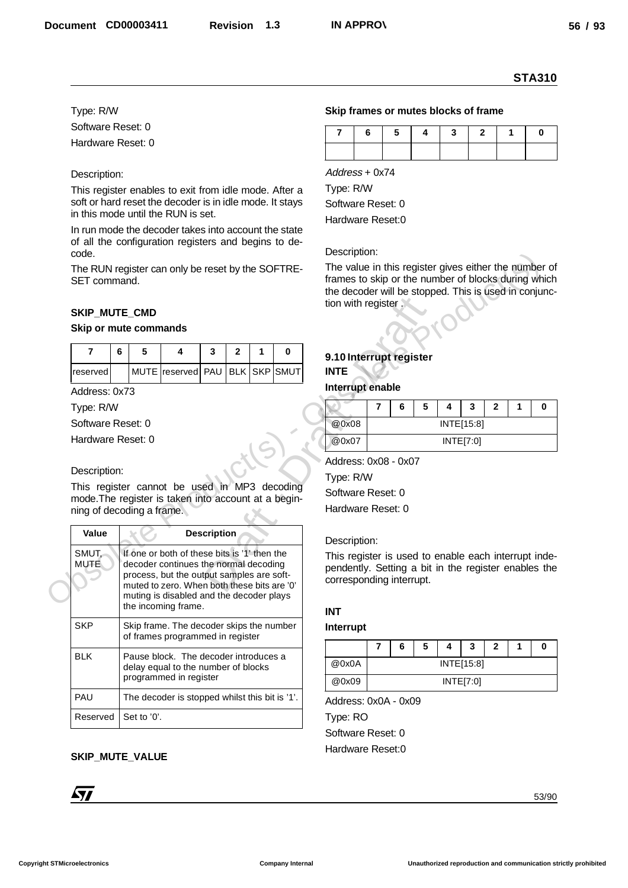#### Type: R/W

#### Description:

#### **SKIP\_MUTE\_CMD**

#### **Skip or mute commands**

| reserved |  | MUTE reserved PAU   BLK   SKP SMUT |  |  |
|----------|--|------------------------------------|--|--|

#### Description:

|                                                                                                                                                         |   |             |                                                                                                                                                                                   |                    |              |   |              |                                                                                                                                                          |                  |   |   |            |              |              |   | <b>STA310</b> |
|---------------------------------------------------------------------------------------------------------------------------------------------------------|---|-------------|-----------------------------------------------------------------------------------------------------------------------------------------------------------------------------------|--------------------|--------------|---|--------------|----------------------------------------------------------------------------------------------------------------------------------------------------------|------------------|---|---|------------|--------------|--------------|---|---------------|
| Type: R/W                                                                                                                                               |   |             |                                                                                                                                                                                   |                    |              |   |              | Skip frames or mutes blocks of frame                                                                                                                     |                  |   |   |            |              |              |   |               |
| Software Reset: 0                                                                                                                                       |   |             |                                                                                                                                                                                   |                    |              |   |              | 7                                                                                                                                                        | 6                | 5 | 4 | 3          | $\mathbf{2}$ | 1            |   | 0             |
| Hardware Reset: 0                                                                                                                                       |   |             |                                                                                                                                                                                   |                    |              |   |              |                                                                                                                                                          |                  |   |   |            |              |              |   |               |
| Description:                                                                                                                                            |   |             |                                                                                                                                                                                   |                    |              |   |              | Address + 0x74                                                                                                                                           |                  |   |   |            |              |              |   |               |
| This register enables to exit from idle mode. After a<br>soft or hard reset the decoder is in idle mode. It stays<br>in this mode until the RUN is set. |   |             |                                                                                                                                                                                   |                    |              |   |              | Type: R/W<br>Software Reset: 0                                                                                                                           |                  |   |   |            |              |              |   |               |
| In run mode the decoder takes into account the state<br>of all the configuration registers and begins to de-                                            |   |             |                                                                                                                                                                                   |                    |              |   |              | Hardware Reset:0                                                                                                                                         |                  |   |   |            |              |              |   |               |
| code.<br>The RUN register can only be reset by the SOFTRE-                                                                                              |   |             |                                                                                                                                                                                   |                    |              |   |              | Description:<br>The value in this register gives either the number of                                                                                    |                  |   |   |            |              |              |   |               |
| SET command.                                                                                                                                            |   |             |                                                                                                                                                                                   |                    |              |   |              | frames to skip or the number of blocks during which<br>the decoder will be stopped. This is used in conjunc-<br>tion with register.                      |                  |   |   |            |              |              |   |               |
| SKIP_MUTE_CMD                                                                                                                                           |   |             |                                                                                                                                                                                   |                    |              |   |              |                                                                                                                                                          |                  |   |   |            |              |              |   |               |
| Skip or mute commands                                                                                                                                   |   |             |                                                                                                                                                                                   |                    |              |   |              |                                                                                                                                                          |                  |   |   |            |              |              |   |               |
| $\overline{7}$                                                                                                                                          | 6 | 5           | 4                                                                                                                                                                                 | 3                  | $\mathbf{2}$ | 1 | 0            | 9.10 Interrupt register                                                                                                                                  |                  |   |   |            |              |              |   |               |
| reserved                                                                                                                                                |   |             | MUTE reserved PAU                                                                                                                                                                 |                    |              |   | BLK SKP SMUT | <b>INTE</b>                                                                                                                                              |                  |   |   |            |              |              |   |               |
| Address: 0x73                                                                                                                                           |   |             |                                                                                                                                                                                   |                    |              |   |              |                                                                                                                                                          | Interrupt enable |   |   |            |              |              |   |               |
|                                                                                                                                                         |   |             |                                                                                                                                                                                   |                    |              |   |              |                                                                                                                                                          |                  |   |   |            |              |              |   |               |
|                                                                                                                                                         |   |             |                                                                                                                                                                                   |                    |              |   |              |                                                                                                                                                          | $\overline{7}$   | 6 | 5 | 4          | 3            | $\mathbf{2}$ | 1 | 0             |
|                                                                                                                                                         |   |             |                                                                                                                                                                                   |                    |              |   |              | @0x08                                                                                                                                                    |                  |   |   | INTE[15:8] |              |              |   |               |
|                                                                                                                                                         |   |             |                                                                                                                                                                                   |                    |              |   |              | @0x07                                                                                                                                                    |                  |   |   | INTE[7:0]  |              |              |   |               |
|                                                                                                                                                         |   |             |                                                                                                                                                                                   |                    |              |   |              |                                                                                                                                                          |                  |   |   |            |              |              |   |               |
| Type: R/W<br>Software Reset: 0<br>Hardware Reset: 0<br>Description:                                                                                     |   |             |                                                                                                                                                                                   |                    |              |   |              | Address: 0x08 - 0x07                                                                                                                                     |                  |   |   |            |              |              |   |               |
|                                                                                                                                                         |   |             |                                                                                                                                                                                   |                    |              |   |              | Type: R/W                                                                                                                                                |                  |   |   |            |              |              |   |               |
|                                                                                                                                                         |   |             |                                                                                                                                                                                   |                    |              |   |              | Software Reset: 0                                                                                                                                        |                  |   |   |            |              |              |   |               |
|                                                                                                                                                         |   |             |                                                                                                                                                                                   |                    |              |   |              | Hardware Reset: 0                                                                                                                                        |                  |   |   |            |              |              |   |               |
| This register cannot be used in MP3 decoding<br>mode. The register is taken into account at a begin-<br>ning of decoding a frame.<br>Value              |   |             |                                                                                                                                                                                   | <b>Description</b> |              |   |              |                                                                                                                                                          |                  |   |   |            |              |              |   |               |
| SMUT,<br><b>MUTE</b>                                                                                                                                    |   |             | If one or both of these bits is '1' then the<br>decoder continues the normal decoding<br>process, but the output samples are soft-<br>muted to zero. When both these bits are '0' |                    |              |   |              | Description:<br>This register is used to enable each interrupt inde-<br>pendently. Setting a bit in the register enables the<br>corresponding interrupt. |                  |   |   |            |              |              |   |               |
|                                                                                                                                                         |   |             | muting is disabled and the decoder plays<br>the incoming frame.                                                                                                                   |                    |              |   |              |                                                                                                                                                          |                  |   |   |            |              |              |   |               |
| <b>SKP</b>                                                                                                                                              |   |             | Skip frame. The decoder skips the number                                                                                                                                          |                    |              |   |              | <b>INT</b><br>Interrupt                                                                                                                                  |                  |   |   |            |              |              |   |               |
|                                                                                                                                                         |   |             | of frames programmed in register                                                                                                                                                  |                    |              |   |              |                                                                                                                                                          | 7                | 6 | 5 | 4          | 3            | 2            | 1 | 0             |
| <b>BLK</b>                                                                                                                                              |   |             | Pause block. The decoder introduces a<br>delay equal to the number of blocks                                                                                                      |                    |              |   |              | @0x0A                                                                                                                                                    |                  |   |   | INTE[15:8] |              |              |   |               |
|                                                                                                                                                         |   |             | programmed in register                                                                                                                                                            |                    |              |   |              | @0x09                                                                                                                                                    |                  |   |   | INTE[7:0]  |              |              |   |               |
| PAU                                                                                                                                                     |   |             | The decoder is stopped whilst this bit is '1'.                                                                                                                                    |                    |              |   |              | Address: 0x0A - 0x09                                                                                                                                     |                  |   |   |            |              |              |   |               |
| Reserved                                                                                                                                                |   | Set to '0'. |                                                                                                                                                                                   |                    |              |   |              | Type: RO                                                                                                                                                 |                  |   |   |            |              |              |   |               |
|                                                                                                                                                         |   |             |                                                                                                                                                                                   |                    |              |   |              | Software Reset: 0                                                                                                                                        |                  |   |   |            |              |              |   |               |
| <b>SKIP_MUTE_VALUE</b>                                                                                                                                  |   |             |                                                                                                                                                                                   |                    |              |   |              | Hardware Reset:0                                                                                                                                         |                  |   |   |            |              |              |   |               |

#### **SKIP\_MUTE\_VALUE**



#### **Skip frames or mutes blocks of frame**

|  | 7 6 5 4 3 2 1 |  |  |
|--|---------------|--|--|
|  |               |  |  |

### **9.10 Interrupt register INTE**

## **Interrupt enable**

|       | 6 | 5 | 3                 | 2 | 0 |
|-------|---|---|-------------------|---|---|
| @0x08 |   |   | <b>INTE[15:8]</b> |   |   |
| @0x07 |   |   | INTE[7:0]         |   |   |

#### Description:

#### **INT**

#### **Interrupt**

|       | 6 | 5 | 3          | 2 | 0 |
|-------|---|---|------------|---|---|
| @0x0A |   |   | INTE[15:8] |   |   |
| @0x09 |   |   | INTE[7:0]  |   |   |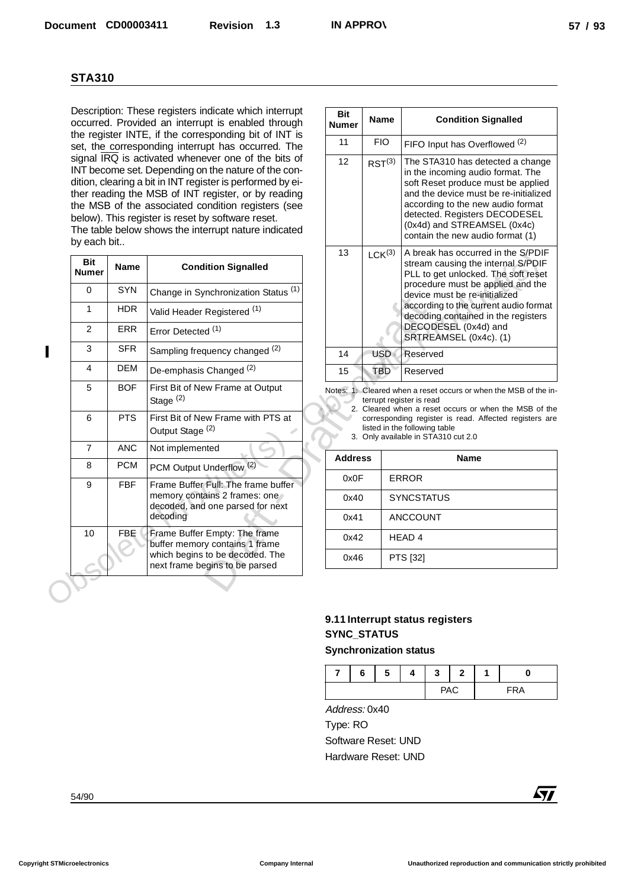| <b>STA310</b>              |             |                                                                                                                                                                                                                                                                                                                                                                                                    |                            |                                                                                                  |                                   |                               |              |   |                                                                                                                                                                                                                                                                                               |
|----------------------------|-------------|----------------------------------------------------------------------------------------------------------------------------------------------------------------------------------------------------------------------------------------------------------------------------------------------------------------------------------------------------------------------------------------------------|----------------------------|--------------------------------------------------------------------------------------------------|-----------------------------------|-------------------------------|--------------|---|-----------------------------------------------------------------------------------------------------------------------------------------------------------------------------------------------------------------------------------------------------------------------------------------------|
|                            |             | Description: These registers indicate which interrupt<br>occurred. Provided an interrupt is enabled through                                                                                                                                                                                                                                                                                        | <b>Bit</b><br><b>Numer</b> | <b>Name</b>                                                                                      |                                   |                               |              |   | <b>Condition Signalled</b>                                                                                                                                                                                                                                                                    |
|                            |             | the register INTE, if the corresponding bit of INT is<br>set, the corresponding interrupt has occurred. The                                                                                                                                                                                                                                                                                        | 11                         | <b>FIO</b>                                                                                       |                                   |                               |              |   | FIFO Input has Overflowed (2)                                                                                                                                                                                                                                                                 |
| by each bit                |             | signal IRQ is activated whenever one of the bits of<br>INT become set. Depending on the nature of the con-<br>dition, clearing a bit in INT register is performed by ei-<br>ther reading the MSB of INT register, or by reading<br>the MSB of the associated condition registers (see<br>below). This register is reset by software reset.<br>The table below shows the interrupt nature indicated | 12                         | RST <sup>(3)</sup>                                                                               |                                   |                               |              |   | The STA310 has detected a change<br>in the incoming audio format. The<br>soft Reset produce must be applied<br>and the device must be re-initialized<br>according to the new audio format<br>detected. Registers DECODESEL<br>(0x4d) and STREAMSEL (0x4c)<br>contain the new audio format (1) |
| <b>Bit</b><br><b>Numer</b> | <b>Name</b> | <b>Condition Signalled</b>                                                                                                                                                                                                                                                                                                                                                                         | 13                         | LCK <sup>(3)</sup>                                                                               |                                   |                               |              |   | A break has occurred in the S/PDIF<br>stream causing the internal S/PDIF<br>PLL to get unlocked. The soft reset                                                                                                                                                                               |
| 0                          | <b>SYN</b>  | Change in Synchronization Status <sup>(1)</sup>                                                                                                                                                                                                                                                                                                                                                    |                            |                                                                                                  |                                   | device must be re-initialized |              |   | procedure must be applied and the                                                                                                                                                                                                                                                             |
| 1                          | <b>HDR</b>  | Valid Header Registered (1)                                                                                                                                                                                                                                                                                                                                                                        |                            |                                                                                                  |                                   |                               |              |   | according to the current audio format                                                                                                                                                                                                                                                         |
| 2                          | <b>ERR</b>  | Error Detected <sup>(1)</sup>                                                                                                                                                                                                                                                                                                                                                                      |                            |                                                                                                  |                                   | DECODESEL (0x4d) and          |              |   | decoding contained in the registers                                                                                                                                                                                                                                                           |
| 3                          | <b>SFR</b>  | Sampling frequency changed (2)                                                                                                                                                                                                                                                                                                                                                                     | 14                         | <b>USD</b>                                                                                       | Reserved                          | SRTREAMSEL (0x4c). (1)        |              |   |                                                                                                                                                                                                                                                                                               |
| 4                          | <b>DEM</b>  | De-emphasis Changed <sup>(2)</sup>                                                                                                                                                                                                                                                                                                                                                                 | 15                         | <b>TBD</b>                                                                                       | Reserved                          |                               |              |   |                                                                                                                                                                                                                                                                                               |
| 5                          | <b>BOF</b>  | First Bit of New Frame at Output                                                                                                                                                                                                                                                                                                                                                                   |                            |                                                                                                  |                                   |                               |              |   | Notes: 1. Cleared when a reset occurs or when the MSB of the in-                                                                                                                                                                                                                              |
| 6                          | <b>PTS</b>  | Stage <sup>(2)</sup><br>First Bit of New Frame with PTS at<br>Output Stage <sup>(2)</sup>                                                                                                                                                                                                                                                                                                          |                            | terrupt register is read<br>listed in the following table<br>3. Only available in STA310 cut 2.0 |                                   |                               |              |   | 2. Cleared when a reset occurs or when the MSB of the<br>corresponding register is read. Affected registers are                                                                                                                                                                               |
| $\overline{7}$             | <b>ANC</b>  | Not implemented                                                                                                                                                                                                                                                                                                                                                                                    |                            |                                                                                                  |                                   |                               |              |   |                                                                                                                                                                                                                                                                                               |
| 8                          | <b>PCM</b>  | PCM Output Underflow <sup>(2)</sup>                                                                                                                                                                                                                                                                                                                                                                | <b>Address</b>             |                                                                                                  |                                   |                               | <b>Name</b>  |   |                                                                                                                                                                                                                                                                                               |
| 9                          | <b>FBF</b>  | Frame Buffer Full: The frame buffer<br>memory contains 2 frames: one                                                                                                                                                                                                                                                                                                                               | 0x0F<br>0x40               |                                                                                                  | <b>ERROR</b><br><b>SYNCSTATUS</b> |                               |              |   |                                                                                                                                                                                                                                                                                               |
|                            |             | decoded, and one parsed for next<br>decoding                                                                                                                                                                                                                                                                                                                                                       | 0x41                       |                                                                                                  | ANCCOUNT                          |                               |              |   |                                                                                                                                                                                                                                                                                               |
| 10                         | FBE         | Frame Buffer Empty: The frame<br>buffer memory contains 1 frame                                                                                                                                                                                                                                                                                                                                    | 0x42                       |                                                                                                  | HEAD <sub>4</sub>                 |                               |              |   |                                                                                                                                                                                                                                                                                               |
|                            |             | which begins to be decoded. The<br>next frame begins to be parsed                                                                                                                                                                                                                                                                                                                                  | 0x46                       |                                                                                                  | PTS [32]                          |                               |              |   |                                                                                                                                                                                                                                                                                               |
|                            |             |                                                                                                                                                                                                                                                                                                                                                                                                    |                            | 9.11 Interrupt status registers<br><b>SYNC_STATUS</b><br><b>Synchronization status</b>           |                                   |                               |              |   |                                                                                                                                                                                                                                                                                               |
|                            |             |                                                                                                                                                                                                                                                                                                                                                                                                    |                            |                                                                                                  |                                   |                               |              |   |                                                                                                                                                                                                                                                                                               |
|                            |             |                                                                                                                                                                                                                                                                                                                                                                                                    | 7                          | 6<br>5                                                                                           | 4                                 | 3                             | $\mathbf{2}$ | 1 | 0                                                                                                                                                                                                                                                                                             |
|                            |             |                                                                                                                                                                                                                                                                                                                                                                                                    | Address: 0x40              |                                                                                                  |                                   |                               | <b>PAC</b>   |   | <b>FRA</b>                                                                                                                                                                                                                                                                                    |
|                            |             |                                                                                                                                                                                                                                                                                                                                                                                                    | Type: RO                   |                                                                                                  |                                   |                               |              |   |                                                                                                                                                                                                                                                                                               |
|                            |             |                                                                                                                                                                                                                                                                                                                                                                                                    |                            | Software Reset: UND                                                                              |                                   |                               |              |   |                                                                                                                                                                                                                                                                                               |
|                            |             |                                                                                                                                                                                                                                                                                                                                                                                                    |                            | Hardware Reset: UND                                                                              |                                   |                               |              |   |                                                                                                                                                                                                                                                                                               |
|                            |             |                                                                                                                                                                                                                                                                                                                                                                                                    |                            |                                                                                                  |                                   |                               |              |   |                                                                                                                                                                                                                                                                                               |
| 54/90                      |             |                                                                                                                                                                                                                                                                                                                                                                                                    |                            |                                                                                                  |                                   |                               |              |   | <b>Ayy</b>                                                                                                                                                                                                                                                                                    |

| <b>Bit</b><br><b>Numer</b> | <b>Name</b>        | <b>Condition Signalled</b>                                                                                                                                                                                                                                                                                              |
|----------------------------|--------------------|-------------------------------------------------------------------------------------------------------------------------------------------------------------------------------------------------------------------------------------------------------------------------------------------------------------------------|
| 11                         | <b>FIO</b>         | FIFO Input has Overflowed <sup>(2)</sup>                                                                                                                                                                                                                                                                                |
| 12                         | $RST^{(3)}$        | The STA310 has detected a change<br>in the incoming audio format. The<br>soft Reset produce must be applied<br>and the device must be re-initialized<br>according to the new audio format<br>detected. Registers DECODESEL<br>(0x4d) and STREAMSEL (0x4c)<br>contain the new audio format (1)                           |
| 13                         | LCK <sup>(3)</sup> | A break has occurred in the S/PDIF<br>stream causing the internal S/PDIF<br>PLL to get unlocked. The soft reset<br>procedure must be applied and the<br>device must be re-initialized<br>according to the current audio format<br>decoding contained in the registers<br>DECODESEL (0x4d) and<br>SRTREAMSEL (0x4c). (1) |
| 14                         | <b>USD</b>         | Reserved                                                                                                                                                                                                                                                                                                                |
| 15                         | TBD                | Reserved                                                                                                                                                                                                                                                                                                                |

| <b>Address</b> | <b>Name</b>       |
|----------------|-------------------|
| 0x0F           | <b>ERROR</b>      |
| 0x40           | <b>SYNCSTATUS</b> |
| 0x41           | <b>ANCCOUNT</b>   |
| 0x42           | HEAD <sub>4</sub> |
| 0x46           | PTS [32]          |

## **9.11 Interrupt status registers SYNC\_STATUS**

## **Synchronization status**

| - | c<br>ס | -<br>э | J   | — |     |
|---|--------|--------|-----|---|-----|
|   |        |        | глч |   | ΈRΑ |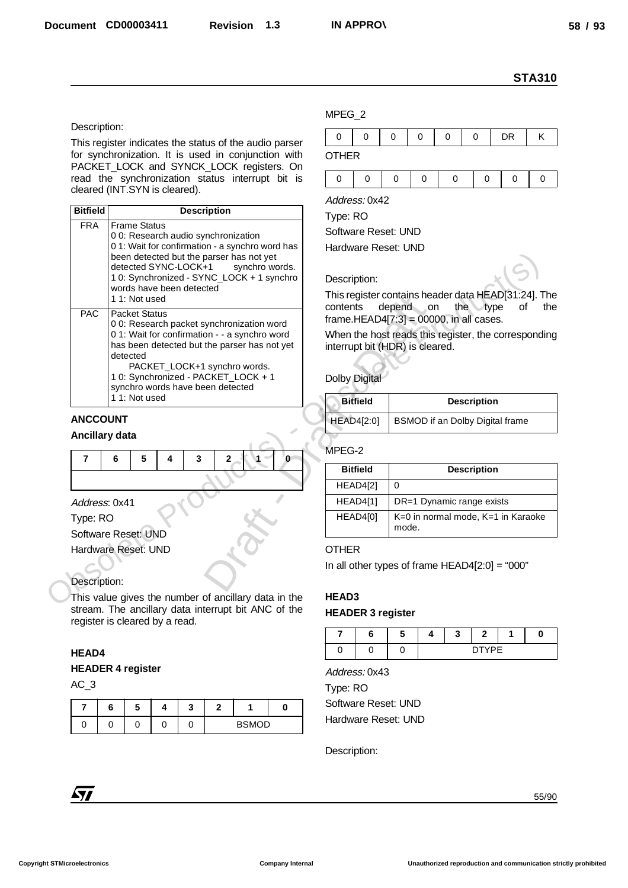#### Description:

|                                        |                                                                                                               |                          | <b>STA310</b>                                                                                |
|----------------------------------------|---------------------------------------------------------------------------------------------------------------|--------------------------|----------------------------------------------------------------------------------------------|
|                                        |                                                                                                               | MPEG_2                   |                                                                                              |
| Description:                           |                                                                                                               | 0<br>0                   | 0<br>0<br>$\mathbf 0$<br>0<br><b>DR</b><br>Κ                                                 |
|                                        | This register indicates the status of the audio parser<br>for synchronization. It is used in conjunction with | <b>OTHER</b>             |                                                                                              |
|                                        | PACKET_LOCK and SYNCK_LOCK registers. On                                                                      |                          |                                                                                              |
|                                        | read the synchronization status interrupt bit is                                                              | 0<br>0                   | $\mathbf 0$<br>$\mathbf 0$<br>$\mathbf 0$<br>$\mathbf 0$<br>0<br>0                           |
|                                        | cleared (INT.SYN is cleared).                                                                                 | Address: 0x42            |                                                                                              |
| <b>Bitfield</b>                        | <b>Description</b>                                                                                            | Type: RO                 |                                                                                              |
| <b>FRA</b>                             | <b>Frame Status</b><br>00: Research audio synchronization                                                     | Software Reset: UND      |                                                                                              |
|                                        | 01: Wait for confirmation - a synchro word has<br>been detected but the parser has not yet                    | Hardware Reset: UND      |                                                                                              |
|                                        | detected SYNC-LOCK+1<br>synchro words.                                                                        |                          |                                                                                              |
|                                        | 10: Synchronized - SYNC_LOCK + 1 synchro<br>words have been detected                                          | Description:             |                                                                                              |
|                                        | 1 1: Not used                                                                                                 | contents                 | This register contains header data HEAD[31:24]. The<br>depend<br>the type<br>on<br>of<br>the |
| <b>PAC</b>                             | <b>Packet Status</b><br>00: Research packet synchronization word                                              |                          | frame.HEAD4 $[7:3] = 00000$ , in all cases.                                                  |
|                                        | 01: Wait for confirmation - - a synchro word                                                                  |                          | When the host reads this register, the corresponding                                         |
|                                        | has been detected but the parser has not yet<br>detected                                                      |                          | interrupt bit (HDR) is cleared.                                                              |
|                                        | PACKET_LOCK+1 synchro words.<br>10: Synchronized - PACKET_LOCK + 1                                            |                          |                                                                                              |
|                                        | synchro words have been detected                                                                              | <b>Dolby Digital</b>     |                                                                                              |
|                                        | 11: Not used                                                                                                  | <b>Bitfield</b>          | <b>Description</b>                                                                           |
| <b>ANCCOUNT</b>                        |                                                                                                               | <b>HEAD4[2:0]</b>        | BSMOD if an Dolby Digital frame                                                              |
| <b>Ancillary data</b>                  |                                                                                                               |                          |                                                                                              |
| 7                                      | 5<br>3<br>6<br>2<br>4<br>0                                                                                    | MPEG-2                   |                                                                                              |
|                                        |                                                                                                               | <b>Bitfield</b>          | <b>Description</b>                                                                           |
| Address: 0x41                          |                                                                                                               | HEAD4[2]<br>HEAD4[1]     | 0<br>DR=1 Dynamic range exists                                                               |
| Type: RO                               |                                                                                                               | HEAD4[0]                 | K=0 in normal mode, K=1 in Karaoke                                                           |
|                                        | Software Reset: UND                                                                                           |                          | mode.                                                                                        |
|                                        | Hardware Reset: UND                                                                                           | <b>OTHER</b>             |                                                                                              |
|                                        |                                                                                                               |                          | In all other types of frame $HEAD4[2:0] = "000"$                                             |
|                                        |                                                                                                               |                          |                                                                                              |
|                                        |                                                                                                               |                          |                                                                                              |
|                                        | This value gives the number of ancillary data in the                                                          | HEAD3                    |                                                                                              |
|                                        | stream. The ancillary data interrupt bit ANC of the                                                           | <b>HEADER 3 register</b> |                                                                                              |
|                                        | register is cleared by a read.                                                                                | 7<br>6                   | 5<br>3<br>2<br>1<br>0<br>4                                                                   |
|                                        |                                                                                                               | 0<br>0                   | <b>DTYPE</b><br>0                                                                            |
|                                        | <b>HEADER 4 register</b>                                                                                      | Address: 0x43            |                                                                                              |
|                                        |                                                                                                               | Type: RO                 |                                                                                              |
| $\overline{7}$                         | 5<br>6<br>4<br>3<br>$\mathbf{2}$<br>1<br>0                                                                    | Software Reset: UND      |                                                                                              |
| 0                                      | 0<br><b>BSMOD</b><br>0<br>0<br>0                                                                              | Hardware Reset: UND      |                                                                                              |
| Description:<br><b>HEAD4</b><br>$AC_3$ |                                                                                                               |                          |                                                                                              |
|                                        |                                                                                                               | Description:             |                                                                                              |
|                                        |                                                                                                               |                          |                                                                                              |
| $\sqrt{1}$                             |                                                                                                               |                          | 55/90                                                                                        |

#### **ANCCOUNT**

#### **Ancillary data**

|  |  | 6 5 4 3 2 1 0 |  |  |
|--|--|---------------|--|--|
|  |  |               |  |  |

#### Address: 0x41

#### Description:

#### **HEAD4**

#### **HEADER 4 register**

|  |  | <b>BSMOD</b> |  |  |
|--|--|--------------|--|--|

#### MPEG\_2

|  |  | - |  |
|--|--|---|--|

| <b>Bitfield</b> | <b>Description</b>              |
|-----------------|---------------------------------|
| HEAD4[2:0]      | BSMOD if an Dolby Digital frame |

#### MPEG-2

| <b>Bitfield</b> | <b>Description</b>                          |
|-----------------|---------------------------------------------|
| HEAD4[2]        | 0                                           |
| <b>HEAD4[1]</b> | DR=1 Dynamic range exists                   |
| HEAD4[0]        | K=0 in normal mode, K=1 in Karaoke<br>mode. |

## **OTHER**

#### **HEAD3**

## **HEADER 3 register**

|  | . . |  |              |  |
|--|-----|--|--------------|--|
|  |     |  | <b>DIVOF</b> |  |

|          | Address: 0x43 |  |
|----------|---------------|--|
| Tuno: D∩ |               |  |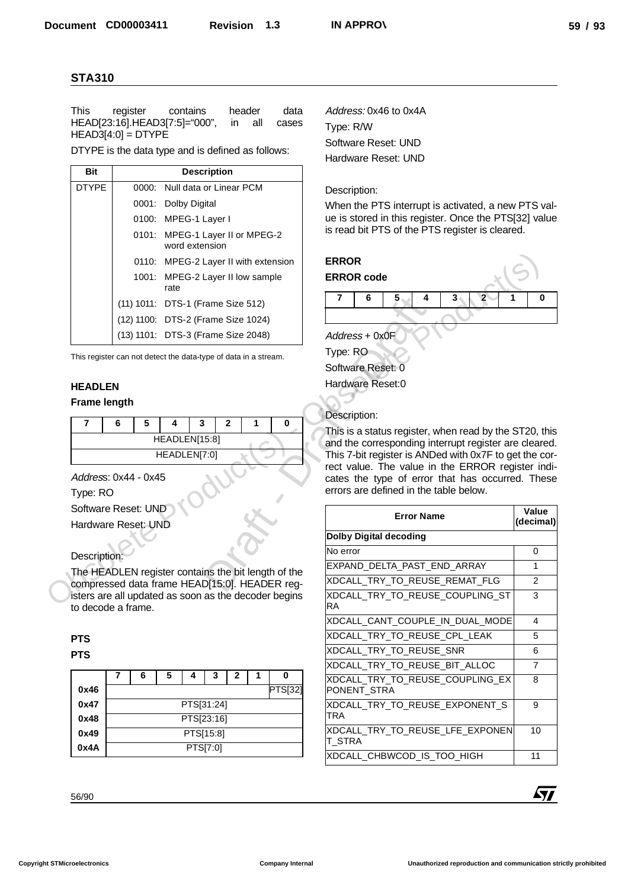| <b>Bit</b>   | <b>Description</b>                                |
|--------------|---------------------------------------------------|
| <b>DTYPE</b> | 0000: Null data or Linear PCM                     |
|              | 0001: Dolby Digital                               |
|              | 0100: MPEG-1 Layer I                              |
|              | 0101: MPEG-1 Layer II or MPEG-2<br>word extension |
|              | 0110: MPEG-2 Layer II with extension              |
|              | 1001: MPEG-2 Layer II low sample<br>rate          |
|              | (11) 1011: DTS-1 (Frame Size 512)                 |
|              | (12) 1100: DTS-2 (Frame Size 1024)                |
|              | (13) 1101: DTS-3 (Frame Size 2048)                |

#### **HEADLEN Frame length**

| HEADLEN[15:8] |  |  |  |  |  |  |  |  |  |
|---------------|--|--|--|--|--|--|--|--|--|
| HEADLEN[7:0]  |  |  |  |  |  |  |  |  |  |

## **PTS**

|      | 6          | 5 |          | 3 | 2 |  | O              |  |
|------|------------|---|----------|---|---|--|----------------|--|
| 0x46 |            |   |          |   |   |  | <b>PTS[32]</b> |  |
| 0x47 | PTS[31:24] |   |          |   |   |  |                |  |
| 0x48 | PTS[23:16] |   |          |   |   |  |                |  |
| 0x49 | PTS[15:8]  |   |          |   |   |  |                |  |
| 0x4A |            |   | PTS[7:0] |   |   |  |                |  |

## Description:



| <b>This</b>         | register                                              | contains                               | header                                                                                                | data           | Address: 0x46 to 0x4A                                                                                    |                     |
|---------------------|-------------------------------------------------------|----------------------------------------|-------------------------------------------------------------------------------------------------------|----------------|----------------------------------------------------------------------------------------------------------|---------------------|
|                     | HEAD[23:16].HEAD3[7:5]="000",<br>$HEAD3[4:0] = DTYPE$ |                                        | all<br>in                                                                                             | cases          | Type: R/W                                                                                                |                     |
|                     |                                                       |                                        | DTYPE is the data type and is defined as follows:                                                     |                | Software Reset: UND                                                                                      |                     |
|                     |                                                       |                                        |                                                                                                       |                | Hardware Reset: UND                                                                                      |                     |
| <b>Bit</b>          |                                                       |                                        | <b>Description</b>                                                                                    |                |                                                                                                          |                     |
| <b>DTYPE</b>        |                                                       |                                        | 0000: Null data or Linear PCM                                                                         |                | Description:                                                                                             |                     |
|                     |                                                       | 0001: Dolby Digital                    |                                                                                                       |                | When the PTS interrupt is activated, a new PTS val-                                                      |                     |
|                     |                                                       | 0100: MPEG-1 Layer I<br>word extension | 0101: MPEG-1 Layer II or MPEG-2                                                                       |                | ue is stored in this register. Once the PTS[32] value<br>is read bit PTS of the PTS register is cleared. |                     |
|                     |                                                       |                                        | 0110: MPEG-2 Layer II with extension                                                                  |                | <b>ERROR</b>                                                                                             |                     |
|                     |                                                       | rate                                   | 1001: MPEG-2 Layer II low sample                                                                      |                | <b>ERROR</b> code                                                                                        |                     |
|                     |                                                       |                                        | (11) 1011: DTS-1 (Frame Size 512)                                                                     |                | $\overline{2}$<br>5<br>3<br>7<br>6<br>4                                                                  | 0                   |
|                     |                                                       |                                        | (12) 1100: DTS-2 (Frame Size 1024)                                                                    |                |                                                                                                          |                     |
|                     |                                                       |                                        | (13) 1101: DTS-3 (Frame Size 2048)                                                                    |                | Address + 0x0F                                                                                           |                     |
|                     |                                                       |                                        | This register can not detect the data-type of data in a stream.                                       |                | Type: RO                                                                                                 |                     |
|                     |                                                       |                                        |                                                                                                       |                | Software Reset: 0                                                                                        |                     |
| <b>HEADLEN</b>      |                                                       |                                        |                                                                                                       |                | Hardware Reset:0                                                                                         |                     |
| <b>Frame length</b> |                                                       |                                        |                                                                                                       |                |                                                                                                          |                     |
|                     |                                                       |                                        |                                                                                                       |                | Description:                                                                                             |                     |
|                     |                                                       |                                        |                                                                                                       |                |                                                                                                          |                     |
| 7                   | 5<br>6                                                | 3<br>4                                 | $\overline{2}$<br>1                                                                                   | 0              | This is a status register, when read by the ST20, this                                                   |                     |
|                     |                                                       | HEADLEN[15:8]                          |                                                                                                       |                | and the corresponding interrupt register are cleared.                                                    |                     |
|                     |                                                       | HEADLEN[7:0]                           |                                                                                                       |                | This 7-bit register is ANDed with 0x7F to get the cor-                                                   |                     |
|                     | Address: 0x44 - 0x45                                  |                                        |                                                                                                       |                | rect value. The value in the ERROR register indi-<br>cates the type of error that has occurred. These    |                     |
| Type: RO            |                                                       |                                        |                                                                                                       |                | errors are defined in the table below.                                                                   |                     |
|                     | Software Reset: UND                                   |                                        |                                                                                                       |                |                                                                                                          | Value               |
|                     | Hardware Reset: UND                                   |                                        |                                                                                                       |                | <b>Error Name</b>                                                                                        | (decimal)           |
|                     |                                                       |                                        |                                                                                                       |                | <b>Dolby Digital decoding</b>                                                                            |                     |
| Description:        |                                                       |                                        |                                                                                                       |                | No error                                                                                                 | $\mathbf 0$         |
|                     |                                                       |                                        | The HEADLEN register contains the bit length of the                                                   |                | EXPAND_DELTA_PAST_END_ARRAY                                                                              | 1                   |
|                     | to decode a frame.                                    |                                        | compressed data frame HEAD[15:0]. HEADER reg-<br>isters are all updated as soon as the decoder begins |                | XDCALL TRY TO REUSE REMAT FLG<br>XDCALL_TRY_TO_REUSE_COUPLING_ST<br>RA                                   | $\overline{2}$<br>3 |
|                     |                                                       |                                        |                                                                                                       |                | XDCALL CANT COUPLE IN DUAL MODE                                                                          | 4                   |
| <b>PTS</b>          |                                                       |                                        |                                                                                                       |                | XDCALL_TRY_TO_REUSE_CPL_LEAK                                                                             | 5                   |
| <b>PTS</b>          |                                                       |                                        |                                                                                                       |                | XDCALL_TRY_TO_REUSE_SNR                                                                                  | 6                   |
|                     |                                                       |                                        |                                                                                                       |                | XDCALL_TRY_TO_REUSE_BIT_ALLOC                                                                            | $\overline{7}$      |
|                     | 7<br>6                                                | 5<br>4                                 | 3<br>$\mathbf{2}$<br>1                                                                                | 0              | XDCALL_TRY_TO_REUSE_COUPLING_EX                                                                          | 8                   |
| 0x46                |                                                       |                                        |                                                                                                       | <b>PTS[32]</b> | PONENT_STRA                                                                                              |                     |
| 0x47<br>0x48        |                                                       |                                        | PTS[31:24]                                                                                            |                | XDCALL_TRY_TO_REUSE_EXPONENT_S<br><b>TRA</b>                                                             | 9                   |
| 0x49                |                                                       |                                        | PTS[23:16]<br>PTS[15:8]                                                                               |                | XDCALL_TRY_TO_REUSE_LFE_EXPONEN                                                                          | 10                  |
| 0x4A                |                                                       |                                        | PTS[7:0]                                                                                              |                | <b>T_STRA</b>                                                                                            |                     |
|                     |                                                       |                                        |                                                                                                       |                | XDCALL_CHBWCOD_IS_TOO_HIGH                                                                               | 11                  |

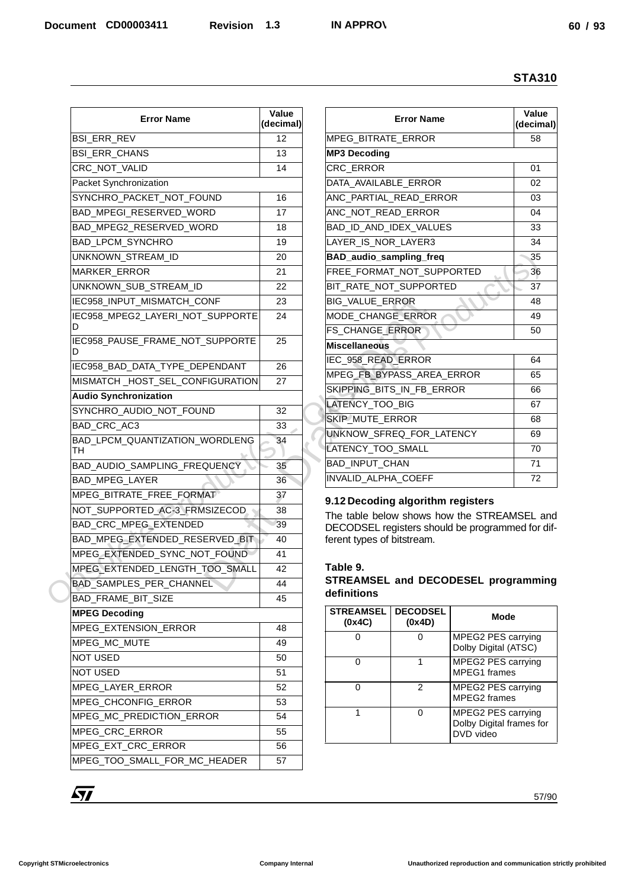|                                      |                    |                                                  |                       |                                                | <b>STA310</b>      |  |
|--------------------------------------|--------------------|--------------------------------------------------|-----------------------|------------------------------------------------|--------------------|--|
| <b>Error Name</b>                    | Value<br>(decimal) |                                                  | <b>Error Name</b>     |                                                | Value<br>(decimal) |  |
| <b>BSI_ERR_REV</b>                   | 12                 | MPEG_BITRATE_ERROR                               |                       |                                                | 58                 |  |
| <b>BSI_ERR_CHANS</b>                 | 13                 | <b>MP3 Decoding</b>                              |                       |                                                |                    |  |
| CRC_NOT_VALID                        | 14                 | CRC_ERROR                                        |                       |                                                | 01                 |  |
| Packet Synchronization               |                    | DATA_AVAILABLE_ERROR                             |                       |                                                | 02                 |  |
| SYNCHRO_PACKET_NOT_FOUND             | 16                 | ANC_PARTIAL_READ_ERROR                           |                       |                                                | 03                 |  |
| BAD_MPEGI_RESERVED_WORD              | 17                 | ANC_NOT_READ_ERROR                               |                       |                                                | 04                 |  |
| BAD_MPEG2_RESERVED_WORD              | 18                 | BAD_ID_AND_IDEX_VALUES                           |                       |                                                | 33                 |  |
| BAD_LPCM_SYNCHRO                     | 19                 | LAYER_IS_NOR_LAYER3                              |                       |                                                | 34                 |  |
| UNKNOWN_STREAM_ID                    | 20                 | BAD_audio_sampling_freq                          |                       |                                                | 35                 |  |
| MARKER_ERROR                         | 21                 | FREE_FORMAT_NOT_SUPPORTED                        |                       |                                                | 36                 |  |
| UNKNOWN SUB STREAM ID                | 22                 | BIT_RATE_NOT_SUPPORTED                           |                       |                                                | 37                 |  |
| IEC958_INPUT_MISMATCH_CONF           | 23                 | BIG_VALUE_ERROR                                  |                       |                                                | 48                 |  |
| IEC958_MPEG2_LAYERI_NOT_SUPPORTE     | 24                 | MODE_CHANGE_ERROR                                |                       |                                                | 49                 |  |
| D                                    |                    | FS_CHANGE_ERROR                                  |                       |                                                | 50                 |  |
| IEC958_PAUSE_FRAME_NOT_SUPPORTE<br>D | 25                 | <b>Miscellaneous</b>                             |                       |                                                |                    |  |
| IEC958_BAD_DATA_TYPE_DEPENDANT       | 26                 | IEC_958_READ_ERROR                               |                       |                                                | 64                 |  |
| MISMATCH_HOST_SEL_CONFIGURATION      | 27                 | MPEG_FB_BYPASS_AREA_ERROR                        |                       |                                                | 65                 |  |
| <b>Audio Synchronization</b>         |                    | SKIPPING_BITS_IN_FB_ERROR                        |                       |                                                | 66                 |  |
| SYNCHRO_AUDIO_NOT_FOUND              | 32                 | LATENCY_TOO_BIG                                  |                       |                                                | 67                 |  |
| BAD_CRC_AC3                          | 33                 | SKIP_MUTE_ERROR                                  |                       |                                                | 68                 |  |
| BAD_LPCM_QUANTIZATION_WORDLENG       | 34                 | UNKNOW_SFREQ_FOR_LATENCY                         |                       |                                                | 69                 |  |
| TH                                   |                    | LATENCY_TOO_SMALL                                |                       |                                                | 70                 |  |
| BAD AUDIO SAMPLING FREQUENCY         | 35                 | BAD_INPUT_CHAN                                   |                       |                                                | $\overline{71}$    |  |
| <b>BAD MPEG LAYER</b>                | 36                 | INVALID_ALPHA_COEFF                              |                       |                                                | 72                 |  |
| MPEG_BITRATE_FREE_FORMAT             | 37                 | 9.12 Decoding algorithm registers                |                       |                                                |                    |  |
| NOT_SUPPORTED_AC-3_FRMSIZECOD        | 38                 | The table below shows how the STREAMSEL and      |                       |                                                |                    |  |
| BAD_CRC_MPEG_EXTENDED                | 39                 | DECODSEL registers should be programmed for dif- |                       |                                                |                    |  |
| BAD_MPEG_EXTENDED_RESERVED_BIT       | 40                 | ferent types of bitstream.                       |                       |                                                |                    |  |
| MPEG EXTENDED SYNC NOT FOUND         | 41                 |                                                  |                       |                                                |                    |  |
| MPEG_EXTENDED_LENGTH_TOO_SMALL       | 42                 | Table 9.                                         |                       |                                                |                    |  |
| BAD_SAMPLES_PER_CHANNEL              | 44                 | STREAMSEL and DECODESEL programming              |                       |                                                |                    |  |
| BAD_FRAME_BIT_SIZE                   | 45                 | definitions                                      |                       |                                                |                    |  |
| <b>MPEG Decoding</b>                 |                    | <b>STREAMSEL</b>                                 | <b>DECODSEL</b>       | Mode                                           |                    |  |
| MPEG_EXTENSION_ERROR                 | 48                 | (0x4C)<br>0                                      | (0x4D)<br>$\mathbf 0$ | MPEG2 PES carrying                             |                    |  |
| MPEG_MC_MUTE                         | 49                 |                                                  |                       | Dolby Digital (ATSC)                           |                    |  |
| NOT USED                             | 50                 | 0                                                | $\mathbf{1}$          | MPEG2 PES carrying                             |                    |  |
| <b>NOT USED</b>                      | 51                 |                                                  |                       | MPEG1 frames                                   |                    |  |
| MPEG_LAYER_ERROR                     | 52                 | 0                                                | $\overline{2}$        | MPEG2 PES carrying                             |                    |  |
| MPEG_CHCONFIG_ERROR                  | 53                 |                                                  |                       | MPEG2 frames                                   |                    |  |
| MPEG_MC_PREDICTION_ERROR             | 54                 | $\mathbf{1}$                                     | 0                     | MPEG2 PES carrying<br>Dolby Digital frames for |                    |  |
| MPEG_CRC_ERROR                       | 55                 |                                                  |                       | DVD video                                      |                    |  |
| MPEG_EXT_CRC_ERROR                   | 56                 |                                                  |                       |                                                |                    |  |
| MPEG_TOO_SMALL_FOR_MC_HEADER         | 57                 |                                                  |                       |                                                |                    |  |
|                                      |                    |                                                  |                       |                                                |                    |  |
| 57                                   |                    |                                                  |                       |                                                | 57/90              |  |
|                                      |                    |                                                  |                       |                                                |                    |  |

| <b>Error Name</b>          | Value<br>(decimal) |
|----------------------------|--------------------|
| MPEG_BITRATE_ERROR         | 58                 |
| <b>MP3 Decoding</b>        |                    |
| <b>CRC ERROR</b>           | 01                 |
| DATA AVAILABLE ERROR       | 02                 |
| ANC_PARTIAL_READ_ERROR     | 03                 |
| ANC NOT READ ERROR         | 04                 |
| BAD ID AND IDEX VALUES     | 33                 |
| LAYER_IS_NOR_LAYER3        | 34                 |
| BAD_audio_sampling_freq    | 35                 |
| FREE FORMAT NOT SUPPORTED  | 36                 |
| BIT_RATE_NOT_SUPPORTED     | 37                 |
| <b>BIG_VALUE_ERROR</b>     | 48                 |
| MODE_CHANGE_ERROR          | 49                 |
| FS_CHANGE_ERROR            | 50                 |
| <b>Miscellaneous</b>       |                    |
| IEC 958 READ ERROR         | 64                 |
| MPEG FB BYPASS AREA ERROR  | 65                 |
| SKIPPING BITS IN FB ERROR  | 66                 |
| LATENCY TOO BIG            | 67                 |
| SKIP MUTE ERROR            | 68                 |
| UNKNOW SFREQ FOR LATENCY   | 69                 |
| LATENCY_TOO_SMALL          | 70                 |
| <b>BAD_INPUT_CHAN</b>      | 71                 |
| <b>INVALID ALPHA COEFF</b> | 72                 |

#### **9.12 Decoding algorithm registers**

#### **Table 9.**

## **STREAMSEL and DECODESEL programming definitions**

| <b>STREAMSEL</b><br>(0x4C) | <b>DECODSEL</b><br>(0x4D) | Mode                                                        |
|----------------------------|---------------------------|-------------------------------------------------------------|
|                            |                           | MPEG2 PES carrying<br>Dolby Digital (ATSC)                  |
|                            |                           | MPEG2 PES carrying<br><b>MPEG1</b> frames                   |
|                            | 2                         | MPEG2 PES carrying<br>MPEG2 frames                          |
|                            |                           | MPEG2 PES carrying<br>Dolby Digital frames for<br>DVD video |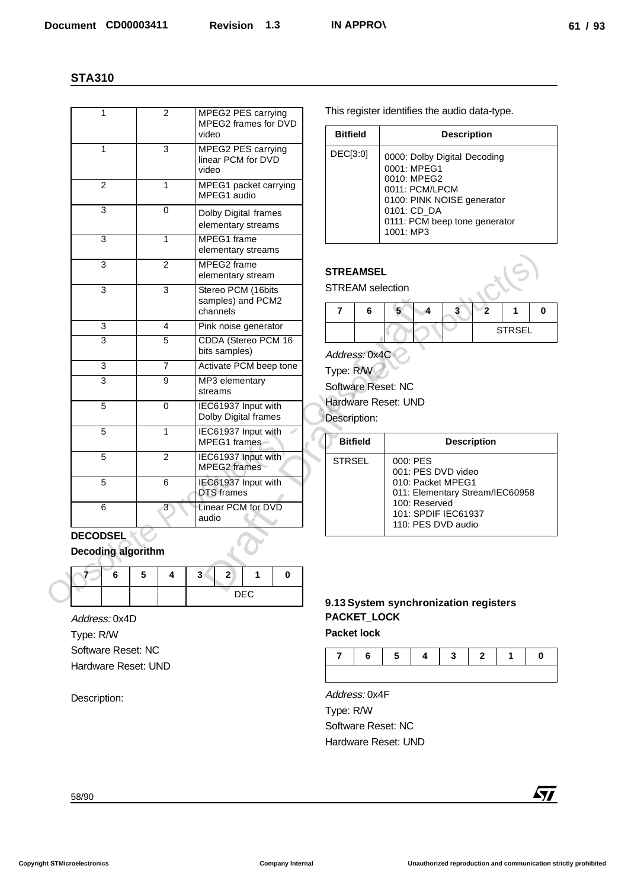| $\mathbf{1}$        | $\overline{2}$                 | MPEG2 PES carrying<br>MPEG2 frames for DVD<br>video        | <b>Bitfield</b>                                         | This register identifies the audio data-type.<br><b>Description</b>                           |  |  |  |
|---------------------|--------------------------------|------------------------------------------------------------|---------------------------------------------------------|-----------------------------------------------------------------------------------------------|--|--|--|
| $\mathbf 1$         | 3                              | MPEG2 PES carrying<br>linear PCM for DVD<br>video          | DEC[3:0]                                                | 0000: Dolby Digital Decoding<br>0001: MPEG1                                                   |  |  |  |
| $\overline{2}$      | $\mathbf{1}$                   | MPEG1 packet carrying<br>MPEG1 audio                       |                                                         | 0010: MPEG2<br>0011: PCM/LPCM                                                                 |  |  |  |
| $\overline{3}$      | 0                              | Dolby Digital frames<br>elementary streams                 |                                                         | 0100: PINK NOISE generator<br>0101: CD_DA<br>0111: PCM beep tone generator                    |  |  |  |
| $\overline{3}$      | $\mathbf{1}$                   | MPEG1 frame<br>elementary streams                          |                                                         | 1001: MP3                                                                                     |  |  |  |
| $\overline{3}$      | $\overline{2}$                 | MPEG2 frame<br>elementary stream                           | <b>STREAMSEL</b>                                        |                                                                                               |  |  |  |
| $\overline{3}$      | 3                              | Stereo PCM (16bits<br>samples) and PCM2<br>channels        | <b>STREAM</b> selection<br>$\overline{\mathbf{r}}$<br>6 | $\overline{\mathbf{2}}$<br>5 <sup>1</sup><br>$\overline{\mathbf{3}}$<br>$\mathbf 1$<br>0<br>4 |  |  |  |
| 3                   | 4                              | Pink noise generator                                       |                                                         | <b>STRSEL</b>                                                                                 |  |  |  |
| 3                   | 5                              | CDDA (Stereo PCM 16<br>bits samples)                       | Address: 0x4C                                           |                                                                                               |  |  |  |
| $\overline{3}$      | $\overline{7}$                 | Activate PCM beep tone                                     | Type: R/W                                               |                                                                                               |  |  |  |
| 3                   | 9                              | MP3 elementary<br>streams                                  | Software Reset: NC<br>Hardware Reset: UND               |                                                                                               |  |  |  |
| 5                   | $\mathbf 0$                    | IEC61937 Input with<br>Dolby Digital frames                | Description:                                            |                                                                                               |  |  |  |
| 5<br>$\overline{5}$ | $\mathbf{1}$<br>$\overline{2}$ | IEC61937 Input with<br>MPEG1 frames<br>IEC61937 Input with | <b>Bitfield</b>                                         | <b>Description</b>                                                                            |  |  |  |
| 5                   | 6                              | MPEG2 frames<br>IEC61937 Input with                        | <b>STRSEL</b>                                           | 000: PES<br>001: PES DVD video<br>010: Packet MPEG1                                           |  |  |  |
| 6                   | 3                              | DTS frames<br>Linear PCM for DVD                           |                                                         | 011: Elementary Stream/IEC60958<br>100: Reserved                                              |  |  |  |
| <b>DECODSEL</b>     |                                | audio                                                      |                                                         | 101: SPDIF IEC61937<br>110: PES DVD audio                                                     |  |  |  |
| Decoding algorithm  |                                |                                                            |                                                         |                                                                                               |  |  |  |
| 6                   | 5<br>4                         | 3 <sup>1</sup><br>$\mathbf{2}$<br>$\bf{0}$<br>1            |                                                         |                                                                                               |  |  |  |
|                     |                                | <b>DEC</b>                                                 |                                                         | 9.13 System synchronization registers                                                         |  |  |  |
| Address: 0x4D       |                                |                                                            | PACKET_LOCK                                             |                                                                                               |  |  |  |
| Type: R/W           |                                |                                                            | <b>Packet lock</b>                                      |                                                                                               |  |  |  |
| Software Reset: NC  |                                |                                                            | 6<br>7                                                  | 5<br>$\bf{0}$<br>4<br>3<br>$\mathbf{2}$<br>1                                                  |  |  |  |
| Hardware Reset: UND |                                |                                                            |                                                         |                                                                                               |  |  |  |
| Description:        |                                |                                                            | Address: 0x4F                                           |                                                                                               |  |  |  |
|                     |                                |                                                            | Type: R/W                                               |                                                                                               |  |  |  |
|                     |                                |                                                            | Software Reset: NC                                      |                                                                                               |  |  |  |
|                     |                                |                                                            | Hardware Reset: UND                                     |                                                                                               |  |  |  |
| 58/90               |                                |                                                            |                                                         | $\sqrt{1}$                                                                                    |  |  |  |

| <b>Bitfield</b> | <b>Description</b>                                                                                                                                                      |
|-----------------|-------------------------------------------------------------------------------------------------------------------------------------------------------------------------|
| DEC[3:0]        | 0000: Dolby Digital Decoding<br>0001: MPEG1<br>0010: MPEG2<br>0011: PCM/LPCM<br>0100: PINK NOISE generator<br>0101: CD_DA<br>0111: PCM beep tone generator<br>1001: MP3 |

#### **STREAMSEL**

| o |  |  |               |  |
|---|--|--|---------------|--|
|   |  |  | <b>STRSEL</b> |  |

## Software Reset: NC

| <b>Bitfield</b> | <b>Description</b>                                                                                                                                   |
|-----------------|------------------------------------------------------------------------------------------------------------------------------------------------------|
| <b>STRSEL</b>   | 000: PES<br>001: PES DVD video<br>010: Packet MPEG1<br>011: Elementary Stream/IEC60958<br>100: Reserved<br>101: SPDIF IEC61937<br>110: PES DVD audio |

## **DECODSEL Decoding algorithm**

|  | э | 2 |     |  |
|--|---|---|-----|--|
|  |   |   | DEC |  |

## **9.13 System synchronization registers PACKET\_LOCK**



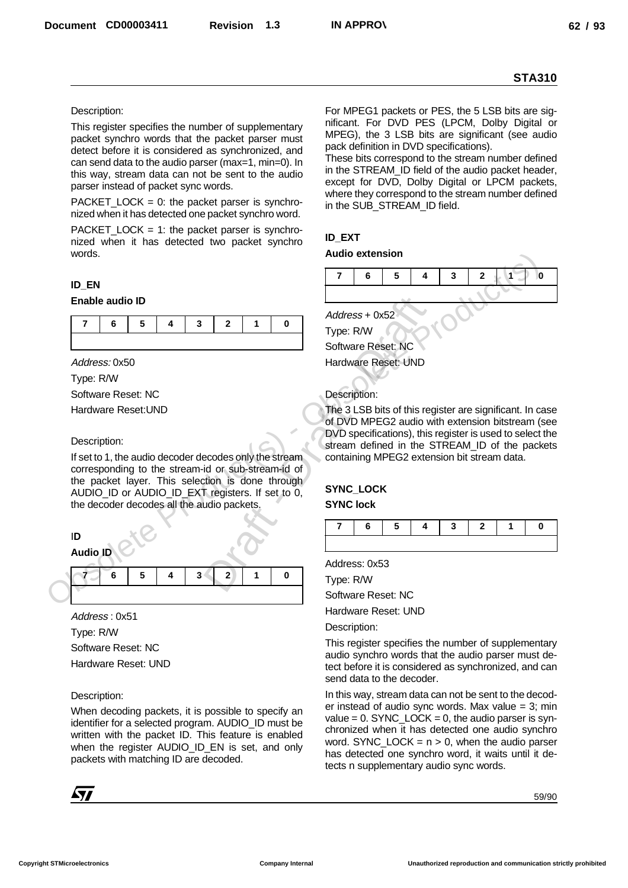#### Description:

This register specifies the number of supplementary packet synchro words that the packet parser must detect before it is considered as synchronized, and can send data to the audio parser (max=1, min=0). In this way, stream data can not be sent to the audio parser instead of packet sync words.

PACKET\_LOCK =  $0$ : the packet parser is synchronized when it has detected one packet synchro word.

PACKET\_LOCK = 1: the packet parser is synchronized when it has detected two packet synchro words.

#### **ID\_EN**

#### **Enable audio ID**

|  |  |  | 76543210 |
|--|--|--|----------|
|  |  |  |          |

Address: 0x50

Type: R/W

Software Reset: NC

Hardware Reset:UND

#### Description:

If set to 1, the audio decoder decodes only the stream corresponding to the stream-id or sub-stream-id of the packet layer. This selection is done through AUDIO\_ID or AUDIO\_ID\_EXT registers. If set to 0, the decoder decodes all the audio packets.

## I**D**

**Audio ID**

|  |  | $7$ 6 5 4 3 2 1 |  |  |
|--|--|-----------------|--|--|
|  |  |                 |  |  |

Address : 0x51 Type: R/W Software Reset: NC Hardware Reset: UND

Description:

When decoding packets, it is possible to specify an identifier for a selected program. AUDIO ID must be written with the packet ID. This feature is enabled when the register AUDIO\_ID\_EN is set, and only packets with matching ID are decoded.



For MPEG1 packets or PES, the 5 LSB bits are significant. For DVD PES (LPCM, Dolby Digital or MPEG), the 3 LSB bits are significant (see audio pack definition in DVD specifications).

These bits correspond to the stream number defined in the STREAM\_ID field of the audio packet header, except for DVD, Dolby Digital or LPCM packets, where they correspond to the stream number defined in the SUB\_STREAM\_ID field.

#### **ID\_EXT**

#### **Audio extension**



Hardware Reset: UND

#### Description:

The 3 LSB bits of this register are significant. In case of DVD MPEG2 audio with extension bitstream (see DVD specifications), this register is used to select the stream defined in the STREAM ID of the packets containing MPEG2 extension bit stream data.

#### **SYNC\_LOCK SYNC lock**

|  |  |  | 7   6   5   4   3   2   1   0 |
|--|--|--|-------------------------------|
|  |  |  |                               |

Address: 0x53

Type: R/W

Software Reset: NC

Hardware Reset: UND

Description:

This register specifies the number of supplementary audio synchro words that the audio parser must detect before it is considered as synchronized, and can send data to the decoder.

In this way, stream data can not be sent to the decoder instead of audio sync words. Max value  $= 3$ ; min value =  $0.$  SYNC\_LOCK =  $0,$  the audio parser is synchronized when it has detected one audio synchro word. SYNC\_LOCK =  $n > 0$ , when the audio parser has detected one synchro word, it waits until it detects n supplementary audio sync words.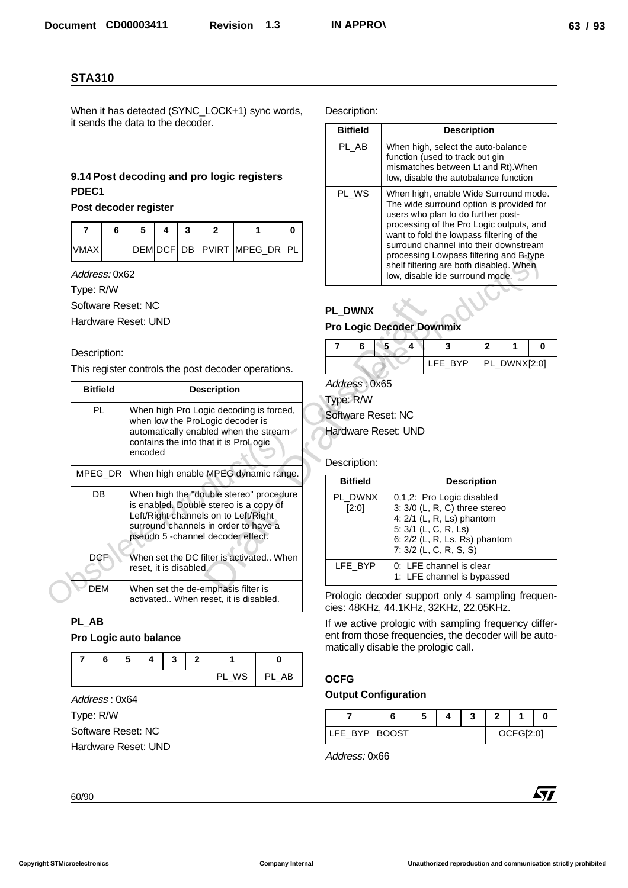## **9.14 Post decoding and pro logic registers PDEC1**

#### **Post decoder register**

|             | э |  |                            |  |
|-------------|---|--|----------------------------|--|
| <b>VMAX</b> |   |  | DEMOCF DB PVIRT MPEG_DR PL |  |

#### Description:

| When it has detected (SYNC_LOCK+1) sync words,<br>it sends the data to the decoder. |                                            |                                                                                                                                                                          |              |                                                                                                                                                                                                        |   |                            | Description:         |                                                                                                                                                          |                                                   |                                                                                                                                                                            |                     |   |            |  |
|-------------------------------------------------------------------------------------|--------------------------------------------|--------------------------------------------------------------------------------------------------------------------------------------------------------------------------|--------------|--------------------------------------------------------------------------------------------------------------------------------------------------------------------------------------------------------|---|----------------------------|----------------------|----------------------------------------------------------------------------------------------------------------------------------------------------------|---------------------------------------------------|----------------------------------------------------------------------------------------------------------------------------------------------------------------------------|---------------------|---|------------|--|
|                                                                                     |                                            |                                                                                                                                                                          |              |                                                                                                                                                                                                        |   |                            |                      | <b>Bitfield</b>                                                                                                                                          |                                                   |                                                                                                                                                                            | <b>Description</b>  |   |            |  |
|                                                                                     | 9.14 Post decoding and pro logic registers |                                                                                                                                                                          |              |                                                                                                                                                                                                        |   |                            |                      | PL_AB                                                                                                                                                    |                                                   | When high, select the auto-balance<br>function (used to track out gin<br>mismatches between Lt and Rt). When<br>low, disable the autobalance function                      |                     |   |            |  |
| PDEC1                                                                               |                                            |                                                                                                                                                                          |              |                                                                                                                                                                                                        |   |                            |                      | PL_WS                                                                                                                                                    |                                                   | When high, enable Wide Surround mode.                                                                                                                                      |                     |   |            |  |
|                                                                                     | Post decoder register                      |                                                                                                                                                                          |              |                                                                                                                                                                                                        |   |                            |                      |                                                                                                                                                          |                                                   | The wide surround option is provided for<br>users who plan to do further post-                                                                                             |                     |   |            |  |
| 6<br>7                                                                              | 5                                          | 4<br>3                                                                                                                                                                   |              | $\overline{2}$                                                                                                                                                                                         | 1 | 0                          |                      |                                                                                                                                                          |                                                   | processing of the Pro Logic outputs, and<br>want to fold the lowpass filtering of the                                                                                      |                     |   |            |  |
| <b>VMAX</b>                                                                         | <b>DEM DCF</b>                             | DB                                                                                                                                                                       |              | <b>PVIRT</b>                                                                                                                                                                                           |   | MPEG_DR PL                 |                      |                                                                                                                                                          |                                                   | surround channel into their downstream<br>processing Lowpass filtering and B-type<br>shelf filtering are both disabled. When                                               |                     |   |            |  |
| Address: 0x62                                                                       |                                            |                                                                                                                                                                          |              |                                                                                                                                                                                                        |   |                            |                      |                                                                                                                                                          |                                                   | low, disable ide surround mode.                                                                                                                                            |                     |   |            |  |
| Type: R/W<br>Software Reset: NC                                                     |                                            |                                                                                                                                                                          |              |                                                                                                                                                                                                        |   |                            |                      |                                                                                                                                                          |                                                   |                                                                                                                                                                            |                     |   |            |  |
| Hardware Reset: UND                                                                 |                                            |                                                                                                                                                                          |              |                                                                                                                                                                                                        |   |                            |                      | PL_DWNX                                                                                                                                                  |                                                   |                                                                                                                                                                            |                     |   |            |  |
|                                                                                     |                                            |                                                                                                                                                                          |              |                                                                                                                                                                                                        |   |                            |                      |                                                                                                                                                          | <b>Pro Logic Decoder Downmix</b>                  |                                                                                                                                                                            |                     |   |            |  |
| Description:                                                                        |                                            |                                                                                                                                                                          |              |                                                                                                                                                                                                        |   | 7                          | 6                    | 5<br>4                                                                                                                                                   | 3                                                 | $\mathbf{2}$                                                                                                                                                               | 1<br>PL_DWNX[2:0]   | 0 |            |  |
|                                                                                     |                                            | This register controls the post decoder operations.                                                                                                                      |              |                                                                                                                                                                                                        |   |                            |                      |                                                                                                                                                          |                                                   | LFE_BYP                                                                                                                                                                    |                     |   |            |  |
| <b>Bitfield</b>                                                                     | <b>Description</b>                         |                                                                                                                                                                          |              |                                                                                                                                                                                                        |   | Address: 0x65<br>Type: R/W |                      |                                                                                                                                                          |                                                   |                                                                                                                                                                            |                     |   |            |  |
| PL.                                                                                 |                                            | When high Pro Logic decoding is forced,<br>when low the ProLogic decoder is<br>automatically enabled when the stream<br>contains the info that it is ProLogic<br>encoded |              |                                                                                                                                                                                                        |   |                            |                      |                                                                                                                                                          | Software Reset: NC<br>Hardware Reset: UND         |                                                                                                                                                                            |                     |   |            |  |
| MPEG_DR                                                                             |                                            |                                                                                                                                                                          |              | When high enable MPEG dynamic range.                                                                                                                                                                   |   |                            |                      | Description:<br><b>Bitfield</b>                                                                                                                          |                                                   |                                                                                                                                                                            | <b>Description</b>  |   |            |  |
| DB                                                                                  |                                            |                                                                                                                                                                          |              | When high the "double stereo" procedure<br>is enabled. Double stereo is a copy of<br>Left/Right channels on to Left/Right<br>surround channels in order to have a<br>pseudo 5 -channel decoder effect. |   |                            |                      | PL_DWNX<br>[2:0]                                                                                                                                         |                                                   | 0,1,2: Pro Logic disabled<br>3: 3/0 (L, R, C) three stereo<br>4: 2/1 (L, R, Ls) phantom<br>5: 3/1 (L, C, R, Ls)<br>6: 2/2 (L, R, Ls, Rs) phantom<br>7: 3/2 (L, C, R, S, S) |                     |   |            |  |
| DCF                                                                                 | reset, it is disabled.                     |                                                                                                                                                                          |              | When set the DC filter is activated When                                                                                                                                                               |   |                            |                      | LFE_BYP                                                                                                                                                  | 0: LFE channel is clear                           |                                                                                                                                                                            |                     |   |            |  |
| <b>DEM</b>                                                                          |                                            |                                                                                                                                                                          |              | When set the de-emphasis filter is<br>activated When reset, it is disabled.                                                                                                                            |   |                            |                      |                                                                                                                                                          | Prologic decoder support only 4 sampling frequen- | 1: LFE channel is bypassed                                                                                                                                                 |                     |   |            |  |
| PL_AB<br>Pro Logic auto balance                                                     |                                            |                                                                                                                                                                          |              |                                                                                                                                                                                                        |   |                            |                      | cies: 48KHz, 44.1KHz, 32KHz, 22.05KHz.<br>If we active prologic with sampling frequency differ-<br>ent from those frequencies, the decoder will be auto- |                                                   |                                                                                                                                                                            |                     |   |            |  |
|                                                                                     | 4                                          |                                                                                                                                                                          | $\mathbf{2}$ | 1                                                                                                                                                                                                      |   |                            |                      |                                                                                                                                                          | matically disable the prologic call.              |                                                                                                                                                                            |                     |   |            |  |
| 7<br>6                                                                              | 5                                          | 3                                                                                                                                                                        |              | PL_WS                                                                                                                                                                                                  |   | 0<br>PL_AB                 |                      |                                                                                                                                                          |                                                   |                                                                                                                                                                            |                     |   |            |  |
|                                                                                     |                                            |                                                                                                                                                                          |              |                                                                                                                                                                                                        |   |                            | <b>OCFG</b>          |                                                                                                                                                          | <b>Output Configuration</b>                       |                                                                                                                                                                            |                     |   |            |  |
| Address: 0x64                                                                       |                                            |                                                                                                                                                                          |              |                                                                                                                                                                                                        |   |                            |                      |                                                                                                                                                          |                                                   |                                                                                                                                                                            |                     |   |            |  |
| Type: R/W<br>Software Reset: NC                                                     |                                            |                                                                                                                                                                          |              |                                                                                                                                                                                                        |   | $\overline{7}$             | 6<br>LFE_BYP   BOOST | 5<br>4                                                                                                                                                   | 3                                                 | $\overline{2}$                                                                                                                                                             | 1<br>0<br>OCFG[2:0] |   |            |  |
|                                                                                     | Hardware Reset: UND                        |                                                                                                                                                                          |              |                                                                                                                                                                                                        |   |                            | Address: 0x66        |                                                                                                                                                          |                                                   |                                                                                                                                                                            |                     |   |            |  |
|                                                                                     |                                            |                                                                                                                                                                          |              |                                                                                                                                                                                                        |   |                            |                      |                                                                                                                                                          |                                                   |                                                                                                                                                                            |                     |   | <b>Ayy</b> |  |

#### **PL\_AB**

#### **Pro Logic auto balance**

|  | э |  |       |       |
|--|---|--|-------|-------|
|  |   |  | PL_WS | PL_AB |

| <b>Bitfield</b> | <b>Description</b>                                                                                                                                                                                                                                                                                                                                                                  |
|-----------------|-------------------------------------------------------------------------------------------------------------------------------------------------------------------------------------------------------------------------------------------------------------------------------------------------------------------------------------------------------------------------------------|
| PL AB           | When high, select the auto-balance<br>function (used to track out gin<br>mismatches between Lt and Rt). When<br>low, disable the autobalance function                                                                                                                                                                                                                               |
| PL WS           | When high, enable Wide Surround mode.<br>The wide surround option is provided for<br>users who plan to do further post-<br>processing of the Pro Logic outputs, and<br>want to fold the lowpass filtering of the<br>surround channel into their downstream<br>processing Lowpass filtering and B-type<br>shelf filtering are both disabled. When<br>low, disable ide surround mode. |

#### **PL\_DWNX**

## **Pro Logic Decoder Downmix**

|  |  | <b>IFF RYP</b> | PL_DWNX[2:0] |  |
|--|--|----------------|--------------|--|

#### Description:

| <b>Bitfield</b>  | <b>Description</b>                                                                                                                                                             |
|------------------|--------------------------------------------------------------------------------------------------------------------------------------------------------------------------------|
| PL DWNX<br>[2:0] | 0.1.2: Pro Logic disabled<br>$3: 3/0$ (L, R, C) three stereo<br>4: $2/1$ (L, R, Ls) phantom<br>5: 3/1 (L, C, R, Ls)<br>6: 2/2 (L, R, Ls, Rs) phantom<br>7: 3/2 (L, C, R, S, S) |
| LFE_BYP          | 0: LFE channel is clear<br>1: LFE channel is bypassed                                                                                                                          |

#### **OCFG**

### **Output Configuration**

| LFE BYP BOOST |  |  | <b>OCFG[2:0]</b> |  |
|---------------|--|--|------------------|--|

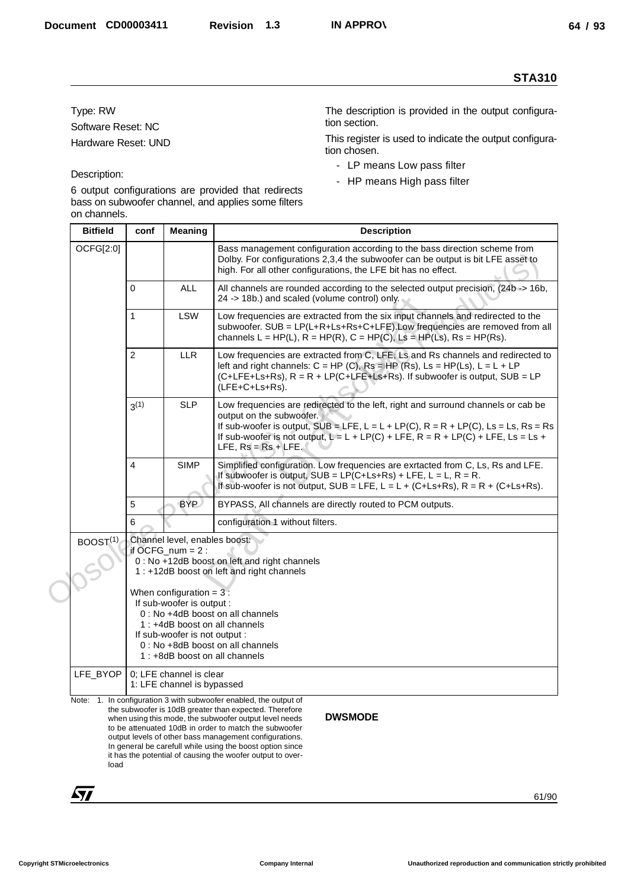#### Description:

- LP means Low pass filter
- HP means High pass filter

|                                |                |                                                                                          | <b>STA310</b>                                                                                                                                                                                                                                                                                                                                                                                                                                         |
|--------------------------------|----------------|------------------------------------------------------------------------------------------|-------------------------------------------------------------------------------------------------------------------------------------------------------------------------------------------------------------------------------------------------------------------------------------------------------------------------------------------------------------------------------------------------------------------------------------------------------|
| Type: RW<br>Software Reset: NC |                |                                                                                          | The description is provided in the output configura-<br>tion section.                                                                                                                                                                                                                                                                                                                                                                                 |
| Hardware Reset: UND            |                |                                                                                          | This register is used to indicate the output configura-<br>tion chosen.                                                                                                                                                                                                                                                                                                                                                                               |
|                                |                |                                                                                          | - LP means Low pass filter                                                                                                                                                                                                                                                                                                                                                                                                                            |
| Description:                   |                |                                                                                          | - HP means High pass filter<br>6 output configurations are provided that redirects                                                                                                                                                                                                                                                                                                                                                                    |
|                                |                |                                                                                          | bass on subwoofer channel, and applies some filters                                                                                                                                                                                                                                                                                                                                                                                                   |
| on channels.                   |                |                                                                                          |                                                                                                                                                                                                                                                                                                                                                                                                                                                       |
| <b>Bitfield</b>                | conf           | <b>Meaning</b>                                                                           | <b>Description</b>                                                                                                                                                                                                                                                                                                                                                                                                                                    |
| OCFG[2:0]                      |                |                                                                                          | Bass management configuration according to the bass direction scheme from<br>Dolby. For configurations 2,3,4 the subwoofer can be output is bit LFE asset to<br>high. For all other configurations, the LFE bit has no effect.                                                                                                                                                                                                                        |
|                                | 0              | <b>ALL</b>                                                                               | All channels are rounded according to the selected output precision, (24b -> 16b,<br>24 -> 18b.) and scaled (volume control) only.                                                                                                                                                                                                                                                                                                                    |
|                                | $\mathbf{1}$   | <b>LSW</b>                                                                               | Low frequencies are extracted from the six input channels and redirected to the<br>subwoofer. SUB = LP(L+R+Ls+Rs+C+LFE).Low frequencies are removed from all<br>channels L = HP(L), R = HP(R), C = HP(C), Ls = HP(Ls), Rs = HP(Rs).                                                                                                                                                                                                                   |
|                                | $\overline{c}$ | <b>LLR</b>                                                                               | Low frequencies are extracted from C, LFE, Ls and Rs channels and redirected to<br>left and right channels: $C = HP(C)$ , $Rs = HP(Rs)$ , $L = HP(Ls)$ , $L = L + LP$<br>(C+LFE+Ls+Rs), R = R + LP(C+LFE+Ls+Rs). If subwoofer is output, SUB = LP<br>(LFE+C+Ls+Rs).                                                                                                                                                                                   |
|                                | $3^{(1)}$      | <b>SLP</b>                                                                               | Low frequencies are redirected to the left, right and surround channels or cab be<br>output on the subwoofer.<br>If sub-woofer is output, $SUB = LFE$ , $L = L + LP(C)$ , $R = R + LP(C)$ , $Ls = Ls$ , $Rs = Rs$<br>If sub-woofer is not output, $L = L + LP(C) + LFE$ , $R = R + LP(C) + LFE$ , $Ls = Ls +$<br>LFE, $Rs = Rs + LFE$ .                                                                                                               |
|                                | 4              | <b>SIMP</b>                                                                              | Simplified configuration. Low frequencies are exrtacted from C, Ls, Rs and LFE.<br>If subwoofer is output, $SUB = LP(C+Ls+Rs) + LFE$ , $L = L$ , $R = R$ .<br>If sub-woofer is not output, SUB = LFE, $L = L + (C+Ls+Rs)$ , $R = R + (C+Ls+Rs)$ .                                                                                                                                                                                                     |
|                                | 5              | <b>BYP</b>                                                                               | BYPASS, All channels are directly routed to PCM outputs.                                                                                                                                                                                                                                                                                                                                                                                              |
|                                | 6              |                                                                                          | configuration 1 without filters.                                                                                                                                                                                                                                                                                                                                                                                                                      |
| BOOST <sup>(1)</sup>           |                | Channel level, enables boost:<br>if $OCFG_num = 2$ :                                     |                                                                                                                                                                                                                                                                                                                                                                                                                                                       |
|                                |                |                                                                                          | 0 : No +12dB boost on left and right channels<br>1 : +12dB boost on left and right channels                                                                                                                                                                                                                                                                                                                                                           |
|                                |                | When configuration = $3$ :<br>If sub-woofer is output :<br>If sub-woofer is not output : | 0 : No +4dB boost on all channels<br>1: +4dB boost on all channels<br>0: No +8dB boost on all channels<br>1 : +8dB boost on all channels                                                                                                                                                                                                                                                                                                              |
| LFE_BYOP                       |                | 0; LFE channel is clear<br>1: LFE channel is bypassed                                    |                                                                                                                                                                                                                                                                                                                                                                                                                                                       |
| load                           |                |                                                                                          | Note: 1. In configuration 3 with subwoofer enabled, the output of<br>the subwoofer is 10dB greater than expected. Therefore<br><b>DWSMODE</b><br>when using this mode, the subwoofer output level needs<br>to be attenuated 10dB in order to match the subwoofer<br>output levels of other bass management configurations.<br>In general be carefull while using the boost option since<br>it has the potential of causing the woofer output to over- |
| 57                             |                |                                                                                          | 61/90                                                                                                                                                                                                                                                                                                                                                                                                                                                 |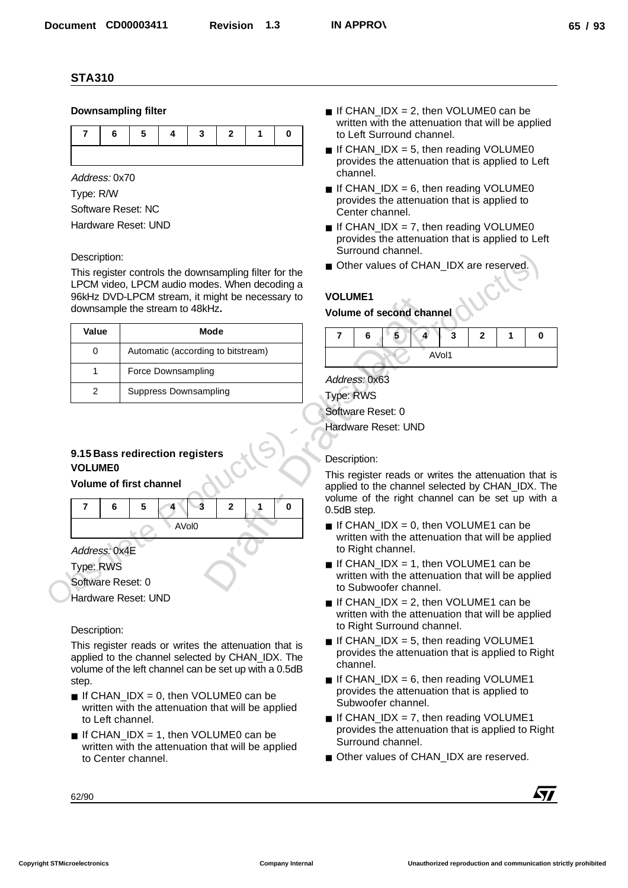#### **Downsampling filter**



Address: 0x70

Type: R/W Software Reset: NC Hardware Reset: UND

#### Description:

This register controls the downsampling filter for the LPCM video, LPCM audio modes. When decoding a 96kHz DVD-LPCM stream, it might be necessary to downsample the stream to 48kHz**.**

| Value | Mode                               |
|-------|------------------------------------|
|       | Automatic (according to bitstream) |
|       | Force Downsampling                 |
| 2     | Suppress Downsampling              |

## **9.15 Bass redirection registers VOLUME0**

#### **Volume of first channel**



Hardware Reset: UND

#### Description:

This register reads or writes the attenuation that is applied to the channel selected by CHAN\_IDX. The volume of the left channel can be set up with a 0.5dB step.

- $\blacksquare$  If CHAN IDX = 0, then VOLUME0 can be written with the attenuation that will be applied to Left channel.
- $\blacksquare$  If CHAN IDX = 1, then VOLUME0 can be written with the attenuation that will be applied to Center channel.
- $\blacksquare$  If CHAN IDX = 2, then VOLUME0 can be written with the attenuation that will be applied to Left Surround channel.
- $\blacksquare$  If CHAN\_IDX = 5, then reading VOLUME0 provides the attenuation that is applied to Left channel.
- $\blacksquare$  If CHAN\_IDX = 6, then reading VOLUME0 provides the attenuation that is applied to Center channel.
- $\blacksquare$  If CHAN IDX = 7, then reading VOLUME0 provides the attenuation that is applied to Left Surround channel.
- Other values of CHAN\_IDX are reserved.

## **VOLUME1**

#### **Volume of second channel**



Address: 0x63 Type: RWS Software Reset: 0 Hardware Reset: UND

#### Description:

This register reads or writes the attenuation that is applied to the channel selected by CHAN\_IDX. The volume of the right channel can be set up with a 0.5dB step.

- $\blacksquare$  If CHAN\_IDX = 0, then VOLUME1 can be written with the attenuation that will be applied to Right channel.
- $\blacksquare$  If CHAN IDX = 1, then VOLUME1 can be written with the attenuation that will be applied to Subwoofer channel.
- $\blacksquare$  If CHAN IDX = 2, then VOLUME1 can be written with the attenuation that will be applied to Right Surround channel.
- $\blacksquare$  If CHAN IDX = 5, then reading VOLUME1 provides the attenuation that is applied to Right channel.
- $\blacksquare$  If CHAN\_IDX = 6, then reading VOLUME1 provides the attenuation that is applied to Subwoofer channel.
- $\blacksquare$  If CHAN\_IDX = 7, then reading VOLUME1 provides the attenuation that is applied to Right Surround channel.
- Other values of CHAN\_IDX are reserved.

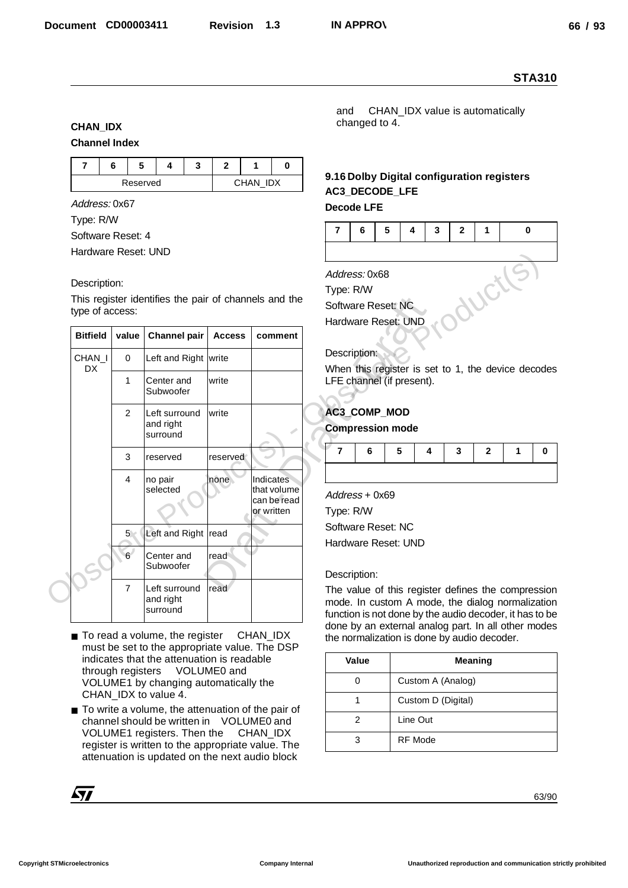#### **CHAN\_IDX**

#### **Channel Index**

|  | ш.       |  |          |  |
|--|----------|--|----------|--|
|  | Reserved |  | CHAN IDX |  |

#### Description:

|                                          |                |                                                                                                     |                |                            |                                                                                                             |               |                                 |   |                    |                |   | <b>STA310</b> |
|------------------------------------------|----------------|-----------------------------------------------------------------------------------------------------|----------------|----------------------------|-------------------------------------------------------------------------------------------------------------|---------------|---------------------------------|---|--------------------|----------------|---|---------------|
| <b>CHAN_IDX</b><br><b>Channel Index</b>  |                |                                                                                                     |                |                            | and                                                                                                         | changed to 4. | CHAN_IDX value is automatically |   |                    |                |   |               |
| $\overline{7}$                           | 6<br>5         | 3<br>4                                                                                              | $\overline{2}$ | $\mathbf{1}$<br>0          |                                                                                                             |               |                                 |   |                    |                |   |               |
|                                          | Reserved       |                                                                                                     |                | CHAN_IDX                   | 9.16 Dolby Digital configuration registers<br>AC3_DECODE_LFE                                                |               |                                 |   |                    |                |   |               |
| Address: 0x67                            |                |                                                                                                     |                |                            | <b>Decode LFE</b>                                                                                           |               |                                 |   |                    |                |   |               |
| Type: R/W                                |                |                                                                                                     |                |                            | $\overline{7}$                                                                                              | 5<br>6        | 4                               | 3 | $\mathbf{2}$       | $\mathbf 1$    |   | 0             |
| Software Reset: 4<br>Hardware Reset: UND |                |                                                                                                     |                |                            |                                                                                                             |               |                                 |   |                    |                |   |               |
|                                          |                |                                                                                                     |                |                            |                                                                                                             |               |                                 |   |                    |                |   |               |
| Description:                             |                |                                                                                                     |                |                            | Address: 0x68                                                                                               |               |                                 |   |                    |                |   |               |
|                                          |                | This register identifies the pair of channels and the                                               |                |                            | Type: R/W<br>Software Reset: NC                                                                             |               |                                 |   |                    | WCtl           |   |               |
| type of access:                          |                |                                                                                                     |                |                            | Hardware Reset: UND                                                                                         |               |                                 |   |                    |                |   |               |
| <b>Bitfield</b>                          | value          | <b>Channel pair</b>                                                                                 | <b>Access</b>  | comment                    |                                                                                                             |               |                                 |   |                    |                |   |               |
| CHAN_I                                   | $\mathbf 0$    | Left and Right write                                                                                |                |                            | Description:                                                                                                |               |                                 |   |                    |                |   |               |
| DX                                       | $\mathbf{1}$   | Center and                                                                                          | write          |                            | When this register is set to 1, the device decodes<br>LFE channel (if present).                             |               |                                 |   |                    |                |   |               |
|                                          |                | Subwoofer                                                                                           |                |                            |                                                                                                             |               |                                 |   |                    |                |   |               |
|                                          | 2              | Left surround<br>and right                                                                          | write          |                            | AC3_COMP_MOD                                                                                                |               |                                 |   |                    |                |   |               |
|                                          |                | surround                                                                                            |                |                            | <b>Compression mode</b>                                                                                     |               |                                 |   |                    |                |   |               |
|                                          | 3              | reserved                                                                                            | reserved       |                            | $\overline{7}$                                                                                              | 6             | 5                               | 4 | 3                  | $\mathbf{2}$   | 1 | 0             |
|                                          | 4              | no pair                                                                                             | none           | Indicates                  |                                                                                                             |               |                                 |   |                    |                |   |               |
|                                          |                | selected                                                                                            |                | that volume<br>can be read | Address + 0x69                                                                                              |               |                                 |   |                    |                |   |               |
|                                          |                |                                                                                                     |                | or written                 | Type: R/W                                                                                                   |               |                                 |   |                    |                |   |               |
|                                          | 5 <sub>2</sub> | Left and Right read                                                                                 |                |                            | Software Reset: NC                                                                                          |               |                                 |   |                    |                |   |               |
|                                          | 6 <sup>1</sup> | Center and                                                                                          | read           |                            | Hardware Reset: UND                                                                                         |               |                                 |   |                    |                |   |               |
|                                          |                | Subwoofer                                                                                           |                |                            | Description:                                                                                                |               |                                 |   |                    |                |   |               |
|                                          | $\overline{7}$ | Left surround<br>and right                                                                          | read           |                            | The value of this register defines the compression                                                          |               |                                 |   |                    |                |   |               |
|                                          |                | surround                                                                                            |                |                            | mode. In custom A mode, the dialog normalization<br>function is not done by the audio decoder, it has to be |               |                                 |   |                    |                |   |               |
|                                          |                | ■ To read a volume, the register                                                                    |                | CHAN_IDX                   | done by an external analog part. In all other modes<br>the normalization is done by audio decoder.          |               |                                 |   |                    |                |   |               |
|                                          |                | must be set to the appropriate value. The DSP<br>indicates that the attenuation is readable         |                |                            | Value                                                                                                       |               |                                 |   |                    | <b>Meaning</b> |   |               |
|                                          |                | through registers VOLUME0 and                                                                       |                |                            | 0                                                                                                           |               |                                 |   |                    |                |   |               |
|                                          |                | VOLUME1 by changing automatically the<br>CHAN_IDX to value 4.                                       |                |                            |                                                                                                             |               |                                 |   | Custom A (Analog)  |                |   |               |
|                                          |                | ■ To write a volume, the attenuation of the pair of                                                 |                |                            | 1                                                                                                           |               |                                 |   | Custom D (Digital) |                |   |               |
|                                          |                | channel should be written in VOLUME0 and<br>VOLUME1 registers. Then the                             |                | CHAN_IDX                   | $\overline{2}$                                                                                              |               | Line Out                        |   |                    |                |   |               |
|                                          |                | register is written to the appropriate value. The<br>attenuation is updated on the next audio block |                |                            | 3                                                                                                           |               | RF Mode                         |   |                    |                |   |               |
|                                          |                |                                                                                                     |                |                            |                                                                                                             |               |                                 |   |                    |                |   |               |
| <b>Syp</b>                               |                |                                                                                                     |                |                            |                                                                                                             |               |                                 |   |                    |                |   | 63/90         |
|                                          |                |                                                                                                     |                |                            |                                                                                                             |               |                                 |   |                    |                |   |               |

- To read a volume, the register CHAN\_IDX must be set to the appropriate value. The DSP indicates that the attenuation is readable through registers VOLUME0 and VOLUME1 by changing automatically the CHAN\_IDX to value 4.
- To write a volume, the attenuation of the pair of channel should be written in VOLUME0 and VOLUME1 registers. Then the CHAN\_IDX register is written to the appropriate value. The attenuation is updated on the next audio block

## **9.16 Dolby Digital configuration registers AC3\_DECODE\_LFE**

#### **Decode LFE**

| 7 6 5 4 3 2 1 |  |  |  |
|---------------|--|--|--|
|               |  |  |  |

#### Description:

## **AC3\_COMP\_MOD**

#### **Compression mode**

| $7 \t6$ |  |  | 54321 |  |
|---------|--|--|-------|--|
|         |  |  |       |  |

#### Description:

| Value | Meaning            |
|-------|--------------------|
|       | Custom A (Analog)  |
|       | Custom D (Digital) |
| 2     | Line Out           |
| 3     | <b>RF</b> Mode     |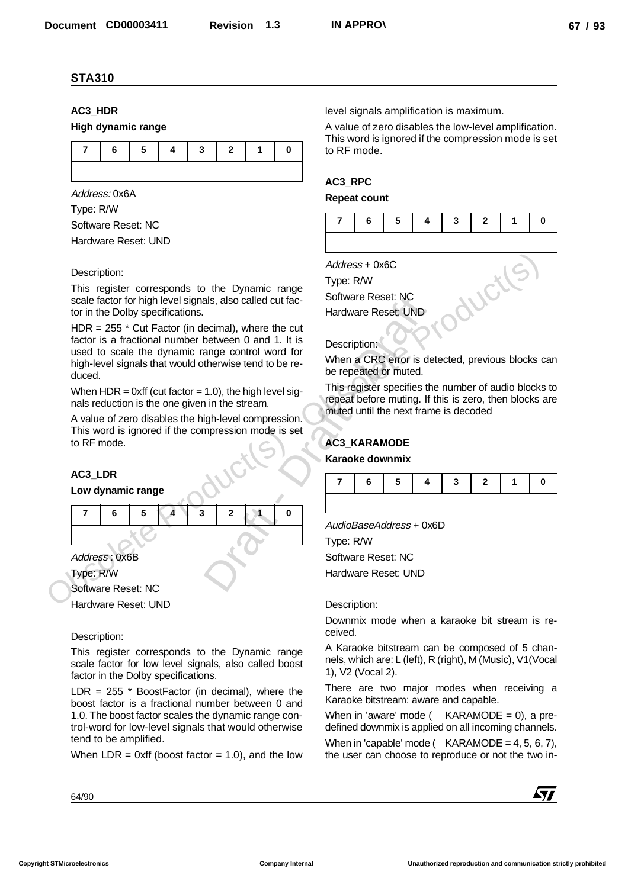## **AC3\_HDR**

### **High dynamic range**



Address: 0x6A Type: R/W Software Reset: NC Hardware Reset: UND

#### Description:

This register corresponds to the Dynamic range scale factor for high level signals, also called cut factor in the Dolby specifications.

 $HDR = 255$   $*$  Cut Factor (in decimal), where the cut factor is a fractional number between 0 and 1. It is used to scale the dynamic range control word for high-level signals that would otherwise tend to be reduced.

When  $HDR = 0xff$  (cut factor = 1.0), the high level signals reduction is the one given in the stream.

A value of zero disables the high-level compression. This word is ignored if the compression mode is set to RF mode.

## **AC3\_LDR**

#### **Low dynamic range**



Type: R/W Software Reset: NC

Hardware Reset: UND

#### Description:

This register corresponds to the Dynamic range scale factor for low level signals, also called boost factor in the Dolby specifications.

LDR =  $255$  \* BoostFactor (in decimal), where the boost factor is a fractional number between 0 and 1.0. The boost factor scales the dynamic range control-word for low-level signals that would otherwise tend to be amplified.

When  $LDR = 0xff$  (boost factor = 1.0), and the low

level signals amplification is maximum.

A value of zero disables the low-level amplification. This word is ignored if the compression mode is set to RF mode.

## **AC3\_RPC**

#### **Repeat count**



Address + 0x6C

Type: R/W

Software Reset: NC

Hardware Reset: UND

#### Description:

When a CRC error is detected, previous blocks can be repeated or muted.

This register specifies the number of audio blocks to repeat before muting. If this is zero, then blocks are muted until the next frame is decoded

## **AC3\_KARAMODE**

#### **Karaoke downmix**

|  |  |  | 7   6   5   4   3   2   1   0 |  |
|--|--|--|-------------------------------|--|
|  |  |  |                               |  |

AudioBaseAddress + 0x6D

Type: R/W Software Reset: NC

Hardware Reset: UND

#### Description:

Downmix mode when a karaoke bit stream is received.

A Karaoke bitstream can be composed of 5 channels, which are: L (left), R (right), M (Music), V1(Vocal 1), V2 (Vocal 2).

There are two major modes when receiving a Karaoke bitstream: aware and capable.

When in 'aware' mode ( $KARAMODE = 0$ ), a predefined downmix is applied on all incoming channels.

When in 'capable' mode ( $KARAMODE = 4, 5, 6, 7$ ), the user can choose to reproduce or not the two in-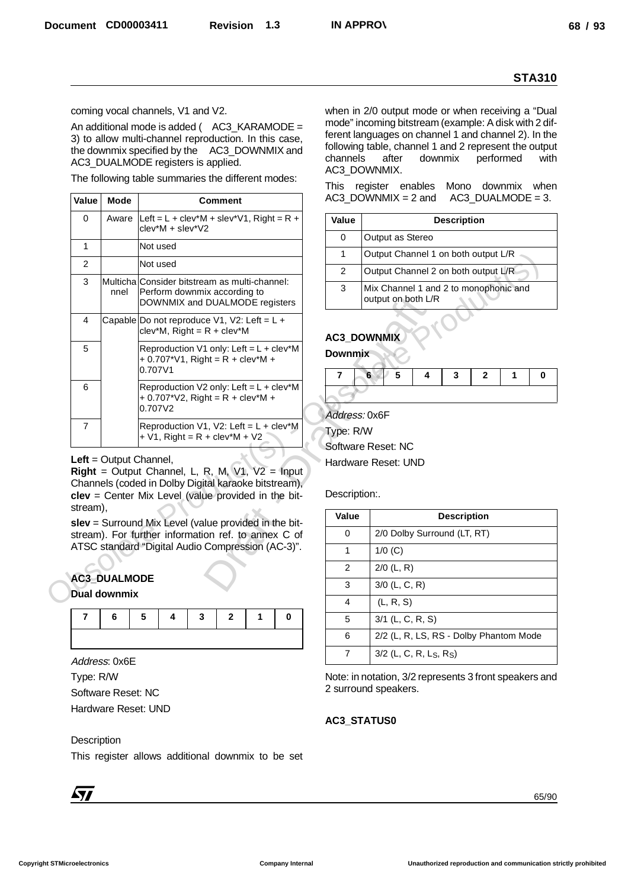|                |                                           |                                                                           |                                                                                                                                                                                               |        |                            |                                                                                                                                                                                                                                                       |   |                    |                      |           | <b>STA310</b> |
|----------------|-------------------------------------------|---------------------------------------------------------------------------|-----------------------------------------------------------------------------------------------------------------------------------------------------------------------------------------------|--------|----------------------------|-------------------------------------------------------------------------------------------------------------------------------------------------------------------------------------------------------------------------------------------------------|---|--------------------|----------------------|-----------|---------------|
|                |                                           | coming vocal channels, V1 and V2.                                         | An additional mode is added ( $AC3_KARAMODE =$<br>3) to allow multi-channel reproduction. In this case,<br>the downmix specified by the AC3_DOWNMIX and<br>AC3_DUALMODE registers is applied. |        | channels                   | when in 2/0 output mode or when receiving a "Dual"<br>mode" incoming bitstream (example: A disk with 2 dif-<br>ferent languages on channel 1 and channel 2). In the<br>following table, channel 1 and 2 represent the output<br>after<br>AC3_DOWNMIX. |   | downmix            |                      | performed | with          |
| Value          | <b>Mode</b>                               |                                                                           | The following table summaries the different modes:<br><b>Comment</b>                                                                                                                          |        |                            | This register enables Mono downmix when<br>$AC3$ DOWNMIX = 2 and                                                                                                                                                                                      |   |                    | $AC3$ _DUALMODE = 3. |           |               |
| $\Omega$       | Aware                                     |                                                                           | Left = L + clev*M + slev*V1, Right = R +                                                                                                                                                      |        | Value                      |                                                                                                                                                                                                                                                       |   | <b>Description</b> |                      |           |               |
|                |                                           | clev*M + slev*V2                                                          |                                                                                                                                                                                               |        | 0                          | Output as Stereo                                                                                                                                                                                                                                      |   |                    |                      |           |               |
| $\mathbf{1}$   |                                           | Not used                                                                  |                                                                                                                                                                                               |        | $\mathbf{1}$               | Output Channel 1 on both output L/R                                                                                                                                                                                                                   |   |                    |                      |           |               |
| $\overline{2}$ |                                           | Not used                                                                  |                                                                                                                                                                                               |        | $\overline{2}$             | Output Channel 2 on both output L/R                                                                                                                                                                                                                   |   |                    |                      |           |               |
| 3              | nnel                                      |                                                                           | Multicha Consider bitstream as multi-channel:<br>Perform downmix according to<br>DOWNMIX and DUALMODE registers                                                                               |        | 3                          | Mix Channel 1 and 2 to monophonic and<br>output on both L/R                                                                                                                                                                                           |   |                    |                      |           |               |
| 4              |                                           |                                                                           | Capable Do not reproduce V1, V2: Left = $L +$<br>$clev^*M$ , Right = R + $clev^*M$                                                                                                            |        |                            | AC3_DOWNMIX                                                                                                                                                                                                                                           |   |                    |                      |           |               |
| 5              |                                           | 0.707V1                                                                   | Reproduction V1 only: Left = L + clev*M<br>+ $0.707^{\ast}V1$ , Right = R + clev <sup>*</sup> M +                                                                                             |        | <b>Downmix</b>             |                                                                                                                                                                                                                                                       |   |                    |                      |           |               |
| 6              |                                           | 0.707V2                                                                   | Reproduction V2 only: Left = $L + c$ lev*M<br>+ $0.707$ <sup>*</sup> V2, Right = R + clev <sup>*</sup> M +                                                                                    |        | 7                          | 5<br>6                                                                                                                                                                                                                                                | 4 | 3                  | $\mathbf{2}$         | 1         | 0             |
| $\overline{7}$ |                                           | Left = Output Channel,<br>Right = Output Channel, L, R, M, V1, V2 = Input | Reproduction V1, V2: Left = $L +$ clev*M<br>$+ V1$ , Right = R + clev*M + V2                                                                                                                  |        | Address: 0x6F<br>Type: R/W | Software Reset: NC<br>Hardware Reset: UND                                                                                                                                                                                                             |   |                    |                      |           |               |
|                |                                           |                                                                           | Channels (coded in Dolby Digital karaoke bitstream),<br>clev = Center Mix Level (value provided in the bit-                                                                                   |        | Description:.<br>Value     |                                                                                                                                                                                                                                                       |   | <b>Description</b> |                      |           |               |
|                |                                           |                                                                           | slev = Surround Mix Level (value provided in the bit-<br>stream). For further information ref. to annex C of                                                                                  |        | 0                          | 2/0 Dolby Surround (LT, RT)                                                                                                                                                                                                                           |   |                    |                      |           |               |
| stream).       |                                           |                                                                           | ATSC standard "Digital Audio Compression (AC-3)".                                                                                                                                             |        | 1                          | $1/0$ (C)                                                                                                                                                                                                                                             |   |                    |                      |           |               |
|                |                                           |                                                                           |                                                                                                                                                                                               |        | 2                          | $2/0$ (L, R)                                                                                                                                                                                                                                          |   |                    |                      |           |               |
|                | <b>AC3 DUALMODE</b>                       |                                                                           |                                                                                                                                                                                               |        | 3                          | $3/0$ (L, C, R)                                                                                                                                                                                                                                       |   |                    |                      |           |               |
|                | <b>Dual downmix</b>                       |                                                                           |                                                                                                                                                                                               |        | 4                          | (L, R, S)                                                                                                                                                                                                                                             |   |                    |                      |           |               |
| 7              | 6                                         | 5<br>4                                                                    | 3<br>2                                                                                                                                                                                        | 0<br>1 | 5                          | 3/1 (L, C, R, S)                                                                                                                                                                                                                                      |   |                    |                      |           |               |
|                |                                           |                                                                           |                                                                                                                                                                                               |        | 6                          | 2/2 (L, R, LS, RS - Dolby Phantom Mode                                                                                                                                                                                                                |   |                    |                      |           |               |
|                | Address: 0x6E                             |                                                                           |                                                                                                                                                                                               |        | $\overline{7}$             | 3/2 (L, C, R, L <sub>S</sub> , R <sub>S</sub> )                                                                                                                                                                                                       |   |                    |                      |           |               |
| Type: R/W      | Software Reset: NC<br>Hardware Reset: UND |                                                                           |                                                                                                                                                                                               |        |                            | Note: in notation, 3/2 represents 3 front speakers and<br>2 surround speakers.                                                                                                                                                                        |   |                    |                      |           |               |
|                |                                           |                                                                           |                                                                                                                                                                                               |        |                            | AC3_STATUS0                                                                                                                                                                                                                                           |   |                    |                      |           |               |
| Description    |                                           |                                                                           | This register allows additional downmix to be set                                                                                                                                             |        |                            |                                                                                                                                                                                                                                                       |   |                    |                      |           |               |

#### **Left** = Output Channel,

## **AC3\_DUALMODE**

| 76543210 |  |  |  |
|----------|--|--|--|
|          |  |  |  |

## **Description**



| Value | <b>Description</b>                                          |
|-------|-------------------------------------------------------------|
| 0     | Output as Stereo                                            |
| 1     | Output Channel 1 on both output L/R                         |
| 2     | Output Channel 2 on both output L/R                         |
| 3     | Mix Channel 1 and 2 to monophonic and<br>output on both L/R |

## **AC3\_DOWNMIX**



| Value | <b>Description</b>                                |
|-------|---------------------------------------------------|
| 0     | 2/0 Dolby Surround (LT, RT)                       |
| 1     | $1/0$ (C)                                         |
| 2     | $2/0$ (L, R)                                      |
| 3     | $3/0$ (L, C, R)                                   |
| 4     | (L, R, S)                                         |
| 5     | $3/1$ (L, C, R, S)                                |
| 6     | 2/2 (L, R, LS, RS - Dolby Phantom Mode            |
|       | $3/2$ (L, C, R, L <sub>S</sub> , R <sub>S</sub> ) |

#### **AC3\_STATUS0**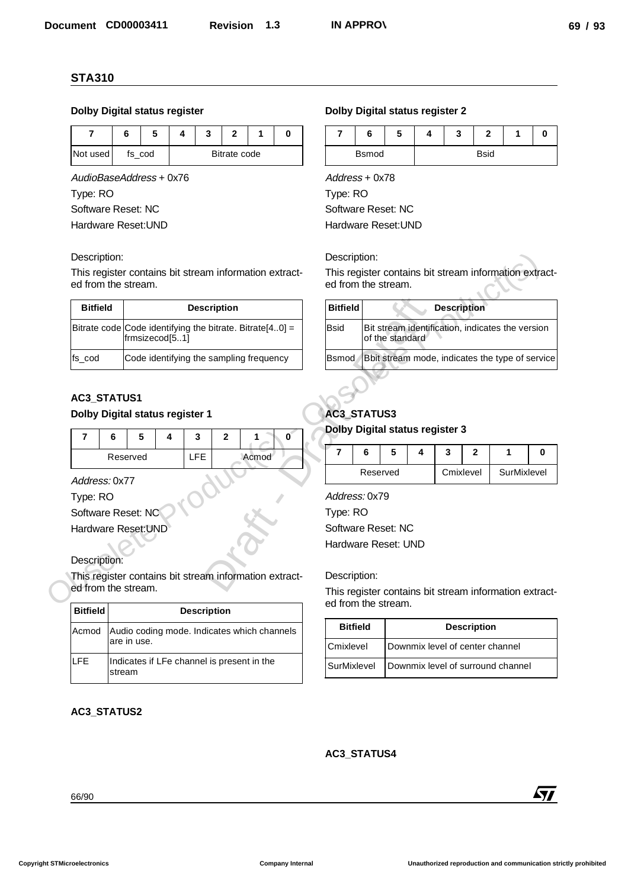### **Dolby Digital status register**

| Not used | fs cod |  | Bitrate code |  |
|----------|--------|--|--------------|--|

#### Description:

| <b>Bitfield</b> | <b>Description</b>                                                         |
|-----------------|----------------------------------------------------------------------------|
|                 | Bitrate code Code identifying the bitrate. Bitrate[40] =<br>frmsizecod[51] |
| fs cod          | Code identifying the sampling frequency                                    |

## **AC3\_STATUS1**

#### **Dolby Digital status register 1**

|          | э |  |       |
|----------|---|--|-------|
| Reserved |   |  | Acmod |

| <b>Dolby Digital status register</b>                                                                                                                                                      |                    |                                                                            |   |   |                    |              |  |                     |              |                 | <b>Dolby Digital status register 2</b>                                                                                                                                                                                              |                 |                             |   |   |                    |           |                    |                                                  |   |
|-------------------------------------------------------------------------------------------------------------------------------------------------------------------------------------------|--------------------|----------------------------------------------------------------------------|---|---|--------------------|--------------|--|---------------------|--------------|-----------------|-------------------------------------------------------------------------------------------------------------------------------------------------------------------------------------------------------------------------------------|-----------------|-----------------------------|---|---|--------------------|-----------|--------------------|--------------------------------------------------|---|
| $\overline{\mathbf{r}}$                                                                                                                                                                   | 6                  |                                                                            | 5 | 4 | 3                  | 2            |  | 1                   | 0            |                 | $\overline{7}$                                                                                                                                                                                                                      | 6               |                             | 5 | 4 |                    | 3         | $\mathbf{2}$       | 1                                                | 0 |
| Not used                                                                                                                                                                                  |                    | fs_cod                                                                     |   |   |                    | Bitrate code |  |                     |              |                 |                                                                                                                                                                                                                                     | <b>Bsmod</b>    |                             |   |   |                    |           | <b>Bsid</b>        |                                                  |   |
| AudioBaseAddress + 0x76                                                                                                                                                                   |                    |                                                                            |   |   |                    |              |  |                     |              | Address + 0x78  |                                                                                                                                                                                                                                     |                 |                             |   |   |                    |           |                    |                                                  |   |
| Type: RO                                                                                                                                                                                  |                    |                                                                            |   |   |                    |              |  |                     |              | Type: RO        |                                                                                                                                                                                                                                     |                 |                             |   |   |                    |           |                    |                                                  |   |
| Software Reset: NC                                                                                                                                                                        |                    |                                                                            |   |   |                    |              |  |                     |              |                 | Software Reset: NC                                                                                                                                                                                                                  |                 |                             |   |   |                    |           |                    |                                                  |   |
| Hardware Reset: UND                                                                                                                                                                       |                    |                                                                            |   |   |                    |              |  | Hardware Reset: UND |              |                 |                                                                                                                                                                                                                                     |                 |                             |   |   |                    |           |                    |                                                  |   |
| Description:                                                                                                                                                                              |                    |                                                                            |   |   |                    |              |  |                     |              |                 | Description:                                                                                                                                                                                                                        |                 |                             |   |   |                    |           |                    |                                                  |   |
| This register contains bit stream information extract-                                                                                                                                    |                    |                                                                            |   |   |                    |              |  |                     |              |                 | This register contains bit stream information extract-                                                                                                                                                                              |                 |                             |   |   |                    |           |                    |                                                  |   |
| ed from the stream.                                                                                                                                                                       |                    |                                                                            |   |   |                    |              |  |                     |              |                 | ed from the stream.                                                                                                                                                                                                                 |                 |                             |   |   |                    |           |                    |                                                  |   |
| <b>Bitfield</b>                                                                                                                                                                           | <b>Description</b> |                                                                            |   |   |                    |              |  |                     |              | <b>Bitfield</b> |                                                                                                                                                                                                                                     |                 |                             |   |   | <b>Description</b> |           |                    |                                                  |   |
|                                                                                                                                                                                           |                    | Bitrate code Code identifying the bitrate. Bitrate[40] =<br>frmsizecod[51] |   |   |                    |              |  |                     |              |                 | <b>Bsid</b>                                                                                                                                                                                                                         |                 | of the standard             |   |   |                    |           |                    | Bit stream identification, indicates the version |   |
| fs_cod                                                                                                                                                                                    |                    | Code identifying the sampling frequency                                    |   |   |                    |              |  |                     |              |                 | <b>Bsmod</b>                                                                                                                                                                                                                        |                 |                             |   |   |                    |           |                    | Bbit stream mode, indicates the type of service  |   |
| $\overline{7}$<br>Address: 0x77<br>Type: RO<br>Software Reset: NC<br>Hardware Reset: UND<br>Description:<br>This register contains bit stream information extract-<br>ed from the stream. | 6<br>Reserved      | 5                                                                          | 4 |   | 3<br><b>LFE</b>    | $\mathbf{2}$ |  | 1<br>Acmod          | $\mathbf{0}$ |                 | <b>Dolby Digital status register 3</b><br>$\overline{7}$<br>Address: 0x79<br>Type: RO<br>Software Reset: NC<br>Hardware Reset: UND<br>Description:<br>This register contains bit stream information extract-<br>ed from the stream. | 6               | $5\phantom{.0}$<br>Reserved |   | 4 | 3                  | Cmixlevel | $\mathbf{2}$       | 1<br>SurMixlevel                                 | 0 |
| <b>Bitfield</b>                                                                                                                                                                           |                    |                                                                            |   |   | <b>Description</b> |              |  |                     |              |                 |                                                                                                                                                                                                                                     |                 |                             |   |   |                    |           |                    |                                                  |   |
| Acmod                                                                                                                                                                                     |                    | Audio coding mode. Indicates which channels<br>are in use.                 |   |   |                    |              |  |                     |              |                 | Cmixlevel                                                                                                                                                                                                                           | <b>Bitfield</b> |                             |   |   |                    |           | <b>Description</b> | Downmix level of center channel                  |   |
| LFE                                                                                                                                                                                       |                    | Indicates if LFe channel is present in the                                 |   |   |                    |              |  |                     |              |                 | SurMixlevel                                                                                                                                                                                                                         |                 |                             |   |   |                    |           |                    | Downmix level of surround channel                |   |
| AC3_STATUS2                                                                                                                                                                               | stream             |                                                                            |   |   |                    |              |  |                     |              |                 |                                                                                                                                                                                                                                     |                 |                             |   |   |                    |           |                    |                                                  |   |
|                                                                                                                                                                                           |                    |                                                                            |   |   |                    |              |  |                     |              |                 | AC3_STATUS4                                                                                                                                                                                                                         |                 |                             |   |   |                    |           |                    |                                                  |   |

#### **AC3\_STATUS2**

#### **Dolby Digital status register 2**

| о            | w | o<br>J |             | u |
|--------------|---|--------|-------------|---|
| <b>Bsmod</b> |   |        | <b>Bsid</b> |   |

| Description:                                           |                |                                         |                    |                                                          |  | Description:                           |              |                 |   |                                                        |                    |                                                        |   |
|--------------------------------------------------------|----------------|-----------------------------------------|--------------------|----------------------------------------------------------|--|----------------------------------------|--------------|-----------------|---|--------------------------------------------------------|--------------------|--------------------------------------------------------|---|
| ed from the stream.                                    |                |                                         |                    | This register contains bit stream information extract-   |  | ed from the stream.                    |              |                 |   |                                                        |                    | This register contains bit stream information extract- |   |
| <b>Bitfield</b>                                        |                |                                         | <b>Description</b> |                                                          |  | <b>Bitfield</b>                        |              |                 |   | <b>Description</b>                                     |                    |                                                        |   |
|                                                        | frmsizecod[51] |                                         |                    | Bitrate code Code identifying the bitrate. Bitrate[40] = |  | <b>Bsid</b>                            |              | of the standard |   |                                                        |                    | Bit stream identification, indicates the version       |   |
| fs_cod                                                 |                | Code identifying the sampling frequency |                    |                                                          |  |                                        | <b>Bsmod</b> |                 |   |                                                        |                    | Bbit stream mode, indicates the type of service        |   |
| AC3_STATUS1<br>Dolby Digital status register 1         |                |                                         |                    |                                                          |  | AC3_STATUS3                            |              |                 |   |                                                        |                    |                                                        |   |
| 7<br>6                                                 | 5<br>4         | 3                                       | $\mathbf{2}$       | 0                                                        |  | <b>Dolby Digital status register 3</b> |              |                 |   |                                                        |                    |                                                        |   |
|                                                        | Reserved       | <b>LFE</b>                              |                    | Acmod                                                    |  | $\overline{7}$                         | 6            | 5               | 4 | 3                                                      | $\overline{2}$     | 1                                                      | 0 |
| Address: 0x77                                          |                |                                         |                    |                                                          |  |                                        | Reserved     |                 |   |                                                        | Cmixlevel          | SurMixlevel                                            |   |
| Type: RO                                               |                |                                         |                    |                                                          |  | Address: 0x79                          |              |                 |   |                                                        |                    |                                                        |   |
| Software Reset: NC                                     |                |                                         |                    |                                                          |  | Type: RO                               |              |                 |   |                                                        |                    |                                                        |   |
| Hardware Reset: UND                                    |                |                                         |                    |                                                          |  | Software Reset: NC                     |              |                 |   |                                                        |                    |                                                        |   |
|                                                        |                |                                         |                    |                                                          |  | Hardware Reset: UND                    |              |                 |   |                                                        |                    |                                                        |   |
| Description:                                           |                |                                         |                    |                                                          |  |                                        |              |                 |   |                                                        |                    |                                                        |   |
| This register contains bit stream information extract- |                |                                         |                    | Description:                                             |  |                                        |              |                 |   |                                                        |                    |                                                        |   |
| ed from the stream.                                    |                |                                         |                    | ed from the stream.                                      |  |                                        |              |                 |   | This register contains bit stream information extract- |                    |                                                        |   |
| <b>Bitfield</b>                                        |                | <b>Description</b>                      |                    |                                                          |  |                                        |              |                 |   |                                                        |                    |                                                        |   |
| Acmod                                                  |                |                                         |                    | Audio coding mode. Indicates which channels              |  | <b>Bitfield</b>                        |              |                 |   |                                                        | <b>Description</b> |                                                        |   |

## **AC3\_STATUS3**

#### **Dolby Digital status register 3**

| o        | э |           | ◠ |             |  |
|----------|---|-----------|---|-------------|--|
| Reserved |   | Cmixlevel |   | SurMixlevel |  |

| <b>Bitfield</b> | <b>Description</b>                |
|-----------------|-----------------------------------|
| Cmixlevel       | Downmix level of center channel   |
| SurMixlevel     | Downmix level of surround channel |

#### **AC3\_STATUS4**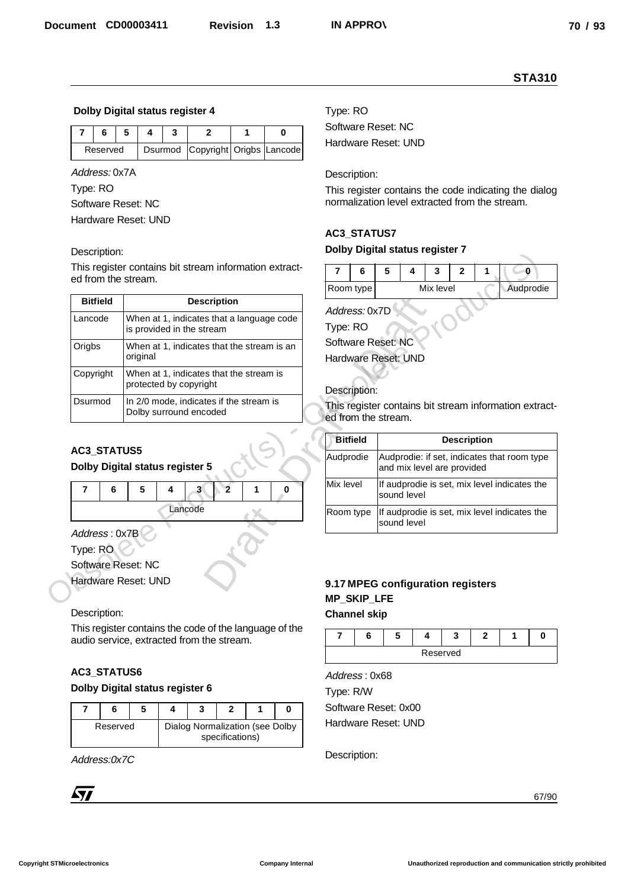#### **Dolby Digital status register 4**

| Reserved | Dsurmod Copyright Origbs Lancode |  |  |  |
|----------|----------------------------------|--|--|--|

#### Description:

|                                                                               |                                         |                           |         |                         |                 |                                            |                                           |                                                        |                            |   |             |                                                       |                    |   |   | <b>STA310</b> |
|-------------------------------------------------------------------------------|-----------------------------------------|---------------------------|---------|-------------------------|-----------------|--------------------------------------------|-------------------------------------------|--------------------------------------------------------|----------------------------|---|-------------|-------------------------------------------------------|--------------------|---|---|---------------|
| Dolby Digital status register 4                                               |                                         |                           |         |                         |                 |                                            |                                           | Type: RO                                               |                            |   |             |                                                       |                    |   |   |               |
| 6<br>7                                                                        | 5                                       | 4                         | 3       | $\mathbf{2}$            |                 | $\mathbf{1}$                               | $\mathbf 0$                               |                                                        | Software Reset: NC         |   |             |                                                       |                    |   |   |               |
| Reserved                                                                      |                                         | Dsurmod                   |         |                         |                 |                                            | Copyright Origbs Lancode                  |                                                        | Hardware Reset: UND        |   |             |                                                       |                    |   |   |               |
| Address: 0x7A                                                                 |                                         |                           |         |                         |                 |                                            |                                           |                                                        | Description:               |   |             |                                                       |                    |   |   |               |
| Type: RO                                                                      |                                         |                           |         |                         |                 |                                            |                                           |                                                        |                            |   |             | This register contains the code indicating the dialog |                    |   |   |               |
| Software Reset: NC                                                            |                                         |                           |         |                         |                 |                                            |                                           |                                                        |                            |   |             | normalization level extracted from the stream.        |                    |   |   |               |
| Hardware Reset: UND                                                           |                                         |                           |         |                         |                 |                                            |                                           |                                                        |                            |   |             |                                                       |                    |   |   |               |
|                                                                               |                                         |                           |         |                         |                 |                                            |                                           | AC3_STATUS7                                            |                            |   |             |                                                       |                    |   |   |               |
| Description:                                                                  |                                         |                           |         |                         |                 |                                            |                                           |                                                        |                            |   |             | Dolby Digital status register 7                       |                    |   |   |               |
| This register contains bit stream information extract-<br>ed from the stream. |                                         |                           |         |                         |                 |                                            |                                           | $\overline{7}$                                         | 6                          | 5 | 4           | 3                                                     | $\mathbf{2}$       | 1 |   | 0             |
|                                                                               |                                         |                           |         |                         |                 |                                            |                                           |                                                        | Room type                  |   |             | Mix level                                             |                    |   |   | Audprodie     |
| <b>Bitfield</b>                                                               |                                         |                           |         | <b>Description</b>      |                 |                                            |                                           |                                                        | Address: 0x7D              |   |             |                                                       |                    |   |   |               |
| Lancode                                                                       |                                         | is provided in the stream |         |                         |                 |                                            | When at 1, indicates that a language code | Type: RO                                               |                            |   |             |                                                       |                    |   |   |               |
| Origbs                                                                        |                                         |                           |         |                         |                 | When at 1, indicates that the stream is an |                                           |                                                        | Software Reset: NC         |   |             |                                                       |                    |   |   |               |
|                                                                               | original                                |                           |         |                         |                 |                                            |                                           |                                                        | <b>Hardware Reset: UND</b> |   |             |                                                       |                    |   |   |               |
| Copyright                                                                     |                                         |                           |         |                         |                 | When at 1, indicates that the stream is    |                                           |                                                        |                            |   |             |                                                       |                    |   |   |               |
|                                                                               |                                         | protected by copyright    |         |                         |                 |                                            |                                           |                                                        | Description:               |   |             |                                                       |                    |   |   |               |
| Dsurmod                                                                       | In 2/0 mode, indicates if the stream is |                           |         |                         |                 |                                            |                                           |                                                        |                            |   |             |                                                       |                    |   |   |               |
|                                                                               |                                         |                           |         |                         |                 |                                            |                                           | This register contains bit stream information extract- |                            |   |             |                                                       |                    |   |   |               |
|                                                                               |                                         | Dolby surround encoded    |         |                         |                 |                                            |                                           |                                                        | ed from the stream.        |   |             |                                                       |                    |   |   |               |
|                                                                               |                                         |                           |         |                         |                 |                                            |                                           |                                                        | <b>Bitfield</b>            |   |             |                                                       | <b>Description</b> |   |   |               |
|                                                                               |                                         |                           |         |                         |                 |                                            |                                           | Audprodie                                              |                            |   |             | Audprodie: if set, indicates that room type           |                    |   |   |               |
| AC3_STATUS5<br><b>Dolby Digital status register 5</b>                         |                                         |                           |         |                         |                 |                                            |                                           |                                                        |                            |   |             | and mix level are provided                            |                    |   |   |               |
| $\overline{7}$<br>6                                                           | 5                                       |                           | 4       | $\overline{\mathbf{3}}$ | $\overline{2}$  | 1                                          | $\bf{0}$                                  | Mix level                                              |                            |   |             | If audprodie is set, mix level indicates the          |                    |   |   |               |
|                                                                               |                                         |                           | Lancode |                         |                 |                                            |                                           |                                                        |                            |   | sound level |                                                       |                    |   |   |               |
|                                                                               |                                         |                           |         |                         |                 |                                            |                                           | Room type                                              |                            |   | sound level | If audprodie is set, mix level indicates the          |                    |   |   |               |
| Address: 0x7B                                                                 |                                         |                           |         |                         |                 |                                            |                                           |                                                        |                            |   |             |                                                       |                    |   |   |               |
| Type: RO                                                                      |                                         |                           |         |                         |                 |                                            |                                           |                                                        |                            |   |             |                                                       |                    |   |   |               |
|                                                                               |                                         |                           |         |                         |                 |                                            |                                           |                                                        |                            |   |             |                                                       |                    |   |   |               |
| Software Reset: NC<br>Hardware Reset: UND                                     |                                         |                           |         |                         |                 |                                            |                                           |                                                        |                            |   |             | 9.17 MPEG configuration registers                     |                    |   |   |               |
|                                                                               |                                         |                           |         |                         |                 |                                            |                                           |                                                        | <b>MP_SKIP_LFE</b>         |   |             |                                                       |                    |   |   |               |
| Description:<br>This register contains the code of the language of the        |                                         |                           |         |                         |                 |                                            |                                           | <b>Channel skip</b>                                    |                            |   |             |                                                       |                    |   |   |               |
| audio service, extracted from the stream.                                     |                                         |                           |         |                         |                 |                                            |                                           | 7                                                      | 6                          | 5 |             | 4                                                     | 3                  | 2 | 1 | 0             |
|                                                                               |                                         |                           |         |                         |                 |                                            |                                           |                                                        |                            |   |             | Reserved                                              |                    |   |   |               |
|                                                                               |                                         |                           |         |                         |                 |                                            |                                           |                                                        | Address: 0x68              |   |             |                                                       |                    |   |   |               |
| AC3_STATUS6<br>Dolby Digital status register 6                                |                                         |                           |         |                         |                 |                                            |                                           | Type: R/W                                              |                            |   |             |                                                       |                    |   |   |               |
| 7<br>6                                                                        | 5                                       |                           | 4       | 3                       | 2               | 1                                          | 0                                         |                                                        | Software Reset: 0x00       |   |             |                                                       |                    |   |   |               |
| Reserved                                                                      |                                         |                           |         |                         |                 |                                            | Dialog Normalization (see Dolby           |                                                        | Hardware Reset: UND        |   |             |                                                       |                    |   |   |               |
|                                                                               |                                         |                           |         |                         | specifications) |                                            |                                           |                                                        |                            |   |             |                                                       |                    |   |   |               |
| Address:0x7C                                                                  |                                         |                           |         |                         |                 |                                            |                                           |                                                        | Description:               |   |             |                                                       |                    |   |   |               |
|                                                                               |                                         |                           |         |                         |                 |                                            |                                           |                                                        |                            |   |             |                                                       |                    |   |   |               |
| <b>477</b>                                                                    |                                         |                           |         |                         |                 |                                            |                                           |                                                        |                            |   |             |                                                       |                    |   |   | 67/90         |

#### **AC3\_STATUS5**

#### **Dolby Digital status register 5**



## **AC3\_STATUS6**

## **Dolby Digital status register 6**

| Reserved |  | Dialog Normalization (see Dolby | specifications) |  |
|----------|--|---------------------------------|-----------------|--|

# **AC3\_STATUS7**

## **Dolby Digital status register 7**

| Room type |  | Mix level |  | Audprodie |
|-----------|--|-----------|--|-----------|

#### Description:

| <b>Bitfield</b> | <b>Description</b>                                                        |
|-----------------|---------------------------------------------------------------------------|
| Audprodie       | Audprodie: if set, indicates that room type<br>and mix level are provided |
| Mix level       | If audprodie is set, mix level indicates the<br>sound level               |
| Room type       | If audprodie is set, mix level indicates the<br>sound level               |

## **9.17 MPEG configuration registers MP\_SKIP\_LFE Channel skip**

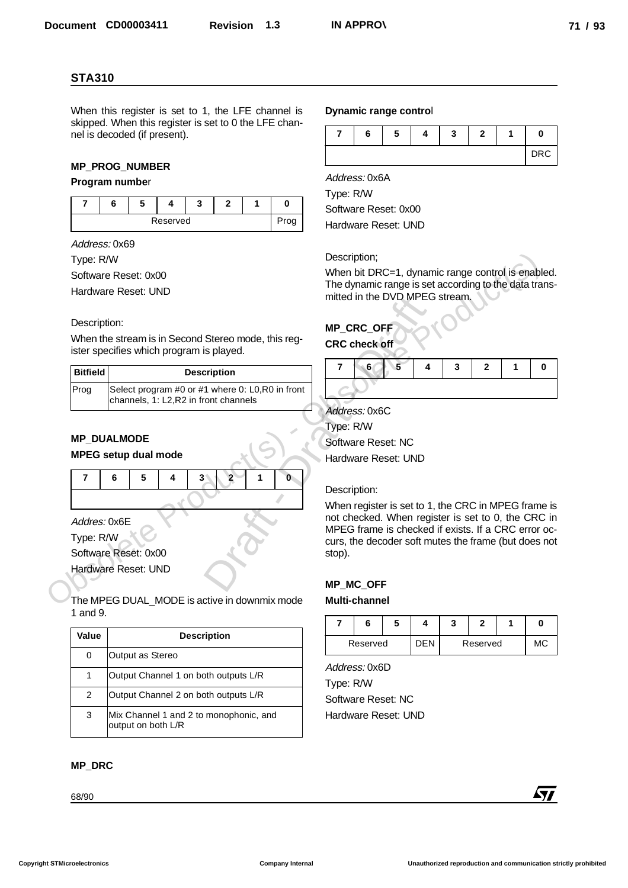#### **MP\_PROG\_NUMBER**

#### **Program numbe**r

|  | Reserved |  |  |
|--|----------|--|--|

#### Description:

| <b>Bitfield</b> | <b>Description</b>                                                                        |
|-----------------|-------------------------------------------------------------------------------------------|
| Prog            | Select program #0 or #1 where 0: L0, R0 in front<br>channels, 1: L2, R2 in front channels |

## **MP\_DUALMODE**

#### **MPEG setup dual mode**

| 6 | 51 | $4 \mid 3 \mid 2 \mid$ | $-1$ $\overline{1}$ | $\mathbf{0}$ |
|---|----|------------------------|---------------------|--------------|
|   |    |                        |                     |              |

|                         | <b>STA310</b>                                                                                               |                         |                                  |              |              |                |                                                                                                           |   |            |   |                |   |            |
|-------------------------|-------------------------------------------------------------------------------------------------------------|-------------------------|----------------------------------|--------------|--------------|----------------|-----------------------------------------------------------------------------------------------------------|---|------------|---|----------------|---|------------|
|                         | When this register is set to 1, the LFE channel is<br>skipped. When this register is set to 0 the LFE chan- |                         |                                  |              |              |                | Dynamic range control                                                                                     |   |            |   |                |   |            |
|                         | nel is decoded (if present).                                                                                |                         |                                  |              |              | $\overline{7}$ | 6                                                                                                         | 5 | 4          | 3 | $\mathbf{2}$   | 1 | 0          |
|                         |                                                                                                             |                         |                                  |              |              |                |                                                                                                           |   |            |   |                |   | <b>DRC</b> |
|                         | <b>MP_PROG_NUMBER</b><br>Program number                                                                     |                         |                                  |              |              |                | Address: 0x6A                                                                                             |   |            |   |                |   |            |
| $\overline{7}$          | 6<br>5                                                                                                      | $\overline{\mathbf{4}}$ | $\mathbf{3}$<br>$\overline{2}$   | $\mathbf{1}$ | $\mathbf 0$  | Type: R/W      |                                                                                                           |   |            |   |                |   |            |
|                         |                                                                                                             | Reserved                |                                  |              | Prog         |                | Software Reset: 0x00                                                                                      |   |            |   |                |   |            |
|                         |                                                                                                             |                         |                                  |              |              |                | Hardware Reset: UND                                                                                       |   |            |   |                |   |            |
|                         | Address: 0x69                                                                                               |                         |                                  |              |              |                | Description;                                                                                              |   |            |   |                |   |            |
| Type: R/W               | Software Reset: 0x00                                                                                        |                         |                                  |              |              |                | When bit DRC=1, dynamic range control is enabled.                                                         |   |            |   |                |   |            |
|                         | Hardware Reset: UND                                                                                         |                         |                                  |              |              |                | The dynamic range is set according to the data trans-<br>mitted in the DVD MPEG stream.                   |   |            |   |                |   |            |
| Description:            | When the stream is in Second Stereo mode, this reg-                                                         |                         |                                  |              |              |                | <b>MP_CRC_OFF</b><br><b>CRC</b> check off                                                                 |   |            |   |                |   |            |
|                         | ister specifies which program is played.                                                                    |                         |                                  |              |              |                |                                                                                                           |   |            |   |                |   |            |
| <b>Bitfield</b>         |                                                                                                             |                         | <b>Description</b>               |              |              | 7              | 6                                                                                                         | 5 | 4          | 3 | $\overline{2}$ | 1 | 0          |
| Prog                    | Select program #0 or #1 where 0: L0,R0 in front<br>channels, 1: L2,R2 in front channels                     |                         |                                  |              |              |                |                                                                                                           |   |            |   |                |   |            |
|                         |                                                                                                             |                         |                                  |              |              |                | Address: 0x6C                                                                                             |   |            |   |                |   |            |
|                         |                                                                                                             |                         |                                  |              |              |                | Type: R/W                                                                                                 |   |            |   |                |   |            |
|                         | <b>MP_DUALMODE</b><br><b>MPEG setup dual mode</b>                                                           |                         |                                  |              |              |                | Software Reset: NC                                                                                        |   |            |   |                |   |            |
|                         |                                                                                                             |                         |                                  |              |              |                | Hardware Reset: UND                                                                                       |   |            |   |                |   |            |
| $\overline{\mathbf{r}}$ | 6<br>5                                                                                                      | 4                       | $\overline{2}$<br>3 <sup>1</sup> | 1            | $\mathbf{0}$ |                | Description:                                                                                              |   |            |   |                |   |            |
|                         |                                                                                                             |                         |                                  |              |              |                | When register is set to 1, the CRC in MPEG frame is                                                       |   |            |   |                |   |            |
| Addres: 0x6E            |                                                                                                             |                         |                                  |              |              |                | not checked. When register is set to 0, the CRC in<br>MPEG frame is checked if exists. If a CRC error oc- |   |            |   |                |   |            |
| Type: R/W               |                                                                                                             |                         |                                  |              |              |                | curs, the decoder soft mutes the frame (but does not                                                      |   |            |   |                |   |            |
|                         | Software Reset: 0x00                                                                                        |                         |                                  |              |              | stop).         |                                                                                                           |   |            |   |                |   |            |
|                         | Hardware Reset: UND                                                                                         |                         |                                  |              |              |                | <b>MP_MC_OFF</b>                                                                                          |   |            |   |                |   |            |
|                         | The MPEG DUAL_MODE is active in downmix mode                                                                |                         |                                  |              |              |                | <b>Multi-channel</b>                                                                                      |   |            |   |                |   |            |
| 1 and 9.                |                                                                                                             |                         |                                  |              |              | 7              | 6                                                                                                         | 5 | 4          | 3 | $\mathbf{2}$   | 1 | 0          |
| Value                   |                                                                                                             |                         | <b>Description</b>               |              |              |                |                                                                                                           |   |            |   |                |   |            |
| 0                       | Output as Stereo                                                                                            |                         |                                  |              |              |                | Reserved                                                                                                  |   | <b>DEN</b> |   | Reserved       |   | МC         |
| $\mathbf 1$             | Output Channel 1 on both outputs L/R                                                                        |                         |                                  |              |              |                | Address: 0x6D                                                                                             |   |            |   |                |   |            |
| 2                       | Output Channel 2 on both outputs L/R                                                                        |                         |                                  |              |              | Type: R/W      | Software Reset: NC                                                                                        |   |            |   |                |   |            |
| 3                       | Mix Channel 1 and 2 to monophonic, and                                                                      |                         |                                  |              |              |                | Hardware Reset: UND                                                                                       |   |            |   |                |   |            |
|                         | output on both L/R                                                                                          |                         |                                  |              |              |                |                                                                                                           |   |            |   |                |   |            |
|                         |                                                                                                             |                         |                                  |              |              |                |                                                                                                           |   |            |   |                |   |            |
| <b>MP_DRC</b>           |                                                                                                             |                         |                                  |              |              |                |                                                                                                           |   |            |   |                |   |            |

#### **MP\_DRC**

#### **Dynamic range contro**l

|  | - | - 1 |  |     |
|--|---|-----|--|-----|
|  |   |     |  | DRC |

## **MP\_CRC\_OFF**

## **CRC check off**

| 67 | $-5$ . |  | 2 |  |
|----|--------|--|---|--|
|    |        |  |   |  |

#### Description:

#### **MP\_MC\_OFF**

#### **Multi-channel**

| Reserved |  | Reserved | ΛC |
|----------|--|----------|----|

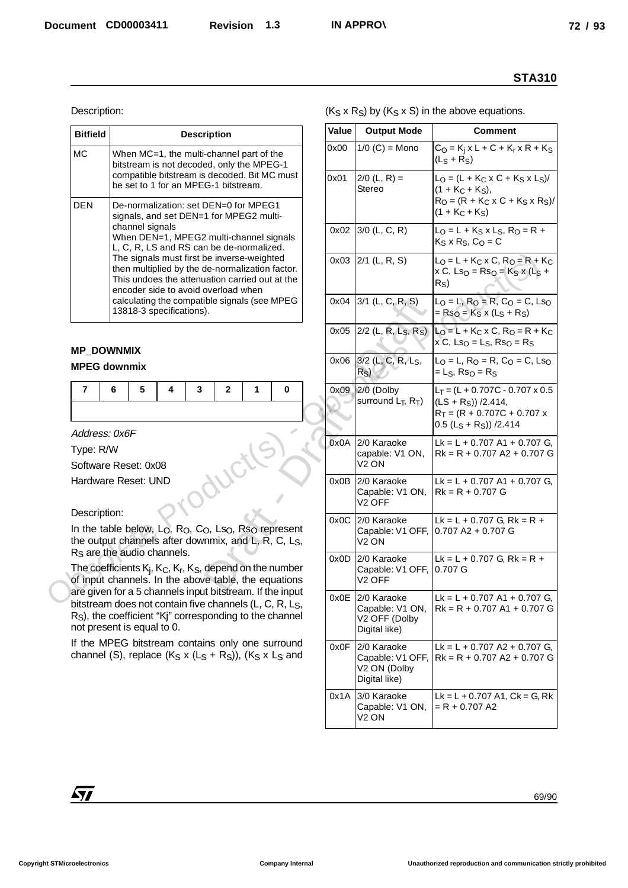| <b>Bitfield</b> | <b>Description</b>                                                                                                                                                                                                                                                                                                                                                                                                                                               |
|-----------------|------------------------------------------------------------------------------------------------------------------------------------------------------------------------------------------------------------------------------------------------------------------------------------------------------------------------------------------------------------------------------------------------------------------------------------------------------------------|
| MC.             | When MC=1, the multi-channel part of the<br>bitstream is not decoded, only the MPEG-1<br>compatible bitstream is decoded. Bit MC must<br>be set to 1 for an MPEG-1 bitstream.                                                                                                                                                                                                                                                                                    |
| <b>DEN</b>      | De-normalization: set DEN=0 for MPEG1<br>signals, and set DEN=1 for MPEG2 multi-<br>channel signals<br>When DEN=1, MPEG2 multi-channel signals<br>L, C, R, LS and RS can be de-normalized.<br>The signals must first be inverse-weighted<br>then multiplied by the de-normalization factor.<br>This undoes the attenuation carried out at the<br>encoder side to avoid overload when<br>calculating the compatible signals (see MPEG<br>13818-3 specifications). |

## **MP\_DOWNMIX**

#### **MPEG downmix**

| 7654321 |  |  |  |
|---------|--|--|--|
|         |  |  |  |

#### Description:

| $(K_S \times R_S)$ by $(K_S \times S)$ in the above equations.<br>Description:<br>Value<br><b>Output Mode</b><br><b>Comment</b><br><b>Bitfield</b><br><b>Description</b><br>$1/0$ (C) = Mono<br>$C_0 = K_i x L + C + K_r x R + K_s$<br>0x00<br><b>MC</b><br>When MC=1, the multi-channel part of the<br>$(LS + RS)$<br>bitstream is not decoded, only the MPEG-1<br>compatible bitstream is decoded. Bit MC must<br>$2/0$ (L, R) =<br>$L_0 = (L + K_C \times C + K_S \times L_S)$ /<br>0x01<br>be set to 1 for an MPEG-1 bitstream.<br>Stereo<br>$(1 + K_C + K_S)$ ,<br>$R_0 = (R + K_C x C + K_S x R_S)$<br><b>DEN</b><br>De-normalization: set DEN=0 for MPEG1<br>$(1 + K_C + K_S)$<br>signals, and set DEN=1 for MPEG2 multi-<br>channel signals<br>$0x02$ 3/0 (L, C, R)<br>$L_0 = L + K_S \times L_S$ , $R_O = R +$<br>When DEN=1, MPEG2 multi-channel signals<br>$K_S \times R_S$ , $C_O = C$<br>L, C, R, LS and RS can be de-normalized.<br>The signals must first be inverse-weighted<br>$0x03$ 2/1 (L, R, S)<br>$L_0 = L + K_C \times C$ , $R_O = R + K_C$<br>then multiplied by the de-normalization factor.<br>$x C$ , Ls <sub>O</sub> = Rs <sub>O</sub> = K <sub>S</sub> x (L <sub>S</sub> +<br>This undoes the attenuation carried out at the<br>R <sub>S</sub><br>encoder side to avoid overload when<br>calculating the compatible signals (see MPEG<br>$0x04$ 3/1 (L, C, R, S)<br>$L_0 = L$ , $R_0 = R$ , $C_0 = C$ , $Ls_0$<br>13818-3 specifications).<br>$=$ Rs <sub>O</sub> = K <sub>S</sub> x (L <sub>S</sub> + R <sub>S</sub> )<br>0x05 2/2 (L, R, L <sub>S</sub> , R <sub>S</sub> )<br>$L_0 = L + K_C$ x C, R <sub>O</sub> = R + K <sub>C</sub><br>$x^{\prime}$ C, Lso = Ls, Rso = Rs<br><b>MP_DOWNMIX</b><br>0x06 3/2 (L, C, R, L <sub>S</sub> ,<br>$LO = L$ , R <sub>O</sub> = R, C <sub>O</sub> = C, Ls <sub>O</sub><br><b>MPEG downmix</b><br>R <sub>S</sub><br>$=LS$ , Rs <sub>O</sub> = R <sub>S</sub><br>0x09 2/0 (Dolby<br>7<br>6<br>5<br>3<br>$\overline{2}$<br>1<br>0<br>4<br>$L_T = (L + 0.707C - 0.707 \times 0.5$<br>surround $L_T$ , $R_T$ )<br>$(LS + RS)/2.414$ ,<br>$R_T = (R + 0.707C + 0.707 x)$<br>$0.5 (LS + RS)/2.414$<br>Address: 0x6F<br>2/0 Karaoke<br>0x0A<br>Lk = L + 0.707 A1 + 0.707 G,<br>Type: R/W<br>$Rk = R + 0.707 A2 + 0.707 G$<br>capable: V1 ON, |  |
|-------------------------------------------------------------------------------------------------------------------------------------------------------------------------------------------------------------------------------------------------------------------------------------------------------------------------------------------------------------------------------------------------------------------------------------------------------------------------------------------------------------------------------------------------------------------------------------------------------------------------------------------------------------------------------------------------------------------------------------------------------------------------------------------------------------------------------------------------------------------------------------------------------------------------------------------------------------------------------------------------------------------------------------------------------------------------------------------------------------------------------------------------------------------------------------------------------------------------------------------------------------------------------------------------------------------------------------------------------------------------------------------------------------------------------------------------------------------------------------------------------------------------------------------------------------------------------------------------------------------------------------------------------------------------------------------------------------------------------------------------------------------------------------------------------------------------------------------------------------------------------------------------------------------------------------------------------------------------------------------------------------------------------------------------------------------------------------------------------------------------------------------------------------------------------------------------------------------------------------------------------------------------------------------------------------|--|
|                                                                                                                                                                                                                                                                                                                                                                                                                                                                                                                                                                                                                                                                                                                                                                                                                                                                                                                                                                                                                                                                                                                                                                                                                                                                                                                                                                                                                                                                                                                                                                                                                                                                                                                                                                                                                                                                                                                                                                                                                                                                                                                                                                                                                                                                                                             |  |
|                                                                                                                                                                                                                                                                                                                                                                                                                                                                                                                                                                                                                                                                                                                                                                                                                                                                                                                                                                                                                                                                                                                                                                                                                                                                                                                                                                                                                                                                                                                                                                                                                                                                                                                                                                                                                                                                                                                                                                                                                                                                                                                                                                                                                                                                                                             |  |
|                                                                                                                                                                                                                                                                                                                                                                                                                                                                                                                                                                                                                                                                                                                                                                                                                                                                                                                                                                                                                                                                                                                                                                                                                                                                                                                                                                                                                                                                                                                                                                                                                                                                                                                                                                                                                                                                                                                                                                                                                                                                                                                                                                                                                                                                                                             |  |
|                                                                                                                                                                                                                                                                                                                                                                                                                                                                                                                                                                                                                                                                                                                                                                                                                                                                                                                                                                                                                                                                                                                                                                                                                                                                                                                                                                                                                                                                                                                                                                                                                                                                                                                                                                                                                                                                                                                                                                                                                                                                                                                                                                                                                                                                                                             |  |
|                                                                                                                                                                                                                                                                                                                                                                                                                                                                                                                                                                                                                                                                                                                                                                                                                                                                                                                                                                                                                                                                                                                                                                                                                                                                                                                                                                                                                                                                                                                                                                                                                                                                                                                                                                                                                                                                                                                                                                                                                                                                                                                                                                                                                                                                                                             |  |
|                                                                                                                                                                                                                                                                                                                                                                                                                                                                                                                                                                                                                                                                                                                                                                                                                                                                                                                                                                                                                                                                                                                                                                                                                                                                                                                                                                                                                                                                                                                                                                                                                                                                                                                                                                                                                                                                                                                                                                                                                                                                                                                                                                                                                                                                                                             |  |
|                                                                                                                                                                                                                                                                                                                                                                                                                                                                                                                                                                                                                                                                                                                                                                                                                                                                                                                                                                                                                                                                                                                                                                                                                                                                                                                                                                                                                                                                                                                                                                                                                                                                                                                                                                                                                                                                                                                                                                                                                                                                                                                                                                                                                                                                                                             |  |
|                                                                                                                                                                                                                                                                                                                                                                                                                                                                                                                                                                                                                                                                                                                                                                                                                                                                                                                                                                                                                                                                                                                                                                                                                                                                                                                                                                                                                                                                                                                                                                                                                                                                                                                                                                                                                                                                                                                                                                                                                                                                                                                                                                                                                                                                                                             |  |
|                                                                                                                                                                                                                                                                                                                                                                                                                                                                                                                                                                                                                                                                                                                                                                                                                                                                                                                                                                                                                                                                                                                                                                                                                                                                                                                                                                                                                                                                                                                                                                                                                                                                                                                                                                                                                                                                                                                                                                                                                                                                                                                                                                                                                                                                                                             |  |
|                                                                                                                                                                                                                                                                                                                                                                                                                                                                                                                                                                                                                                                                                                                                                                                                                                                                                                                                                                                                                                                                                                                                                                                                                                                                                                                                                                                                                                                                                                                                                                                                                                                                                                                                                                                                                                                                                                                                                                                                                                                                                                                                                                                                                                                                                                             |  |
| V <sub>2</sub> ON<br>Software Reset: 0x08                                                                                                                                                                                                                                                                                                                                                                                                                                                                                                                                                                                                                                                                                                                                                                                                                                                                                                                                                                                                                                                                                                                                                                                                                                                                                                                                                                                                                                                                                                                                                                                                                                                                                                                                                                                                                                                                                                                                                                                                                                                                                                                                                                                                                                                                   |  |
| Hardware Reset: UND<br>0x0B 2/0 Karaoke<br>$Lk = L + 0.707$ A1 + 0.707 G.<br>$Rk = R + 0.707 G$<br>Capable: V1 ON,<br>V <sub>2</sub> OFF                                                                                                                                                                                                                                                                                                                                                                                                                                                                                                                                                                                                                                                                                                                                                                                                                                                                                                                                                                                                                                                                                                                                                                                                                                                                                                                                                                                                                                                                                                                                                                                                                                                                                                                                                                                                                                                                                                                                                                                                                                                                                                                                                                    |  |
| Description:<br>0x0C 2/0 Karaoke<br>Lk = L + 0.707 G, Rk = R +<br>In the table below, L <sub>O</sub> , R <sub>O</sub> , C <sub>O</sub> , Ls <sub>O</sub> , Rs <sub>O</sub> represent<br>Capable: V1 OFF, 0.707 A2 + 0.707 G<br>the output channels after downmix, and L, R, C, Ls,<br>V <sub>2</sub> ON                                                                                                                                                                                                                                                                                                                                                                                                                                                                                                                                                                                                                                                                                                                                                                                                                                                                                                                                                                                                                                                                                                                                                                                                                                                                                                                                                                                                                                                                                                                                                                                                                                                                                                                                                                                                                                                                                                                                                                                                     |  |
| R <sub>S</sub> are the audio channels.<br>0x0D 2/0 Karaoke<br>$Lk = L + 0.707$ G, Rk = R +<br>The coefficients $K_i$ , $K_C$ , $K_F$ , $K_S$ , depend on the number<br>Capable: V1 OFF, 0.707 G<br>of input channels. In the above table, the equations<br>V <sub>2</sub> OFF                                                                                                                                                                                                                                                                                                                                                                                                                                                                                                                                                                                                                                                                                                                                                                                                                                                                                                                                                                                                                                                                                                                                                                                                                                                                                                                                                                                                                                                                                                                                                                                                                                                                                                                                                                                                                                                                                                                                                                                                                               |  |
| are given for a 5 channels input bitstream. If the input<br>2/0 Karaoke<br>Lk = L + 0.707 A1 + 0.707 G,<br>0x0E<br>bitstream does not contain five channels (L, C, R, L <sub>S</sub> ,<br>Capable: V1 ON,<br>$Rk = R + 0.707 A1 + 0.707 G$<br>R <sub>S</sub> ), the coefficient "Kj" corresponding to the channel<br>V2 OFF (Dolby<br>not present is equal to 0.<br>Digital like)                                                                                                                                                                                                                                                                                                                                                                                                                                                                                                                                                                                                                                                                                                                                                                                                                                                                                                                                                                                                                                                                                                                                                                                                                                                                                                                                                                                                                                                                                                                                                                                                                                                                                                                                                                                                                                                                                                                           |  |
| If the MPEG bitstream contains only one surround<br>2/0 Karaoke<br>0x0F<br>Lk = L + 0.707 A2 + 0.707 G,<br>channel (S), replace $(K_S \times (L_S + R_S))$ , $(K_S \times L_S$ and<br>Capable: V1 OFF, $\vert$ Rk = R + 0.707 A2 + 0.707 G<br>V2 ON (Dolby<br>Digital like)                                                                                                                                                                                                                                                                                                                                                                                                                                                                                                                                                                                                                                                                                                                                                                                                                                                                                                                                                                                                                                                                                                                                                                                                                                                                                                                                                                                                                                                                                                                                                                                                                                                                                                                                                                                                                                                                                                                                                                                                                                 |  |
| 3/0 Karaoke<br>$Lk = L + 0.707$ A1, $Ck = G$ , Rk<br>0x1A<br>Capable: V1 ON,<br>$= R + 0.707 A2$<br>V <sub>2</sub> ON                                                                                                                                                                                                                                                                                                                                                                                                                                                                                                                                                                                                                                                                                                                                                                                                                                                                                                                                                                                                                                                                                                                                                                                                                                                                                                                                                                                                                                                                                                                                                                                                                                                                                                                                                                                                                                                                                                                                                                                                                                                                                                                                                                                       |  |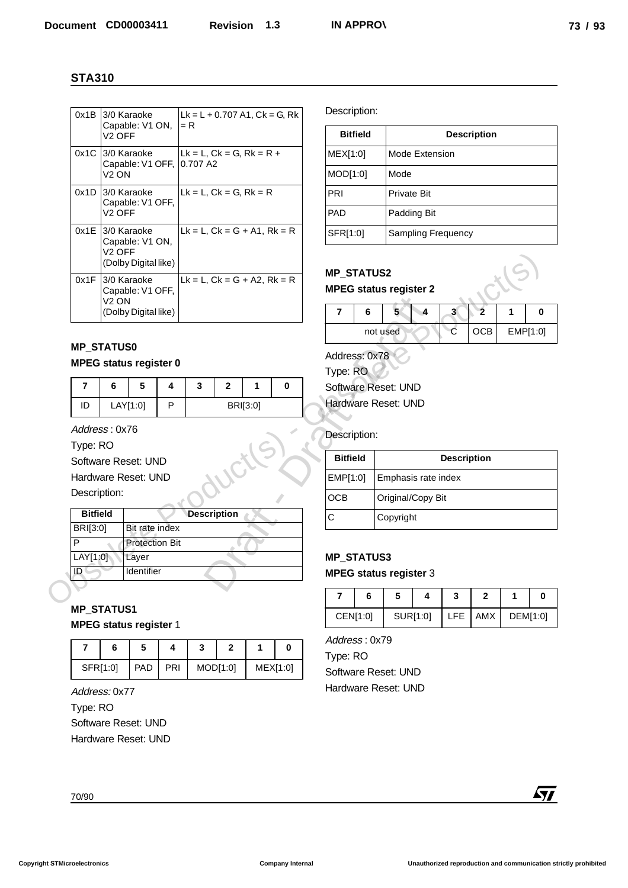|                         | <b>STA310</b>      |                                                             |          |                                              |                          |          |               |                   |                 |                               |                    |                    |                    |          |             |
|-------------------------|--------------------|-------------------------------------------------------------|----------|----------------------------------------------|--------------------------|----------|---------------|-------------------|-----------------|-------------------------------|--------------------|--------------------|--------------------|----------|-------------|
|                         |                    | 0x1B 3/0 Karaoke<br>Capable: V1 ON,                         |          | $Lk = L + 0.707 A1, Ck = G, Rk$<br>$= R$     |                          |          |               | Description:      |                 |                               |                    |                    |                    |          |             |
|                         | V <sub>2</sub> OFF |                                                             |          |                                              |                          |          |               |                   | <b>Bitfield</b> |                               |                    |                    | <b>Description</b> |          |             |
|                         |                    | 0x1C 3/0 Karaoke<br>Capable: V1 OFF,                        |          | $Lk = L$ , $Ck = G$ , $Rk = R +$<br>0.707 A2 |                          |          |               | MEX[1:0]          |                 |                               | Mode Extension     |                    |                    |          |             |
|                         | V <sub>2</sub> ON  |                                                             |          |                                              |                          |          |               | MOD[1:0]          |                 | Mode                          |                    |                    |                    |          |             |
|                         |                    | $0x1D$ 3/0 Karaoke<br>Capable: V1 OFF,                      |          | $Lk = L$ , $Ck = G$ , $Rk = R$               |                          |          |               | PRI               |                 | Private Bit                   |                    |                    |                    |          |             |
|                         | V <sub>2</sub> OFF |                                                             |          |                                              |                          |          |               | PAD               |                 | Padding Bit                   |                    |                    |                    |          |             |
|                         | $V2$ OFF           | 0x1E 3/0 Karaoke<br>Capable: V1 ON,<br>(Dolby Digital like) |          | $Lk = L$ , $Ck = G + A1$ , $Rk = R$          |                          |          |               | SFR[1:0]          |                 |                               | Sampling Frequency |                    |                    |          |             |
|                         | V <sub>2</sub> ON  | 0x1F 3/0 Karaoke<br>Capable: V1 OFF,                        |          | $Lk = L$ , $Ck = G + A2$ , $Rk = R$          |                          |          |               | <b>MP_STATUS2</b> |                 | <b>MPEG status register 2</b> |                    |                    |                    |          |             |
|                         |                    | (Dolby Digital like)                                        |          |                                              |                          |          |               | $\overline{7}$    | 6               | 5 <sup>1</sup>                | $\overline{4}$     | 3 <sup>1</sup>     | $\overline{2}$     | 1        | $\bf{0}$    |
|                         |                    |                                                             |          |                                              |                          |          |               |                   |                 | not used                      |                    | $\mathbf{C}$       | OCB                | EMP[1:0] |             |
|                         | <b>MP_STATUS0</b>  | <b>MPEG status register 0</b>                               |          |                                              |                          |          |               | Address: 0x78     |                 |                               |                    |                    |                    |          |             |
| $\overline{7}$          | 6                  | 5                                                           | 4        | $\mathbf{3}$                                 | $\overline{2}$           | 1        | $\mathbf 0$   | Type: RO          |                 | Software Reset: UND           |                    |                    |                    |          |             |
| ID                      |                    | LAY[1:0]                                                    | P        |                                              |                          | BRI[3:0] |               |                   |                 | Hardware Reset: UND           |                    |                    |                    |          |             |
|                         |                    |                                                             |          |                                              |                          |          |               |                   |                 |                               |                    |                    |                    |          |             |
| Type: RO                | Address: 0x76      |                                                             |          |                                              |                          |          |               | Description:      |                 |                               |                    |                    |                    |          |             |
|                         |                    | Software Reset: UND                                         |          |                                              |                          |          |               | <b>Bitfield</b>   |                 |                               |                    | <b>Description</b> |                    |          |             |
|                         |                    | Hardware Reset: UND                                         |          |                                              |                          |          |               | EMP[1:0]          |                 | Emphasis rate index           |                    |                    |                    |          |             |
| Description:            |                    |                                                             |          |                                              |                          |          |               | OCB               |                 | Original/Copy Bit             |                    |                    |                    |          |             |
| <b>Bitfield</b>         |                    | Bit rate index                                              |          | <b>Description</b>                           |                          |          |               | $\mathsf C$       |                 | Copyright                     |                    |                    |                    |          |             |
| BRI[3:0]<br>P           |                    | <b>Protection Bit</b>                                       |          |                                              |                          |          |               |                   |                 |                               |                    |                    |                    |          |             |
| LAT[1:0]                |                    | Layer                                                       |          |                                              |                          |          |               | <b>MP_STATUS3</b> |                 |                               |                    |                    |                    |          |             |
| ID                      |                    | Identifier                                                  |          |                                              |                          |          |               |                   |                 | <b>MPEG status register 3</b> |                    |                    |                    |          |             |
|                         |                    |                                                             |          |                                              |                          |          |               | $\overline{7}$    | 6               | $5\phantom{.0}$               | 4                  | 3                  | $\mathbf{2}$       | 1        | $\mathbf 0$ |
|                         | <b>MP_STATUS1</b>  | <b>MPEG status register 1</b>                               |          |                                              |                          |          |               |                   | CEN[1:0]        | SUR[1:0]                      |                    | <b>LFE</b>         | AMX                |          | DEM[1:0]    |
|                         |                    | $5\phantom{.0}$                                             |          |                                              |                          |          |               | Address: 0x79     |                 |                               |                    |                    |                    |          |             |
| $\overline{\mathbf{r}}$ | 6<br>SFR[1:0]      | PAD                                                         | 4<br>PRI | 3                                            | $\mathbf{2}$<br>MOD[1:0] | 1        | 0<br>MEX[1:0] | Type: RO          |                 |                               |                    |                    |                    |          |             |
|                         |                    |                                                             |          |                                              |                          |          |               |                   |                 | Software Reset: UND           |                    |                    |                    |          |             |
|                         | Address: 0x77      |                                                             |          |                                              |                          |          |               |                   |                 | Hardware Reset: UND           |                    |                    |                    |          |             |
| Type: RO                |                    | Software Reset: UND                                         |          |                                              |                          |          |               |                   |                 |                               |                    |                    |                    |          |             |
|                         |                    | Hardware Reset: UND                                         |          |                                              |                          |          |               |                   |                 |                               |                    |                    |                    |          |             |
|                         |                    |                                                             |          |                                              |                          |          |               |                   |                 |                               |                    |                    |                    |          |             |
|                         |                    |                                                             |          |                                              |                          |          |               |                   |                 |                               |                    |                    |                    |          |             |
|                         |                    |                                                             |          |                                              |                          |          |               |                   |                 |                               |                    |                    |                    |          |             |

# **MP\_STATUS0**

#### **MPEG status register 0**

|    | ວ        | ÷ |          |  |  |  |
|----|----------|---|----------|--|--|--|
| ID | LAY[1:0] |   | BRI[3:0] |  |  |  |

|                                    | VZ UFF            | (Dolby Digital like)                         |   |                                     |                    |          |          | <b>MP STATUS2</b>                         |          |                                          |          |                    |                |              |  |
|------------------------------------|-------------------|----------------------------------------------|---|-------------------------------------|--------------------|----------|----------|-------------------------------------------|----------|------------------------------------------|----------|--------------------|----------------|--------------|--|
| 0x1F                               | V <sub>2</sub> ON | 3/0 Karaoke<br>Capable: V1 OFF,              |   | $Lk = L$ , $Ck = G + A2$ , $Rk = R$ |                    |          |          |                                           |          | <b>MPEG status register 2</b>            |          |                    |                |              |  |
|                                    |                   | (Dolby Digital like)                         |   |                                     |                    |          |          | $\overline{7}$                            | 6        | 5                                        | 4        | 3 <sup>1</sup>     | $\mathbf{2}$   | 1            |  |
|                                    |                   |                                              |   |                                     |                    |          |          |                                           |          | not used                                 |          | C                  | OCB            | EMP[1:0      |  |
| <b>MP STATUS0</b>                  |                   | <b>MPEG status register 0</b>                |   |                                     |                    |          |          | Address: 0x78<br>Type: RO                 |          |                                          |          |                    |                |              |  |
| $\overline{7}$                     | 6                 | 5                                            | 4 | 3                                   | $\mathbf{2}$       | 1        | $\bf{0}$ |                                           |          | Software Reset: UND                      |          |                    |                |              |  |
| ID                                 |                   | LAY[1:0]                                     | P |                                     |                    | BRI[3:0] |          |                                           |          | Hardware Reset: UND                      |          |                    |                |              |  |
| Description:                       |                   | Software Reset: UND<br>Hardware Reset: UND   |   |                                     |                    |          |          | <b>Bitfield</b><br>EMP[1:0]<br><b>OCB</b> |          | Emphasis rate index<br>Original/Copy Bit |          | <b>Description</b> |                |              |  |
| <b>Bitfield</b><br><b>BRI[3:0]</b> |                   | Bit rate index                               |   |                                     | <b>Description</b> |          |          | $\mathsf{C}$                              |          | Copyright                                |          |                    |                |              |  |
| P<br>LAY[1:0]<br>ID                |                   | <b>Protection Bit</b><br>Layer<br>Identifier |   |                                     |                    |          |          | <b>MP STATUS3</b>                         |          | <b>MPEG status register 3</b>            |          |                    |                |              |  |
|                                    |                   |                                              |   |                                     |                    |          |          | $\overline{7}$                            | 6        | 5                                        | 4        | 3                  | $\overline{2}$ | $\mathbf{1}$ |  |
| <b>MP STATUS1</b>                  |                   | <b>MPEG status register 1</b>                |   |                                     |                    |          |          |                                           | CEN[1:0] |                                          | SUR[1:0] | <b>LFE</b>         | AMX            | DEM[1:0      |  |
|                                    |                   |                                              |   |                                     |                    |          |          |                                           |          |                                          |          |                    |                |              |  |

# **MP\_STATUS1**

|          | 6 |            |     |          |          |  |
|----------|---|------------|-----|----------|----------|--|
| SFR[1:0] |   | <b>PAD</b> | PRI | MOD[1:0] | MEX[1:0] |  |

| <b>Bitfield</b> | <b>Description</b>        |
|-----------------|---------------------------|
| MEX[1:0]        | Mode Extension            |
| MOD[1:0]        | Mode                      |
| PRI             | <b>Private Bit</b>        |
| <b>PAD</b>      | Padding Bit               |
| SFR[1:0]        | <b>Sampling Frequency</b> |

# **MP\_STATUS2**

# **MPEG status register 2**

| о |          |  |      |          |
|---|----------|--|------|----------|
|   | not used |  | CCB. | EMP[1:0] |

|               |          |          | $\overline{7}$                | 6 | 5                   | 4 | 3                  | $\overline{2}$ | 1 | 0        |
|---------------|----------|----------|-------------------------------|---|---------------------|---|--------------------|----------------|---|----------|
|               |          |          |                               |   | not used            |   | $\subset$          | <b>OCB</b>     |   | EMP[1:0] |
|               |          |          | Address: 0x78                 |   |                     |   |                    |                |   |          |
|               |          |          | Type: RO                      |   |                     |   |                    |                |   |          |
| $\mathbf{2}$  | 1        | $\bf{0}$ | Software Reset: UND           |   |                     |   |                    |                |   |          |
|               | BRI[3:0] |          | Hardware Reset: UND           |   |                     |   |                    |                |   |          |
|               |          |          |                               |   |                     |   |                    |                |   |          |
|               |          |          | Description:                  |   |                     |   |                    |                |   |          |
|               |          |          | <b>Bitfield</b>               |   |                     |   | <b>Description</b> |                |   |          |
|               |          |          | EMP[1:0]                      |   | Emphasis rate index |   |                    |                |   |          |
|               |          |          | <b>OCB</b>                    |   | Original/Copy Bit   |   |                    |                |   |          |
| $\frac{1}{2}$ |          |          | $\mathsf C$                   |   | Copyright           |   |                    |                |   |          |
|               |          |          |                               |   |                     |   |                    |                |   |          |
|               |          |          | <b>MP_STATUS3</b>             |   |                     |   |                    |                |   |          |
|               |          |          | <b>MPEG status register 3</b> |   |                     |   |                    |                |   |          |
|               |          |          |                               |   |                     |   |                    |                |   |          |

# **MP\_STATUS3**

# **MPEG status register** 3

|          | 6 | э        | າ<br>v |         |          | 0 |
|----------|---|----------|--------|---------|----------|---|
| CEN[1:0] |   | SUR[1:0] |        | LFE AMX | DEM[1:0] |   |

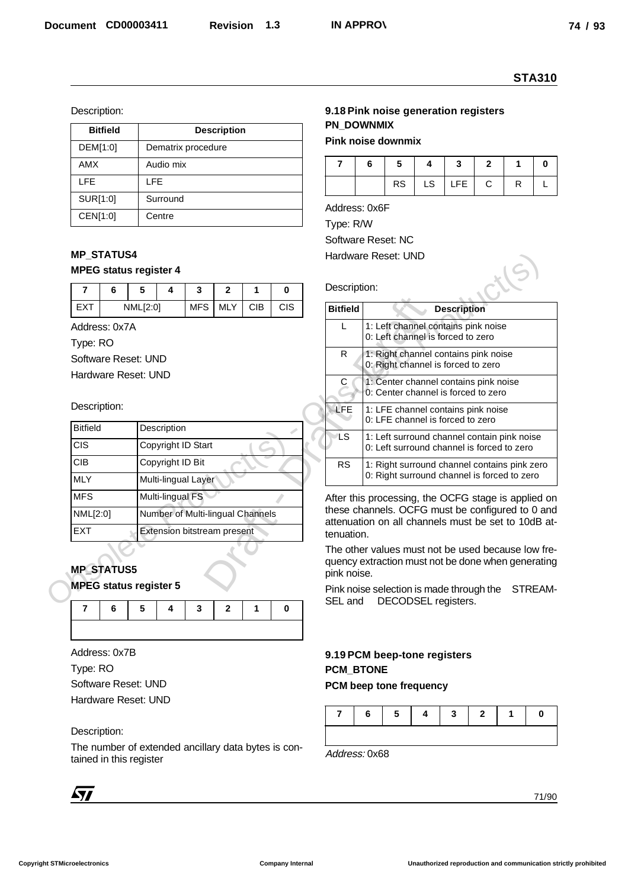| <b>Bitfield</b> | <b>Description</b> |
|-----------------|--------------------|
| DEM[1:0]        | Dematrix procedure |
| <b>AMX</b>      | Audio mix          |
| <b>LFE</b>      | I FF               |
| SUR[1:0]        | Surround           |
| CEN[1:0]        | Centre             |

# **MP\_STATUS4**

# **MPEG status register 4**

|            | 6        |  |  |           | ◠ |            |            |
|------------|----------|--|--|-----------|---|------------|------------|
| <b>FXT</b> | NML[2:0] |  |  | MFS I MLY |   | <b>CIB</b> | <b>CIS</b> |

#### Description:

| <b>Bitfield</b> | Description                        |
|-----------------|------------------------------------|
| <b>CIS</b>      | Copyright ID Start                 |
| <b>CIB</b>      | Copyright ID Bit                   |
| <b>MLY</b>      | Multi-lingual Layer                |
| <b>MFS</b>      | Multi-lingual FS                   |
| NML[2:0]        | Number of Multi-lingual Channels   |
| <b>EXT</b>      | <b>Extension bitstream present</b> |

# **MP\_STATUS5**



# Description:

# **9.18 Pink noise generation registers PN\_DOWNMIX**

# **Pink noise downmix**

|  |  | $RS$ $LS$ $LFE$ $C$ |  |  |
|--|--|---------------------|--|--|

|                                                                                                                                              |          |                                    |            |                    |            |            |                                           |                                                                              |           |                                                                                                                                                      |                    |              |   | <b>STA310</b> |  |  |
|----------------------------------------------------------------------------------------------------------------------------------------------|----------|------------------------------------|------------|--------------------|------------|------------|-------------------------------------------|------------------------------------------------------------------------------|-----------|------------------------------------------------------------------------------------------------------------------------------------------------------|--------------------|--------------|---|---------------|--|--|
| Description:                                                                                                                                 |          |                                    |            |                    |            |            |                                           |                                                                              |           | 9.18 Pink noise generation registers                                                                                                                 |                    |              |   |               |  |  |
| <b>Bitfield</b>                                                                                                                              |          |                                    |            | <b>Description</b> |            |            |                                           | <b>PN DOWNMIX</b>                                                            |           |                                                                                                                                                      |                    |              |   |               |  |  |
| DEM[1:0]                                                                                                                                     |          | Dematrix procedure                 |            |                    |            |            |                                           | <b>Pink noise downmix</b>                                                    |           |                                                                                                                                                      |                    |              |   |               |  |  |
| AMX                                                                                                                                          |          | Audio mix                          |            |                    |            |            | $\overline{7}$                            | 6<br>5<br>$\mathbf{3}$<br>$\mathbf{2}$<br>1<br>4<br>0                        |           |                                                                                                                                                      |                    |              |   |               |  |  |
| <b>LFE</b>                                                                                                                                   |          | <b>LFE</b>                         |            |                    |            |            |                                           |                                                                              | <b>RS</b> | LS                                                                                                                                                   | <b>LFE</b>         | $\mathbf C$  | R | L             |  |  |
| SUR[1:0]                                                                                                                                     |          | Surround                           |            |                    |            |            |                                           | Address: 0x6F                                                                |           |                                                                                                                                                      |                    |              |   |               |  |  |
| CEN[1:0]                                                                                                                                     |          | Centre                             |            |                    |            |            | Type: R/W                                 |                                                                              |           |                                                                                                                                                      |                    |              |   |               |  |  |
| <b>MP_STATUS4</b><br><b>MPEG status register 4</b>                                                                                           |          |                                    |            |                    |            |            | Software Reset: NC<br>Hardware Reset: UND |                                                                              |           |                                                                                                                                                      |                    |              |   |               |  |  |
| $\overline{7}$<br>6                                                                                                                          | 5        | 4                                  | 3          | $\mathbf{2}$       | 1          | 0          |                                           | Description:                                                                 |           |                                                                                                                                                      |                    |              |   |               |  |  |
| <b>EXT</b>                                                                                                                                   | NML[2:0] |                                    | <b>MFS</b> | <b>MLY</b>         | <b>CIB</b> | <b>CIS</b> | <b>Bitfield</b>                           |                                                                              |           |                                                                                                                                                      | <b>Description</b> |              |   |               |  |  |
| Address: 0x7A<br>Type: RO                                                                                                                    |          |                                    |            |                    |            |            | L                                         |                                                                              |           | 1: Left channel contains pink noise<br>0: Left channel is forced to zero                                                                             |                    |              |   |               |  |  |
| Software Reset: UND                                                                                                                          |          |                                    |            |                    |            |            | $\mathsf{R}$                              |                                                                              |           | 1: Right channel contains pink noise<br>0: Right channel is forced to zero                                                                           |                    |              |   |               |  |  |
| Hardware Reset: UND                                                                                                                          |          |                                    |            |                    |            |            | С                                         | 1: Center channel contains pink noise<br>0: Center channel is forced to zero |           |                                                                                                                                                      |                    |              |   |               |  |  |
| Description:                                                                                                                                 |          |                                    |            |                    |            |            | <b>LFE</b>                                |                                                                              |           | 1: LFE channel contains pink noise                                                                                                                   |                    |              |   |               |  |  |
| <b>Bitfield</b>                                                                                                                              |          | Description                        |            |                    |            |            |                                           |                                                                              |           | 0: LFE channel is forced to zero                                                                                                                     |                    |              |   |               |  |  |
| <b>CIS</b>                                                                                                                                   |          | Copyright ID Start                 |            |                    |            |            | ∕LS                                       |                                                                              |           | 1: Left surround channel contain pink noise<br>0: Left surround channel is forced to zero                                                            |                    |              |   |               |  |  |
| <b>CIB</b>                                                                                                                                   |          | Copyright ID Bit                   |            |                    |            |            | <b>RS</b>                                 |                                                                              |           | 1: Right surround channel contains pink zero                                                                                                         |                    |              |   |               |  |  |
| <b>MLY</b>                                                                                                                                   |          | Multi-lingual Layer                |            |                    |            |            |                                           |                                                                              |           | 0: Right surround channel is forced to zero                                                                                                          |                    |              |   |               |  |  |
| MFS                                                                                                                                          |          | Multi-lingual FS                   |            |                    |            |            |                                           |                                                                              |           | After this processing, the OCFG stage is applied on                                                                                                  |                    |              |   |               |  |  |
| NML[2:0]                                                                                                                                     |          | Number of Multi-lingual Channels   |            |                    |            |            |                                           |                                                                              |           | these channels. OCFG must be configured to 0 and<br>attenuation on all channels must be set to 10dB at-                                              |                    |              |   |               |  |  |
| <b>EXT</b><br><b>MP_STATUS5</b><br><b>MPEG status register 5</b>                                                                             |          | <b>Extension bitstream present</b> |            |                    |            |            | tenuation.<br>pink noise.                 |                                                                              |           | The other values must not be used because low fre-<br>quency extraction must not be done when generating<br>Pink noise selection is made through the |                    |              |   | STREAM-       |  |  |
| 7<br>6                                                                                                                                       | 5        | 4                                  | 3          | $\mathbf{2}$       | 1          | 0          | SEL and                                   |                                                                              |           | DECODSEL registers.                                                                                                                                  |                    |              |   |               |  |  |
| Address: 0x7B                                                                                                                                |          |                                    |            |                    |            |            |                                           |                                                                              |           | 9.19 PCM beep-tone registers                                                                                                                         |                    |              |   |               |  |  |
| Type: RO                                                                                                                                     |          |                                    |            |                    |            |            |                                           | <b>PCM BTONE</b>                                                             |           |                                                                                                                                                      |                    |              |   |               |  |  |
|                                                                                                                                              |          |                                    |            |                    |            |            |                                           |                                                                              |           | PCM beep tone frequency                                                                                                                              |                    |              |   |               |  |  |
|                                                                                                                                              |          |                                    |            |                    |            |            |                                           |                                                                              |           |                                                                                                                                                      |                    |              |   |               |  |  |
|                                                                                                                                              |          |                                    |            |                    |            |            | 7                                         | 6                                                                            | 5         | 4                                                                                                                                                    | 3                  | $\mathbf{2}$ | 1 | 0             |  |  |
|                                                                                                                                              |          |                                    |            |                    |            |            |                                           |                                                                              |           |                                                                                                                                                      |                    |              |   |               |  |  |
|                                                                                                                                              |          |                                    |            |                    |            |            |                                           |                                                                              |           |                                                                                                                                                      |                    |              |   |               |  |  |
| Software Reset: UND<br>Hardware Reset: UND<br>Description:<br>The number of extended ancillary data bytes is con-<br>tained in this register |          |                                    |            |                    |            |            | Address: 0x68                             |                                                                              |           |                                                                                                                                                      |                    |              |   |               |  |  |

# **9.19 PCM beep-tone registers PCM\_BTONE**

#### **PCM beep tone frequency**

|  |  | $\begin{array}{ccc} \n & 3 \n \end{array}$ | $\overline{\phantom{a}}$ |  |
|--|--|--------------------------------------------|--------------------------|--|
|  |  |                                            |                          |  |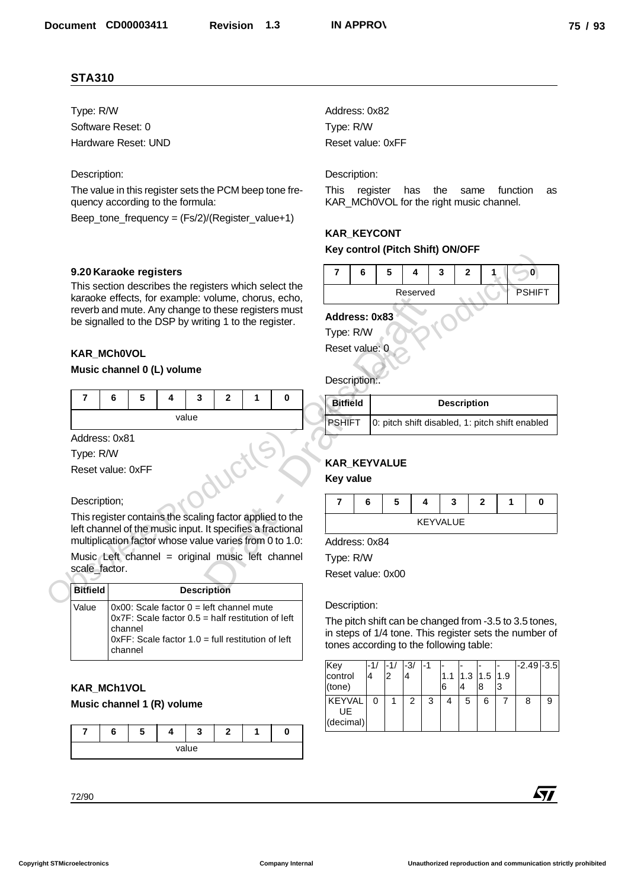# Description:

#### **9.20 Karaoke registers**

#### **KAR\_MCh0VOL**

#### **Music channel 0 (L) volume**

|                 |                                                       |   |   |                    |              |   | karaoke effects, for example: volume, chorus, echo,                                                                    |                            |   |                   |    |
|-----------------|-------------------------------------------------------|---|---|--------------------|--------------|---|------------------------------------------------------------------------------------------------------------------------|----------------------------|---|-------------------|----|
|                 | be signalled to the DSP by writing 1 to the register. |   |   |                    |              |   | reverb and mute. Any change to these registers must                                                                    | Address: 0x83<br>Type: R/W |   |                   |    |
|                 | <b>KAR_MChOVOL</b>                                    |   |   |                    |              |   |                                                                                                                        | Reset value: 0             |   |                   |    |
|                 | Music channel 0 (L) volume                            |   |   |                    |              |   |                                                                                                                        | Description:.              |   |                   |    |
| 7               | 6                                                     | 5 | 4 | 3                  | $\mathbf{2}$ | 1 | 0                                                                                                                      | <b>Bitfield</b>            |   |                   |    |
|                 |                                                       |   |   | value              |              |   |                                                                                                                        | <b>PSHIFT</b>              |   | 0: pitch shift of |    |
|                 | Address: 0x81                                         |   |   |                    |              |   |                                                                                                                        |                            |   |                   |    |
| Type: R/W       |                                                       |   |   |                    |              |   |                                                                                                                        |                            |   |                   |    |
|                 | Reset value: 0xFF                                     |   |   |                    |              |   |                                                                                                                        | <b>KAR_KEYVALUE</b>        |   |                   |    |
|                 |                                                       |   |   |                    |              |   |                                                                                                                        | <b>Key value</b>           |   |                   |    |
| Description;    |                                                       |   |   |                    |              |   |                                                                                                                        | 7                          | 6 | 5                 | 4  |
|                 |                                                       |   |   |                    |              |   | This register contains the scaling factor applied to the<br>left channel of the music input. It specifies a fractional |                            |   |                   | KE |
|                 |                                                       |   |   |                    |              |   | multiplication factor whose value varies from 0 to 1.0:                                                                | Address: 0x84              |   |                   |    |
|                 |                                                       |   |   |                    |              |   | Music Left channel = original music left channel                                                                       | Type: R/W                  |   |                   |    |
|                 | scale factor.                                         |   |   |                    |              |   |                                                                                                                        | Reset value: 0x00          |   |                   |    |
| <b>Riffield</b> |                                                       |   |   | <b>Description</b> |              |   |                                                                                                                        |                            |   |                   |    |

#### Description;

| Music Left channel = original music left channel |  |  |  |
|--------------------------------------------------|--|--|--|
| scale factor.                                    |  |  |  |

|                                                       |                    |   |   |                    |              |                                                                                                                |                                                                                                                       |                 |                | ו טיוס ווייט ווייט וויסט ווייט ווייט ווייט ווייט ווייט ווייט ווייט ווייט ווייט ווייט ווייט ווייט ווי                                                 |          |                 |                    |              |   |              |
|-------------------------------------------------------|--------------------|---|---|--------------------|--------------|----------------------------------------------------------------------------------------------------------------|-----------------------------------------------------------------------------------------------------------------------|-----------------|----------------|------------------------------------------------------------------------------------------------------------------------------------------------------|----------|-----------------|--------------------|--------------|---|--------------|
| 9.20 Karaoke registers                                |                    |   |   |                    |              |                                                                                                                |                                                                                                                       | 7               | 6              | 5                                                                                                                                                    | 4        | 3               | $\mathbf{2}$       |              |   | $\mathbf{0}$ |
|                                                       |                    |   |   |                    |              |                                                                                                                | This section describes the registers which select the<br>karaoke effects, for example: volume, chorus, echo,          |                 |                |                                                                                                                                                      | Reserved |                 |                    |              |   | <b>PSHIF</b> |
| be signalled to the DSP by writing 1 to the register. |                    |   |   |                    |              |                                                                                                                | reverb and mute. Any change to these registers must                                                                   |                 | Address: 0x83  |                                                                                                                                                      |          |                 |                    |              |   |              |
|                                                       |                    |   |   |                    |              |                                                                                                                |                                                                                                                       | Type: R/W       |                |                                                                                                                                                      |          |                 |                    |              |   |              |
| <b>KAR MChOVOL</b>                                    |                    |   |   |                    |              |                                                                                                                |                                                                                                                       |                 | Reset value: 0 |                                                                                                                                                      |          |                 |                    |              |   |              |
| Music channel 0 (L) volume                            |                    |   |   |                    |              |                                                                                                                |                                                                                                                       |                 | Description:   |                                                                                                                                                      |          |                 |                    |              |   |              |
| $\overline{7}$                                        | 6                  | 5 | 4 | 3                  | $\mathbf{2}$ | 1                                                                                                              | 0                                                                                                                     | <b>Bitfield</b> |                |                                                                                                                                                      |          |                 | <b>Description</b> |              |   |              |
|                                                       |                    |   |   | value              |              |                                                                                                                |                                                                                                                       | <b>PSHIFT</b>   |                | 0: pitch shift disabled, 1: pitch shift enable                                                                                                       |          |                 |                    |              |   |              |
| Address: 0x81                                         |                    |   |   |                    |              |                                                                                                                |                                                                                                                       |                 |                |                                                                                                                                                      |          |                 |                    |              |   |              |
| Type: R/W                                             |                    |   |   |                    |              |                                                                                                                |                                                                                                                       |                 |                | KAR_KEYVALUE                                                                                                                                         |          |                 |                    |              |   |              |
| Reset value: 0xFF                                     |                    |   |   |                    |              |                                                                                                                |                                                                                                                       | Key value       |                |                                                                                                                                                      |          |                 |                    |              |   |              |
| Description;                                          |                    |   |   |                    |              |                                                                                                                |                                                                                                                       | $\overline{7}$  | 6              | 5                                                                                                                                                    | 4        |                 | 3                  | $\mathbf{2}$ | 1 |              |
|                                                       |                    |   |   |                    |              |                                                                                                                | This register contains the scaling factor applied to the                                                              |                 |                |                                                                                                                                                      |          | <b>KEYVALUE</b> |                    |              |   |              |
|                                                       |                    |   |   |                    |              |                                                                                                                | left channel of the music input. It specifies a fractional<br>multiplication factor whose value varies from 0 to 1.0: |                 | Address: 0x84  |                                                                                                                                                      |          |                 |                    |              |   |              |
|                                                       |                    |   |   |                    |              |                                                                                                                | Music Left channel = original music left channel                                                                      | Type: R/W       |                |                                                                                                                                                      |          |                 |                    |              |   |              |
| scale factor.                                         |                    |   |   |                    |              |                                                                                                                |                                                                                                                       |                 |                | Reset value: 0x00                                                                                                                                    |          |                 |                    |              |   |              |
| <b>Bitfield</b>                                       |                    |   |   | <b>Description</b> |              |                                                                                                                |                                                                                                                       |                 |                |                                                                                                                                                      |          |                 |                    |              |   |              |
| Value                                                 |                    |   |   |                    |              | $0x00$ : Scale factor $0 =$ left channel mute                                                                  |                                                                                                                       |                 | Description:   |                                                                                                                                                      |          |                 |                    |              |   |              |
|                                                       | channel<br>channel |   |   |                    |              | $0x7F$ : Scale factor $0.5$ = half restitution of left<br>$0xFF$ : Scale factor 1.0 = full restitution of left |                                                                                                                       |                 |                | The pitch shift can be changed from -3.5 to 3.5 tor<br>in steps of 1/4 tone. This register sets the numbe<br>tones according to the following table: |          |                 |                    |              |   |              |

# **KAR\_MCh1VOL**

#### **Music channel 1 (R) volume**

|  | ш. |       | - |  |
|--|----|-------|---|--|
|  |    | value |   |  |

# **KAR\_KEYCONT**

#### **Key control (Pitch Shift) ON/OFF**

|  | ು |          |  |       |
|--|---|----------|--|-------|
|  |   | Reserved |  | ѕніьт |

#### **Address: 0x83**

| Bitfield      | <b>Description</b>                              |
|---------------|-------------------------------------------------|
| <b>PSHIFT</b> | 0: pitch shift disabled, 1: pitch shift enabled |

# **KAR\_KEYVALUE**

#### **Key value**

|  | э | л | ÷.       |  |  |
|--|---|---|----------|--|--|
|  |   |   | KEYVALUE |  |  |

#### Description:

| <b>STA310</b>                                                                       |         |   |   |                                                        |              |   |                                                                                                              |                                                        |                                                                  |              |          |     |                    |              |               |                |               |            |
|-------------------------------------------------------------------------------------|---------|---|---|--------------------------------------------------------|--------------|---|--------------------------------------------------------------------------------------------------------------|--------------------------------------------------------|------------------------------------------------------------------|--------------|----------|-----|--------------------|--------------|---------------|----------------|---------------|------------|
| Type: R/W                                                                           |         |   |   |                                                        |              |   |                                                                                                              | Address: 0x82                                          |                                                                  |              |          |     |                    |              |               |                |               |            |
| Software Reset: 0                                                                   |         |   |   |                                                        |              |   |                                                                                                              | Type: R/W                                              |                                                                  |              |          |     |                    |              |               |                |               |            |
| Hardware Reset: UND                                                                 |         |   |   |                                                        |              |   |                                                                                                              | Reset value: 0xFF                                      |                                                                  |              |          |     |                    |              |               |                |               |            |
| Description:                                                                        |         |   |   |                                                        |              |   |                                                                                                              | Description:                                           |                                                                  |              |          |     |                    |              |               |                |               |            |
|                                                                                     |         |   |   |                                                        |              |   | The value in this register sets the PCM beep tone fre-                                                       | This                                                   | register                                                         |              | has      | the |                    | same         |               |                | function      | as         |
| quency according to the formula:<br>Beep_tone_frequency = (Fs/2)/(Register_value+1) |         |   |   |                                                        |              |   |                                                                                                              | KAR_MCh0VOL for the right music channel.               |                                                                  |              |          |     |                    |              |               |                |               |            |
|                                                                                     |         |   |   |                                                        |              |   |                                                                                                              | <b>KAR_KEYCONT</b>                                     |                                                                  |              |          |     |                    |              |               |                |               |            |
|                                                                                     |         |   |   |                                                        |              |   |                                                                                                              | Key control (Pitch Shift) ON/OFF                       |                                                                  |              |          |     |                    |              |               |                |               |            |
| 9.20 Karaoke registers                                                              |         |   |   |                                                        |              |   |                                                                                                              | 7                                                      | 6                                                                | 5            | 4        |     | 3                  | $\mathbf{2}$ | 1.            |                | 0             |            |
|                                                                                     |         |   |   |                                                        |              |   | This section describes the registers which select the<br>karaoke effects, for example: volume, chorus, echo, |                                                        |                                                                  |              | Reserved |     |                    |              |               |                | <b>PSHIFT</b> |            |
|                                                                                     |         |   |   |                                                        |              |   | reverb and mute. Any change to these registers must                                                          | Address: 0x83                                          |                                                                  |              |          |     |                    |              |               |                |               |            |
| be signalled to the DSP by writing 1 to the register.                               |         |   |   |                                                        |              |   |                                                                                                              | Type: R/W                                              |                                                                  |              |          |     |                    |              |               |                |               |            |
| KAR_MCh0VOL                                                                         |         |   |   |                                                        |              |   |                                                                                                              | Reset value: 0                                         |                                                                  |              |          |     |                    |              |               |                |               |            |
| Music channel 0 (L) volume                                                          |         |   |   |                                                        |              |   |                                                                                                              |                                                        |                                                                  |              |          |     |                    |              |               |                |               |            |
|                                                                                     |         |   |   |                                                        |              |   |                                                                                                              | Description:                                           |                                                                  |              |          |     |                    |              |               |                |               |            |
| $\overline{7}$                                                                      | 6       | 5 | 4 | 3                                                      | $\mathbf{2}$ | 1 | 0                                                                                                            | <b>Bitfield</b>                                        |                                                                  |              |          |     | <b>Description</b> |              |               |                |               |            |
|                                                                                     |         |   |   | value                                                  |              |   |                                                                                                              |                                                        | <b>PSHIFT</b><br>0: pitch shift disabled, 1: pitch shift enabled |              |          |     |                    |              |               |                |               |            |
| Address: 0x81                                                                       |         |   |   |                                                        |              |   |                                                                                                              |                                                        |                                                                  |              |          |     |                    |              |               |                |               |            |
| Type: R/W                                                                           |         |   |   |                                                        |              |   |                                                                                                              |                                                        |                                                                  |              |          |     |                    |              |               |                |               |            |
| Reset value: 0xFF                                                                   |         |   |   |                                                        |              |   |                                                                                                              | <b>KAR_KEYVALUE</b><br><b>Key value</b>                |                                                                  |              |          |     |                    |              |               |                |               |            |
| Description;                                                                        |         |   |   |                                                        |              |   |                                                                                                              | $\overline{7}$                                         | 6                                                                | 5            |          | 4   | 3                  |              | $\mathbf{2}$  | 1              |               | 0          |
|                                                                                     |         |   |   |                                                        |              |   | This register contains the scaling factor applied to the                                                     |                                                        | <b>KEYVALUE</b>                                                  |              |          |     |                    |              |               |                |               |            |
|                                                                                     |         |   |   |                                                        |              |   | left channel of the music input. It specifies a fractional                                                   |                                                        |                                                                  |              |          |     |                    |              |               |                |               |            |
|                                                                                     |         |   |   |                                                        |              |   | multiplication factor whose value varies from 0 to 1.0:<br>Music Left channel = original music left channel  | Address: 0x84                                          |                                                                  |              |          |     |                    |              |               |                |               |            |
| scale_factor.                                                                       |         |   |   |                                                        |              |   |                                                                                                              | Type: R/W<br>Reset value: 0x00                         |                                                                  |              |          |     |                    |              |               |                |               |            |
| <b>Bitfield</b>                                                                     |         |   |   | <b>Description</b>                                     |              |   |                                                                                                              |                                                        |                                                                  |              |          |     |                    |              |               |                |               |            |
| Value                                                                               |         |   |   | $0x00$ : Scale factor $0 =$ left channel mute          |              |   |                                                                                                              | Description:                                           |                                                                  |              |          |     |                    |              |               |                |               |            |
|                                                                                     |         |   |   | $0x7F$ : Scale factor $0.5$ = half restitution of left |              |   |                                                                                                              | The pitch shift can be changed from -3.5 to 3.5 tones, |                                                                  |              |          |     |                    |              |               |                |               |            |
|                                                                                     | channel |   |   | $0xFF$ : Scale factor 1.0 = full restitution of left   |              |   |                                                                                                              | in steps of 1/4 tone. This register sets the number of |                                                                  |              |          |     |                    |              |               |                |               |            |
|                                                                                     | channel |   |   |                                                        |              |   |                                                                                                              | tones according to the following table:                |                                                                  |              |          |     |                    |              |               |                |               |            |
|                                                                                     |         |   |   |                                                        |              |   |                                                                                                              | Key<br>control                                         | -1/<br>4                                                         | -1/<br>2     | -3/<br>4 | -1  | 1.1                |              | $1.3$ 1.5 1.9 |                | $-2.49 - 3.5$ |            |
| KAR_MCh1VOL                                                                         |         |   |   |                                                        |              |   |                                                                                                              | (tone)                                                 |                                                                  |              |          |     | 6                  | 4            | 8             | 3              |               |            |
| Music channel 1 (R) volume                                                          |         |   |   |                                                        |              |   |                                                                                                              | <b>KEYVAL</b><br>UE                                    | $\Omega$                                                         | $\mathbf{1}$ | 2        | 3   | 4                  | 5            | 6             | $\overline{7}$ | 8             | 9          |
| $\overline{7}$                                                                      | 6       | 5 | 4 | 3                                                      | $\mathbf{2}$ | 1 | 0                                                                                                            | (decimal)                                              |                                                                  |              |          |     |                    |              |               |                |               |            |
|                                                                                     |         |   |   | value                                                  |              |   |                                                                                                              |                                                        |                                                                  |              |          |     |                    |              |               |                |               |            |
|                                                                                     |         |   |   |                                                        |              |   |                                                                                                              |                                                        |                                                                  |              |          |     |                    |              |               |                |               |            |
|                                                                                     |         |   |   |                                                        |              |   |                                                                                                              |                                                        |                                                                  |              |          |     |                    |              |               |                |               | <b>477</b> |
| 72/90                                                                               |         |   |   |                                                        |              |   |                                                                                                              |                                                        |                                                                  |              |          |     |                    |              |               |                |               |            |

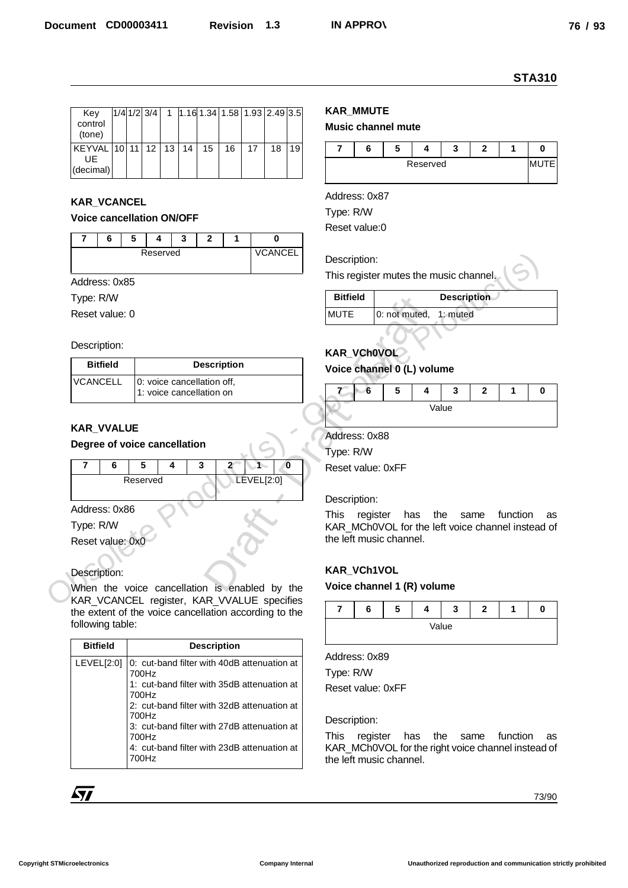| Key<br>control<br>(tone)                           |  | $1/4$ 1/2 3/4 |  |    |    | 1   1.16 1.34   1.58   1.93   2.49   3.5 |    |    |
|----------------------------------------------------|--|---------------|--|----|----|------------------------------------------|----|----|
| KEYVAL   10   11   12   13   14<br>UF<br>(decimal) |  |               |  | 15 | 16 | 17                                       | 18 | 19 |

# **KAR\_VCANCEL**

# **Voice cancellation ON/OFF**

|  | $\ddot{\phantom{0}}$ |          |  |                |
|--|----------------------|----------|--|----------------|
|  |                      | Reserved |  | <b>VCANCEL</b> |
|  |                      |          |  |                |

#### Description:

| <b>Bitfield</b> | <b>Description</b>                                     |
|-----------------|--------------------------------------------------------|
| <b>VCANCELL</b> | 0: voice cancellation off.<br>1: voice cancellation on |

#### **KAR\_VVALUE**

# **Degree of voice cancellation**



# Description:

|                                                                                                     |                                                      |                            |                              |                |    |                     |          |                                                                               |          |               |          |            |                    |                       | <b>STA310</b> |
|-----------------------------------------------------------------------------------------------------|------------------------------------------------------|----------------------------|------------------------------|----------------|----|---------------------|----------|-------------------------------------------------------------------------------|----------|---------------|----------|------------|--------------------|-----------------------|---------------|
| Key<br>control                                                                                      | $1/4$ $1/2$ $3/4$                                    | $\mathbf 1$                | 1.16 1.34 1.58 1.93 2.49 3.5 |                |    |                     |          | <b>KAR_MMUTE</b><br>Music channel mute                                        |          |               |          |            |                    |                       |               |
| (tone)<br>KEYVAL 10 11                                                                              | 12                                                   | 13<br>14                   | 15                           | 16             | 17 | 18                  | 19       | $\overline{7}$                                                                | 6        | 5             | 4        | 3          | $\mathbf{2}$       | 1                     | 0             |
| UE<br>(decimal)                                                                                     |                                                      |                            |                              |                |    |                     |          |                                                                               |          |               | Reserved |            |                    |                       | <b>MUTE</b>   |
|                                                                                                     |                                                      |                            |                              |                |    |                     |          | Address: 0x87                                                                 |          |               |          |            |                    |                       |               |
| <b>KAR_VCANCEL</b>                                                                                  |                                                      |                            |                              |                |    |                     |          | Type: R/W                                                                     |          |               |          |            |                    |                       |               |
| <b>Voice cancellation ON/OFF</b>                                                                    |                                                      |                            |                              |                |    |                     |          | Reset value:0                                                                 |          |               |          |            |                    |                       |               |
| $\overline{7}$<br>6                                                                                 | 5                                                    | 3<br>Reserved              | $\mathbf{2}$                 | 1              |    | 0<br><b>VCANCEL</b> |          |                                                                               |          |               |          |            |                    |                       |               |
|                                                                                                     |                                                      |                            |                              |                |    |                     |          | Description:                                                                  |          |               |          |            |                    |                       |               |
| Address: 0x85                                                                                       |                                                      |                            |                              |                |    |                     |          | This register mutes the music channel.                                        |          |               |          |            |                    |                       |               |
| Type: R/W<br>Reset value: 0                                                                         |                                                      |                            |                              |                |    |                     |          | <b>Bitfield</b><br><b>MUTE</b>                                                |          | 0: not muted, |          | $1:$ muted | <b>Description</b> |                       |               |
|                                                                                                     |                                                      |                            |                              |                |    |                     |          |                                                                               |          |               |          |            |                    |                       |               |
| Description:                                                                                        |                                                      |                            |                              |                |    |                     |          |                                                                               |          |               |          |            |                    |                       |               |
| <b>Bitfield</b>                                                                                     |                                                      |                            | <b>Description</b>           |                |    |                     |          | KAR_VCh0VOL<br>Voice channel 0 (L) volume                                     |          |               |          |            |                    |                       |               |
| <b>VCANCELL</b>                                                                                     |                                                      | 0: voice cancellation off, |                              |                |    |                     |          |                                                                               | 6        | 5             | 4        | 3          | $\mathbf{2}$       | 1                     | $\bf{0}$      |
|                                                                                                     |                                                      | 1: voice cancellation on   |                              |                |    |                     |          |                                                                               |          |               |          | Value      |                    |                       |               |
| <b>KAR_VVALUE</b>                                                                                   |                                                      |                            |                              |                |    |                     |          |                                                                               |          |               |          |            |                    |                       |               |
| Degree of voice cancellation                                                                        |                                                      |                            |                              |                |    |                     |          | Address: 0x88                                                                 |          |               |          |            |                    |                       |               |
|                                                                                                     |                                                      |                            |                              |                |    |                     |          |                                                                               |          |               |          |            |                    |                       |               |
|                                                                                                     |                                                      |                            |                              |                |    |                     |          | Type: R/W                                                                     |          |               |          |            |                    |                       |               |
| 7<br>6                                                                                              | 5<br>Reserved                                        | 4                          | 3                            | $\overline{2}$ | 1  |                     | $\bf{0}$ | Reset value: 0xFF                                                             |          |               |          |            |                    |                       |               |
|                                                                                                     |                                                      |                            |                              |                |    | LEVEL[2:0]          |          |                                                                               |          |               |          |            |                    |                       |               |
| Address: 0x86                                                                                       |                                                      |                            |                              |                |    |                     |          | Description:<br>This                                                          | register |               |          |            |                    | has the same function | as            |
| Type: R/W                                                                                           |                                                      |                            |                              |                |    |                     |          | KAR_MCh0VOL for the left voice channel instead of                             |          |               |          |            |                    |                       |               |
| Reset value: 0x0                                                                                    |                                                      |                            |                              |                |    |                     |          | the left music channel.                                                       |          |               |          |            |                    |                       |               |
| Description:                                                                                        |                                                      |                            |                              |                |    |                     |          | KAR_VCh1VOL                                                                   |          |               |          |            |                    |                       |               |
| When the voice cancellation is enabled by the                                                       |                                                      |                            |                              |                |    |                     |          | Voice channel 1 (R) volume                                                    |          |               |          |            |                    |                       |               |
| KAR_VCANCEL register, KAR_VVALUE specifies<br>the extent of the voice cancellation according to the |                                                      |                            |                              |                |    |                     |          | $\overline{7}$                                                                | 6        | 5             | 4        | 3          | $\mathbf{2}$       | 1                     | 0             |
| following table:                                                                                    |                                                      |                            |                              |                |    |                     |          |                                                                               |          |               |          | Value      |                    |                       |               |
| <b>Bitfield</b>                                                                                     |                                                      |                            | <b>Description</b>           |                |    |                     |          |                                                                               |          |               |          |            |                    |                       |               |
| LEVEL[2:0]                                                                                          | 0: cut-band filter with 40dB attenuation at          |                            |                              |                |    |                     |          | Address: 0x89                                                                 |          |               |          |            |                    |                       |               |
|                                                                                                     | 700Hz<br>1: cut-band filter with 35dB attenuation at |                            |                              |                |    |                     |          | Type: R/W                                                                     |          |               |          |            |                    |                       |               |
|                                                                                                     | 700Hz<br>2: cut-band filter with 32dB attenuation at |                            |                              |                |    |                     |          | Reset value: 0xFF                                                             |          |               |          |            |                    |                       |               |
|                                                                                                     | 700Hz                                                |                            |                              |                |    |                     |          | Description:                                                                  |          |               |          |            |                    |                       |               |
|                                                                                                     | 3: cut-band filter with 27dB attenuation at<br>700Hz |                            |                              |                |    |                     |          | This                                                                          | register | has           | the      |            | same               | function              |               |
|                                                                                                     | 4: cut-band filter with 23dB attenuation at<br>700Hz |                            |                              |                |    |                     |          | KAR_MCh0VOL for the right voice channel instead of<br>the left music channel. |          |               |          |            |                    |                       | as            |
| 57                                                                                                  |                                                      |                            |                              |                |    |                     |          |                                                                               |          |               |          |            |                    |                       | 73/90         |

# **KAR\_MMUTE**

#### **Music channel mute**



#### Address: 0x87

# Description:

| <b>Bitfield</b> |                        | <b>Description</b> |
|-----------------|------------------------|--------------------|
| <b>MUTE</b>     | 0: not muted, 1: muted |                    |

# **KAR\_VCh0VOL**

# **Voice channel 0 (L) volume**

| o | ວ | Ŧ | w     | ◠<br>– |  |
|---|---|---|-------|--------|--|
|   |   |   | Value |        |  |

#### Description:

# **KAR\_VCh1VOL**

#### **Voice channel 1 (R) volume**



## Description: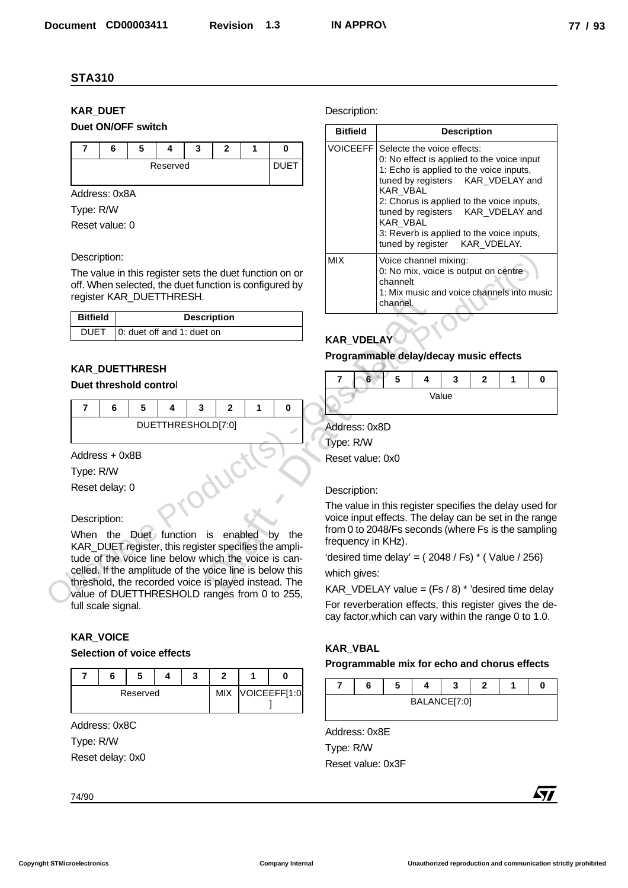# **KAR\_DUET Duet ON/OFF switch**



# Description:

| <b>Bitfield</b> | <b>Description</b>                |
|-----------------|-----------------------------------|
|                 | DUET   0: duet off and 1: duet on |

# **KAR\_DUETTHRESH**

# **Duet threshold contro**l

|  |  | DUETTHRESHOLD[7:0] |  |  |
|--|--|--------------------|--|--|

#### Description:

# **KAR\_VOICE**

#### **Selection of voice effects**

|  | Reserved |  | <b>MIX</b> | VOICEEFF[1:0 |
|--|----------|--|------------|--------------|

#### Description:

| <b>KAR_DUET</b>                                                                                                                                               |                  | Description:                                                                                                                        |                                                                                                                                                             |                                                                                                               |                               |   |            |  |
|---------------------------------------------------------------------------------------------------------------------------------------------------------------|------------------|-------------------------------------------------------------------------------------------------------------------------------------|-------------------------------------------------------------------------------------------------------------------------------------------------------------|---------------------------------------------------------------------------------------------------------------|-------------------------------|---|------------|--|
| Duet ON/OFF switch                                                                                                                                            |                  | <b>Bitfield</b>                                                                                                                     |                                                                                                                                                             |                                                                                                               | <b>Description</b>            |   |            |  |
| $\overline{7}$<br>5<br>3<br>2<br>6<br>4<br>1<br>Reserved                                                                                                      | 0<br><b>DUET</b> | <b>VOICEEFF</b>                                                                                                                     | Selecte the voice effects:<br>0: No effect is applied to the voice input<br>1: Echo is applied to the voice inputs,<br>tuned by registers<br>KAR_VDELAY and |                                                                                                               |                               |   |            |  |
| Address: 0x8A<br>Type: R/W<br>Reset value: 0                                                                                                                  |                  |                                                                                                                                     | KAR_VBAL<br>KAR_VBAL<br>tuned by register                                                                                                                   | 2: Chorus is applied to the voice inputs,<br>tuned by registers<br>3: Reverb is applied to the voice inputs,  | KAR_VDELAY and<br>KAR_VDELAY. |   |            |  |
| Description:<br>The value in this register sets the duet function on or<br>off. When selected, the duet function is configured by<br>register KAR_DUETTHRESH. |                  | <b>MIX</b>                                                                                                                          | channelt<br>channel.                                                                                                                                        | Voice channel mixing:<br>0: No mix, voice is output on centre<br>1: Mix music and voice channels into music   |                               |   |            |  |
| <b>Bitfield</b><br><b>Description</b>                                                                                                                         |                  |                                                                                                                                     |                                                                                                                                                             |                                                                                                               |                               |   |            |  |
| 0: duet off and 1: duet on<br><b>DUET</b>                                                                                                                     |                  | <b>KAR_VDELAY</b>                                                                                                                   |                                                                                                                                                             |                                                                                                               |                               |   |            |  |
|                                                                                                                                                               |                  |                                                                                                                                     |                                                                                                                                                             | Programmable delay/decay music effects                                                                        |                               |   |            |  |
| <b>KAR_DUETTHRESH</b><br>Duet threshold control                                                                                                               |                  | 6<br>7                                                                                                                              | 5                                                                                                                                                           | 4<br>3                                                                                                        | $\mathbf{2}$                  | 1 | 0          |  |
|                                                                                                                                                               |                  |                                                                                                                                     |                                                                                                                                                             | Value                                                                                                         |                               |   |            |  |
| $\overline{7}$<br>6<br>5<br>4<br>3<br>$\mathbf{2}$<br>1                                                                                                       | 0                |                                                                                                                                     |                                                                                                                                                             |                                                                                                               |                               |   |            |  |
| DUETTHRESHOLD[7:0]                                                                                                                                            |                  | Address: 0x8D                                                                                                                       |                                                                                                                                                             |                                                                                                               |                               |   |            |  |
| Address + 0x8B                                                                                                                                                |                  | Type: R/W                                                                                                                           |                                                                                                                                                             |                                                                                                               |                               |   |            |  |
| Type: R/W                                                                                                                                                     |                  | Reset value: 0x0                                                                                                                    |                                                                                                                                                             |                                                                                                               |                               |   |            |  |
| Reset delay: 0                                                                                                                                                |                  | Description:                                                                                                                        |                                                                                                                                                             |                                                                                                               |                               |   |            |  |
|                                                                                                                                                               |                  |                                                                                                                                     |                                                                                                                                                             | The value in this register specifies the delay used for                                                       |                               |   |            |  |
| Description:<br>When the Duet function is enabled<br>KAR_DUET register, this register specifies the ampli-                                                    | ∖b∨<br>the       | voice input effects. The delay can be set in the range<br>from 0 to 2048/Fs seconds (where Fs is the sampling<br>frequency in KHz). |                                                                                                                                                             |                                                                                                               |                               |   |            |  |
| tude of the voice line below which the voice is can-                                                                                                          |                  |                                                                                                                                     |                                                                                                                                                             | 'desired time delay' = $(2048 / Fs)$ * (Value / 256)                                                          |                               |   |            |  |
| celled. If the amplitude of the voice line is below this<br>threshold, the recorded voice is played instead. The                                              |                  | which gives:                                                                                                                        |                                                                                                                                                             |                                                                                                               |                               |   |            |  |
| value of DUETTHRESHOLD ranges from 0 to 255,                                                                                                                  |                  |                                                                                                                                     |                                                                                                                                                             | KAR_VDELAY value = $(Fs / 8)$ * 'desired time delay<br>For reverberation effects, this register gives the de- |                               |   |            |  |
| full scale signal.                                                                                                                                            |                  |                                                                                                                                     |                                                                                                                                                             | cay factor, which can vary within the range 0 to 1.0.                                                         |                               |   |            |  |
| <b>KAR_VOICE</b>                                                                                                                                              |                  |                                                                                                                                     |                                                                                                                                                             |                                                                                                               |                               |   |            |  |
| Selection of voice effects                                                                                                                                    |                  | <b>KAR_VBAL</b>                                                                                                                     |                                                                                                                                                             | Programmable mix for echo and chorus effects                                                                  |                               |   |            |  |
| $\overline{\mathbf{r}}$<br>6<br>5<br>3<br>$\mathbf{2}$<br>1<br>4                                                                                              | 0                |                                                                                                                                     |                                                                                                                                                             |                                                                                                               |                               |   |            |  |
| VOICEEFF[1:0<br>Reserved<br><b>MIX</b>                                                                                                                        |                  | 7<br>6                                                                                                                              | 5                                                                                                                                                           | 4<br>3<br>BALANCE[7:0]                                                                                        | $\mathbf{2}$                  | 1 | 0          |  |
|                                                                                                                                                               |                  |                                                                                                                                     |                                                                                                                                                             |                                                                                                               |                               |   |            |  |
| Address: 0x8C                                                                                                                                                 |                  | Address: 0x8E                                                                                                                       |                                                                                                                                                             |                                                                                                               |                               |   |            |  |
| Type: R/W<br>Reset delay: 0x0                                                                                                                                 |                  | Type: R/W                                                                                                                           |                                                                                                                                                             |                                                                                                               |                               |   |            |  |
|                                                                                                                                                               |                  | Reset value: 0x3F                                                                                                                   |                                                                                                                                                             |                                                                                                               |                               |   |            |  |
|                                                                                                                                                               |                  |                                                                                                                                     |                                                                                                                                                             |                                                                                                               |                               |   | <b>477</b> |  |

# **KAR\_VDELAY**

#### **Programmable delay/decay music effects**



#### Description:

# **KAR\_VBAL**

#### **Programmable mix for echo and chorus effects**

|  | e. |              |  |  |
|--|----|--------------|--|--|
|  |    | BALANCE[7:0] |  |  |

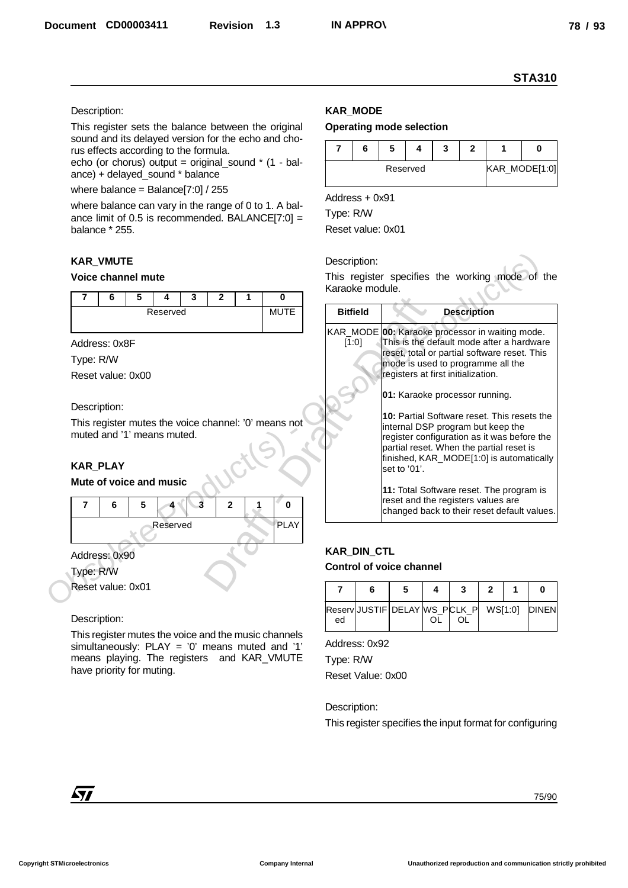#### Description:

#### **KAR\_VMUTE**

#### **Voice channel mute**



#### Description:

# **KAR\_PLAY**

#### **Mute of voice and music**



#### Description:

# **KAR\_MODE**

#### **Operating mode selection**

|  |          | ., |  |               |
|--|----------|----|--|---------------|
|  | Reserved |    |  | KAR_MODE[1:0] |

|                                                                                                                                                                                                                                                        |   |          |                   |   |             |                             |                    |                                                                                              |    |                    |              |   | <b>STA310</b>      |
|--------------------------------------------------------------------------------------------------------------------------------------------------------------------------------------------------------------------------------------------------------|---|----------|-------------------|---|-------------|-----------------------------|--------------------|----------------------------------------------------------------------------------------------|----|--------------------|--------------|---|--------------------|
| Description:<br>This register sets the balance between the original                                                                                                                                                                                    |   |          |                   |   |             | <b>KAR_MODE</b>             |                    | <b>Operating mode selection</b>                                                              |    |                    |              |   |                    |
| sound and its delayed version for the echo and cho-                                                                                                                                                                                                    |   |          |                   |   |             |                             |                    |                                                                                              |    |                    |              |   |                    |
| rus effects according to the formula.<br>echo (or chorus) output = original_sound $*$ (1 - bal-                                                                                                                                                        |   |          |                   |   |             | $\overline{7}$              | 6                  | 5<br>4<br>Reserved                                                                           | 3  | $\mathbf{2}$       | 1            |   | 0<br>KAR_MODE[1:0] |
| ance) + delayed_sound * balance<br>where balance = Balance[7:0] / 255<br>where balance can vary in the range of 0 to 1. A bal-<br>ance limit of 0.5 is recommended. BALANCE[7:0] =<br>balance * 255.                                                   |   |          |                   |   |             |                             |                    |                                                                                              |    |                    |              |   |                    |
|                                                                                                                                                                                                                                                        |   |          |                   |   |             | Address + 0x91<br>Type: R/W |                    |                                                                                              |    |                    |              |   |                    |
|                                                                                                                                                                                                                                                        |   |          |                   |   |             |                             | Reset value: 0x01  |                                                                                              |    |                    |              |   |                    |
| <b>KAR_VMUTE</b>                                                                                                                                                                                                                                       |   |          |                   |   |             | Description:                |                    |                                                                                              |    |                    |              |   |                    |
| <b>Voice channel mute</b>                                                                                                                                                                                                                              |   |          |                   |   |             |                             |                    | This register specifies the working mode of the                                              |    |                    |              |   |                    |
| 7<br>6                                                                                                                                                                                                                                                 | 5 | 3<br>4   | $\mathbf{2}$      | 1 | $\bf{0}$    |                             | Karaoke module.    |                                                                                              |    |                    |              |   |                    |
|                                                                                                                                                                                                                                                        |   | Reserved |                   |   | <b>MUTE</b> | <b>Bitfield</b>             |                    |                                                                                              |    | <b>Description</b> |              |   |                    |
|                                                                                                                                                                                                                                                        |   |          |                   |   |             | [1:0]                       |                    | KAR_MODE 00: Karaoke processor in waiting mode.<br>This is the default mode after a hardware |    |                    |              |   |                    |
| Address: 0x8F<br>Type: R/W                                                                                                                                                                                                                             |   |          |                   |   |             |                             |                    | reset, total or partial software reset. This                                                 |    |                    |              |   |                    |
| Reset value: 0x00                                                                                                                                                                                                                                      |   |          |                   |   |             |                             |                    | mode is used to programme all the<br>registers at first initialization.                      |    |                    |              |   |                    |
|                                                                                                                                                                                                                                                        |   |          |                   |   |             |                             |                    |                                                                                              |    |                    |              |   |                    |
| Description:                                                                                                                                                                                                                                           |   |          |                   |   |             |                             |                    | 01: Karaoke processor running.                                                               |    |                    |              |   |                    |
| This register mutes the voice channel: '0' means not                                                                                                                                                                                                   |   |          |                   |   |             |                             |                    | 10: Partial Software reset. This resets the<br>internal DSP program but keep the             |    |                    |              |   |                    |
| muted and '1' means muted.                                                                                                                                                                                                                             |   |          |                   |   |             |                             |                    | register configuration as it was before the                                                  |    |                    |              |   |                    |
|                                                                                                                                                                                                                                                        |   |          |                   |   |             |                             |                    | partial reset. When the partial reset is<br>finished, KAR_MODE[1:0] is automatically         |    |                    |              |   |                    |
| <b>KAR_PLAY</b><br>Mute of voice and music                                                                                                                                                                                                             |   |          |                   |   |             |                             |                    | set to '01'.                                                                                 |    |                    |              |   |                    |
|                                                                                                                                                                                                                                                        |   |          |                   |   |             |                             |                    | 11: Total Software reset. The program is<br>reset and the registers values are               |    |                    |              |   |                    |
|                                                                                                                                                                                                                                                        | 5 |          | 3<br>$\mathbf{2}$ | 1 | $\bf{0}$    |                             |                    | changed back to their reset default values.                                                  |    |                    |              |   |                    |
| 7<br>6                                                                                                                                                                                                                                                 |   | Reserved |                   |   | <b>PLAY</b> |                             |                    |                                                                                              |    |                    |              |   |                    |
|                                                                                                                                                                                                                                                        |   |          |                   |   |             |                             | <b>KAR_DIN_CTL</b> |                                                                                              |    |                    |              |   |                    |
|                                                                                                                                                                                                                                                        |   |          |                   |   |             |                             |                    | <b>Control of voice channel</b>                                                              |    |                    |              |   |                    |
|                                                                                                                                                                                                                                                        |   |          |                   |   |             |                             |                    |                                                                                              | 4  | 3                  | $\mathbf{2}$ | 1 | 0                  |
|                                                                                                                                                                                                                                                        |   |          |                   |   |             |                             |                    |                                                                                              |    |                    |              |   |                    |
|                                                                                                                                                                                                                                                        |   |          |                   |   |             | 7                           | 6                  | 5                                                                                            |    |                    |              |   |                    |
|                                                                                                                                                                                                                                                        |   |          |                   |   |             | ed                          |                    | ReservJJUSTIF DELAY MS_PCLK_P                                                                | OL | OL.                | WS[1:0]      |   |                    |
|                                                                                                                                                                                                                                                        |   |          |                   |   |             | Address: 0x92               |                    |                                                                                              |    |                    |              |   |                    |
|                                                                                                                                                                                                                                                        |   |          |                   |   |             | Type: R/W                   |                    |                                                                                              |    |                    |              |   |                    |
|                                                                                                                                                                                                                                                        |   |          |                   |   |             |                             | Reset Value: 0x00  |                                                                                              |    |                    |              |   |                    |
|                                                                                                                                                                                                                                                        |   |          |                   |   |             | Description:                |                    |                                                                                              |    |                    |              |   |                    |
|                                                                                                                                                                                                                                                        |   |          |                   |   |             |                             |                    | This register specifies the input format for configuring                                     |    |                    |              |   |                    |
| Address: 0x90<br>Type: R/W<br>Reset value: 0x01<br>Description:<br>This register mutes the voice and the music channels<br>simultaneously: $PLAY = '0'$ means muted and '1'<br>means playing. The registers and KAR_VMUTE<br>have priority for muting. |   |          |                   |   |             |                             |                    |                                                                                              |    |                    |              |   | <b>DINEN</b>       |
|                                                                                                                                                                                                                                                        |   |          |                   |   |             |                             |                    |                                                                                              |    |                    |              |   |                    |
| 477                                                                                                                                                                                                                                                    |   |          |                   |   |             |                             |                    |                                                                                              |    |                    |              |   |                    |

# **KAR\_DIN\_CTL Control of voice channel**

|    | b |  |  |  |
|----|---|--|--|--|
| ed |   |  |  |  |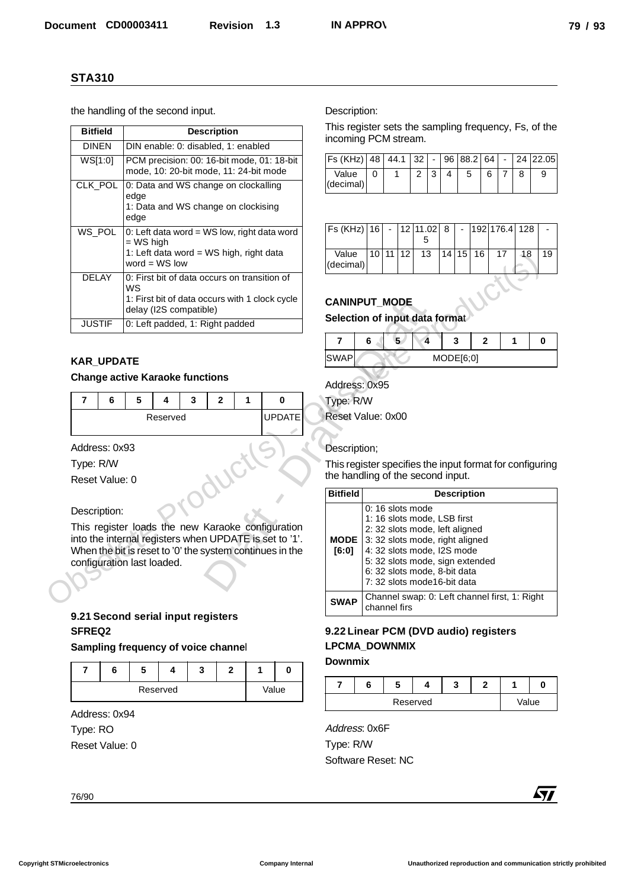|                                                             | <b>STA310</b> |                                 |                                                                                                                          |   |                    |              |                                |                                                          |                                                          |          |                         |                     |                          |                                                               |                 |                 |                          |               |            |
|-------------------------------------------------------------|---------------|---------------------------------|--------------------------------------------------------------------------------------------------------------------------|---|--------------------|--------------|--------------------------------|----------------------------------------------------------|----------------------------------------------------------|----------|-------------------------|---------------------|--------------------------|---------------------------------------------------------------|-----------------|-----------------|--------------------------|---------------|------------|
| the handling of the second input.                           |               |                                 |                                                                                                                          |   |                    |              |                                |                                                          | Description:                                             |          |                         |                     |                          |                                                               |                 |                 |                          |               |            |
| <b>Bitfield</b>                                             |               |                                 |                                                                                                                          |   | <b>Description</b> |              |                                |                                                          | This register sets the sampling frequency, Fs, of the    |          |                         |                     |                          |                                                               |                 |                 |                          |               |            |
| <b>DINEN</b>                                                |               |                                 | DIN enable: 0: disabled, 1: enabled                                                                                      |   |                    |              |                                |                                                          | incoming PCM stream.                                     |          |                         |                     |                          |                                                               |                 |                 |                          |               |            |
| WS[1:0]                                                     |               |                                 | mode, 10: 20-bit mode, 11: 24-bit mode                                                                                   |   |                    |              |                                | PCM precision: 00: 16-bit mode, 01: 18-bit               | Fs (KHz) 48<br>Value                                     | $\Omega$ |                         | 44.1<br>$\mathbf 1$ | 32<br>$\overline{2}$     | 3<br>4                                                        | 96 88.2 64<br>5 | 6               | $\overline{\phantom{a}}$ | 24 22.05<br>8 | 9          |
| CLK_POL                                                     |               |                                 | 0: Data and WS change on clockalling                                                                                     |   |                    |              |                                |                                                          | (decimal)                                                |          |                         |                     |                          |                                                               |                 |                 | $\mathbf{7}$             |               |            |
|                                                             |               | edge<br>edge                    | 1: Data and WS change on clockising                                                                                      |   |                    |              |                                |                                                          |                                                          |          |                         |                     |                          |                                                               |                 |                 |                          |               |            |
| WS_POL                                                      |               |                                 | 0: Left data word = WS low, right data word<br>$=$ WS high                                                               |   |                    |              | $Fs (KHz)$ 16                  |                                                          | $\overline{\phantom{a}}$                                 |          | 12 11.02<br>5           | 8                   | $\overline{\phantom{a}}$ |                                                               | 192 176.4       | 128             |                          |               |            |
|                                                             |               |                                 | 1: Left data word = WS high, right data                                                                                  |   |                    |              | Value                          |                                                          | $10$ 11 12                                               |          | $\overline{13}$         |                     | 14 15                    | 16                                                            | 17              | $\overline{48}$ | 19                       |               |            |
|                                                             |               |                                 | word = $WS$ low                                                                                                          |   |                    |              | (decimal)                      |                                                          |                                                          |          |                         |                     |                          |                                                               |                 |                 |                          |               |            |
| <b>DELAY</b>                                                |               | WS                              | 0: First bit of data occurs on transition of<br>1: First bit of data occurs with 1 clock cycle<br>delay (I2S compatible) |   |                    |              | <b>CANINPUT_MODE</b>           |                                                          |                                                          |          |                         |                     |                          |                                                               |                 |                 |                          |               |            |
| <b>JUSTIF</b>                                               |               | 0: Left padded, 1: Right padded |                                                                                                                          |   |                    |              | Selection of input data format |                                                          |                                                          |          |                         |                     |                          |                                                               |                 |                 |                          |               |            |
|                                                             |               |                                 |                                                                                                                          |   |                    |              | $\overline{7}$                 | 6                                                        |                                                          | 5        | $\overline{\mathbf{4}}$ |                     | 3                        | $\mathbf{2}$                                                  |                 | $\mathbf{1}$    | $\mathbf 0$              |               |            |
|                                                             |               |                                 |                                                                                                                          |   |                    |              |                                |                                                          | <b>SWAP</b>                                              |          |                         |                     |                          | MODE[6;0]                                                     |                 |                 |                          |               |            |
| <b>KAR_UPDATE</b><br><b>Change active Karaoke functions</b> |               |                                 |                                                                                                                          |   |                    |              |                                |                                                          |                                                          |          |                         |                     |                          |                                                               |                 |                 |                          |               |            |
|                                                             |               |                                 |                                                                                                                          |   |                    |              |                                |                                                          | Address: 0x95                                            |          |                         |                     |                          |                                                               |                 |                 |                          |               |            |
| 7                                                           | 6             | 5                               | 4                                                                                                                        | 3 | $\mathbf{2}$       |              | 1                              | 0                                                        | Type: R/W                                                |          |                         |                     |                          |                                                               |                 |                 |                          |               |            |
|                                                             |               |                                 | Reserved                                                                                                                 |   |                    |              |                                | <b>UPDATE</b>                                            | Reset Value: 0x00                                        |          |                         |                     |                          |                                                               |                 |                 |                          |               |            |
|                                                             |               |                                 |                                                                                                                          |   |                    |              |                                |                                                          |                                                          |          |                         |                     |                          |                                                               |                 |                 |                          |               |            |
|                                                             |               |                                 |                                                                                                                          |   |                    |              |                                |                                                          |                                                          |          |                         |                     |                          |                                                               |                 |                 |                          |               |            |
| Address: 0x93                                               |               |                                 |                                                                                                                          |   |                    |              |                                |                                                          | Description;                                             |          |                         |                     |                          |                                                               |                 |                 |                          |               |            |
| Type: R/W                                                   |               |                                 |                                                                                                                          |   |                    |              |                                |                                                          | This register specifies the input format for configuring |          |                         |                     |                          |                                                               |                 |                 |                          |               |            |
| Reset Value: 0                                              |               |                                 |                                                                                                                          |   |                    |              |                                |                                                          | the handling of the second input.                        |          |                         |                     |                          |                                                               |                 |                 |                          |               |            |
|                                                             |               |                                 |                                                                                                                          |   |                    |              |                                |                                                          | <b>Bitfield</b>                                          |          |                         |                     |                          | <b>Description</b>                                            |                 |                 |                          |               |            |
| Description:                                                |               |                                 |                                                                                                                          |   |                    |              |                                |                                                          |                                                          |          |                         |                     | 0: 16 slots mode         |                                                               |                 |                 |                          |               |            |
|                                                             |               |                                 |                                                                                                                          |   |                    |              |                                | This register loads the new Karaoke configuration        |                                                          |          |                         |                     |                          | 1: 16 slots mode, LSB first<br>2: 32 slots mode, left aligned |                 |                 |                          |               |            |
|                                                             |               |                                 |                                                                                                                          |   |                    |              |                                | into the internal registers when UPDATE is set to '1'.   | <b>MODE</b>                                              |          |                         |                     |                          | 3: 32 slots mode, right aligned                               |                 |                 |                          |               |            |
| configuration last loaded.                                  |               |                                 |                                                                                                                          |   |                    |              |                                | When the bit is reset to '0' the system continues in the | [6:0]                                                    |          |                         |                     |                          | 4: 32 slots mode, I2S mode<br>5: 32 slots mode, sign extended |                 |                 |                          |               |            |
|                                                             |               |                                 |                                                                                                                          |   |                    |              |                                |                                                          |                                                          |          |                         |                     |                          | 6: 32 slots mode, 8-bit data                                  |                 |                 |                          |               |            |
|                                                             |               |                                 |                                                                                                                          |   |                    |              |                                |                                                          |                                                          |          |                         |                     |                          | 7: 32 slots mode16-bit data                                   |                 |                 |                          |               |            |
|                                                             |               |                                 |                                                                                                                          |   |                    |              |                                |                                                          | <b>SWAP</b>                                              |          | channel firs            |                     |                          | Channel swap: 0: Left channel first, 1: Right                 |                 |                 |                          |               |            |
| 9.21 Second serial input registers<br>SFREQ2                |               |                                 |                                                                                                                          |   |                    |              |                                |                                                          | 9.22 Linear PCM (DVD audio) registers                    |          |                         |                     |                          |                                                               |                 |                 |                          |               |            |
| Sampling frequency of voice channel                         |               |                                 |                                                                                                                          |   |                    |              |                                |                                                          | <b>LPCMA_DOWNMIX</b>                                     |          |                         |                     |                          |                                                               |                 |                 |                          |               |            |
|                                                             |               |                                 |                                                                                                                          |   |                    |              |                                |                                                          | <b>Downmix</b>                                           |          |                         |                     |                          |                                                               |                 |                 |                          |               |            |
| $\overline{7}$                                              | 6             | 5                               | 4                                                                                                                        | 3 |                    | $\mathbf{2}$ | 1                              | 0                                                        | 7                                                        | 6        |                         | 5                   | 4                        |                                                               | 3               | $\mathbf{2}$    |                          | 1             | 0          |
|                                                             |               |                                 | Reserved                                                                                                                 |   |                    |              |                                | Value                                                    |                                                          |          |                         |                     | Reserved                 |                                                               |                 |                 |                          | Value         |            |
| Address: 0x94                                               |               |                                 |                                                                                                                          |   |                    |              |                                |                                                          |                                                          |          |                         |                     |                          |                                                               |                 |                 |                          |               |            |
| Type: RO                                                    |               |                                 |                                                                                                                          |   |                    |              |                                |                                                          | Address: 0x6F                                            |          |                         |                     |                          |                                                               |                 |                 |                          |               |            |
| Reset Value: 0                                              |               |                                 |                                                                                                                          |   |                    |              |                                |                                                          | Type: R/W                                                |          |                         |                     |                          |                                                               |                 |                 |                          |               |            |
|                                                             |               |                                 |                                                                                                                          |   |                    |              |                                |                                                          | Software Reset: NC                                       |          |                         |                     |                          |                                                               |                 |                 |                          |               |            |
|                                                             |               |                                 |                                                                                                                          |   |                    |              |                                |                                                          |                                                          |          |                         |                     |                          |                                                               |                 |                 |                          |               | <b>477</b> |

# **KAR\_UPDATE**

#### **Change active Karaoke functions**

|  | э |          | u |  |             |  |
|--|---|----------|---|--|-------------|--|
|  |   | Reserved |   |  | <b>DATE</b> |  |
|  |   |          |   |  |             |  |

#### Description:

# **9.21 Second serial input registers SFREQ2**

| o | w |          |  |       |
|---|---|----------|--|-------|
|   |   | Reserved |  | Value |

| Fs (KHz) 48   44.1   32   -   96   88.2   64   -   24   22.05 |  |  |  |    |  |  |
|---------------------------------------------------------------|--|--|--|----|--|--|
| Value<br>(decimal)                                            |  |  |  | 6. |  |  |

| Fs (KHz)  16   -  12  11.02   8   -  192  176.4   128 |  |           |             |  |    |    |  |
|-------------------------------------------------------|--|-----------|-------------|--|----|----|--|
|                                                       |  |           |             |  |    |    |  |
| Value<br>(decimal)                                    |  | 110 11 12 | 13 14 15 16 |  | 17 | 18 |  |

# **CANINPUT\_MODE**

# **Selection of input data forma**t

| <b>SWAP</b> |  | MODE[6;0] |  |  |
|-------------|--|-----------|--|--|

```
Type: R/W
```
# Description;

|                   |               |                                        | 1: Left data word = WS high, right data<br>word = $WS$ low<br>0: First bit of data occurs on transition of |   |              |             |                                                                                                                                                                         | Value<br>(decimal)                                       |   | 10 11 12  13     |   | 14 15  16                                                                                                                                                                                     |                                                                                  | - 17<br>-18 | - 19 |
|-------------------|---------------|----------------------------------------|------------------------------------------------------------------------------------------------------------|---|--------------|-------------|-------------------------------------------------------------------------------------------------------------------------------------------------------------------------|----------------------------------------------------------|---|------------------|---|-----------------------------------------------------------------------------------------------------------------------------------------------------------------------------------------------|----------------------------------------------------------------------------------|-------------|------|
|                   | <b>DELAY</b>  | <b>WS</b>                              | delay (I2S compatible)                                                                                     |   |              |             | 1: First bit of data occurs with 1 clock cycle                                                                                                                          | <b>CANINPUT MODE</b>                                     |   |                  |   |                                                                                                                                                                                               |                                                                                  |             |      |
|                   | <b>JUSTIF</b> |                                        | 0: Left padded, 1: Right padded                                                                            |   |              |             |                                                                                                                                                                         | Selection of input data format                           |   |                  |   |                                                                                                                                                                                               |                                                                                  |             |      |
|                   |               |                                        |                                                                                                            |   |              |             |                                                                                                                                                                         | 7                                                        | 6 |                  | 4 | 3                                                                                                                                                                                             | $\overline{2}$                                                                   | 1           |      |
| <b>KAR UPDATE</b> |               |                                        |                                                                                                            |   |              |             |                                                                                                                                                                         | <b>SWAP</b>                                              |   |                  |   | MODE[6;0]                                                                                                                                                                                     |                                                                                  |             |      |
|                   |               | <b>Change active Karaoke functions</b> |                                                                                                            |   |              |             |                                                                                                                                                                         | Address: 0x95                                            |   |                  |   |                                                                                                                                                                                               |                                                                                  |             |      |
| $\overline{7}$    | 6             | 5                                      | 4                                                                                                          | 3 | $\mathbf{2}$ | $\mathbf 1$ | $\bf{0}$                                                                                                                                                                | Type: R/W                                                |   |                  |   |                                                                                                                                                                                               |                                                                                  |             |      |
|                   | Reserved      |                                        |                                                                                                            |   |              |             | <b>UPDATE</b>                                                                                                                                                           | Reset Value: 0x00                                        |   |                  |   |                                                                                                                                                                                               |                                                                                  |             |      |
|                   |               |                                        |                                                                                                            |   |              |             |                                                                                                                                                                         |                                                          |   |                  |   |                                                                                                                                                                                               |                                                                                  |             |      |
| Address: 0x93     |               |                                        |                                                                                                            |   |              |             |                                                                                                                                                                         | Description;                                             |   |                  |   |                                                                                                                                                                                               |                                                                                  |             |      |
| Type: R/W         |               |                                        |                                                                                                            |   |              |             |                                                                                                                                                                         | This register specifies the input format for configuring |   |                  |   |                                                                                                                                                                                               |                                                                                  |             |      |
| Reset Value: 0    |               |                                        |                                                                                                            |   |              |             |                                                                                                                                                                         | the handling of the second input.                        |   |                  |   |                                                                                                                                                                                               |                                                                                  |             |      |
|                   |               |                                        |                                                                                                            |   |              |             |                                                                                                                                                                         | <b>Bitfield</b>                                          |   |                  |   | <b>Description</b>                                                                                                                                                                            |                                                                                  |             |      |
| Description:      |               | configuration last loaded.             |                                                                                                            |   |              |             | This register loads the new Karaoke configuration<br>into the internal registers when UPDATE is set to '1'.<br>When the bit is reset to '0' the system continues in the | <b>MODE</b><br>[6:0]                                     |   | 0: 16 slots mode |   | 1: 16 slots mode, LSB first<br>2: 32 slots mode, left aligned<br>3: 32 slots mode, right aligned<br>4: 32 slots mode, I2S mode<br>6: 32 slots mode, 8-bit data<br>7: 32 slots mode16-bit data | 5: 32 slots mode, sign extended<br>Channel swap: 0: Left channel first, 1: Right |             |      |
|                   |               | 9.21 Second serial input registers     |                                                                                                            |   |              |             |                                                                                                                                                                         | <b>SWAP</b>                                              |   | channel firs     |   |                                                                                                                                                                                               |                                                                                  |             |      |
| <b>SFREQ2</b>     |               |                                        |                                                                                                            |   |              |             |                                                                                                                                                                         | 9.22 Linear PCM (DVD audio) registers                    |   |                  |   |                                                                                                                                                                                               |                                                                                  |             |      |
|                   |               |                                        |                                                                                                            |   |              |             |                                                                                                                                                                         |                                                          |   |                  |   |                                                                                                                                                                                               |                                                                                  |             |      |

# **9.22 Linear PCM (DVD audio) registers LPCMA\_DOWNMIX**

#### **Downmix**

|  |          | - |       |  |
|--|----------|---|-------|--|
|  | Reserved |   | Value |  |

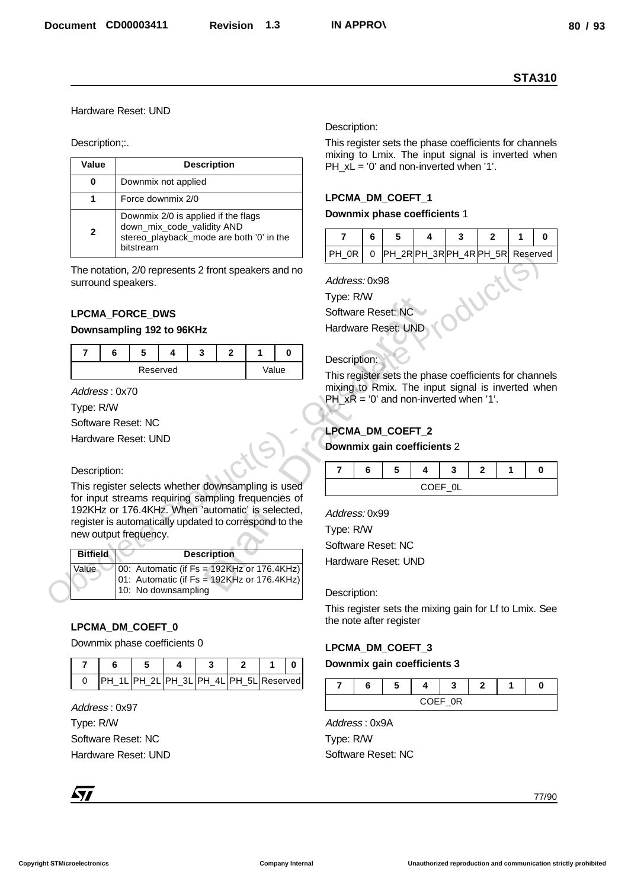# Hardware Reset: UND

|                            |                                                                                                          | <b>STA310</b>                                                                                               |  |  |  |  |  |
|----------------------------|----------------------------------------------------------------------------------------------------------|-------------------------------------------------------------------------------------------------------------|--|--|--|--|--|
|                            | Hardware Reset: UND                                                                                      |                                                                                                             |  |  |  |  |  |
|                            |                                                                                                          | Description:                                                                                                |  |  |  |  |  |
| Description;:.             |                                                                                                          | This register sets the phase coefficients for channels<br>mixing to Lmix. The input signal is inverted when |  |  |  |  |  |
| Value                      | <b>Description</b>                                                                                       | $PH_xL = '0'$ and non-inverted when '1'.                                                                    |  |  |  |  |  |
| $\bf{0}$                   | Downmix not applied                                                                                      |                                                                                                             |  |  |  |  |  |
| $\mathbf{1}$               | Force downmix 2/0                                                                                        | LPCMA_DM_COEFT_1<br>Downmix phase coefficients 1                                                            |  |  |  |  |  |
| $\mathbf{2}$               | Downmix 2/0 is applied if the flags<br>down_mix_code_validity AND                                        |                                                                                                             |  |  |  |  |  |
|                            | stereo_playback_mode are both '0' in the<br>bitstream                                                    | 6<br>5<br>7<br>4<br>3<br>$\mathbf{2}$<br>$\mathbf{0}$<br>1<br>0 PH_2RPH_3RPH_4RPH_5R Reserved<br>PH_0R      |  |  |  |  |  |
|                            | The notation, 2/0 represents 2 front speakers and no                                                     |                                                                                                             |  |  |  |  |  |
|                            | surround speakers.                                                                                       | Address: 0x98                                                                                               |  |  |  |  |  |
|                            | <b>LPCMA FORCE DWS</b>                                                                                   | Type: R/W<br>Software Reset: NC                                                                             |  |  |  |  |  |
|                            | Downsampling 192 to 96KHz                                                                                | Hardware Reset: UND                                                                                         |  |  |  |  |  |
| $\overline{7}$             | 6<br>5<br>$\mathbf{3}$<br>$\overline{2}$<br>1<br>4<br>$\mathbf 0$                                        |                                                                                                             |  |  |  |  |  |
|                            | Reserved<br>Value                                                                                        | Description:                                                                                                |  |  |  |  |  |
| Address: 0x70              |                                                                                                          | This register sets the phase coefficients for channels<br>mixing to Rmix. The input signal is inverted when |  |  |  |  |  |
| Type: R/W                  |                                                                                                          | PH $xR = 0'$ and non-inverted when '1'.                                                                     |  |  |  |  |  |
|                            | Software Reset: NC                                                                                       | LPCMA_DM_COEFT_2                                                                                            |  |  |  |  |  |
|                            | Hardware Reset: UND                                                                                      | Downmix gain coefficients 2                                                                                 |  |  |  |  |  |
| Description:               |                                                                                                          | $\overline{\mathbf{r}}$<br>6<br>3<br>$\mathbf 0$<br>5<br>4<br>$\mathbf{2}$<br>1                             |  |  |  |  |  |
|                            | This register selects whether downsampling is used                                                       | COEF_0L                                                                                                     |  |  |  |  |  |
|                            | for input streams requiring sampling frequencies of<br>192KHz or 176.4KHz. When 'automatic' is selected, |                                                                                                             |  |  |  |  |  |
|                            | register is automatically updated to correspond to the                                                   | Address: 0x99<br>Type: R/W                                                                                  |  |  |  |  |  |
|                            | new output frequency.                                                                                    | Software Reset: NC                                                                                          |  |  |  |  |  |
| <b>Bitfield</b><br>Value   | <b>Description</b><br>00: Automatic (if Fs = 192KHz or 176.4KHz)                                         | Hardware Reset: UND                                                                                         |  |  |  |  |  |
|                            | 01: Automatic (if Fs = 192KHz or 176.4KHz)<br>10: No downsampling                                        |                                                                                                             |  |  |  |  |  |
|                            |                                                                                                          | Description:                                                                                                |  |  |  |  |  |
|                            |                                                                                                          |                                                                                                             |  |  |  |  |  |
|                            |                                                                                                          | the note after register                                                                                     |  |  |  |  |  |
|                            | LPCMA_DM_COEFT_0<br>Downmix phase coefficients 0                                                         |                                                                                                             |  |  |  |  |  |
| $\overline{\mathbf{r}}$    | 5<br>3<br>$\mathbf{2}$<br>6<br>4<br>1<br>0                                                               | This register sets the mixing gain for Lf to Lmix. See<br>LPCMA_DM_COEFT_3<br>Downmix gain coefficients 3   |  |  |  |  |  |
| 0                          | PH_1L PH_2L PH_3L PH_4L PH_5L Reserved                                                                   | 7<br>6<br>5<br>3<br>4<br>$\mathbf{2}$<br>1<br>0                                                             |  |  |  |  |  |
|                            |                                                                                                          | COEF_0R                                                                                                     |  |  |  |  |  |
| Address: 0x97<br>Type: R/W |                                                                                                          | Address: 0x9A                                                                                               |  |  |  |  |  |
|                            | Software Reset: NC                                                                                       | Type: R/W                                                                                                   |  |  |  |  |  |
|                            | Hardware Reset: UND                                                                                      | Software Reset: NC                                                                                          |  |  |  |  |  |
| $\sqrt{7}$                 |                                                                                                          |                                                                                                             |  |  |  |  |  |

# **LPCMA\_FORCE\_DWS**

#### **Downsampling 192 to 96KHz**

|  |          | ×. |  |       |
|--|----------|----|--|-------|
|  | Reserved |    |  | Value |

#### Description:

| <b>Bitfield</b> | <b>Description</b>                                                                                                 |
|-----------------|--------------------------------------------------------------------------------------------------------------------|
| Value           | $ 00:$ Automatic (if Fs = 192KHz or 176.4KHz)<br>01: Automatic (if Fs = 192KHz or 176.4KHz)<br>10: No downsampling |

# **LPCMA\_DM\_COEFT\_0**

|  | PH 1LPH 2LPH 3LPH 4LPH 5LReserved |  |  |  |
|--|-----------------------------------|--|--|--|

#### Description:

# **LPCMA\_DM\_COEFT\_1**

#### **Downmix phase coefficients** 1

| PH_0R   0 PH_2RPH_3RPH_4RPH_5R Reserved |  |  |  |  |
|-----------------------------------------|--|--|--|--|

# Description:

# **LPCMA\_DM\_COEFT\_2**

# **Downmix gain coefficients** 2

|               | u | ۰. |  | ÷. |  |  |  |  |
|---------------|---|----|--|----|--|--|--|--|
| COEE OL<br>_- |   |    |  |    |  |  |  |  |

# **LPCMA\_DM\_COEFT\_3**

#### **Downmix gain coefficients 3**

|  |  |  | e. |  |  |
|--|--|--|----|--|--|
|  |  |  |    |  |  |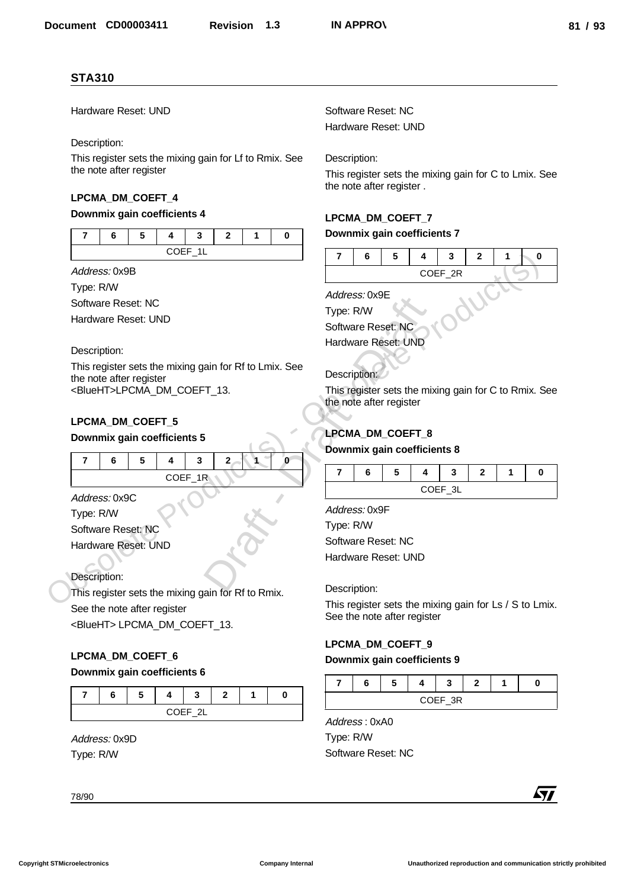# **LPCMA\_DM\_COEFT\_4**

#### **Downmix gain coefficients 4**

# **LPCMA\_DM\_COEFT\_5**

#### **Downmix gain coefficients 5**

| <b>STA310</b>                                                                     |                                                                                   |  |  |  |
|-----------------------------------------------------------------------------------|-----------------------------------------------------------------------------------|--|--|--|
| Hardware Reset: UND                                                               | Software Reset: NC                                                                |  |  |  |
|                                                                                   | Hardware Reset: UND                                                               |  |  |  |
| Description:                                                                      |                                                                                   |  |  |  |
| This register sets the mixing gain for Lf to Rmix. See<br>the note after register | Description:                                                                      |  |  |  |
|                                                                                   | This register sets the mixing gain for C to Lmix. See<br>the note after register. |  |  |  |
| LPCMA_DM_COEFT_4                                                                  |                                                                                   |  |  |  |
| Downmix gain coefficients 4                                                       | LPCMA_DM_COEFT_7                                                                  |  |  |  |
| $\overline{7}$<br>6<br>5<br>4<br>3<br>$\overline{2}$<br>$\mathbf{1}$<br>0         | Downmix gain coefficients 7                                                       |  |  |  |
| COEF_1L                                                                           | $\overline{7}$<br>6<br>5<br>3<br>$\overline{2}$<br>4<br>1<br>0                    |  |  |  |
| Address: 0x9B                                                                     | COEF_2R                                                                           |  |  |  |
| Type: R/W                                                                         | Address: 0x9E                                                                     |  |  |  |
| Software Reset: NC                                                                | Type: R/W                                                                         |  |  |  |
| Hardware Reset: UND                                                               | Software Reset: NC                                                                |  |  |  |
|                                                                                   | Hardware Reset: UND                                                               |  |  |  |
| Description:<br>This register sets the mixing gain for Rf to Lmix. See            |                                                                                   |  |  |  |
| the note after register                                                           | Description:                                                                      |  |  |  |
| <blueht>LPCMA_DM_COEFT_13.</blueht>                                               | This register sets the mixing gain for C to Rmix. See<br>the note after register  |  |  |  |
|                                                                                   |                                                                                   |  |  |  |
| LPCMA_DM_COEFT_5<br>Downmix gain coefficients 5                                   | LPCMA_DM_COEFT_8                                                                  |  |  |  |
|                                                                                   | Downmix gain coefficients 8                                                       |  |  |  |
| $\overline{\mathbf{r}}$<br>5<br>3<br>6<br>4<br>$\mathbf{2}$<br>1.<br>0            | 6<br>5<br>7<br>4<br>3<br>$\mathbf{2}$<br>0<br>1                                   |  |  |  |
| COEF_1R                                                                           | COEF_3L                                                                           |  |  |  |
| Address: 0x9C                                                                     | Address: 0x9F                                                                     |  |  |  |
| Type: R/W                                                                         | Type: R/W                                                                         |  |  |  |
| Software Reset: NC<br>Hardware Reset: UND                                         | Software Reset: NC                                                                |  |  |  |
|                                                                                   | Hardware Reset: UND                                                               |  |  |  |
| Description:                                                                      |                                                                                   |  |  |  |
| This register sets the mixing gain for Rf to Rmix.                                | Description:                                                                      |  |  |  |
| See the note after register                                                       | This register sets the mixing gain for Ls / S to Lmix.                            |  |  |  |
| <blueht>LPCMA_DM_COEFT_13.</blueht>                                               | See the note after register                                                       |  |  |  |
|                                                                                   | LPCMA_DM_COEFT_9                                                                  |  |  |  |
| LPCMA_DM_COEFT_6                                                                  | Downmix gain coefficients 9                                                       |  |  |  |
| Downmix gain coefficients 6                                                       | 5<br>3<br>$\mathbf{2}$<br>7<br>6<br>4<br>0<br>1                                   |  |  |  |
| $\overline{7}$<br>6<br>5<br>4<br>3<br>$\mathbf{2}$<br>1<br>0                      | COEF_3R                                                                           |  |  |  |
| COEF_2L                                                                           | Address: 0xA0                                                                     |  |  |  |
| Address: 0x9D                                                                     | Type: R/W                                                                         |  |  |  |
| Type: R/W                                                                         | Software Reset: NC                                                                |  |  |  |
|                                                                                   |                                                                                   |  |  |  |
|                                                                                   | <b>Ayy</b>                                                                        |  |  |  |
| 78/90                                                                             |                                                                                   |  |  |  |

# **LPCMA\_DM\_COEFT\_6**

#### **Downmix gain coefficients 6**

|         |  |  |  | _ |  |  |  |  |
|---------|--|--|--|---|--|--|--|--|
| COEE 21 |  |  |  |   |  |  |  |  |

# **LPCMA\_DM\_COEFT\_7**

#### **Downmix gain coefficients 7**

# **LPCMA\_DM\_COEFT\_8**

# **Downmix gain coefficients 8**

|                |  |  |  |  | — |  |  |  |
|----------------|--|--|--|--|---|--|--|--|
| <b>CUEE 31</b> |  |  |  |  |   |  |  |  |

| Address: 0x9F |  |
|---------------|--|

# **LPCMA\_DM\_COEFT\_9**

#### **Downmix gain coefficients 9**

|      | e. |  |  |  |  |  |  |  |
|------|----|--|--|--|--|--|--|--|
| E 3D |    |  |  |  |  |  |  |  |

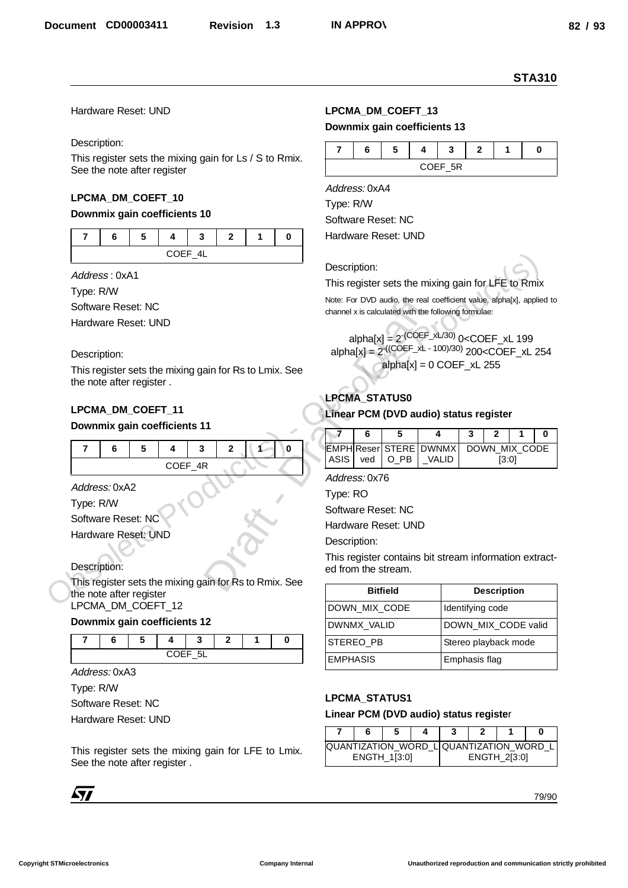# Hardware Reset: UND

#### Description:

#### **LPCMA\_DM\_COEFT\_10**

# **Downmix gain coefficients 10**

| $C$ $C$ $E$ $A$ $I$ |  |  |  |  |  |  |  |  |
|---------------------|--|--|--|--|--|--|--|--|

#### Description:

# **LPCMA\_DM\_COEFT\_11**

#### **Downmix gain coefficients 11**

| COEF_4R |  |  |  |  |  |
|---------|--|--|--|--|--|

# **Downmix gain coefficients 12**

|  | COLE | <b>Б'</b><br>— |  |  |
|--|------|----------------|--|--|

# **LPCMA\_DM\_COEFT\_13**

#### **Downmix gain coefficients 13**

|         | ÷ |  | w |  |  |  |  |  |
|---------|---|--|---|--|--|--|--|--|
| COFF 5R |   |  |   |  |  |  |  |  |

# alpha[x] =  $2^{-(COEF_xL/30)}$  0<COEF\_xL 199  $alphalx1 = 2^{((COEF_xL - 100)/30)} 200 < COEF_xL 254$  $alpha[x] = 0 COEF xL 255$ Note: For DVD audio, the reachannel x is calculated with the<br>
alpha[x] =  $2^{-(COEF - xL)}$ <br>
alpha[x] =  $2^{+(COEF - xL)}$ <br>
alpha[x] =  $2^{+(COEF - xL)}$ <br>
alpha[x] =  $2^{+(COEF - xL)}$ <br>
LPCMA\_STATUS0<br>
Linear PCM (DVD aud<br>
11<br>
11<br>
7 6 5<br>
EMPH Reser S

# **LPCMA\_STATUS0**

#### **Linear PCM (DVD audio) status register**

|  |  | EMPHIReser STERE DWNMX DOWN MIX CODE |       |  |
|--|--|--------------------------------------|-------|--|
|  |  | ASIS   ved   O_PB   _VALID           | [3:0] |  |

|                                                                                       |                                                      | <b>STA310</b>                                                                                                                                       |
|---------------------------------------------------------------------------------------|------------------------------------------------------|-----------------------------------------------------------------------------------------------------------------------------------------------------|
| Hardware Reset: UND                                                                   | LPCMA_DM_COEFT_13<br>Downmix gain coefficients 13    |                                                                                                                                                     |
| Description:                                                                          |                                                      |                                                                                                                                                     |
| This register sets the mixing gain for Ls / S to Rmix.<br>See the note after register | 5<br>7<br>6<br>4                                     | 3<br>$\mathbf{2}$<br>1<br>0<br>COEF_5R                                                                                                              |
| LPCMA_DM_COEFT_10                                                                     | Address: 0xA4                                        |                                                                                                                                                     |
| Downmix gain coefficients 10                                                          | Type: R/W                                            |                                                                                                                                                     |
|                                                                                       | Software Reset: NC<br>Hardware Reset: UND            |                                                                                                                                                     |
| 5<br>3<br>$\mathbf{2}$<br>7<br>6<br>4<br>1<br>0                                       |                                                      |                                                                                                                                                     |
| COEF_4L                                                                               | Description:                                         |                                                                                                                                                     |
| Address: 0xA1                                                                         | This register sets the mixing gain for LFE to Rmix   |                                                                                                                                                     |
| Type: R/W                                                                             |                                                      | Note: For DVD audio, the real coefficient value, alpha[x], applied to                                                                               |
| Software Reset: NC                                                                    | channel x is calculated with the following formulae: |                                                                                                                                                     |
| Hardware Reset: UND                                                                   |                                                      |                                                                                                                                                     |
|                                                                                       |                                                      | alpha[x] = $2^{-(COEF_xL/30)}$ 0 <coef_xl 199<br="">alpha[x] = <math>2^{((COEF_xL - 100)/30)}</math> 200<coef_xl 254<="" td=""></coef_xl></coef_xl> |
| Description:                                                                          |                                                      | $alpha[x] = 0 COEF_xL 255$                                                                                                                          |
| This register sets the mixing gain for Rs to Lmix. See<br>the note after register.    |                                                      |                                                                                                                                                     |
|                                                                                       | LPCMA_STATUS0                                        |                                                                                                                                                     |
| LPCMA_DM_COEFT_11                                                                     | Linear PCM (DVD audio) status register               |                                                                                                                                                     |
| Downmix gain coefficients 11                                                          | 5<br>6                                               | $\mathbf{2}$<br>0<br>4<br>3<br>1                                                                                                                    |
| 5<br>3<br>2<br>7<br>6<br>0<br>4                                                       | <b>EMPH Reser STERE DWNMX</b>                        | DOWN_MIX_CODE                                                                                                                                       |
| COEF_4R                                                                               | ASIS<br>$O_P$ B<br>ved                               | _VALID<br>[3:0]                                                                                                                                     |
|                                                                                       | Address: 0x76                                        |                                                                                                                                                     |
| Address: 0xA2                                                                         | Type: RO                                             |                                                                                                                                                     |
| Type: R/W                                                                             | Software Reset: NC                                   |                                                                                                                                                     |
| Software Reset: NC<br>Hardware Reset: UND                                             | Hardware Reset: UND                                  |                                                                                                                                                     |
|                                                                                       | Description:                                         |                                                                                                                                                     |
| Description:                                                                          |                                                      | This register contains bit stream information extract-                                                                                              |
| This register sets the mixing gain for Rs to Rmix. See                                | ed from the stream.                                  |                                                                                                                                                     |
| the note after register                                                               | <b>Bitfield</b>                                      | <b>Description</b>                                                                                                                                  |
| LPCMA_DM_COEFT_12                                                                     | DOWN_MIX_CODE                                        | Identifying code                                                                                                                                    |
| Downmix gain coefficients 12                                                          | DWNMX_VALID                                          | DOWN_MIX_CODE valid                                                                                                                                 |
| 7<br>3<br>$\mathbf{2}$<br>1<br>6<br>5.<br>0<br>4                                      | STEREO_PB                                            | Stereo playback mode                                                                                                                                |
| COEF_5L                                                                               | <b>EMPHASIS</b>                                      | Emphasis flag                                                                                                                                       |
| Address: 0xA3                                                                         |                                                      |                                                                                                                                                     |
| Type: R/W                                                                             | LPCMA_STATUS1                                        |                                                                                                                                                     |
| Software Reset: NC                                                                    | Linear PCM (DVD audio) status register               |                                                                                                                                                     |
| Hardware Reset: UND                                                                   | 5<br>7<br>6<br>4                                     | 3<br>$\mathbf 0$<br>2<br>1                                                                                                                          |
|                                                                                       |                                                      | QUANTIZATION_WORD_LOUANTIZATION_WORD_L                                                                                                              |
| This register sets the mixing gain for LFE to Lmix.<br>See the note after register.   | ENGTH_1[3:0]                                         | ENGTH_2[3:0]                                                                                                                                        |
|                                                                                       |                                                      |                                                                                                                                                     |
| <b>Ayy</b>                                                                            |                                                      | 79/90                                                                                                                                               |
|                                                                                       |                                                      |                                                                                                                                                     |

# **LPCMA\_STATUS1**

#### **Linear PCM (DVD audio) status registe**r

|  |                     |  |              | QUANTIZATION_WORD_L QUANTIZATION_WORD_L |
|--|---------------------|--|--------------|-----------------------------------------|
|  | <b>ENGTH 1[3:0]</b> |  | ENGTH_2[3:0] |                                         |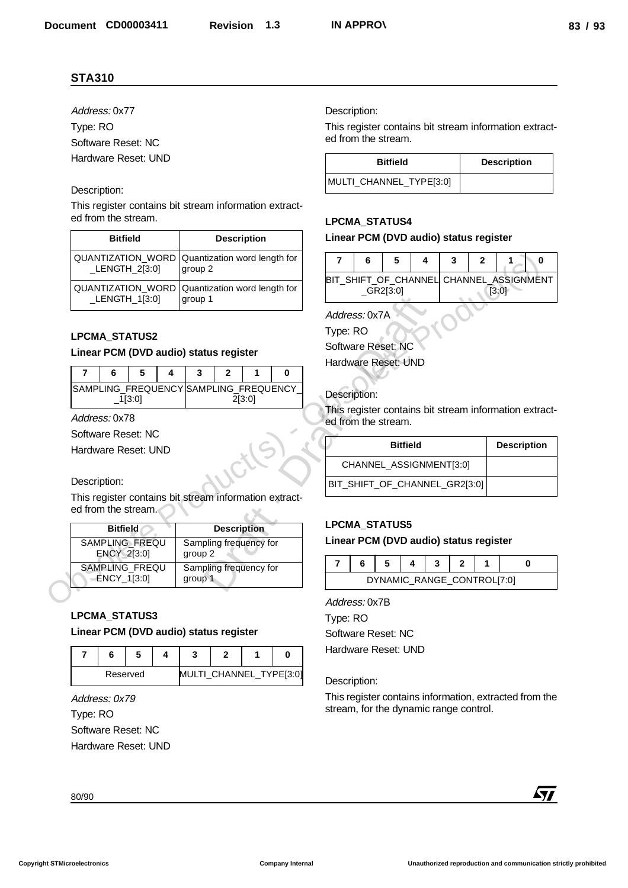# Description:

| Address: 0x77                                                  |                                                        | Description:                                                                  |
|----------------------------------------------------------------|--------------------------------------------------------|-------------------------------------------------------------------------------|
| Type: RO                                                       |                                                        | This register contains bit stream information extract-                        |
| Software Reset: NC                                             |                                                        | ed from the stream.                                                           |
| Hardware Reset: UND                                            |                                                        | <b>Bitfield</b><br><b>Description</b>                                         |
| Description:                                                   |                                                        | MULTI_CHANNEL_TYPE[3:0]                                                       |
| ed from the stream.                                            | This register contains bit stream information extract- | <b>LPCMA_STATUS4</b>                                                          |
| <b>Bitfield</b>                                                | <b>Description</b>                                     | Linear PCM (DVD audio) status register                                        |
| QUANTIZATION_WORD<br>$LENGTH_2[3:0]$                           | Quantization word length for<br>group 2                | 5<br>4<br>$\overline{7}$<br>6<br>3<br>$\mathbf{2}$<br>$\mathbf 0$<br>1        |
| QUANTIZATION_WORD<br>_LENGTH_1[3:0]                            | Quantization word length for<br>group 1                | BIT_SHIFT_OF_CHANNEL CHANNEL_ASSIGNMENT<br>$_GRR2[3:0]$<br>[3:0]              |
|                                                                |                                                        | Address: 0x7A                                                                 |
|                                                                |                                                        | Type: RO                                                                      |
| <b>LPCMA_STATUS2</b><br>Linear PCM (DVD audio) status register |                                                        | Software Reset: NC                                                            |
|                                                                |                                                        | Hardware Reset: UND                                                           |
| $\overline{7}$<br>5<br>6<br>4                                  | 3<br>$\mathbf{2}$<br>$\mathbf{1}$<br>0                 |                                                                               |
| $-1[3:0]$                                                      | SAMPLING_FREQUENCY SAMPLING_FREQUENCY_<br>2[3:0]       | Description:                                                                  |
| Address: 0x78                                                  |                                                        | This register contains bit stream information extract-<br>ed from the stream. |
| Software Reset: NC                                             |                                                        |                                                                               |
| Hardware Reset: UND                                            |                                                        | <b>Description</b><br><b>Bitfield</b>                                         |
|                                                                |                                                        | CHANNEL_ASSIGNMENT[3:0]                                                       |
| Description:                                                   |                                                        | BIT_SHIFT_OF_CHANNEL_GR2[3:0]                                                 |
| ed from the stream.                                            | This register contains bit stream information extract- |                                                                               |
|                                                                |                                                        | <b>LPCMA_STATUS5</b>                                                          |
|                                                                | <b>Description</b>                                     | Linear PCM (DVD audio) status register                                        |
| <b>Bitfield</b>                                                |                                                        |                                                                               |
| SAMPLING_FREQU<br>ENCY_2[3:0]                                  | Sampling frequency for<br>group 2                      |                                                                               |
| SAMPLING FREQU                                                 | Sampling frequency for                                 | $\overline{\mathbf{r}}$<br>6<br>5<br>3<br>2<br>$\mathbf 0$<br>4<br>1          |
| ENCY_1[3:0]                                                    | group 1                                                | DYNAMIC_RANGE_CONTROL[7:0]                                                    |
|                                                                |                                                        | Address: 0x7B                                                                 |
|                                                                |                                                        | Type: RO                                                                      |
| LPCMA_STATUS3<br>Linear PCM (DVD audio) status register        |                                                        | Software Reset: NC                                                            |
| 5<br>$\overline{7}$<br>6<br>4                                  | 3<br>$\mathbf{2}$<br>1<br>0                            | Hardware Reset: UND                                                           |
| Reserved                                                       | MULTI_CHANNEL_TYPE[3:0]                                | Description:                                                                  |
| Address: 0x79                                                  |                                                        | This register contains information, extracted from the                        |
| Type: RO                                                       |                                                        | stream, for the dynamic range control.                                        |
| Software Reset: NC                                             |                                                        |                                                                               |
|                                                                |                                                        |                                                                               |
| Hardware Reset: UND                                            |                                                        | <b>Ayy</b>                                                                    |

# **LPCMA\_STATUS2**

#### **Linear PCM (DVD audio) status register**

|  |        |  | n |        |                                       |
|--|--------|--|---|--------|---------------------------------------|
|  | 1[3:0] |  |   | 2[3:0] | SAMPLING FREQUENCY SAMPLING FREQUENCY |

#### Description:

| QUANTIZATION_WORD                      | Quantization word length for<br>$LENGTH_2[3:0]$<br>group 2 |                |                                        |              |                 | 4 | 3            | $\mathbf{2}$ | 1<br>0                                              |
|----------------------------------------|------------------------------------------------------------|----------------|----------------------------------------|--------------|-----------------|---|--------------|--------------|-----------------------------------------------------|
| QUANTIZATION_WORD<br>_LENGTH_1[3:0]    | Quantization word length for<br>group 1                    |                | BIT_SHIFT_OF_CHANNEL                   | $_GRR2[3:0]$ |                 |   |              |              | CHANNEL_ASSIGNMEI<br>[3:0]                          |
|                                        |                                                            |                | Address: 0x7A                          |              |                 |   |              |              |                                                     |
| <b>LPCMA STATUS2</b>                   |                                                            | Type: RO       |                                        |              |                 |   |              |              |                                                     |
| Linear PCM (DVD audio) status register |                                                            |                | Software Reset: NC                     |              |                 |   |              |              |                                                     |
| 7<br>6<br>5<br>4                       | $\overline{2}$<br>$\bf{0}$<br>3<br>1                       |                | Hardware Reset: UND                    |              |                 |   |              |              |                                                     |
| $-1[3:0]$                              | SAMPLING_FREQUENCY SAMPLING_FREQUENCY<br>2[3:0]            |                | Description:                           |              |                 |   |              |              |                                                     |
| Address: 0x78                          |                                                            |                | ed from the stream.                    |              |                 |   |              |              | This register contains bit stream information extra |
| Software Reset: NC                     |                                                            |                |                                        |              |                 |   |              |              |                                                     |
| Hardware Reset: UND                    |                                                            |                |                                        |              | <b>Bitfield</b> |   |              |              | <b>Descriptio</b>                                   |
|                                        |                                                            |                | CHANNEL_ASSIGNMENT[3:0]                |              |                 |   |              |              |                                                     |
| Description:                           |                                                            |                | BIT_SHIFT_OF_CHANNEL_GR2[3:0]          |              |                 |   |              |              |                                                     |
| ed from the stream.                    | This register contains bit stream information extract-     |                |                                        |              |                 |   |              |              |                                                     |
| <b>Bitfield</b>                        | <b>Description</b>                                         |                | <b>LPCMA_STATUS5</b>                   |              |                 |   |              |              |                                                     |
| SAMPLING FREQU<br>ENCY_2[3:0]          | Sampling frequency for<br>group 2                          |                | Linear PCM (DVD audio) status register |              |                 |   |              |              |                                                     |
| SAMPLING_FREQU                         | Sampling frequency for                                     | $\overline{7}$ | 6                                      | 5            | 4               | 3 | $\mathbf{2}$ |              | $\mathbf{0}$                                        |
| ENCY_1[3:0]                            | group 1                                                    |                |                                        |              |                 |   |              |              | DYNAMIC_RANGE_CONTROL[7:0]                          |
|                                        |                                                            |                | Address: 0x7B                          |              |                 |   |              |              |                                                     |
| LPCMA_STATUS3                          |                                                            | Type: RO       |                                        |              |                 |   |              |              |                                                     |
| Linear PCM (DVD audio) status register |                                                            |                | Software Reset: NC                     |              |                 |   |              |              |                                                     |

# **LPCMA\_STATUS3 Linear PCM (DVD audio) status register**

|  | Reserved |  | MULTI_CHANNEL_TYPE[3:0] |  |
|--|----------|--|-------------------------|--|

| <b>Bitfield</b>         | <b>Description</b> |
|-------------------------|--------------------|
| MULTI_CHANNEL_TYPE[3:0] |                    |

# **LPCMA\_STATUS4**

# **Linear PCM (DVD audio) status register**

| 6                                       | 5        |  |       |  |
|-----------------------------------------|----------|--|-------|--|
| BIT_SHIFT_OF_CHANNEL CHANNEL_ASSIGNMENT | GR2[3:0] |  | 13:01 |  |

# Description:

| <b>Bitfield</b>               | <b>Description</b> |
|-------------------------------|--------------------|
| CHANNEL_ASSIGNMENT[3:0]       |                    |
| BIT_SHIFT_OF_CHANNEL_GR2[3:0] |                    |

# **LPCMA\_STATUS5**

#### **Linear PCM (DVD audio) status register**

|  |  | DYNAMIC RANGE CONTROL[7:0] |  |  |
|--|--|----------------------------|--|--|

#### Description:

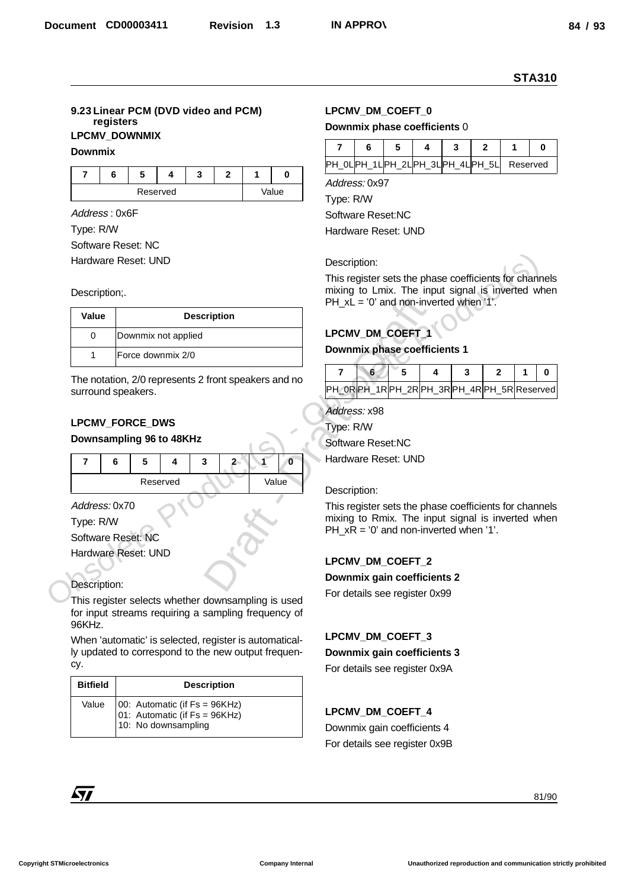# **9.23 Linear PCM (DVD video and PCM) registers LPCMV\_DOWNMIX**

#### **Downmix**

| o | ш. |          | ۰. |  |       |
|---|----|----------|----|--|-------|
|   |    | Reserved |    |  | Value |

#### Description;.

|                                                                                                                                                                                                                                                                                                                                        |           |                                                                |                    |              |                      |             |                                          |                                                                                                  |   |   |   |   |                |              | <b>STA310</b> |
|----------------------------------------------------------------------------------------------------------------------------------------------------------------------------------------------------------------------------------------------------------------------------------------------------------------------------------------|-----------|----------------------------------------------------------------|--------------------|--------------|----------------------|-------------|------------------------------------------|--------------------------------------------------------------------------------------------------|---|---|---|---|----------------|--------------|---------------|
| 9.23 Linear PCM (DVD video and PCM)                                                                                                                                                                                                                                                                                                    | registers |                                                                |                    |              |                      |             | LPCMV_DM_COEFT_0                         | Downmix phase coefficients 0                                                                     |   |   |   |   |                |              |               |
| <b>LPCMV_DOWNMIX</b>                                                                                                                                                                                                                                                                                                                   |           |                                                                |                    |              |                      |             | 7                                        | 6                                                                                                | 5 | 4 |   | 3 | $\overline{2}$ | 1            | $\mathbf{0}$  |
| <b>Downmix</b>                                                                                                                                                                                                                                                                                                                         |           |                                                                |                    |              |                      |             |                                          | PH_0LPH_1LPH_2LPH_3LPH_4LPH_5L                                                                   |   |   |   |   |                |              | Reserved      |
| 7                                                                                                                                                                                                                                                                                                                                      | 6<br>5    | 4                                                              | 3                  | $\mathbf{2}$ | 1                    | 0           |                                          |                                                                                                  |   |   |   |   |                |              |               |
|                                                                                                                                                                                                                                                                                                                                        |           | Reserved                                                       |                    |              |                      | Value       | Address: 0x97                            |                                                                                                  |   |   |   |   |                |              |               |
| Address: 0x6F                                                                                                                                                                                                                                                                                                                          |           |                                                                |                    |              |                      |             | Type: R/W<br>Software Reset:NC           |                                                                                                  |   |   |   |   |                |              |               |
| Type: R/W                                                                                                                                                                                                                                                                                                                              |           |                                                                |                    |              |                      |             |                                          | Hardware Reset: UND                                                                              |   |   |   |   |                |              |               |
| Software Reset: NC                                                                                                                                                                                                                                                                                                                     |           |                                                                |                    |              |                      |             |                                          |                                                                                                  |   |   |   |   |                |              |               |
| Hardware Reset: UND                                                                                                                                                                                                                                                                                                                    |           |                                                                |                    |              |                      |             | Description:                             |                                                                                                  |   |   |   |   |                |              |               |
|                                                                                                                                                                                                                                                                                                                                        |           |                                                                |                    |              |                      |             |                                          | This register sets the phase coefficients for channels                                           |   |   |   |   |                |              |               |
| Description;.                                                                                                                                                                                                                                                                                                                          |           |                                                                |                    |              |                      |             |                                          | mixing to Lmix. The input signal is inverted when                                                |   |   |   |   |                |              |               |
| Value                                                                                                                                                                                                                                                                                                                                  |           |                                                                | <b>Description</b> |              |                      |             | $PH_xL = '0'$ and non-inverted when '1'. |                                                                                                  |   |   |   |   |                |              |               |
|                                                                                                                                                                                                                                                                                                                                        |           |                                                                |                    |              |                      |             | LPCMV_DM_COEFT_1                         |                                                                                                  |   |   |   |   |                |              |               |
| 0                                                                                                                                                                                                                                                                                                                                      |           | Downmix not applied                                            |                    |              |                      |             | Downmix phase coefficients 1             |                                                                                                  |   |   |   |   |                |              |               |
| $\mathbf{1}$                                                                                                                                                                                                                                                                                                                           |           | Force downmix 2/0                                              |                    |              |                      |             |                                          |                                                                                                  |   |   |   |   |                |              |               |
| The notation, 2/0 represents 2 front speakers and no                                                                                                                                                                                                                                                                                   |           |                                                                |                    |              |                      |             | $\overline{7}$                           | 6                                                                                                |   | 5 | 4 | 3 | $\mathbf{2}$   | $\mathbf{1}$ | $\mathbf{0}$  |
| surround speakers.                                                                                                                                                                                                                                                                                                                     |           |                                                                |                    |              |                      |             |                                          | PH_0RPH_1RPH_2RPH_3RPH_4RPH_5RReserved                                                           |   |   |   |   |                |              |               |
|                                                                                                                                                                                                                                                                                                                                        |           |                                                                |                    |              |                      |             |                                          | Address: x98                                                                                     |   |   |   |   |                |              |               |
| LPCMV_FORCE_DWS                                                                                                                                                                                                                                                                                                                        |           |                                                                |                    |              |                      |             | Type: R/W                                |                                                                                                  |   |   |   |   |                |              |               |
| Downsampling 96 to 48KHz                                                                                                                                                                                                                                                                                                               |           |                                                                |                    |              |                      |             |                                          | Software Reset:NC                                                                                |   |   |   |   |                |              |               |
| 7                                                                                                                                                                                                                                                                                                                                      | 5<br>6    | 4                                                              | 3                  | $2 -$        | $\blacktriangleleft$ | $\mathbf 0$ |                                          | Hardware Reset: UND                                                                              |   |   |   |   |                |              |               |
|                                                                                                                                                                                                                                                                                                                                        |           | Reserved                                                       |                    |              |                      | Value       | Description:                             |                                                                                                  |   |   |   |   |                |              |               |
|                                                                                                                                                                                                                                                                                                                                        |           |                                                                |                    |              |                      |             |                                          | This register sets the phase coefficients for channels                                           |   |   |   |   |                |              |               |
|                                                                                                                                                                                                                                                                                                                                        |           |                                                                |                    |              |                      |             |                                          | mixing to Rmix. The input signal is inverted when<br>PH_xR = $'0'$ and non-inverted when $'1'$ . |   |   |   |   |                |              |               |
|                                                                                                                                                                                                                                                                                                                                        |           |                                                                |                    |              |                      |             |                                          |                                                                                                  |   |   |   |   |                |              |               |
|                                                                                                                                                                                                                                                                                                                                        |           |                                                                |                    |              |                      |             | LPCMV_DM_COEFT_2                         |                                                                                                  |   |   |   |   |                |              |               |
|                                                                                                                                                                                                                                                                                                                                        |           |                                                                |                    |              |                      |             |                                          | Downmix gain coefficients 2                                                                      |   |   |   |   |                |              |               |
|                                                                                                                                                                                                                                                                                                                                        |           |                                                                |                    |              |                      |             |                                          | For details see register 0x99                                                                    |   |   |   |   |                |              |               |
|                                                                                                                                                                                                                                                                                                                                        |           |                                                                |                    |              |                      |             |                                          |                                                                                                  |   |   |   |   |                |              |               |
|                                                                                                                                                                                                                                                                                                                                        |           |                                                                |                    |              |                      |             |                                          |                                                                                                  |   |   |   |   |                |              |               |
|                                                                                                                                                                                                                                                                                                                                        |           |                                                                |                    |              |                      |             | LPCMV_DM_COEFT_3                         |                                                                                                  |   |   |   |   |                |              |               |
|                                                                                                                                                                                                                                                                                                                                        |           |                                                                |                    |              |                      |             | Downmix gain coefficients 3              |                                                                                                  |   |   |   |   |                |              |               |
|                                                                                                                                                                                                                                                                                                                                        |           |                                                                |                    |              |                      |             | For details see register 0x9A            |                                                                                                  |   |   |   |   |                |              |               |
| <b>Bitfield</b>                                                                                                                                                                                                                                                                                                                        |           |                                                                | <b>Description</b> |              |                      |             |                                          |                                                                                                  |   |   |   |   |                |              |               |
| Value                                                                                                                                                                                                                                                                                                                                  |           | 00: Automatic (if Fs = 96KHz)<br>01: Automatic (if Fs = 96KHz) |                    |              |                      |             | LPCMV_DM_COEFT_4                         |                                                                                                  |   |   |   |   |                |              |               |
|                                                                                                                                                                                                                                                                                                                                        |           | 10: No downsampling                                            |                    |              |                      |             | Downmix gain coefficients 4              |                                                                                                  |   |   |   |   |                |              |               |
| Address: 0x70<br>Type: R/W<br>Software Reset: NC<br>Hardware Reset: UND<br>Description:<br>This register selects whether downsampling is used<br>for input streams requiring a sampling frequency of<br>96KHz.<br>When 'automatic' is selected, register is automatical-<br>ly updated to correspond to the new output frequen-<br>cy. |           |                                                                |                    |              |                      |             |                                          | For details see register 0x9B                                                                    |   |   |   |   |                |              |               |
|                                                                                                                                                                                                                                                                                                                                        |           |                                                                |                    |              |                      |             |                                          |                                                                                                  |   |   |   |   |                |              |               |

# **LPCMV\_FORCE\_DWS**

#### **Downsampling 96 to 48KHz**

|  |          | w |       |  |
|--|----------|---|-------|--|
|  | Reserved |   | Value |  |

# Description:

| <b>Bitfield</b> | <b>Description</b>                                                                    |
|-----------------|---------------------------------------------------------------------------------------|
| Value           | 00: Automatic (if Fs = 96KHz)<br>01: Automatic (if Fs = 96KHz)<br>10: No downsampling |

# **LPCMV\_DM\_COEFT\_0**

#### **Downmix phase coefficients** 0

|  |  | PH OLPH 1LPH_2LPH_3LPH_4LPH_5L Reserved |  |
|--|--|-----------------------------------------|--|

# **LPCMV\_DM\_COEFT\_1**

# **Downmix phase coefficients 1**

|  |  | PH_0R PH_1R PH_2R PH_3R PH_4R PH_5R Reserved |  |  |
|--|--|----------------------------------------------|--|--|

#### Description:

# **LPCMV\_DM\_COEFT\_2**

#### **Downmix gain coefficients 2**

#### **LPCMV\_DM\_COEFT\_3**

#### **LPCMV\_DM\_COEFT\_4**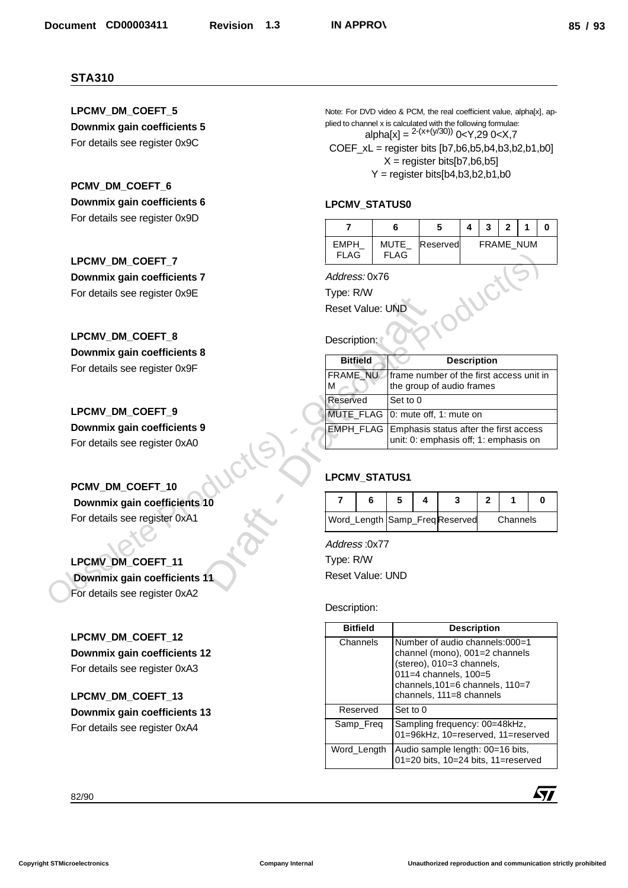# **LPCMV\_STATUS0**

|                            |                     |          | 3 | $\overline{\mathbf{z}}$ |  |
|----------------------------|---------------------|----------|---|-------------------------|--|
| <b>FMPH</b><br><b>FLAG</b> | MUTE<br><b>FLAG</b> | Reserved |   | <b>FRAME NUM</b>        |  |

| <b>LPCMV DM COEFT 7</b>                         | <b>FLAG</b>                   |   | <b>FLAG</b> |                                                                       |                    |              |          |   |
|-------------------------------------------------|-------------------------------|---|-------------|-----------------------------------------------------------------------|--------------------|--------------|----------|---|
| Downmix gain coefficients 7                     | Address: 0x76                 |   |             |                                                                       |                    |              |          |   |
| For details see register 0x9E                   | Type: R/W                     |   |             |                                                                       |                    |              |          |   |
|                                                 | Reset Value: UND              |   |             |                                                                       |                    |              |          |   |
| LPCMV DM COEFT 8<br>Downmix gain coefficients 8 | Description:                  |   |             |                                                                       |                    |              |          |   |
| For details see register 0x9F                   | <b>Bitfield</b>               |   |             |                                                                       | <b>Description</b> |              |          |   |
|                                                 | FRAME NU<br>М                 |   |             | frame number of the first access unit in<br>the group of audio frames |                    |              |          |   |
|                                                 | Reserved                      |   | Set to 0    |                                                                       |                    |              |          |   |
| LPCMV DM COEFT 9                                | MUTE_FLAG                     |   |             | 0: mute off, 1: mute on                                               |                    |              |          |   |
| Downmix gain coefficients 9                     | <b>EMPH_FLAG</b>              |   |             | Emphasis status after the first access                                |                    |              |          |   |
| For details see register 0xA0                   |                               |   |             | unit: 0: emphasis off; 1: emphasis on                                 |                    |              |          |   |
| PCMV_DM_COEFT_10                                | <b>LPCMV STATUS1</b>          |   |             |                                                                       |                    |              |          |   |
| Downmix gain coefficients 10                    | 7                             | 6 | 5           | 4                                                                     | 3                  | $\mathbf{2}$ | 1        | 0 |
| For details see register 0xA1                   | Word_Length Samp_FreqReserved |   |             |                                                                       |                    |              | Channels |   |
|                                                 | Address:0x77                  |   |             |                                                                       |                    |              |          |   |
| LPCMV_DM_COEFT_11                               | Type: R/W                     |   |             |                                                                       |                    |              |          |   |
| Downmix gain coefficients 11                    | <b>Reset Value: UND</b>       |   |             |                                                                       |                    |              |          |   |
| For details see register 0xA2                   |                               |   |             |                                                                       |                    |              |          |   |
|                                                 | Description:                  |   |             |                                                                       |                    |              |          |   |
| I POMV DM COEET 12                              | <b>Bitfield</b>               |   |             |                                                                       | <b>Description</b> |              |          |   |

# **LPCMV\_STATUS1**

|  |  | Word_Length Samp_FreqReserved | Channels |  |
|--|--|-------------------------------|----------|--|

| <b>STA310</b>                                   |                                                                                                                                          |                  |
|-------------------------------------------------|------------------------------------------------------------------------------------------------------------------------------------------|------------------|
| LPCMV_DM_COEFT_5                                | Note: For DVD video & PCM, the real coefficient value, alpha[x], ap-                                                                     |                  |
| Downmix gain coefficients 5                     | plied to channel x is calculated with the following formulae:<br>alpha[x] = ${}^{2-(x+(y/30))}$ 0 <y,29 0<x,7<="" td=""><td></td></y,29> |                  |
| For details see register 0x9C                   | $COEF_xL =$ register bits $[b7, b6, b5, b4, b3, b2, b1, b0]$                                                                             |                  |
|                                                 | $X =$ register bits[b7,b6,b5]                                                                                                            |                  |
|                                                 | $Y =$ register bits[b4,b3,b2,b1,b0                                                                                                       |                  |
| PCMV_DM_COEFT_6<br>Downmix gain coefficients 6  |                                                                                                                                          |                  |
| For details see register 0x9D                   | LPCMV_STATUS0                                                                                                                            |                  |
|                                                 | 5<br>$\overline{\mathbf{4}}$<br>$\mathbf{3}$<br>$\mathbf{2}$<br>$\overline{\mathbf{r}}$<br>6                                             | $\mathbf 0$<br>1 |
|                                                 | FRAME_NUM<br>EMPH_<br>MUTE_<br>Reserved<br><b>FLAG</b>                                                                                   |                  |
| LPCMV_DM_COEFT_7                                | <b>FLAG</b>                                                                                                                              |                  |
| Downmix gain coefficients 7                     | Address: 0x76                                                                                                                            |                  |
| For details see register 0x9E                   | Type: R/W                                                                                                                                |                  |
|                                                 | <b>Reset Value: UND</b>                                                                                                                  |                  |
| LPCMV_DM_COEFT_8                                | Description:                                                                                                                             |                  |
| Downmix gain coefficients 8                     |                                                                                                                                          |                  |
| For details see register 0x9F                   | <b>Bitfield</b><br><b>Description</b><br>FRAME NU<br>frame number of the first access unit in                                            |                  |
|                                                 | the group of audio frames<br>м                                                                                                           |                  |
|                                                 | Reserved<br>Set to 0                                                                                                                     |                  |
| LPCMV_DM_COEFT_9<br>Downmix gain coefficients 9 | MUTE_FLAG   0: mute off, 1: mute on                                                                                                      |                  |
| For details see register 0xA0                   | EMPH_FLAG   Emphasis status after the first access<br>unit: 0: emphasis off; 1: emphasis on                                              |                  |
|                                                 |                                                                                                                                          |                  |
|                                                 | LPCMV_STATUS1                                                                                                                            |                  |
| PCMV_DM_COEFT_10                                |                                                                                                                                          |                  |
| Downmix gain coefficients 10                    | 7<br>5<br>3<br>$\mathbf{2}$<br>6<br>4<br>1                                                                                               | 0                |
| For details see register 0xA1                   | Word_Length Samp_FreqReserved<br>Channels                                                                                                |                  |
|                                                 | Address:0x77                                                                                                                             |                  |
| LPCMV_DM_COEFT_11                               | Type: R/W                                                                                                                                |                  |
| Downmix gain coefficients 11                    | <b>Reset Value: UND</b>                                                                                                                  |                  |
| For details see register 0xA2                   |                                                                                                                                          |                  |
|                                                 | Description:                                                                                                                             |                  |
| LPCMV_DM_COEFT_12                               | <b>Bitfield</b><br><b>Description</b>                                                                                                    |                  |
| Downmix gain coefficients 12                    | Channels<br>Number of audio channels:000=1<br>channel (mono), 001=2 channels                                                             |                  |
| For details see register 0xA3                   | (stereo), 010=3 channels,                                                                                                                |                  |
|                                                 | 011=4 channels, 100=5<br>channels, 101=6 channels, 110=7                                                                                 |                  |
| LPCMV_DM_COEFT_13                               | channels, 111=8 channels                                                                                                                 |                  |
| Downmix gain coefficients 13                    | Set to 0<br>Reserved                                                                                                                     |                  |
| For details see register 0xA4                   | Samp_Freq<br>Sampling frequency: 00=48kHz,<br>01=96kHz, 10=reserved, 11=reserved                                                         |                  |
|                                                 | Word_Length<br>Audio sample length: 00=16 bits,                                                                                          |                  |
|                                                 | 01=20 bits, 10=24 bits, 11=reserved                                                                                                      |                  |
| 82/90                                           |                                                                                                                                          | 57               |
|                                                 |                                                                                                                                          |                  |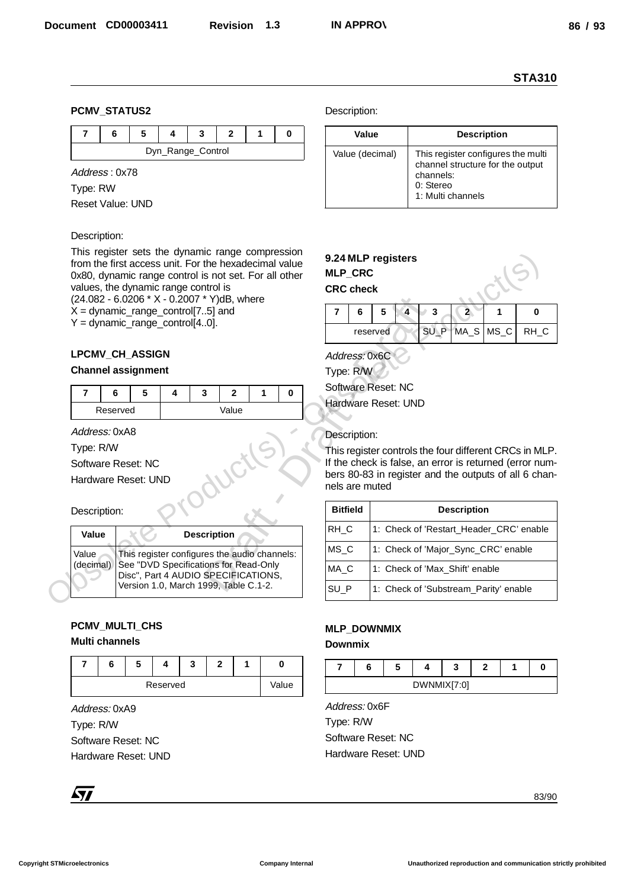#### **PCMV\_STATUS2**

|  |  | Dyn_Range_Control |  |  |
|--|--|-------------------|--|--|

Address : 0x78

Type: RW

Reset Value: UND

#### Description:

This register sets the dynamic range compression from the first access unit. For the hexadecimal value 0x80, dynamic range control is not set. For all other values, the dynamic range control is (24.082 - 6.0206 \* X - 0.2007 \* Y)dB, where  $X =$  dynamic\_range\_control[7..5] and  $Y =$  dynamic\_range\_control[4..0].

# **LPCMV\_CH\_ASSIGN**

#### **Channel assignment**

| Reserved |  | Value |  |  |
|----------|--|-------|--|--|

Address: 0xA8

Type: R/W

Software Reset: NC

Hardware Reset: UND

#### Description:

| Value | <b>Description</b>                                                                                                                                                                    |
|-------|---------------------------------------------------------------------------------------------------------------------------------------------------------------------------------------|
|       | Value This register configures the audio channels:<br>(decimal) See "DVD Specifications for Read-Only<br>Disc", Part 4 AUDIO SPECIFICATIONS,<br>Version 1.0, March 1999, Table C.1-2. |

# **PCMV\_MULTI\_CHS**

# **Multi channels**

|  | C |          | Ð | £ |       |
|--|---|----------|---|---|-------|
|  |   | Reserved |   |   | Value |

Address: 0xA9

Type: R/W Software Reset: NC Hardware Reset: UND

Description:

| Value           | <b>Description</b>                                                                                                    |
|-----------------|-----------------------------------------------------------------------------------------------------------------------|
| Value (decimal) | This register configures the multi<br>channel structure for the output<br>channels:<br>0: Stereo<br>1: Multi channels |



| * Y)dB, where                                |                                                                         |                                |                                         |   |        |                    |                                       |                                                                                                                                                                            |
|----------------------------------------------|-------------------------------------------------------------------------|--------------------------------|-----------------------------------------|---|--------|--------------------|---------------------------------------|----------------------------------------------------------------------------------------------------------------------------------------------------------------------------|
| 5] and                                       | 7                                                                       | 6                              | 5                                       | 4 | 3      | $\overline{2}$     | 1                                     | 0                                                                                                                                                                          |
| .0].                                         |                                                                         |                                | reserved                                |   | $SU_P$ | MA_S               | $MS_C$                                | RH_C                                                                                                                                                                       |
| $\mathbf{2}$<br>3<br>1<br>0<br>Value         | Address: 0x6C<br>Type: R/W<br>Software Reset: NC<br>Hardware Reset: UND |                                |                                         |   |        |                    |                                       |                                                                                                                                                                            |
|                                              |                                                                         | Description:<br>nels are muted |                                         |   |        |                    |                                       | This register controls the four different CRCs in MLP.<br>If the check is false, an error is returned (error num-<br>bers 80-83 in register and the outputs of all 6 chan- |
|                                              | <b>Bitfield</b>                                                         |                                |                                         |   |        | <b>Description</b> |                                       |                                                                                                                                                                            |
| cription                                     | RH_C                                                                    |                                | 1: Check of 'Restart_Header_CRC' enable |   |        |                    |                                       |                                                                                                                                                                            |
| res the audio channels:                      | $MS_C$<br>1: Check of 'Major_Sync_CRC' enable                           |                                |                                         |   |        |                    |                                       |                                                                                                                                                                            |
| ions for Read-Only<br><b>SPECIFICATIONS.</b> | MA_C<br>1: Check of 'Max_Shift' enable                                  |                                |                                         |   |        |                    |                                       |                                                                                                                                                                            |
| 999, Table C.1-2.                            | SU_P                                                                    |                                |                                         |   |        |                    | 1: Check of 'Substream_Parity' enable |                                                                                                                                                                            |

# **MLP\_DOWNMIX**

**Downmix**



Address: 0x6F Type: R/W Software Reset: NC Hardware Reset: UND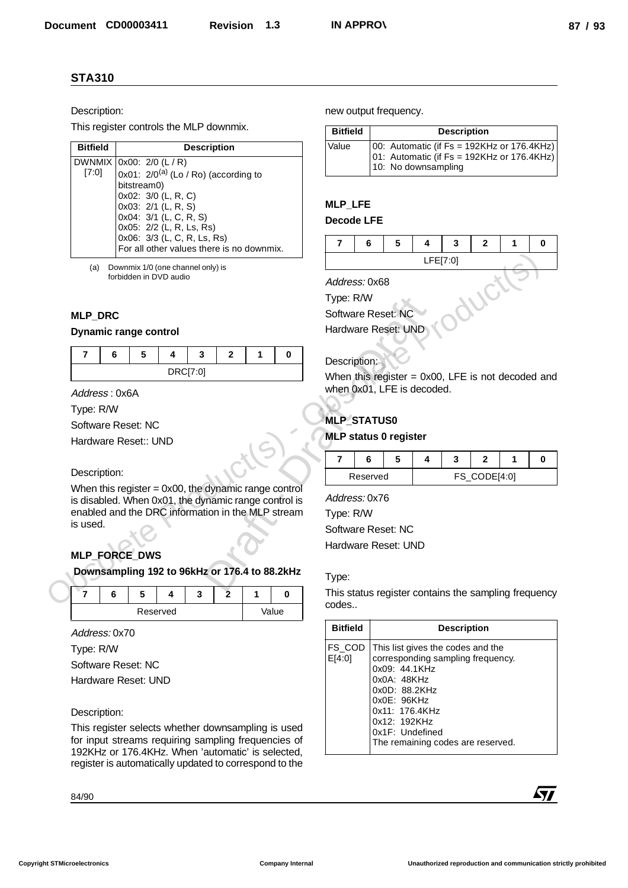#### Description:

| <b>Bitfield</b> | <b>Description</b>                        |
|-----------------|-------------------------------------------|
|                 | DWNMIX 0x00: 2/0 (L / R)                  |
| $[7:0]$         | 0x01: $2/0^{(a)}$ (Lo / Ro) (according to |
|                 | bitstream0)                               |
|                 | 0x02: 3/0 (L, R, C)                       |
|                 | 0x03: 2/1 (L, R, S)                       |
|                 | 0x04: 3/1 (L, C, R, S)                    |
|                 | 0x05: 2/2 (L, R, Ls, Rs)                  |
|                 | 0x06: 3/3 (L, C, R, Ls, Rs)               |
|                 | For all other values there is no downmix. |

# **MLP\_DRC**

#### **Dynamic range control**

| о | - |   | e.                     |  |  |
|---|---|---|------------------------|--|--|
|   |   | . | וחידוחסת<br>. ບາ<br>ш. |  |  |

#### Description:

# **MLP\_FORCE\_DWS**

|  |  | Reserved |  | Value |
|--|--|----------|--|-------|

| <b>Bitfield</b> | <b>Description</b>                                                                                                 |
|-----------------|--------------------------------------------------------------------------------------------------------------------|
| Value           | $ 00:$ Automatic (if Fs = 192KHz or 176.4KHz)<br>01: Automatic (if Fs = 192KHz or 176.4KHz)<br>10: No downsampling |

# **MLP\_LFE**

#### **Decode LFE**

|  |  | CEIZ-01 |  |  |
|--|--|---------|--|--|

# **MLP\_STATUS0**

#### **MLP status 0 register**

| Reserved |  | FS_CODE[4:0] |  |
|----------|--|--------------|--|

#### Type:

| Description:                                                                                              |                                                                                    | new output frequency.                                                  |                       |  |  |  |  |
|-----------------------------------------------------------------------------------------------------------|------------------------------------------------------------------------------------|------------------------------------------------------------------------|-----------------------|--|--|--|--|
| This register controls the MLP downmix.                                                                   | <b>Bitfield</b>                                                                    | <b>Description</b>                                                     |                       |  |  |  |  |
| <b>Bitfield</b><br><b>Description</b>                                                                     | Value                                                                              | 00: Automatic (if Fs = 192KHz or 176.4KHz)                             |                       |  |  |  |  |
| DWNMIX 0x00: 2/0 (L / R)<br>[7:0]<br>0x01: $2/0^{(a)}$ (Lo / Ro) (according to<br>bitstream0)             |                                                                                    | 01: Automatic (if Fs = 192KHz or 176.4KHz)<br>10: No downsampling      |                       |  |  |  |  |
| 0x02: 3/0 (L, R, C)                                                                                       | <b>MLP_LFE</b>                                                                     |                                                                        |                       |  |  |  |  |
| 0x03: 2/1 (L, R, S)<br>0x04: 3/1 (L, C, R, S)                                                             | <b>Decode LFE</b>                                                                  |                                                                        |                       |  |  |  |  |
| 0x05: 2/2 (L, R, Ls, Rs)<br>0x06: 3/3 (L, C, R, Ls, Rs)                                                   |                                                                                    |                                                                        |                       |  |  |  |  |
| For all other values there is no downmix.                                                                 |                                                                                    | 5<br>$\overline{7}$<br>6<br>4<br>3<br>$\mathbf{2}$<br>1<br>0           |                       |  |  |  |  |
| Downmix 1/0 (one channel only) is<br>(a)                                                                  |                                                                                    | LFE[7:0]                                                               |                       |  |  |  |  |
| forbidden in DVD audio                                                                                    | Address: 0x68                                                                      |                                                                        |                       |  |  |  |  |
|                                                                                                           | WCT<br>Type: R/W                                                                   |                                                                        |                       |  |  |  |  |
| <b>MLP DRC</b>                                                                                            |                                                                                    | Software Reset: NC                                                     |                       |  |  |  |  |
| <b>Dynamic range control</b>                                                                              |                                                                                    | Hardware Reset: UND                                                    |                       |  |  |  |  |
| $\overline{7}$<br>3<br>6<br>5<br>4<br>$\mathbf{2}$<br>1<br>0                                              |                                                                                    |                                                                        |                       |  |  |  |  |
| DRC[7:0]                                                                                                  | Description:                                                                       |                                                                        |                       |  |  |  |  |
| Address: 0x6A                                                                                             | When this register $= 0x00$ , LFE is not decoded and<br>when 0x01, LFE is decoded. |                                                                        |                       |  |  |  |  |
| Type: R/W                                                                                                 |                                                                                    |                                                                        |                       |  |  |  |  |
| Software Reset: NC                                                                                        | <b>MLP_STATUS0</b>                                                                 |                                                                        |                       |  |  |  |  |
| Hardware Reset:: UND                                                                                      |                                                                                    | <b>MLP status 0 register</b>                                           |                       |  |  |  |  |
|                                                                                                           | $\overline{\mathbf{r}}$                                                            | 5<br>6<br>4<br>3                                                       | 2<br>$\mathbf 0$<br>1 |  |  |  |  |
| Description:                                                                                              |                                                                                    | Reserved                                                               | FS_CODE[4:0]          |  |  |  |  |
| When this register $= 0x00$ , the dynamic range control                                                   |                                                                                    |                                                                        |                       |  |  |  |  |
| is disabled. When 0x01, the dynamic range control is                                                      | Address: 0x76                                                                      |                                                                        |                       |  |  |  |  |
| enabled and the DRC information in the MLP stream<br>is used.                                             | Type: R/W                                                                          |                                                                        |                       |  |  |  |  |
|                                                                                                           | Software Reset: NC<br>Hardware Reset: UND                                          |                                                                        |                       |  |  |  |  |
| <b>MLP FORCE DWS</b>                                                                                      |                                                                                    |                                                                        |                       |  |  |  |  |
| Downsampling 192 to 96kHz or 176.4 to 88.2kHz                                                             | Type:                                                                              |                                                                        |                       |  |  |  |  |
| $\overline{7}$<br>$\overline{2}$<br>6<br>5<br>3<br>1<br>0<br>4                                            |                                                                                    | This status register contains the sampling frequency                   |                       |  |  |  |  |
| Value<br>Reserved                                                                                         | codes                                                                              |                                                                        |                       |  |  |  |  |
| Address: 0x70                                                                                             | <b>Bitfield</b>                                                                    | <b>Description</b>                                                     |                       |  |  |  |  |
| Type: R/W                                                                                                 | FS_COD<br>E[4:0]                                                                   | This list gives the codes and the<br>corresponding sampling frequency. |                       |  |  |  |  |
| Software Reset: NC                                                                                        |                                                                                    | 0x09: 44.1KHz                                                          |                       |  |  |  |  |
| Hardware Reset: UND                                                                                       |                                                                                    | 0x0A: 48KHz<br>0x0D: 88.2KHz                                           |                       |  |  |  |  |
|                                                                                                           |                                                                                    | 0x0E: 96KHz<br>0x11: 176.4KHz                                          |                       |  |  |  |  |
| Description:                                                                                              |                                                                                    | 0x12: 192KHz                                                           |                       |  |  |  |  |
|                                                                                                           |                                                                                    | 0x1F: Undefined<br>The remaining codes are reserved.                   |                       |  |  |  |  |
| This register selects whether downsampling is used<br>for input streams requiring sampling frequencies of |                                                                                    |                                                                        |                       |  |  |  |  |
| 192KHz or 176.4KHz. When 'automatic' is selected,                                                         |                                                                                    |                                                                        |                       |  |  |  |  |
| register is automatically updated to correspond to the                                                    |                                                                                    |                                                                        |                       |  |  |  |  |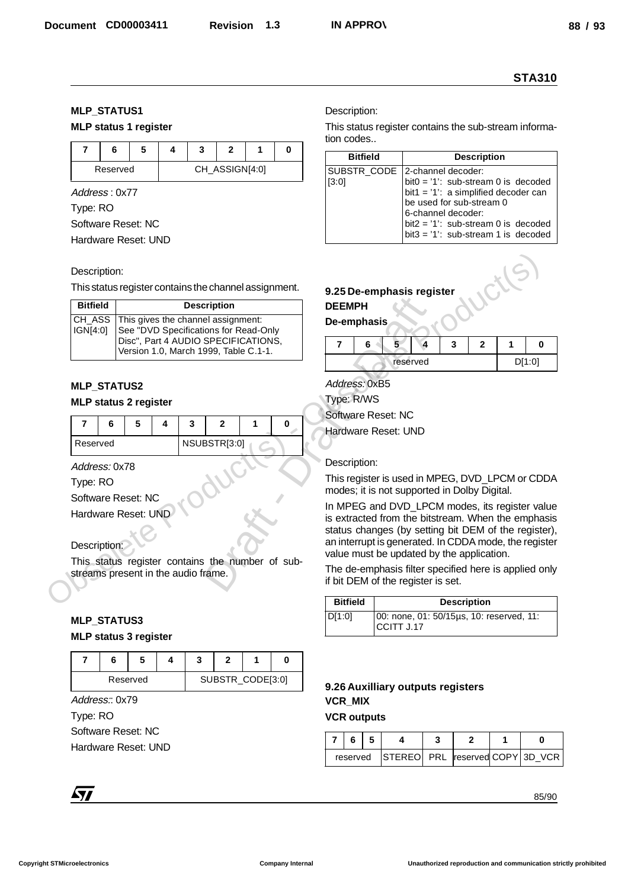# **MLP\_STATUS1**

# **MLP status 1 register**

|          | э |  |                |  |
|----------|---|--|----------------|--|
| Reserved |   |  | CH_ASSIGN[4:0] |  |

#### Description:

| <b>Bitfield</b>                                                                         |                                       |  |  | <b>Description</b>                                                                                                                                          |  |            | <b>DEEMPH</b>                                                                                                                                      |  |  |  |  |  |
|-----------------------------------------------------------------------------------------|---------------------------------------|--|--|-------------------------------------------------------------------------------------------------------------------------------------------------------------|--|------------|----------------------------------------------------------------------------------------------------------------------------------------------------|--|--|--|--|--|
| CH_ASS<br>IGN[4:0]                                                                      |                                       |  |  | This gives the channel assignment:<br>See "DVD Specifications for Read-Only<br>Disc", Part 4 AUDIO SPECIFICATIONS,<br>Version 1.0, March 1999, Table C.1-1. |  |            | De-emphasis<br>$\mathbf{2}$<br>6<br>5<br>4<br>3<br>1<br>$\overline{7}$                                                                             |  |  |  |  |  |
|                                                                                         |                                       |  |  |                                                                                                                                                             |  |            | D[1:0]<br>reserved                                                                                                                                 |  |  |  |  |  |
| <b>MLP_STATUS2</b>                                                                      |                                       |  |  |                                                                                                                                                             |  |            | Address: 0xB5                                                                                                                                      |  |  |  |  |  |
| <b>MLP status 2 register</b>                                                            |                                       |  |  |                                                                                                                                                             |  | Type: R/WS |                                                                                                                                                    |  |  |  |  |  |
| $\overline{7}$<br>6                                                                     | 5<br>$\mathbf{2}$<br>0<br>4<br>3<br>1 |  |  |                                                                                                                                                             |  |            | Software Reset: NC                                                                                                                                 |  |  |  |  |  |
| Reserved                                                                                | NSUBSTR[3:0]                          |  |  |                                                                                                                                                             |  |            | Hardware Reset: UND                                                                                                                                |  |  |  |  |  |
| Address: 0x78                                                                           |                                       |  |  |                                                                                                                                                             |  |            | Description:                                                                                                                                       |  |  |  |  |  |
| Type: RO                                                                                |                                       |  |  |                                                                                                                                                             |  |            | This register is used in MPEG, DVD LPCM or CD<br>modes; it is not supported in Dolby Digital.                                                      |  |  |  |  |  |
| Software Reset: NC<br>Hardware Reset: UND                                               |                                       |  |  |                                                                                                                                                             |  |            | In MPEG and DVD_LPCM modes, its register va<br>is extracted from the bitstream. When the empha<br>status changes (by setting bit DEM of the regist |  |  |  |  |  |
| Description:                                                                            |                                       |  |  |                                                                                                                                                             |  |            | an interrupt is generated. In CDDA mode, the regis<br>value must be updated by the application.                                                    |  |  |  |  |  |
| This status register contains the number of sub-<br>streams present in the audio frame. |                                       |  |  |                                                                                                                                                             |  |            | The de-emphasis filter specified here is applied of<br>if bit DEM of the register is set.                                                          |  |  |  |  |  |
|                                                                                         |                                       |  |  |                                                                                                                                                             |  |            | <b>Bitfield</b><br><b>Description</b>                                                                                                              |  |  |  |  |  |
| <b>MLP_STATUS3</b>                                                                      |                                       |  |  |                                                                                                                                                             |  |            | D[1:0]<br>00: none, 01: 50/15µs, 10: reserved, 11:<br>CCITT J.17                                                                                   |  |  |  |  |  |
| MI D etatus 3 ranistar                                                                  |                                       |  |  |                                                                                                                                                             |  |            |                                                                                                                                                    |  |  |  |  |  |

# **MLP\_STATUS2**

#### **MLP status 2 register**

| Reserved |  | NSUBSTR[3:0] |  |  |  |
|----------|--|--------------|--|--|--|

# Description:

# **MLP\_STATUS3**

#### **MLP status 3 register**

|  | Reserved |  | SUBSTR_CODE[3:0] |  |
|--|----------|--|------------------|--|

|                         |                              |          |   |                                                                              |                |                  |                                                  |                                                                                                            |                               |                                    |                  |                                                                                                               |       | <b>STA310</b>      |
|-------------------------|------------------------------|----------|---|------------------------------------------------------------------------------|----------------|------------------|--------------------------------------------------|------------------------------------------------------------------------------------------------------------|-------------------------------|------------------------------------|------------------|---------------------------------------------------------------------------------------------------------------|-------|--------------------|
|                         | <b>MLP_STATUS1</b>           |          |   |                                                                              |                |                  |                                                  |                                                                                                            | Description:                  |                                    |                  |                                                                                                               |       |                    |
|                         | <b>MLP status 1 register</b> |          |   |                                                                              |                |                  |                                                  |                                                                                                            |                               |                                    |                  | This status register contains the sub-stream informa-                                                         |       |                    |
| $\overline{\mathbf{r}}$ | 6                            | 5        | 4 | 3                                                                            | $\mathbf{2}$   | 1                | $\bf{0}$                                         |                                                                                                            | tion codes<br><b>Bitfield</b> |                                    |                  |                                                                                                               |       |                    |
|                         | Reserved                     |          |   |                                                                              | CH_ASSIGN[4:0] |                  |                                                  |                                                                                                            | SUBSTR_CODE                   |                                    |                  | <b>Description</b><br>2-channel decoder:                                                                      |       |                    |
| Type: RO                | Address: 0x77                |          |   |                                                                              |                |                  |                                                  | [3:0]                                                                                                      |                               |                                    |                  | $bit0 = '1'$ : sub-stream 0 is decoded<br>bit1 = $'1'$ : a simplified decoder can<br>be used for sub-stream 0 |       |                    |
|                         | Software Reset: NC           |          |   |                                                                              |                |                  |                                                  |                                                                                                            |                               |                                    |                  | 6-channel decoder:<br>bit $2 = '1'$ : sub-stream 0 is decoded                                                 |       |                    |
|                         | Hardware Reset: UND          |          |   |                                                                              |                |                  |                                                  |                                                                                                            |                               |                                    |                  | $bit3 = '1'$ : sub-stream 1 is decoded                                                                        |       |                    |
|                         |                              |          |   |                                                                              |                |                  |                                                  |                                                                                                            |                               |                                    |                  |                                                                                                               |       |                    |
|                         | Description:                 |          |   |                                                                              |                |                  |                                                  |                                                                                                            |                               |                                    |                  |                                                                                                               | UCILS |                    |
| <b>Bitfield</b>         |                              |          |   | This status register contains the channel assignment.                        |                |                  |                                                  |                                                                                                            |                               | 9.25 De-emphasis register          |                  |                                                                                                               |       |                    |
| CH_ASS                  |                              |          |   | <b>Description</b><br>This gives the channel assignment:                     |                |                  |                                                  | <b>DEEMPH</b>                                                                                              | De-emphasis                   |                                    |                  |                                                                                                               |       |                    |
| IGN[4:0]                |                              |          |   | See "DVD Specifications for Read-Only<br>Disc", Part 4 AUDIO SPECIFICATIONS, |                |                  |                                                  |                                                                                                            |                               |                                    | $\blacktriangle$ |                                                                                                               |       |                    |
|                         |                              |          |   | Version 1.0, March 1999, Table C.1-1.                                        |                |                  |                                                  | $\overline{\mathbf{r}}$                                                                                    | 6                             | 5 <sup>2</sup><br>reserved         |                  | 3<br>$\mathbf{2}$                                                                                             | 1     | $\bf{0}$<br>D[1:0] |
|                         |                              |          |   |                                                                              |                |                  |                                                  |                                                                                                            |                               |                                    |                  |                                                                                                               |       |                    |
|                         | <b>MLP_STATUS2</b>           |          |   |                                                                              |                |                  |                                                  | Address: 0xB5<br>Type: R/WS                                                                                |                               |                                    |                  |                                                                                                               |       |                    |
|                         | <b>MLP status 2 register</b> |          |   |                                                                              |                |                  |                                                  |                                                                                                            |                               | Software Reset: NC                 |                  |                                                                                                               |       |                    |
| $\overline{7}$          | 6                            | 5        | 4 | 3                                                                            | $\overline{2}$ | 1                | 0                                                |                                                                                                            |                               |                                    |                  |                                                                                                               |       |                    |
|                         | NSUBSTR[3:0]<br>Reserved     |          |   |                                                                              |                |                  |                                                  | Hardware Reset: UND                                                                                        |                               |                                    |                  |                                                                                                               |       |                    |
|                         | Address: 0x78                |          |   |                                                                              |                |                  |                                                  | Description:<br>This register is used in MPEG, DVD_LPCM or CDDA                                            |                               |                                    |                  |                                                                                                               |       |                    |
| Type: RO                |                              |          |   |                                                                              |                |                  |                                                  |                                                                                                            |                               |                                    |                  |                                                                                                               |       |                    |
|                         | Software Reset: NC           |          |   |                                                                              |                |                  |                                                  |                                                                                                            |                               |                                    |                  | modes; it is not supported in Dolby Digital.                                                                  |       |                    |
|                         | Hardware Reset: UND          |          |   |                                                                              |                |                  |                                                  |                                                                                                            |                               |                                    |                  | In MPEG and DVD_LPCM modes, its register value                                                                |       |                    |
|                         |                              |          |   |                                                                              |                |                  |                                                  | is extracted from the bitstream. When the emphasis<br>status changes (by setting bit DEM of the register), |                               |                                    |                  |                                                                                                               |       |                    |
|                         | Description:                 |          |   |                                                                              |                |                  |                                                  |                                                                                                            |                               |                                    |                  | an interrupt is generated. In CDDA mode, the register<br>value must be updated by the application.            |       |                    |
|                         |                              |          |   | streams present in the audio frame.                                          |                |                  | This status register contains the number of sub- |                                                                                                            |                               | if bit DEM of the register is set. |                  | The de-emphasis filter specified here is applied only                                                         |       |                    |
|                         |                              |          |   |                                                                              |                |                  |                                                  |                                                                                                            | <b>Bitfield</b>               |                                    |                  | <b>Description</b>                                                                                            |       |                    |
|                         | <b>MLP_STATUS3</b>           |          |   |                                                                              |                |                  |                                                  | D[1:0]                                                                                                     |                               |                                    |                  | 00: none, 01: 50/15µs, 10: reserved, 11:                                                                      |       |                    |
|                         | <b>MLP status 3 register</b> |          |   |                                                                              |                |                  |                                                  |                                                                                                            |                               | CCITT J.17                         |                  |                                                                                                               |       |                    |
| $\overline{7}$          | 6                            | 5        | 4 | 3                                                                            | 2              | 1                | 0                                                |                                                                                                            |                               |                                    |                  |                                                                                                               |       |                    |
|                         |                              | Reserved |   |                                                                              |                | SUBSTR_CODE[3:0] |                                                  |                                                                                                            |                               |                                    |                  |                                                                                                               |       |                    |
|                         | Address:: 0x79               |          |   |                                                                              |                |                  |                                                  | <b>VCR_MIX</b>                                                                                             |                               | 9.26 Auxilliary outputs registers  |                  |                                                                                                               |       |                    |
| Type: RO                |                              |          |   |                                                                              |                |                  |                                                  |                                                                                                            | <b>VCR outputs</b>            |                                    |                  |                                                                                                               |       |                    |
|                         | Software Reset: NC           |          |   |                                                                              |                |                  |                                                  | 7                                                                                                          | 6<br>5                        | 4                                  | 3                | 2                                                                                                             | 1     | 0                  |
|                         | Hardware Reset: UND          |          |   |                                                                              |                |                  |                                                  |                                                                                                            | reserved                      | STEREO                             | <b>PRL</b>       | reserved COPY 3D_VCR                                                                                          |       |                    |
|                         |                              |          |   |                                                                              |                |                  |                                                  |                                                                                                            |                               |                                    |                  |                                                                                                               |       |                    |
|                         |                              |          |   |                                                                              |                |                  |                                                  |                                                                                                            |                               |                                    |                  |                                                                                                               |       |                    |

#### **9.25 De-emphasis register**

| n |        |  |  |  |  |
|---|--------|--|--|--|--|
|   | D[1:0] |  |  |  |  |

| <b>Bitfield</b> | <b>Description</b>                                     |
|-----------------|--------------------------------------------------------|
| D[1:0]          | 00: none, 01: 50/15µs, 10: reserved, 11:<br>CCITT J.17 |

# **VCR outputs**

| 765 |                                          |  |  |  |  |
|-----|------------------------------------------|--|--|--|--|
|     | reserved STEREO PRL reserved COPY 3D_VCR |  |  |  |  |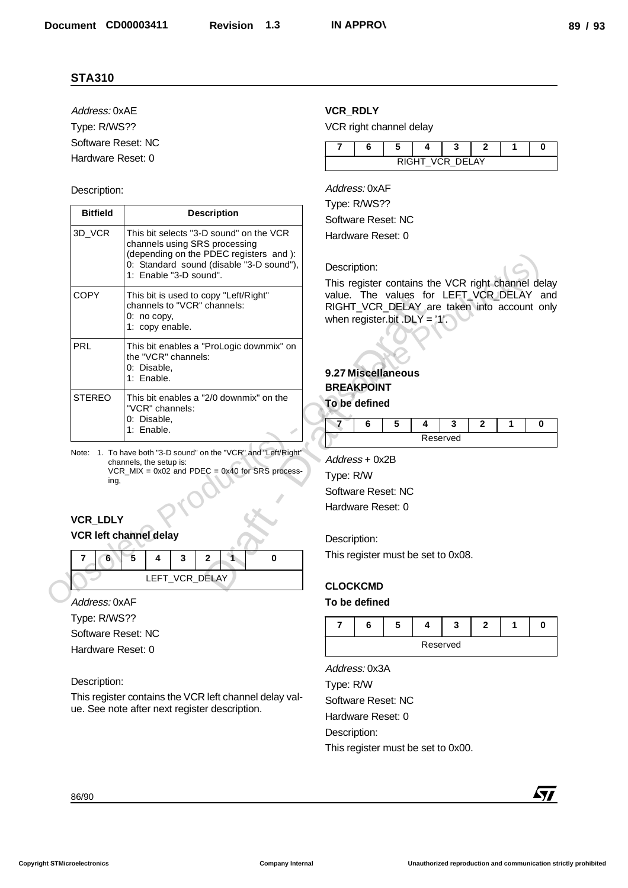# Description:

| Address: 0xAE                                                            |                                                                                                                                                | <b>VCR_RDLY</b>                                                                                                             |  |  |  |  |  |  |  |  |
|--------------------------------------------------------------------------|------------------------------------------------------------------------------------------------------------------------------------------------|-----------------------------------------------------------------------------------------------------------------------------|--|--|--|--|--|--|--|--|
| Type: R/WS??                                                             |                                                                                                                                                | VCR right channel delay                                                                                                     |  |  |  |  |  |  |  |  |
| Software Reset: NC                                                       |                                                                                                                                                | 7<br>6<br>5<br>3<br>$\bf{0}$<br>4<br>$\mathbf{2}$<br>1                                                                      |  |  |  |  |  |  |  |  |
| Hardware Reset: 0                                                        |                                                                                                                                                | RIGHT_VCR_DELAY                                                                                                             |  |  |  |  |  |  |  |  |
| Description:                                                             |                                                                                                                                                | Address: 0xAF                                                                                                               |  |  |  |  |  |  |  |  |
| <b>Bitfield</b>                                                          | <b>Description</b>                                                                                                                             | Type: R/WS??                                                                                                                |  |  |  |  |  |  |  |  |
| 3D_VCR                                                                   | This bit selects "3-D sound" on the VCR                                                                                                        | Software Reset: NC                                                                                                          |  |  |  |  |  |  |  |  |
|                                                                          | channels using SRS processing<br>(depending on the PDEC registers and ):<br>0: Standard sound (disable "3-D sound"),<br>1: Enable "3-D sound". | Hardware Reset: 0<br>Description:<br>This register contains the VCR right channel delay                                     |  |  |  |  |  |  |  |  |
| <b>COPY</b>                                                              | This bit is used to copy "Left/Right"<br>channels to "VCR" channels:<br>0: no copy,<br>1: copy enable.                                         | value. The values for LEFT VCR DELAY and<br>RIGHT_VCR_DELAY_are_taken_into_account_only<br>when register.bit .DLY = $'1'$ . |  |  |  |  |  |  |  |  |
| PRL                                                                      | This bit enables a "ProLogic downmix" on<br>the "VCR" channels:<br>0: Disable,<br>1: Enable.                                                   | 9.27 Miscellaneous<br><b>BREAKPOINT</b>                                                                                     |  |  |  |  |  |  |  |  |
| <b>STEREO</b>                                                            | This bit enables a "2/0 downmix" on the<br>"VCR" channels:<br>0: Disable,<br>1: Enable.                                                        | To be defined<br>$\blacksquare$<br>6<br>5<br>3<br>$\mathbf{2}$<br>1<br>0<br>4<br>Reserved                                   |  |  |  |  |  |  |  |  |
| ing,                                                                     |                                                                                                                                                | Type: R/W<br>Software Reset: NC<br>Hardware Reset: 0                                                                        |  |  |  |  |  |  |  |  |
| VCR_LDLY<br>7<br>$6^{\circ}$                                             | <b>VCR left channel delay</b><br>5<br>4<br>3<br>0<br>2<br>LEFT_VCR_DELAY                                                                       | Description:<br>This register must be set to 0x08.<br><b>CLOCKCMD</b>                                                       |  |  |  |  |  |  |  |  |
|                                                                          |                                                                                                                                                | To be defined                                                                                                               |  |  |  |  |  |  |  |  |
|                                                                          |                                                                                                                                                | 5<br>6<br>$\mathbf{2}$<br>7<br>4<br>3<br>1<br>0                                                                             |  |  |  |  |  |  |  |  |
| Address: 0xAF<br>Type: R/WS??<br>Software Reset: NC<br>Hardware Reset: 0 |                                                                                                                                                | Reserved                                                                                                                    |  |  |  |  |  |  |  |  |
| Description:                                                             | This register contains the VCR left channel delay val-<br>ue. See note after next register description.                                        | Address: 0x3A<br>Type: R/W<br>Software Reset: NC<br>Hardware Reset: 0<br>Description:<br>This register must be set to 0x00. |  |  |  |  |  |  |  |  |

# **VCR\_LDLY VCR left channel delay**

|  |  | LEFT_VCR_DELAY |  |  |
|--|--|----------------|--|--|

#### Description:

# **VCR\_RDLY**



# **9.27 Miscellaneous BREAKPOINT**

|  |  | e.           |  |  |
|--|--|--------------|--|--|
|  |  | <b>Arved</b> |  |  |

#### Description:

# **CLOCKCMD**

# **To be defined**

| Reserved |  |  |  |  |  |  |  |
|----------|--|--|--|--|--|--|--|



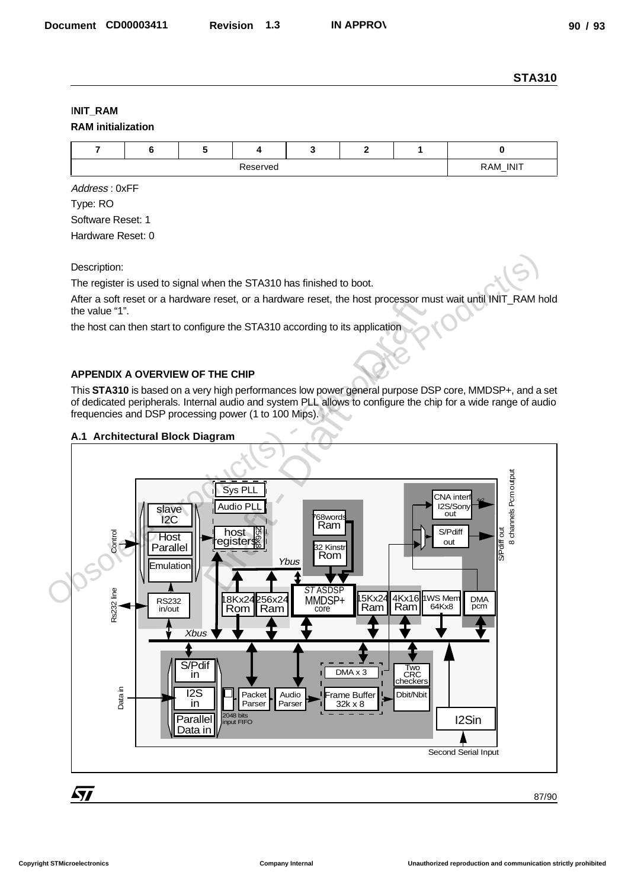# I**NIT\_RAM**

|  | <b>RAM</b> initialization |
|--|---------------------------|
|--|---------------------------|

|  | RAM_INIT<br>._. |  |  |  |  |  |  |
|--|-----------------|--|--|--|--|--|--|

Address : 0xFF Type: RO Software Reset: 1

Hardware Reset: 0

Description:

The register is used to signal when the STA310 has finished to boot.

After a soft reset or a hardware reset, or a hardware reset, the host processor must wait until INIT\_RAM hold the value "1".

the host can then start to configure the STA310 according to its application

# **APPENDIX A OVERVIEW OF THE CHIP**

This **STA310** is based on a very high performances low power general purpose DSP core, MMDSP+, and a set of dedicated peripherals. Internal audio and system PLL allows to configure the chip for a wide range of audio frequencies and DSP processing power (1 to 100 Mips).

#### **A.1 Architectural Block Diagram**

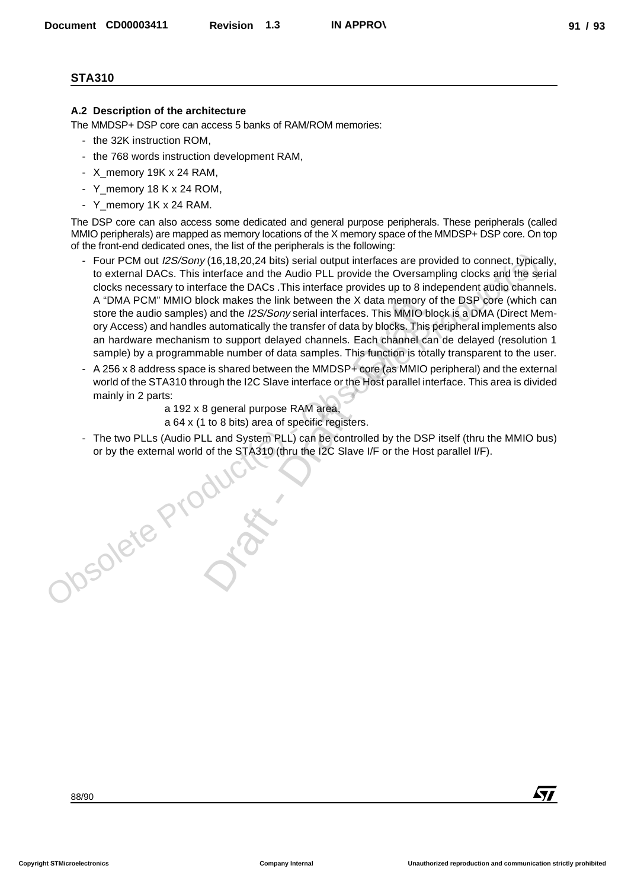# **A.2 Description of the architecture**

The MMDSP+ DSP core can access 5 banks of RAM/ROM memories:

- the 32K instruction ROM,
- the 768 words instruction development RAM,
- X memory 19K x 24 RAM,
- Y\_memory 18 K x 24 ROM,
- Y\_memory 1K x 24 RAM.

The DSP core can also access some dedicated and general purpose peripherals. These peripherals (called MMIO peripherals) are mapped as memory locations of the X memory space of the MMDSP+ DSP core. On top of the front-end dedicated ones, the list of the peripherals is the following:

- Four PCM out I2S/Sony (16,18,20,24 bits) serial output interfaces are provided to connect, typically, to external DACs. This interface and the Audio PLL provide the Oversampling clocks and the serial clocks necessary to interface the DACs .This interface provides up to 8 independent audio channels. A "DMA PCM" MMIO block makes the link between the X data memory of the DSP core (which can store the audio samples) and the *I2S/Sony* serial interfaces. This MMIO block is a DMA (Direct Memory Access) and handles automatically the transfer of data by blocks. This peripheral implements also an hardware mechanism to support delayed channels. Each channel can de delayed (resolution 1 sample) by a programmable number of data samples. This function is totally transparent to the user. Four PCM out *I2S/Sony* (16,18,20,24 bits) sarial output interfaces are provided to connect. Vplicate the constrained DACs. This interface and he Audio PLL provide the Oversampling clocks and the set of the form of the set December CORDOSASTI Revision 1.3 NAPPROV<br>
A December CORDOSASTI Revision 1.3 NAPPROV<br>
A December COP CON COMPROM PREVIOUS CONTROL CONTROL CONTROL CONTROL CONTROL CONTROL CONTROL CONTROL CONTROL CONTROL CONTROL CONTROL CON ock makes the link between the X data memory<br>
i) and the *I2S/Sony* serial interfaces. This MMIO is<br>
sutomatically the transfer of data by blocks. This<br>
m to support delayed channels. Each channel c<br>
able number of data sa
	- A 256 x 8 address space is shared between the MMDSP+ core (as MMIO peripheral) and the external world of the STA310 through the I2C Slave interface or the Host parallel interface. This area is divided mainly in 2 parts:

a 192 x 8 general purpose RAM area,

a 64 x (1 to 8 bits) area of specific registers.

The two PLLs (Audio PLL and System PLL) can be controlled by the DSP itself (thru the MMIO bus) or by the external world of the STA310 (thru the I2C Slave I/F or the Host parallel I/F).

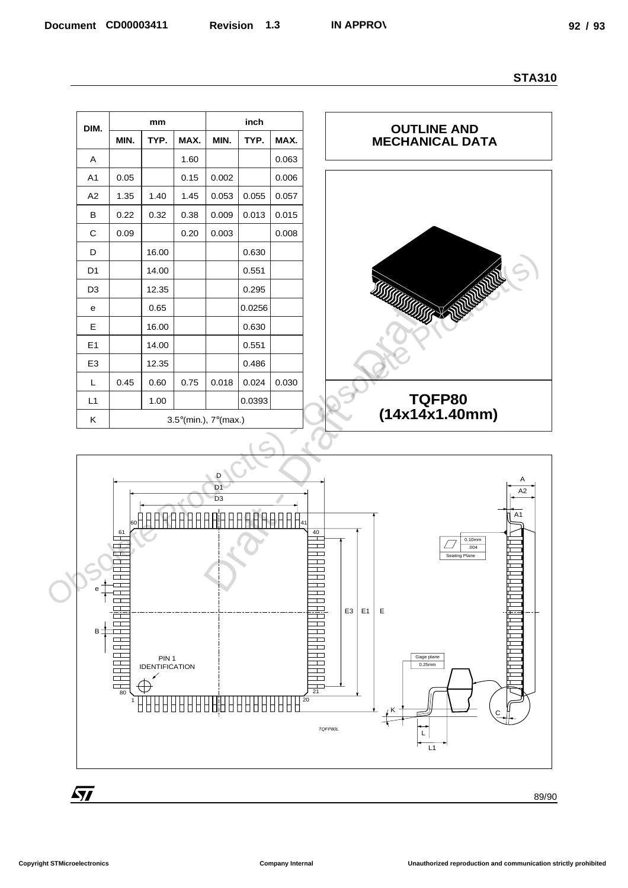